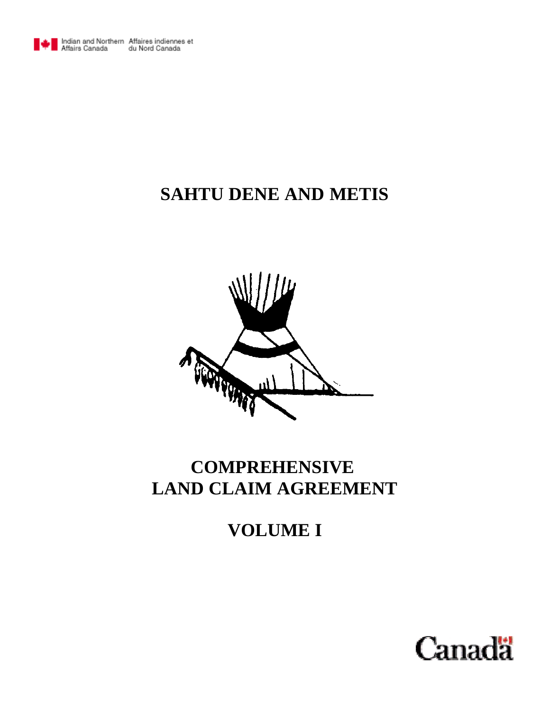

# **SAHTU DENE AND METIS**



# **COMPREHENSIVE LAND CLAIM AGREEMENT**

# **VOLUME I**

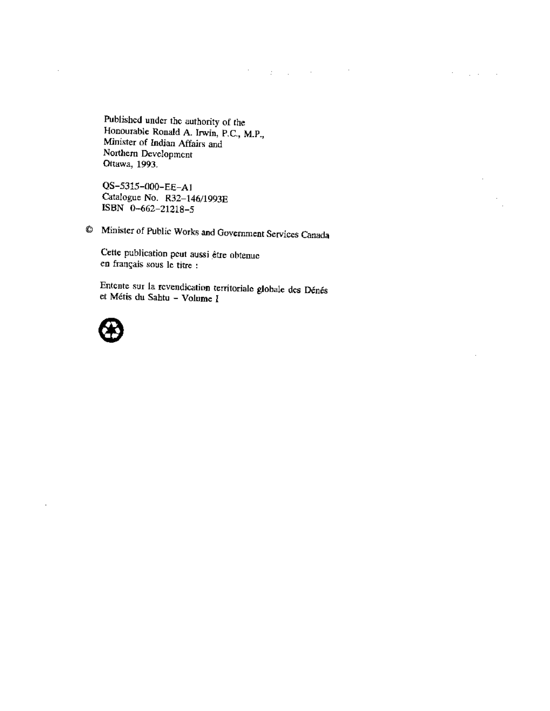Published under the authority of the Honourable Ronald A. Irwin, P.C., M.P., Minister of Indian Affairs and Northern Development Ottawa, 1993.

QS-5315-000-EE-A1 Catalogue No. R32-146/1993E ISBN 0-662-21218-5

<sup>©</sup> Minister of Public Works and Government Services Canada

 $\mathcal{F}^{\mathcal{G}}_{\mathcal{G}}$  , where  $\mathcal{G}^{\mathcal{G}}_{\mathcal{G}}$  and  $\mathcal{G}^{\mathcal{G}}_{\mathcal{G}}$  and  $\mathcal{G}^{\mathcal{G}}_{\mathcal{G}}$ 

 $\mathcal{F}^{\mathcal{G}}_{\mathcal{G}}$  ,  $\mathcal{G}^{\mathcal{G}}_{\mathcal{G}}$  ,  $\mathcal{G}^{\mathcal{G}}_{\mathcal{G}}$  ,  $\mathcal{G}^{\mathcal{G}}_{\mathcal{G}}$ 

 $\overline{a}$ 

Cette publication peut aussi être obtenue en français sous le titre :

Entente sur la revendication territoriale globale des Dénés et Métis du Sahtu - Volume I



 $\mathcal{A}$ 

÷,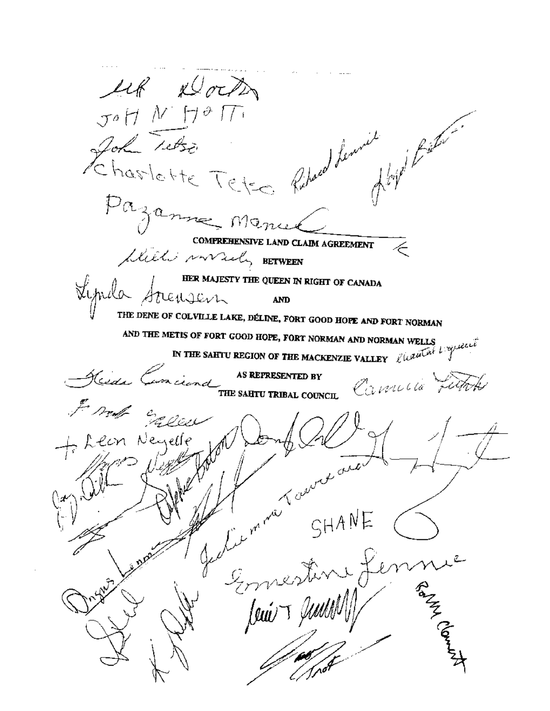up Dock JOHN HOTT Hope River Hommesser<br>Ehastette Tetes Ribert Pazamme Manuel COMPREHENSIVE LAND CLAIM AGREEMENT Will makely BETWEEN Lynda Strengern THE QUEEN IN RIGHT OF CANADA THE DENE OF COLVILLE LAKE, DÉLINE, FORT GOOD HOPE AND FORT NORMAN AND THE METIS OF FORT GOOD HOPE, FORT NORMAN AND NORMAN WELLS<br>IN THE SAHTU REGION OF THE MACKENZIE VALLEY  $\ell^{(\mu\mu\mu\lambda)}$ Reida Conciend AS REPRESENTED BY COUNCLIE FUTURE Front Eggen We I man de SHANE + Leon Neyelle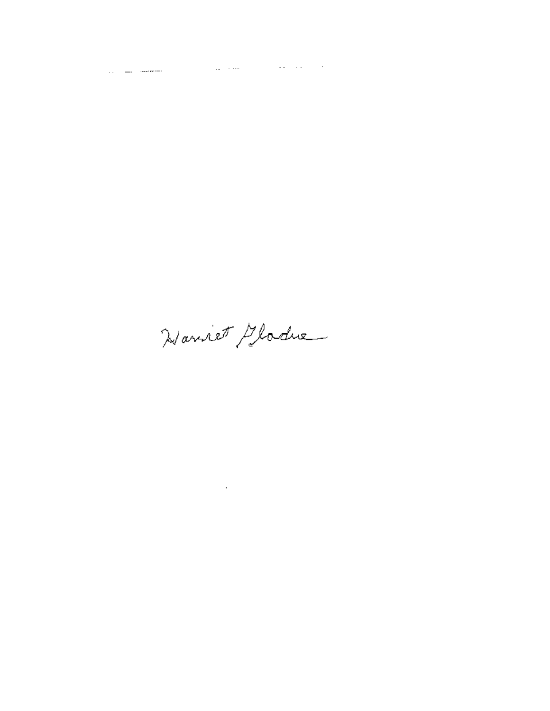Hannet Gladue

 $\mathcal{L}^{\text{max}}_{\text{max}}$  and  $\mathcal{L}^{\text{max}}_{\text{max}}$ 

 $\label{eq:2.1} \mathcal{L}_{\text{max}} = \frac{1}{\sqrt{2\pi}} \sum_{i=1}^{n} \frac{1}{\sqrt{2\pi}} \sum_{i=1}^{n} \frac{1}{\sqrt{2\pi}} \sum_{i=1}^{n} \frac{1}{\sqrt{2\pi}} \sum_{i=1}^{n} \frac{1}{\sqrt{2\pi}} \sum_{i=1}^{n} \frac{1}{\sqrt{2\pi}} \sum_{i=1}^{n} \frac{1}{\sqrt{2\pi}} \sum_{i=1}^{n} \frac{1}{\sqrt{2\pi}} \sum_{i=1}^{n} \frac{1}{\sqrt{2\pi}} \sum_{i=1}^{n} \$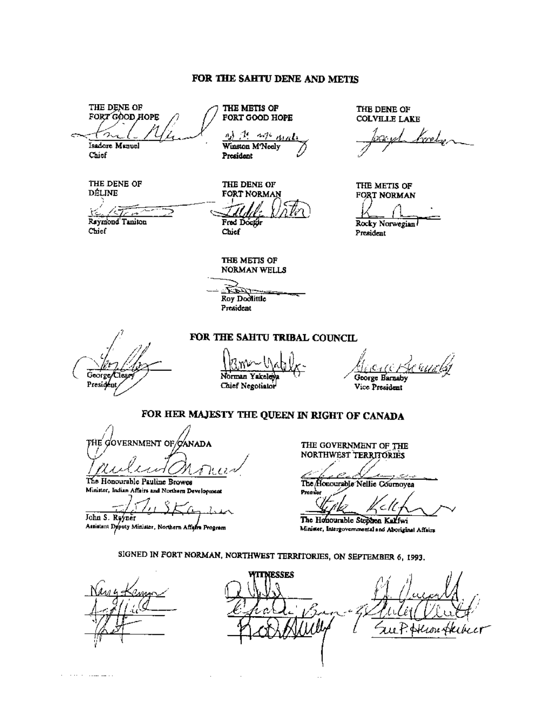#### FOR THE SAHTU DENE AND METTS

THE DENE OF FORT GOOD HOPE Isadore Manuel

THE METIS OF FORT GOOD HOPE

 $4.70$ n,) Winston M'Neely President

THE DENE OF **FORT NORMAN** Fred Doctor

THE DENE OF **COLVILLE LAKE** 

رمهين

THE METIS OF FORT NORMAN Rocky Norwegian President

**DÉLINE** 

THE DENE OF

Chief

Raymond Taniton Chief

Chief

THE METIS OF NORMAN WELLS

- 5 Roy Dodlittle President

George Clear President

Norman Yakeley Chief Negotiator

George Barnaby

Vice President

## FOR HER MAJESTY THE QUEEN IN RIGHT OF CANADA

FOR THE SAHTU TRIBAL COUNCIL

the government of ganada

The Honourable Pauline Browes Minister, Indian Affairs and Northern Development

John S. Ryyner

Attitiant Deputy Minister, Northern Affairs Program

THE GOVERNMENT OF THE NORTHWEST TERRITORIES

The Honourable Nellie Cournoyea Premi

7 The Honourable Stephen Kalfwi

Minister, Intergovernmental and Aboriginal Affairs

SIGNED IN FORT NORMAN, NORTHWEST TERRITORIES, ON SEPTEMBER 6, 1993.

**TTNESSES** u P. Hein Al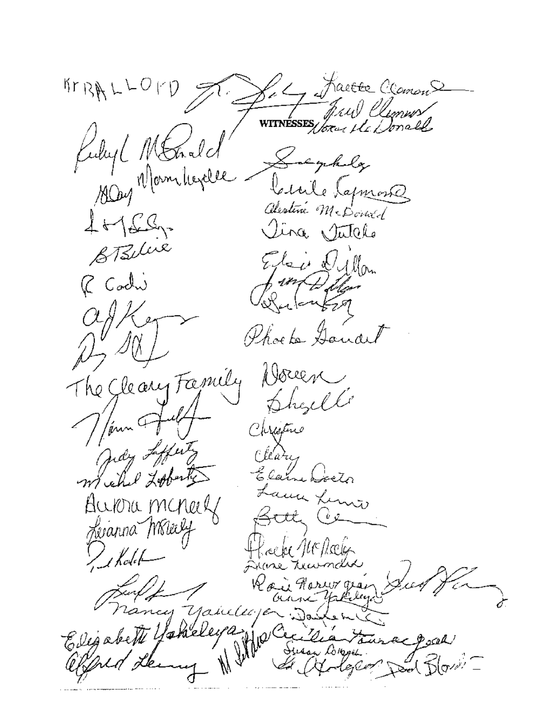Let facte Comme  $47894$ WITNESSES Kubyl MEnde Salysholy Mrs Momberel Civile Lapmont Alestine McDoned  $1 + 60$ ina Jutelo Elais Dyllan R Codi ifonta Thoe to Ganard The Gleany Family Doven Shell  $\frac{1}{\sqrt{2}}$  / from  $4$ Christme ndy Lifety : llaris Elam Cocto ama Limo Aurona mineral ىر ئى Lexanna Wheely UEIlœia  $\bigcup$ kolet-Ŵр. Hor cy Yakeleye ð. eleyay  $\mathcal{H}^{\varphi^\prime\circlearrowleft}$ Elegabeth !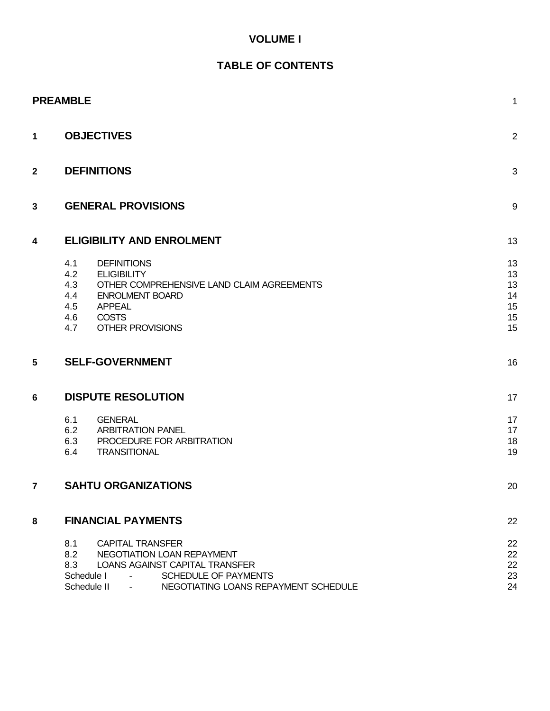### **VOLUME I**

## **TABLE OF CONTENTS**

|                | <b>PREAMBLE</b>                                                                                                                                                                                                                    | 1                                      |
|----------------|------------------------------------------------------------------------------------------------------------------------------------------------------------------------------------------------------------------------------------|----------------------------------------|
| 1              | <b>OBJECTIVES</b>                                                                                                                                                                                                                  | $\overline{2}$                         |
| $\mathbf{2}$   | <b>DEFINITIONS</b>                                                                                                                                                                                                                 |                                        |
| 3              | <b>GENERAL PROVISIONS</b>                                                                                                                                                                                                          | 9                                      |
| 4              | <b>ELIGIBILITY AND ENROLMENT</b>                                                                                                                                                                                                   | 13                                     |
|                | 4.1<br><b>DEFINITIONS</b><br>4.2<br><b>ELIGIBILITY</b><br>4.3<br>OTHER COMPREHENSIVE LAND CLAIM AGREEMENTS<br><b>ENROLMENT BOARD</b><br>4.4<br><b>APPEAL</b><br>4.5<br><b>COSTS</b><br>4.6<br>4.7<br><b>OTHER PROVISIONS</b>       | 13<br>13<br>13<br>14<br>15<br>15<br>15 |
| 5              | <b>SELF-GOVERNMENT</b>                                                                                                                                                                                                             | 16                                     |
| 6              | <b>DISPUTE RESOLUTION</b>                                                                                                                                                                                                          | 17                                     |
|                | 6.1<br><b>GENERAL</b><br>6.2<br><b>ARBITRATION PANEL</b><br>6.3<br>PROCEDURE FOR ARBITRATION<br><b>TRANSITIONAL</b><br>6.4                                                                                                         | 17<br>17<br>18<br>19                   |
| $\overline{7}$ | <b>SAHTU ORGANIZATIONS</b>                                                                                                                                                                                                         | 20                                     |
| 8              | <b>FINANCIAL PAYMENTS</b>                                                                                                                                                                                                          | 22                                     |
|                | 8.1<br><b>CAPITAL TRANSFER</b><br>8.2<br>NEGOTIATION LOAN REPAYMENT<br>8.3<br><b>LOANS AGAINST CAPITAL TRANSFER</b><br>Schedule I<br>SCHEDULE OF PAYMENTS<br>$\blacksquare$<br>NEGOTIATING LOANS REPAYMENT SCHEDULE<br>Schedule II | 22<br>22<br>22<br>23<br>24             |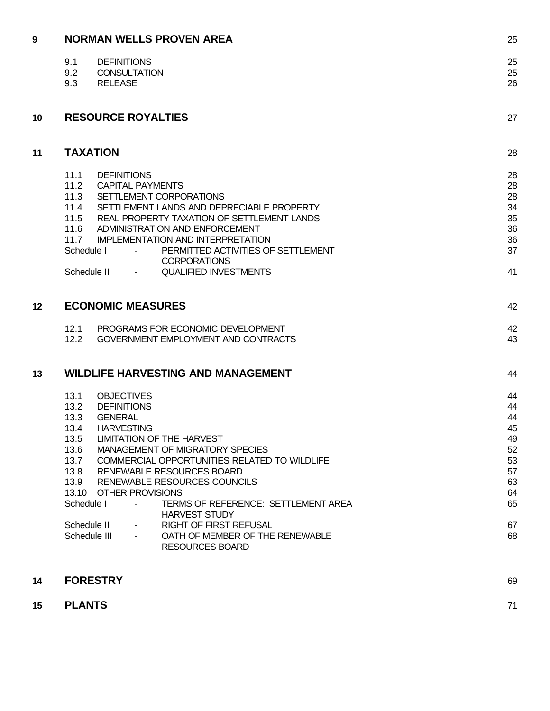| 9  | <b>NORMAN WELLS PROVEN AREA</b>                                                                                                                                                                                                                                                                                                                                                                                                                                                                                                                                      | 25                                                                         |
|----|----------------------------------------------------------------------------------------------------------------------------------------------------------------------------------------------------------------------------------------------------------------------------------------------------------------------------------------------------------------------------------------------------------------------------------------------------------------------------------------------------------------------------------------------------------------------|----------------------------------------------------------------------------|
|    | <b>DEFINITIONS</b><br>9.1<br>9.2<br><b>CONSULTATION</b><br>9.3<br><b>RELEASE</b>                                                                                                                                                                                                                                                                                                                                                                                                                                                                                     | 25<br>25<br>26                                                             |
| 10 | <b>RESOURCE ROYALTIES</b>                                                                                                                                                                                                                                                                                                                                                                                                                                                                                                                                            | 27                                                                         |
| 11 | <b>TAXATION</b>                                                                                                                                                                                                                                                                                                                                                                                                                                                                                                                                                      | 28                                                                         |
|    | 11.1<br><b>DEFINITIONS</b><br>11.2<br><b>CAPITAL PAYMENTS</b><br>11.3<br>SETTLEMENT CORPORATIONS<br>11.4<br>SETTLEMENT LANDS AND DEPRECIABLE PROPERTY<br>11.5<br>REAL PROPERTY TAXATION OF SETTLEMENT LANDS<br>ADMINISTRATION AND ENFORCEMENT<br>11.6<br>11.7<br><b>IMPLEMENTATION AND INTERPRETATION</b><br>PERMITTED ACTIVITIES OF SETTLEMENT<br>Schedule I<br><b>CORPORATIONS</b><br><b>QUALIFIED INVESTMENTS</b><br>Schedule II                                                                                                                                  | 28<br>28<br>28<br>34<br>35<br>36<br>36<br>37<br>41                         |
| 12 | <b>ECONOMIC MEASURES</b>                                                                                                                                                                                                                                                                                                                                                                                                                                                                                                                                             |                                                                            |
|    | 12.1<br>PROGRAMS FOR ECONOMIC DEVELOPMENT<br>12.2<br>GOVERNMENT EMPLOYMENT AND CONTRACTS                                                                                                                                                                                                                                                                                                                                                                                                                                                                             | 42<br>43                                                                   |
| 13 | <b>WILDLIFE HARVESTING AND MANAGEMENT</b>                                                                                                                                                                                                                                                                                                                                                                                                                                                                                                                            | 44                                                                         |
|    | <b>OBJECTIVES</b><br>13.1<br>13.2<br><b>DEFINITIONS</b><br>13.3<br><b>GENERAL</b><br>13.4<br><b>HARVESTING</b><br>13.5 LIMITATION OF THE HARVEST<br>13.6<br>MANAGEMENT OF MIGRATORY SPECIES<br>13.7<br>COMMERCIAL OPPORTUNITIES RELATED TO WILDLIFE<br>13.8<br>RENEWABLE RESOURCES BOARD<br>13.9<br>RENEWABLE RESOURCES COUNCILS<br>13.10 OTHER PROVISIONS<br>Schedule I<br>TERMS OF REFERENCE: SETTLEMENT AREA<br><b>HARVEST STUDY</b><br><b>RIGHT OF FIRST REFUSAL</b><br>Schedule II<br>Schedule III<br>OATH OF MEMBER OF THE RENEWABLE<br><b>RESOURCES BOARD</b> | 44<br>44<br>44<br>45<br>49<br>52<br>53<br>57<br>63<br>64<br>65<br>67<br>68 |
| 14 | <b>FORESTRY</b>                                                                                                                                                                                                                                                                                                                                                                                                                                                                                                                                                      | 69                                                                         |

**15 PLANTS** 71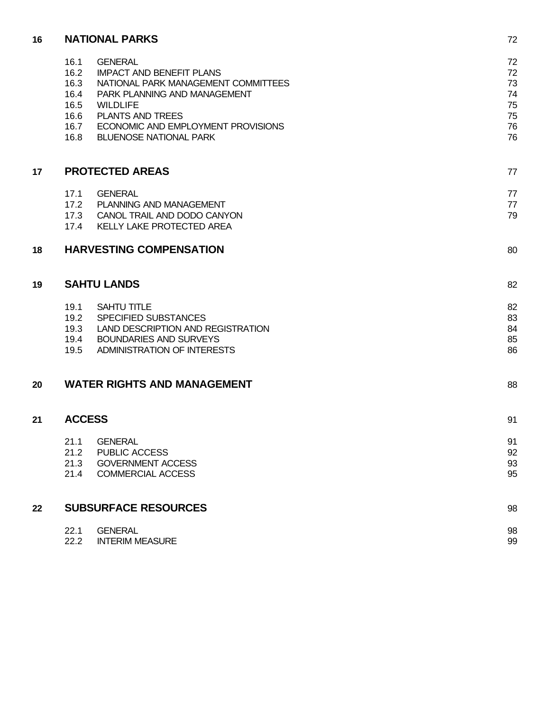| 16 | <b>NATIONAL PARKS</b>                                        |                                                                                                                                                                                                                                               |                                              |
|----|--------------------------------------------------------------|-----------------------------------------------------------------------------------------------------------------------------------------------------------------------------------------------------------------------------------------------|----------------------------------------------|
|    | 16.1<br>16.2<br>16.3<br>16.4<br>16.5<br>16.6<br>16.7<br>16.8 | <b>GENERAL</b><br><b>IMPACT AND BENEFIT PLANS</b><br>NATIONAL PARK MANAGEMENT COMMITTEES<br>PARK PLANNING AND MANAGEMENT<br><b>WILDLIFE</b><br><b>PLANTS AND TREES</b><br>ECONOMIC AND EMPLOYMENT PROVISIONS<br><b>BLUENOSE NATIONAL PARK</b> | 72<br>72<br>73<br>74<br>75<br>75<br>76<br>76 |
| 17 | <b>PROTECTED AREAS</b>                                       |                                                                                                                                                                                                                                               | 77                                           |
|    | <b>GENERAL</b><br>17.1<br>17.4                               | 17.2 PLANNING AND MANAGEMENT<br>17.3 CANOL TRAIL AND DODO CANYON<br>KELLY LAKE PROTECTED AREA                                                                                                                                                 | 77<br>77<br>79                               |
| 18 |                                                              | <b>HARVESTING COMPENSATION</b>                                                                                                                                                                                                                | 80                                           |
| 19 | <b>SAHTU LANDS</b>                                           |                                                                                                                                                                                                                                               | 82                                           |
|    | 19.1<br>19.2<br>19.3<br>19.4<br>19.5                         | <b>SAHTU TITLE</b><br><b>SPECIFIED SUBSTANCES</b><br>LAND DESCRIPTION AND REGISTRATION<br><b>BOUNDARIES AND SURVEYS</b><br>ADMINISTRATION OF INTERESTS                                                                                        | 82<br>83<br>84<br>85<br>86                   |
| 20 |                                                              | <b>WATER RIGHTS AND MANAGEMENT</b>                                                                                                                                                                                                            | 88                                           |
| 21 | <b>ACCESS</b>                                                |                                                                                                                                                                                                                                               | 91                                           |
|    | 21.1<br>21.2<br>21.3<br>21.4                                 | <b>GENERAL</b><br>PUBLIC ACCESS<br><b>GOVERNMENT ACCESS</b><br><b>COMMERCIAL ACCESS</b>                                                                                                                                                       | 91<br>92<br>93<br>95                         |
| 22 |                                                              | <b>SUBSURFACE RESOURCES</b>                                                                                                                                                                                                                   | 98                                           |

| 22.1 | <b>GENERAL</b>         | 98 |
|------|------------------------|----|
| 22.2 | <b>INTERIM MEASURE</b> | 99 |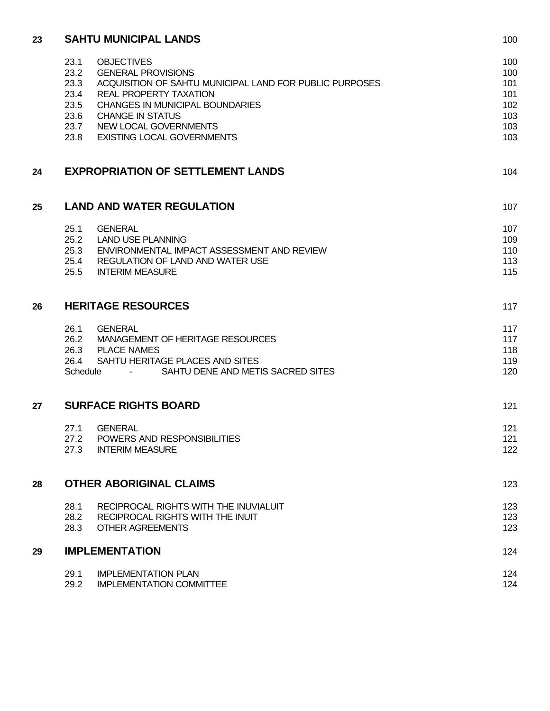| 23 | <b>SAHTU MUNICIPAL LANDS</b>                                                                       |            |  |
|----|----------------------------------------------------------------------------------------------------|------------|--|
|    | <b>OBJECTIVES</b><br>23.1                                                                          | 100        |  |
|    | 23.2<br><b>GENERAL PROVISIONS</b>                                                                  | 100        |  |
|    | 23.3<br>ACQUISITION OF SAHTU MUNICIPAL LAND FOR PUBLIC PURPOSES                                    | 101        |  |
|    | 23.4<br><b>REAL PROPERTY TAXATION</b>                                                              | 101        |  |
|    | 23.5<br><b>CHANGES IN MUNICIPAL BOUNDARIES</b>                                                     | 102        |  |
|    | 23.6<br><b>CHANGE IN STATUS</b>                                                                    | 103        |  |
|    | 23.7<br>NEW LOCAL GOVERNMENTS<br>23.8<br><b>EXISTING LOCAL GOVERNMENTS</b>                         | 103<br>103 |  |
| 24 | <b>EXPROPRIATION OF SETTLEMENT LANDS</b>                                                           | 104        |  |
| 25 | <b>LAND AND WATER REGULATION</b>                                                                   | 107        |  |
|    |                                                                                                    |            |  |
|    | <b>GENERAL</b><br>25.1                                                                             | 107        |  |
|    | 25.2<br><b>LAND USE PLANNING</b><br>25.3<br>ENVIRONMENTAL IMPACT ASSESSMENT AND REVIEW             | 109<br>110 |  |
|    | 25.4<br><b>REGULATION OF LAND AND WATER USE</b>                                                    | 113        |  |
|    | 25.5<br><b>INTERIM MEASURE</b>                                                                     | 115        |  |
|    |                                                                                                    |            |  |
| 26 | <b>HERITAGE RESOURCES</b>                                                                          |            |  |
|    | 26.1<br><b>GENERAL</b>                                                                             | 117        |  |
|    | 26.2<br>MANAGEMENT OF HERITAGE RESOURCES                                                           | 117        |  |
|    | <b>PLACE NAMES</b><br>26.3                                                                         | 118        |  |
|    | SAHTU HERITAGE PLACES AND SITES<br>26.4<br>SAHTU DENE AND METIS SACRED SITES<br>Schedule<br>$\sim$ | 119<br>120 |  |
|    |                                                                                                    |            |  |
| 27 | <b>SURFACE RIGHTS BOARD</b>                                                                        |            |  |
|    | <b>GENERAL</b><br>27.1                                                                             | 121        |  |
|    | POWERS AND RESPONSIBILITIES<br>27.2                                                                | 121        |  |
|    | 27.3<br><b>INTERIM MEASURE</b>                                                                     | 122        |  |
| 28 | <b>OTHER ABORIGINAL CLAIMS</b>                                                                     |            |  |
|    | RECIPROCAL RIGHTS WITH THE INUVIALUIT<br>28.1                                                      | 123        |  |
|    | RECIPROCAL RIGHTS WITH THE INUIT<br>28.2                                                           | 123        |  |
|    | 28.3<br><b>OTHER AGREEMENTS</b>                                                                    | 123        |  |
| 29 | <b>IMPLEMENTATION</b>                                                                              |            |  |
|    | 29.1<br><b>IMPLEMENTATION PLAN</b>                                                                 | 124        |  |
|    | 29.2<br><b>IMPLEMENTATION COMMITTEE</b>                                                            | 124        |  |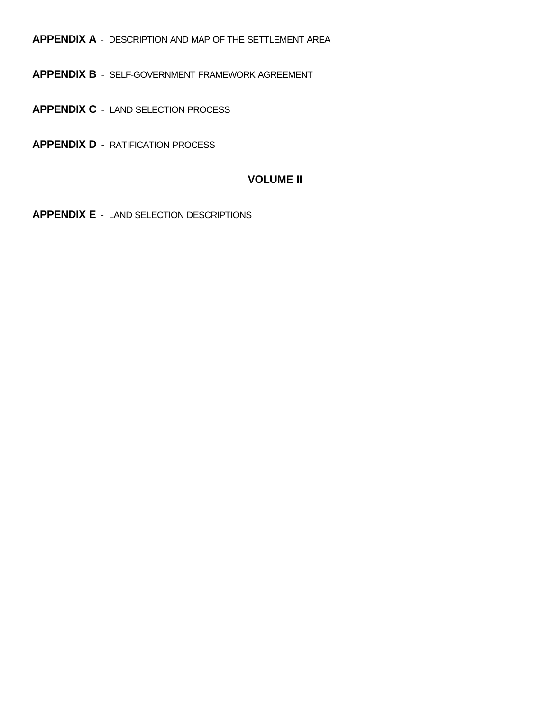**APPENDIX A** - DESCRIPTION AND MAP OF THE SETTLEMENT AREA

**APPENDIX B** - SELF-GOVERNMENT FRAMEWORK AGREEMENT

**APPENDIX C** - LAND SELECTION PROCESS

**APPENDIX D** - RATIFICATION PROCESS

### **VOLUME II**

**APPENDIX E** - LAND SELECTION DESCRIPTIONS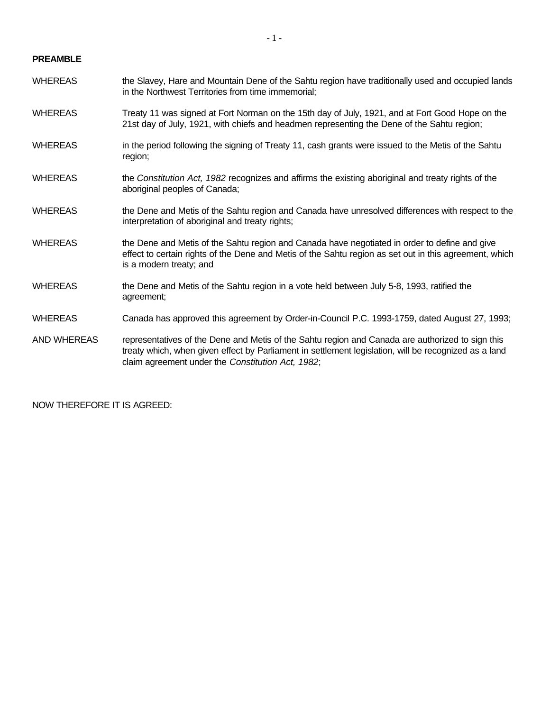#### **PREAMBLE**

- WHEREAS the Slavey, Hare and Mountain Dene of the Sahtu region have traditionally used and occupied lands in the Northwest Territories from time immemorial;
- WHEREAS Treaty 11 was signed at Fort Norman on the 15th day of July, 1921, and at Fort Good Hope on the 21st day of July, 1921, with chiefs and headmen representing the Dene of the Sahtu region;
- WHEREAS in the period following the signing of Treaty 11, cash grants were issued to the Metis of the Sahtu region;
- WHEREAS the *Constitution Act, 1982* recognizes and affirms the existing aboriginal and treaty rights of the aboriginal peoples of Canada;
- WHEREAS the Dene and Metis of the Sahtu region and Canada have unresolved differences with respect to the interpretation of aboriginal and treaty rights;
- WHEREAS the Dene and Metis of the Sahtu region and Canada have negotiated in order to define and give effect to certain rights of the Dene and Metis of the Sahtu region as set out in this agreement, which is a modern treaty; and
- WHEREAS the Dene and Metis of the Sahtu region in a vote held between July 5-8, 1993, ratified the agreement;
- WHEREAS Canada has approved this agreement by Order-in-Council P.C. 1993-1759, dated August 27, 1993;
- AND WHEREAS representatives of the Dene and Metis of the Sahtu region and Canada are authorized to sign this treaty which, when given effect by Parliament in settlement legislation, will be recognized as a land claim agreement under the *Constitution Act, 1982*;

NOW THEREFORE IT IS AGREED: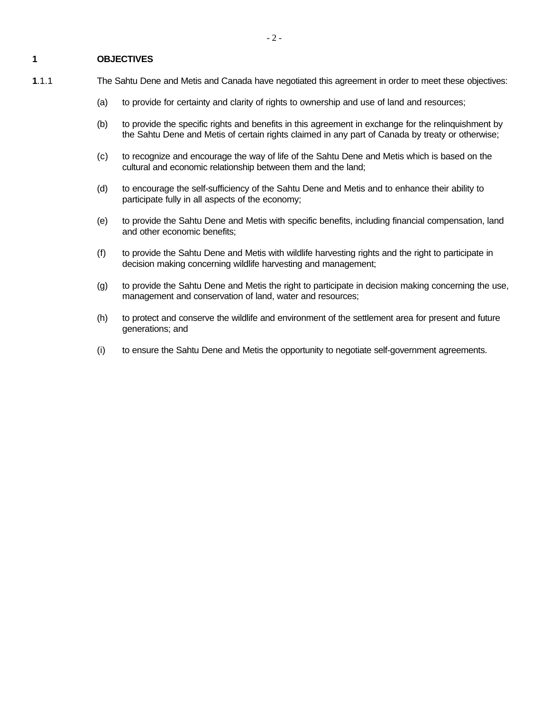#### **1 OBJECTIVES**

- 
- **1**.1.1 The Sahtu Dene and Metis and Canada have negotiated this agreement in order to meet these objectives:
	- (a) to provide for certainty and clarity of rights to ownership and use of land and resources;
	- (b) to provide the specific rights and benefits in this agreement in exchange for the relinquishment by the Sahtu Dene and Metis of certain rights claimed in any part of Canada by treaty or otherwise;
	- (c) to recognize and encourage the way of life of the Sahtu Dene and Metis which is based on the cultural and economic relationship between them and the land;
	- (d) to encourage the self-sufficiency of the Sahtu Dene and Metis and to enhance their ability to participate fully in all aspects of the economy;
	- (e) to provide the Sahtu Dene and Metis with specific benefits, including financial compensation, land and other economic benefits;
	- (f) to provide the Sahtu Dene and Metis with wildlife harvesting rights and the right to participate in decision making concerning wildlife harvesting and management;
	- (g) to provide the Sahtu Dene and Metis the right to participate in decision making concerning the use, management and conservation of land, water and resources;
	- (h) to protect and conserve the wildlife and environment of the settlement area for present and future generations; and
	- (i) to ensure the Sahtu Dene and Metis the opportunity to negotiate self-government agreements.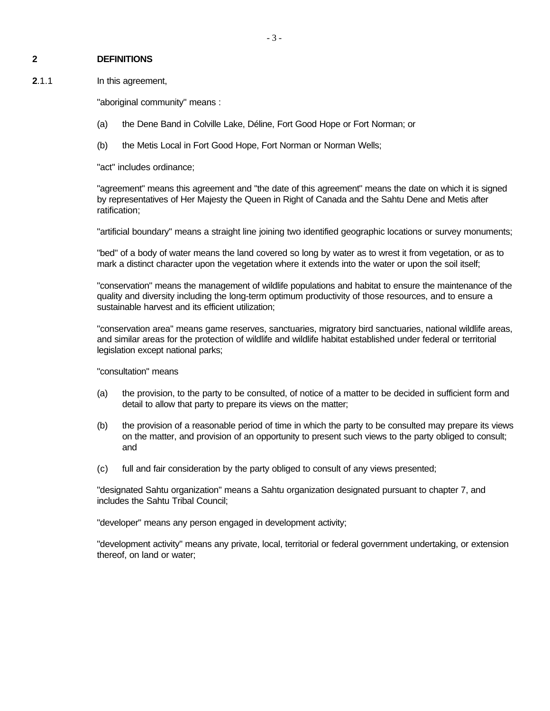#### **2 DEFINITIONS**

**2**.1.1 In this agreement,

"aboriginal community" means :

- (a) the Dene Band in Colville Lake, Déline, Fort Good Hope or Fort Norman; or
- (b) the Metis Local in Fort Good Hope, Fort Norman or Norman Wells;

"act" includes ordinance;

"agreement" means this agreement and "the date of this agreement" means the date on which it is signed by representatives of Her Majesty the Queen in Right of Canada and the Sahtu Dene and Metis after ratification;

"artificial boundary" means a straight line joining two identified geographic locations or survey monuments;

"bed" of a body of water means the land covered so long by water as to wrest it from vegetation, or as to mark a distinct character upon the vegetation where it extends into the water or upon the soil itself;

"conservation" means the management of wildlife populations and habitat to ensure the maintenance of the quality and diversity including the long-term optimum productivity of those resources, and to ensure a sustainable harvest and its efficient utilization;

"conservation area" means game reserves, sanctuaries, migratory bird sanctuaries, national wildlife areas, and similar areas for the protection of wildlife and wildlife habitat established under federal or territorial legislation except national parks;

"consultation" means

- (a) the provision, to the party to be consulted, of notice of a matter to be decided in sufficient form and detail to allow that party to prepare its views on the matter;
- (b) the provision of a reasonable period of time in which the party to be consulted may prepare its views on the matter, and provision of an opportunity to present such views to the party obliged to consult; and
- (c) full and fair consideration by the party obliged to consult of any views presented;

"designated Sahtu organization" means a Sahtu organization designated pursuant to chapter 7, and includes the Sahtu Tribal Council;

"developer" means any person engaged in development activity;

"development activity" means any private, local, territorial or federal government undertaking, or extension thereof, on land or water;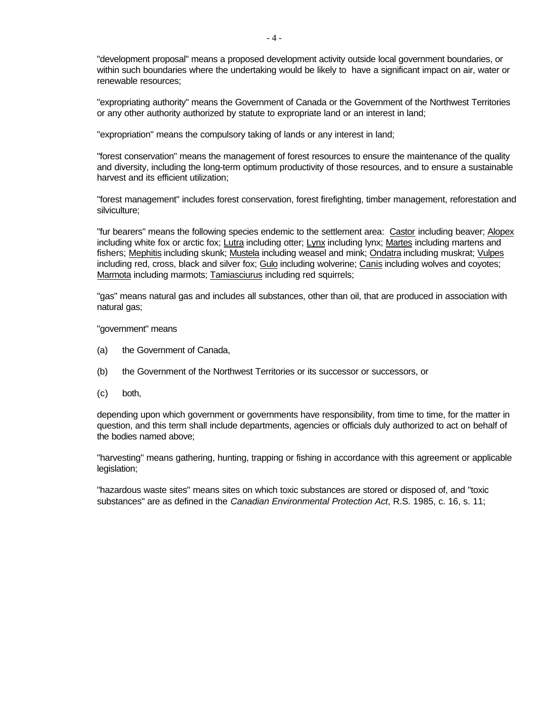"development proposal" means a proposed development activity outside local government boundaries, or within such boundaries where the undertaking would be likely to have a significant impact on air, water or renewable resources;

"expropriating authority" means the Government of Canada or the Government of the Northwest Territories or any other authority authorized by statute to expropriate land or an interest in land;

"expropriation" means the compulsory taking of lands or any interest in land;

"forest conservation" means the management of forest resources to ensure the maintenance of the quality and diversity, including the long-term optimum productivity of those resources, and to ensure a sustainable harvest and its efficient utilization;

"forest management" includes forest conservation, forest firefighting, timber management, reforestation and silviculture;

"fur bearers" means the following species endemic to the settlement area: Castor including beaver; Alopex including white fox or arctic fox; Lutra including otter; Lynx including lynx; Martes including martens and fishers; Mephitis including skunk; Mustela including weasel and mink; Ondatra including muskrat; Vulpes including red, cross, black and silver fox; Gulo including wolverine; Canis including wolves and coyotes; Marmota including marmots; Tamiasciurus including red squirrels;

"gas" means natural gas and includes all substances, other than oil, that are produced in association with natural gas;

"government" means

- (a) the Government of Canada,
- (b) the Government of the Northwest Territories or its successor or successors, or
- (c) both,

depending upon which government or governments have responsibility, from time to time, for the matter in question, and this term shall include departments, agencies or officials duly authorized to act on behalf of the bodies named above;

"harvesting" means gathering, hunting, trapping or fishing in accordance with this agreement or applicable legislation;

"hazardous waste sites" means sites on which toxic substances are stored or disposed of, and "toxic substances" are as defined in the *Canadian Environmental Protection Act*, R.S. 1985, c. 16, s. 11;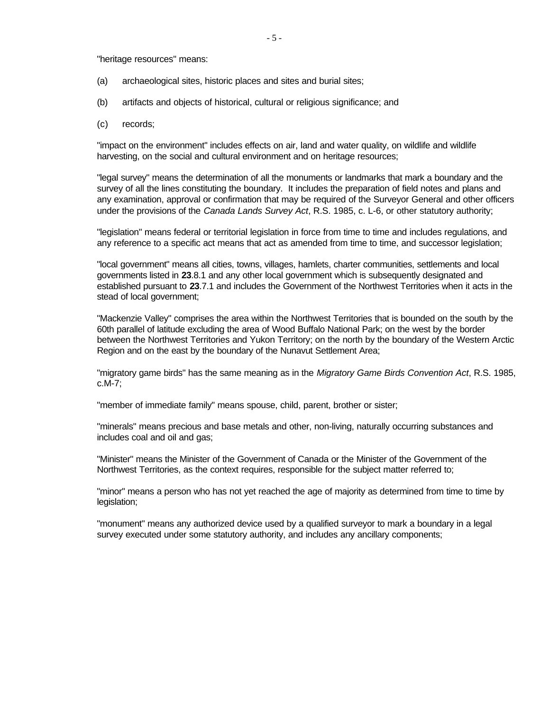"heritage resources" means:

- (a) archaeological sites, historic places and sites and burial sites;
- (b) artifacts and objects of historical, cultural or religious significance; and
- (c) records;

"impact on the environment" includes effects on air, land and water quality, on wildlife and wildlife harvesting, on the social and cultural environment and on heritage resources;

"legal survey" means the determination of all the monuments or landmarks that mark a boundary and the survey of all the lines constituting the boundary. It includes the preparation of field notes and plans and any examination, approval or confirmation that may be required of the Surveyor General and other officers under the provisions of the *Canada Lands Survey Act*, R.S. 1985, c. L-6, or other statutory authority;

"legislation" means federal or territorial legislation in force from time to time and includes regulations, and any reference to a specific act means that act as amended from time to time, and successor legislation;

"local government" means all cities, towns, villages, hamlets, charter communities, settlements and local governments listed in **23**.8.1 and any other local government which is subsequently designated and established pursuant to **23**.7.1 and includes the Government of the Northwest Territories when it acts in the stead of local government;

"Mackenzie Valley" comprises the area within the Northwest Territories that is bounded on the south by the 60th parallel of latitude excluding the area of Wood Buffalo National Park; on the west by the border between the Northwest Territories and Yukon Territory; on the north by the boundary of the Western Arctic Region and on the east by the boundary of the Nunavut Settlement Area;

"migratory game birds" has the same meaning as in the *Migratory Game Birds Convention Act*, R.S. 1985, c.M-7;

"member of immediate family" means spouse, child, parent, brother or sister;

"minerals" means precious and base metals and other, non-living, naturally occurring substances and includes coal and oil and gas;

"Minister" means the Minister of the Government of Canada or the Minister of the Government of the Northwest Territories, as the context requires, responsible for the subject matter referred to;

"minor" means a person who has not yet reached the age of majority as determined from time to time by legislation;

"monument" means any authorized device used by a qualified surveyor to mark a boundary in a legal survey executed under some statutory authority, and includes any ancillary components;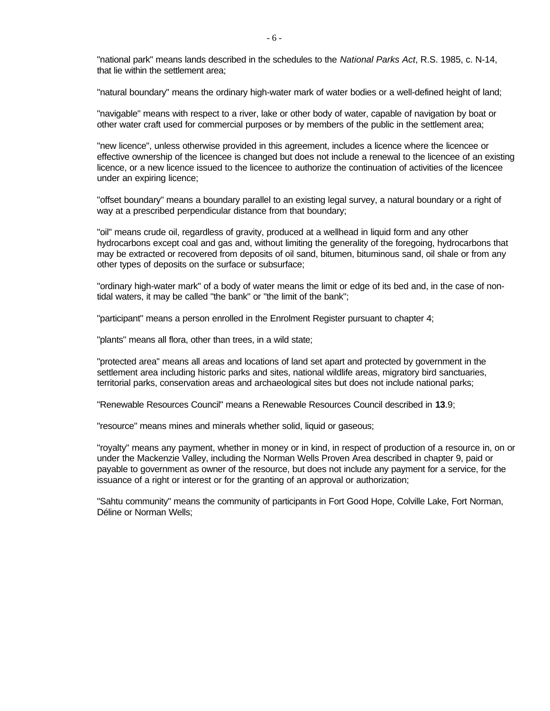"national park" means lands described in the schedules to the *National Parks Act*, R.S. 1985, c. N-14, that lie within the settlement area;

"natural boundary" means the ordinary high-water mark of water bodies or a well-defined height of land;

"navigable" means with respect to a river, lake or other body of water, capable of navigation by boat or other water craft used for commercial purposes or by members of the public in the settlement area;

"new licence", unless otherwise provided in this agreement, includes a licence where the licencee or effective ownership of the licencee is changed but does not include a renewal to the licencee of an existing licence, or a new licence issued to the licencee to authorize the continuation of activities of the licencee under an expiring licence;

"offset boundary" means a boundary parallel to an existing legal survey, a natural boundary or a right of way at a prescribed perpendicular distance from that boundary;

"oil" means crude oil, regardless of gravity, produced at a wellhead in liquid form and any other hydrocarbons except coal and gas and, without limiting the generality of the foregoing, hydrocarbons that may be extracted or recovered from deposits of oil sand, bitumen, bituminous sand, oil shale or from any other types of deposits on the surface or subsurface;

"ordinary high-water mark" of a body of water means the limit or edge of its bed and, in the case of nontidal waters, it may be called "the bank" or "the limit of the bank";

"participant" means a person enrolled in the Enrolment Register pursuant to chapter 4;

"plants" means all flora, other than trees, in a wild state;

"protected area" means all areas and locations of land set apart and protected by government in the settlement area including historic parks and sites, national wildlife areas, migratory bird sanctuaries, territorial parks, conservation areas and archaeological sites but does not include national parks;

"Renewable Resources Council" means a Renewable Resources Council described in **13**.9;

"resource" means mines and minerals whether solid, liquid or gaseous;

"royalty" means any payment, whether in money or in kind, in respect of production of a resource in, on or under the Mackenzie Valley, including the Norman Wells Proven Area described in chapter 9, paid or payable to government as owner of the resource, but does not include any payment for a service, for the issuance of a right or interest or for the granting of an approval or authorization;

"Sahtu community" means the community of participants in Fort Good Hope, Colville Lake, Fort Norman, Déline or Norman Wells;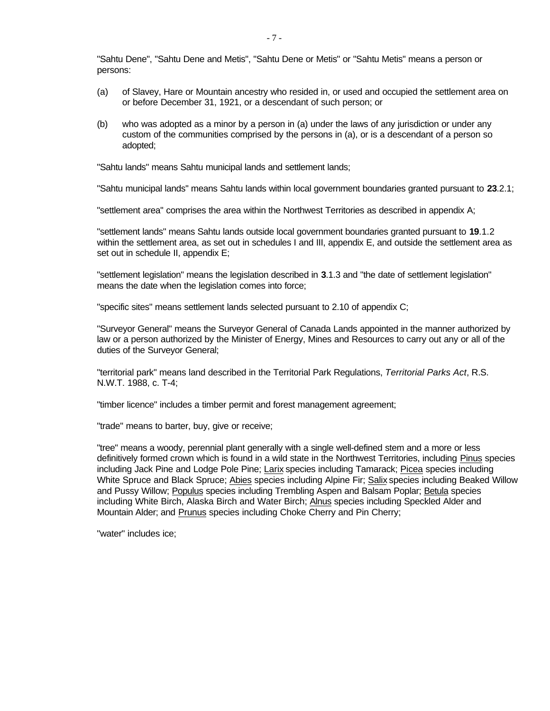"Sahtu Dene", "Sahtu Dene and Metis", "Sahtu Dene or Metis" or "Sahtu Metis" means a person or persons:

- (a) of Slavey, Hare or Mountain ancestry who resided in, or used and occupied the settlement area on or before December 31, 1921, or a descendant of such person; or
- (b) who was adopted as a minor by a person in (a) under the laws of any jurisdiction or under any custom of the communities comprised by the persons in (a), or is a descendant of a person so adopted;

"Sahtu lands" means Sahtu municipal lands and settlement lands;

"Sahtu municipal lands" means Sahtu lands within local government boundaries granted pursuant to **23**.2.1;

"settlement area" comprises the area within the Northwest Territories as described in appendix A;

"settlement lands" means Sahtu lands outside local government boundaries granted pursuant to **19**.1.2 within the settlement area, as set out in schedules I and III, appendix E, and outside the settlement area as set out in schedule II, appendix E;

"settlement legislation" means the legislation described in **3**.1.3 and "the date of settlement legislation" means the date when the legislation comes into force;

"specific sites" means settlement lands selected pursuant to 2.10 of appendix C;

"Surveyor General" means the Surveyor General of Canada Lands appointed in the manner authorized by law or a person authorized by the Minister of Energy, Mines and Resources to carry out any or all of the duties of the Surveyor General;

"territorial park" means land described in the Territorial Park Regulations, *Territorial Parks Act*, R.S. N.W.T. 1988, c. T-4;

"timber licence" includes a timber permit and forest management agreement;

"trade" means to barter, buy, give or receive;

"tree" means a woody, perennial plant generally with a single well-defined stem and a more or less definitively formed crown which is found in a wild state in the Northwest Territories, including Pinus species including Jack Pine and Lodge Pole Pine; Larix species including Tamarack; Picea species including White Spruce and Black Spruce; Abies species including Alpine Fir; Salix species including Beaked Willow and Pussy Willow; Populus species including Trembling Aspen and Balsam Poplar; Betula species including White Birch, Alaska Birch and Water Birch; Alnus species including Speckled Alder and Mountain Alder; and **Prunus** species including Choke Cherry and Pin Cherry;

"water" includes ice;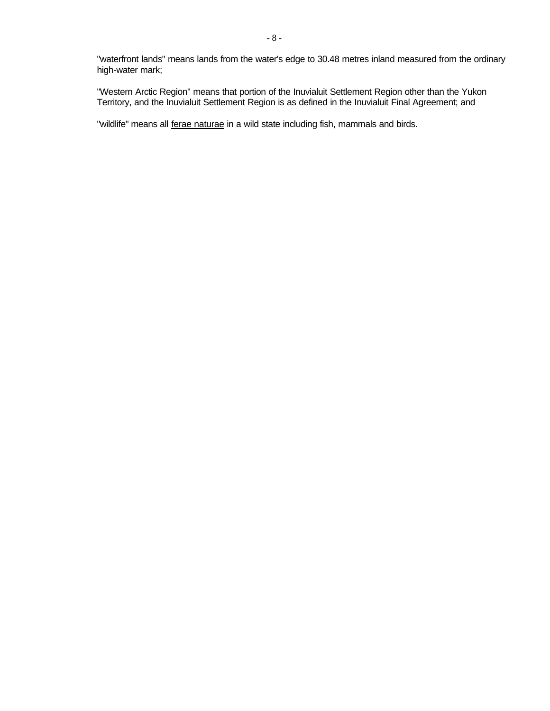"waterfront lands" means lands from the water's edge to 30.48 metres inland measured from the ordinary high-water mark;

"Western Arctic Region" means that portion of the Inuvialuit Settlement Region other than the Yukon Territory, and the Inuvialuit Settlement Region is as defined in the Inuvialuit Final Agreement; and

"wildlife" means all ferae naturae in a wild state including fish, mammals and birds.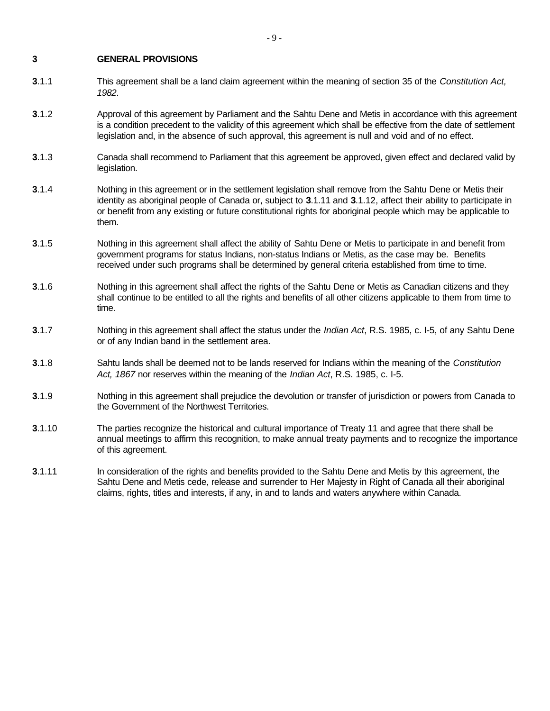#### **3 GENERAL PROVISIONS**

- **3**.1.1 This agreement shall be a land claim agreement within the meaning of section 35 of the *Constitution Act, 1982*.
- **3**.1.2 Approval of this agreement by Parliament and the Sahtu Dene and Metis in accordance with this agreement is a condition precedent to the validity of this agreement which shall be effective from the date of settlement legislation and, in the absence of such approval, this agreement is null and void and of no effect.
- **3**.1.3 Canada shall recommend to Parliament that this agreement be approved, given effect and declared valid by legislation.
- **3**.1.4 Nothing in this agreement or in the settlement legislation shall remove from the Sahtu Dene or Metis their identity as aboriginal people of Canada or, subject to **3**.1.11 and **3**.1.12, affect their ability to participate in or benefit from any existing or future constitutional rights for aboriginal people which may be applicable to them.
- **3**.1.5 Nothing in this agreement shall affect the ability of Sahtu Dene or Metis to participate in and benefit from government programs for status Indians, non-status Indians or Metis, as the case may be. Benefits received under such programs shall be determined by general criteria established from time to time.
- **3**.1.6 Nothing in this agreement shall affect the rights of the Sahtu Dene or Metis as Canadian citizens and they shall continue to be entitled to all the rights and benefits of all other citizens applicable to them from time to time.
- **3**.1.7 Nothing in this agreement shall affect the status under the *Indian Act*, R.S. 1985, c. I-5, of any Sahtu Dene or of any Indian band in the settlement area.
- **3**.1.8 Sahtu lands shall be deemed not to be lands reserved for Indians within the meaning of the *Constitution Act, 1867* nor reserves within the meaning of the *Indian Act*, R.S. 1985, c. I-5.
- **3**.1.9 Nothing in this agreement shall prejudice the devolution or transfer of jurisdiction or powers from Canada to the Government of the Northwest Territories.
- **3**.1.10 The parties recognize the historical and cultural importance of Treaty 11 and agree that there shall be annual meetings to affirm this recognition, to make annual treaty payments and to recognize the importance of this agreement.
- **3.1.11** In consideration of the rights and benefits provided to the Sahtu Dene and Metis by this agreement, the Sahtu Dene and Metis cede, release and surrender to Her Majesty in Right of Canada all their aboriginal claims, rights, titles and interests, if any, in and to lands and waters anywhere within Canada.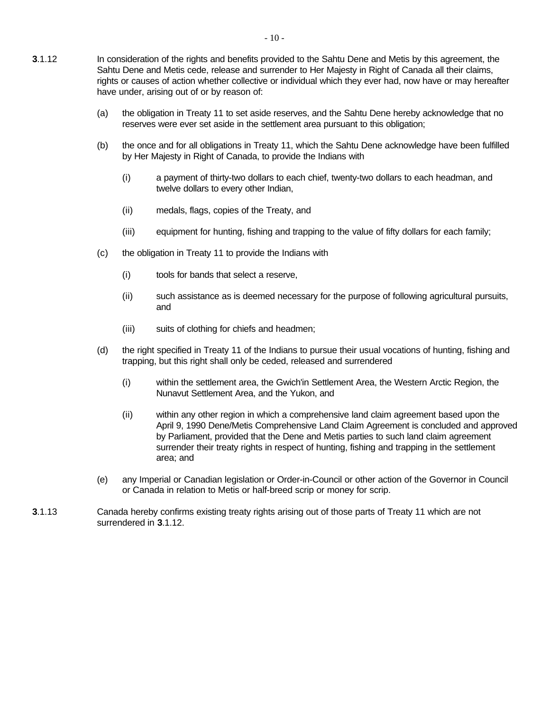- (a) the obligation in Treaty 11 to set aside reserves, and the Sahtu Dene hereby acknowledge that no reserves were ever set aside in the settlement area pursuant to this obligation;
- (b) the once and for all obligations in Treaty 11, which the Sahtu Dene acknowledge have been fulfilled by Her Majesty in Right of Canada, to provide the Indians with
	- (i) a payment of thirty-two dollars to each chief, twenty-two dollars to each headman, and twelve dollars to every other Indian,
	- (ii) medals, flags, copies of the Treaty, and
	- (iii) equipment for hunting, fishing and trapping to the value of fifty dollars for each family;
- (c) the obligation in Treaty 11 to provide the Indians with
	- (i) tools for bands that select a reserve,
	- (ii) such assistance as is deemed necessary for the purpose of following agricultural pursuits, and
	- (iii) suits of clothing for chiefs and headmen;
- (d) the right specified in Treaty 11 of the Indians to pursue their usual vocations of hunting, fishing and trapping, but this right shall only be ceded, released and surrendered
	- (i) within the settlement area, the Gwich'in Settlement Area, the Western Arctic Region, the Nunavut Settlement Area, and the Yukon, and
	- (ii) within any other region in which a comprehensive land claim agreement based upon the April 9, 1990 Dene/Metis Comprehensive Land Claim Agreement is concluded and approved by Parliament, provided that the Dene and Metis parties to such land claim agreement surrender their treaty rights in respect of hunting, fishing and trapping in the settlement area; and
- (e) any Imperial or Canadian legislation or Order-in-Council or other action of the Governor in Council or Canada in relation to Metis or half-breed scrip or money for scrip.
- **3**.1.13 Canada hereby confirms existing treaty rights arising out of those parts of Treaty 11 which are not surrendered in **3**.1.12.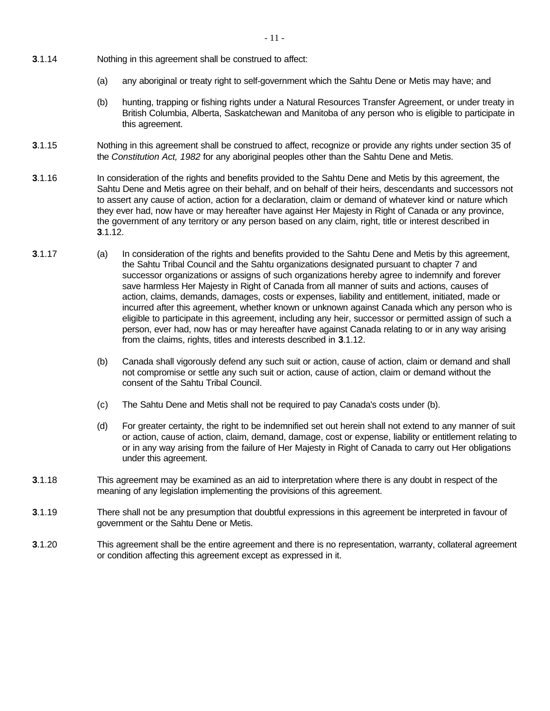- **3**.1.14 Nothing in this agreement shall be construed to affect:
	- (a) any aboriginal or treaty right to self-government which the Sahtu Dene or Metis may have; and
	- (b) hunting, trapping or fishing rights under a Natural Resources Transfer Agreement, or under treaty in British Columbia, Alberta, Saskatchewan and Manitoba of any person who is eligible to participate in this agreement.
- **3**.1.15 Nothing in this agreement shall be construed to affect, recognize or provide any rights under section 35 of the *Constitution Act, 1982* for any aboriginal peoples other than the Sahtu Dene and Metis.
- **3**.1.16 In consideration of the rights and benefits provided to the Sahtu Dene and Metis by this agreement, the Sahtu Dene and Metis agree on their behalf, and on behalf of their heirs, descendants and successors not to assert any cause of action, action for a declaration, claim or demand of whatever kind or nature which they ever had, now have or may hereafter have against Her Majesty in Right of Canada or any province, the government of any territory or any person based on any claim, right, title or interest described in **3**.1.12.
- **3**.1.17 (a) In consideration of the rights and benefits provided to the Sahtu Dene and Metis by this agreement, the Sahtu Tribal Council and the Sahtu organizations designated pursuant to chapter 7 and successor organizations or assigns of such organizations hereby agree to indemnify and forever save harmless Her Majesty in Right of Canada from all manner of suits and actions, causes of action, claims, demands, damages, costs or expenses, liability and entitlement, initiated, made or incurred after this agreement, whether known or unknown against Canada which any person who is eligible to participate in this agreement, including any heir, successor or permitted assign of such a person, ever had, now has or may hereafter have against Canada relating to or in any way arising from the claims, rights, titles and interests described in **3**.1.12.
	- (b) Canada shall vigorously defend any such suit or action, cause of action, claim or demand and shall not compromise or settle any such suit or action, cause of action, claim or demand without the consent of the Sahtu Tribal Council.
	- (c) The Sahtu Dene and Metis shall not be required to pay Canada's costs under (b).
	- (d) For greater certainty, the right to be indemnified set out herein shall not extend to any manner of suit or action, cause of action, claim, demand, damage, cost or expense, liability or entitlement relating to or in any way arising from the failure of Her Majesty in Right of Canada to carry out Her obligations under this agreement.
- **3**.1.18 This agreement may be examined as an aid to interpretation where there is any doubt in respect of the meaning of any legislation implementing the provisions of this agreement.
- **3**.1.19 There shall not be any presumption that doubtful expressions in this agreement be interpreted in favour of government or the Sahtu Dene or Metis.
- **3**.1.20 This agreement shall be the entire agreement and there is no representation, warranty, collateral agreement or condition affecting this agreement except as expressed in it.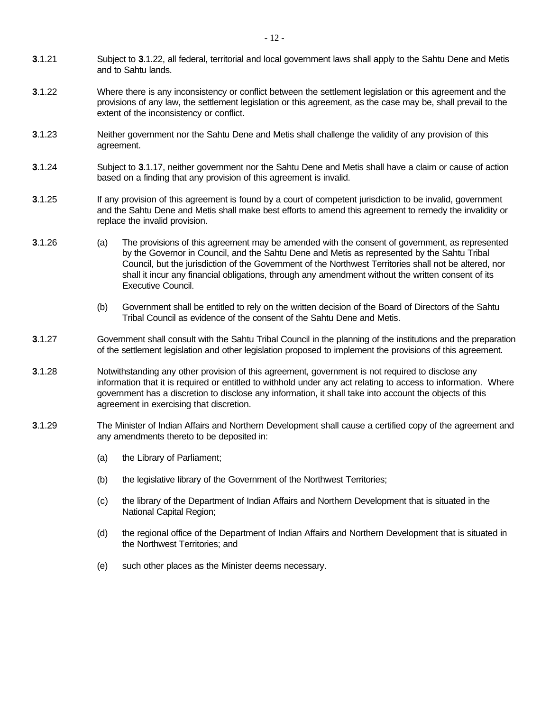- **3**.1.21 Subject to **3**.1.22, all federal, territorial and local government laws shall apply to the Sahtu Dene and Metis and to Sahtu lands.
- **3**.1.22 Where there is any inconsistency or conflict between the settlement legislation or this agreement and the provisions of any law, the settlement legislation or this agreement, as the case may be, shall prevail to the extent of the inconsistency or conflict.
- **3**.1.23 Neither government nor the Sahtu Dene and Metis shall challenge the validity of any provision of this agreement.
- **3**.1.24 Subject to **3**.1.17, neither government nor the Sahtu Dene and Metis shall have a claim or cause of action based on a finding that any provision of this agreement is invalid.
- **3**.1.25 If any provision of this agreement is found by a court of competent jurisdiction to be invalid, government and the Sahtu Dene and Metis shall make best efforts to amend this agreement to remedy the invalidity or replace the invalid provision.
- **3**.1.26 (a) The provisions of this agreement may be amended with the consent of government, as represented by the Governor in Council, and the Sahtu Dene and Metis as represented by the Sahtu Tribal Council, but the jurisdiction of the Government of the Northwest Territories shall not be altered, nor shall it incur any financial obligations, through any amendment without the written consent of its Executive Council.
	- (b) Government shall be entitled to rely on the written decision of the Board of Directors of the Sahtu Tribal Council as evidence of the consent of the Sahtu Dene and Metis.
- **3**.1.27 Government shall consult with the Sahtu Tribal Council in the planning of the institutions and the preparation of the settlement legislation and other legislation proposed to implement the provisions of this agreement.
- **3**.1.28 Notwithstanding any other provision of this agreement, government is not required to disclose any information that it is required or entitled to withhold under any act relating to access to information. Where government has a discretion to disclose any information, it shall take into account the objects of this agreement in exercising that discretion.
- **3**.1.29 The Minister of Indian Affairs and Northern Development shall cause a certified copy of the agreement and any amendments thereto to be deposited in:
	- (a) the Library of Parliament;
	- (b) the legislative library of the Government of the Northwest Territories;
	- (c) the library of the Department of Indian Affairs and Northern Development that is situated in the National Capital Region;
	- (d) the regional office of the Department of Indian Affairs and Northern Development that is situated in the Northwest Territories; and
	- (e) such other places as the Minister deems necessary.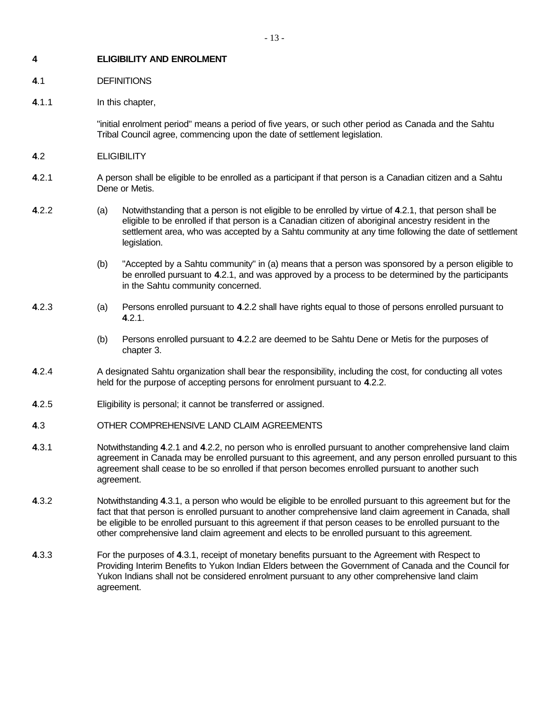#### **4 ELIGIBILITY AND ENROLMENT**

#### **4**.1 DEFINITIONS

#### **4**.1.1 In this chapter,

"initial enrolment period" means a period of five years, or such other period as Canada and the Sahtu Tribal Council agree, commencing upon the date of settlement legislation.

- **4**.2 ELIGIBILITY
- **4**.2.1 A person shall be eligible to be enrolled as a participant if that person is a Canadian citizen and a Sahtu Dene or Metis.
- **4**.2.2 (a) Notwithstanding that a person is not eligible to be enrolled by virtue of **4**.2.1, that person shall be eligible to be enrolled if that person is a Canadian citizen of aboriginal ancestry resident in the settlement area, who was accepted by a Sahtu community at any time following the date of settlement legislation.
	- (b) "Accepted by a Sahtu community" in (a) means that a person was sponsored by a person eligible to be enrolled pursuant to **4**.2.1, and was approved by a process to be determined by the participants in the Sahtu community concerned.
- **4**.2.3 (a) Persons enrolled pursuant to **4**.2.2 shall have rights equal to those of persons enrolled pursuant to **4**.2.1.
	- (b) Persons enrolled pursuant to **4**.2.2 are deemed to be Sahtu Dene or Metis for the purposes of chapter 3.
- **4.2.4** A designated Sahtu organization shall bear the responsibility, including the cost, for conducting all votes held for the purpose of accepting persons for enrolment pursuant to **4**.2.2.
- **4**.2.5 Eligibility is personal; it cannot be transferred or assigned.
- **4**.3 OTHER COMPREHENSIVE LAND CLAIM AGREEMENTS
- **4**.3.1 Notwithstanding **4**.2.1 and **4**.2.2, no person who is enrolled pursuant to another comprehensive land claim agreement in Canada may be enrolled pursuant to this agreement, and any person enrolled pursuant to this agreement shall cease to be so enrolled if that person becomes enrolled pursuant to another such agreement.
- **4**.3.2 Notwithstanding **4**.3.1, a person who would be eligible to be enrolled pursuant to this agreement but for the fact that that person is enrolled pursuant to another comprehensive land claim agreement in Canada, shall be eligible to be enrolled pursuant to this agreement if that person ceases to be enrolled pursuant to the other comprehensive land claim agreement and elects to be enrolled pursuant to this agreement.
- **4**.3.3 For the purposes of **4**.3.1, receipt of monetary benefits pursuant to the Agreement with Respect to Providing Interim Benefits to Yukon Indian Elders between the Government of Canada and the Council for Yukon Indians shall not be considered enrolment pursuant to any other comprehensive land claim agreement.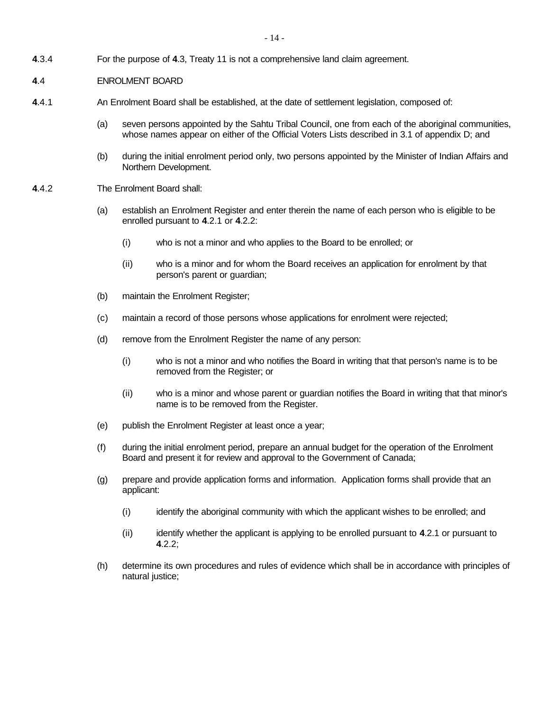**4**.3.4 For the purpose of **4**.3, Treaty 11 is not a comprehensive land claim agreement.

#### **4**.4 ENROLMENT BOARD

- **4**.4.1 An Enrolment Board shall be established, at the date of settlement legislation, composed of:
	- (a) seven persons appointed by the Sahtu Tribal Council, one from each of the aboriginal communities, whose names appear on either of the Official Voters Lists described in 3.1 of appendix D; and
	- (b) during the initial enrolment period only, two persons appointed by the Minister of Indian Affairs and Northern Development.
- **4**.4.2 The Enrolment Board shall:
	- (a) establish an Enrolment Register and enter therein the name of each person who is eligible to be enrolled pursuant to **4**.2.1 or **4**.2.2:
		- (i) who is not a minor and who applies to the Board to be enrolled; or
		- (ii) who is a minor and for whom the Board receives an application for enrolment by that person's parent or guardian;
	- (b) maintain the Enrolment Register;
	- (c) maintain a record of those persons whose applications for enrolment were rejected;
	- (d) remove from the Enrolment Register the name of any person:
		- (i) who is not a minor and who notifies the Board in writing that that person's name is to be removed from the Register; or
		- (ii) who is a minor and whose parent or guardian notifies the Board in writing that that minor's name is to be removed from the Register.
	- (e) publish the Enrolment Register at least once a year;
	- (f) during the initial enrolment period, prepare an annual budget for the operation of the Enrolment Board and present it for review and approval to the Government of Canada;
	- (g) prepare and provide application forms and information. Application forms shall provide that an applicant:
		- (i) identify the aboriginal community with which the applicant wishes to be enrolled; and
		- (ii) identify whether the applicant is applying to be enrolled pursuant to **4**.2.1 or pursuant to **4**.2.2;
	- (h) determine its own procedures and rules of evidence which shall be in accordance with principles of natural justice;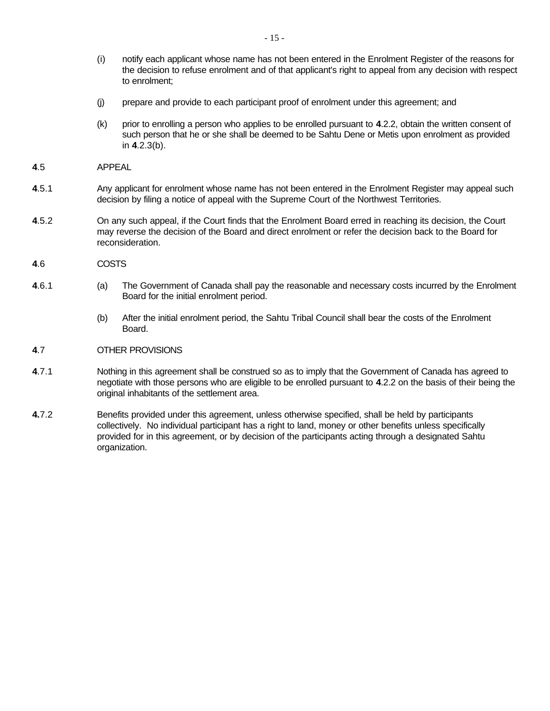- (i) notify each applicant whose name has not been entered in the Enrolment Register of the reasons for the decision to refuse enrolment and of that applicant's right to appeal from any decision with respect to enrolment;
- (j) prepare and provide to each participant proof of enrolment under this agreement; and
- (k) prior to enrolling a person who applies to be enrolled pursuant to **4**.2.2, obtain the written consent of such person that he or she shall be deemed to be Sahtu Dene or Metis upon enrolment as provided in **4**.2.3(b).
- **4**.5 APPEAL
- **4**.5.1 Any applicant for enrolment whose name has not been entered in the Enrolment Register may appeal such decision by filing a notice of appeal with the Supreme Court of the Northwest Territories.
- **4**.5.2 On any such appeal, if the Court finds that the Enrolment Board erred in reaching its decision, the Court may reverse the decision of the Board and direct enrolment or refer the decision back to the Board for reconsideration.
- **4**.6 COSTS
- **4**.6.1 (a) The Government of Canada shall pay the reasonable and necessary costs incurred by the Enrolment Board for the initial enrolment period.
	- (b) After the initial enrolment period, the Sahtu Tribal Council shall bear the costs of the Enrolment Board.

#### **4**.7 OTHER PROVISIONS

- **4**.7.1 Nothing in this agreement shall be construed so as to imply that the Government of Canada has agreed to negotiate with those persons who are eligible to be enrolled pursuant to **4**.2.2 on the basis of their being the original inhabitants of the settlement area.
- **4.**7.2 Benefits provided under this agreement, unless otherwise specified, shall be held by participants collectively. No individual participant has a right to land, money or other benefits unless specifically provided for in this agreement, or by decision of the participants acting through a designated Sahtu organization.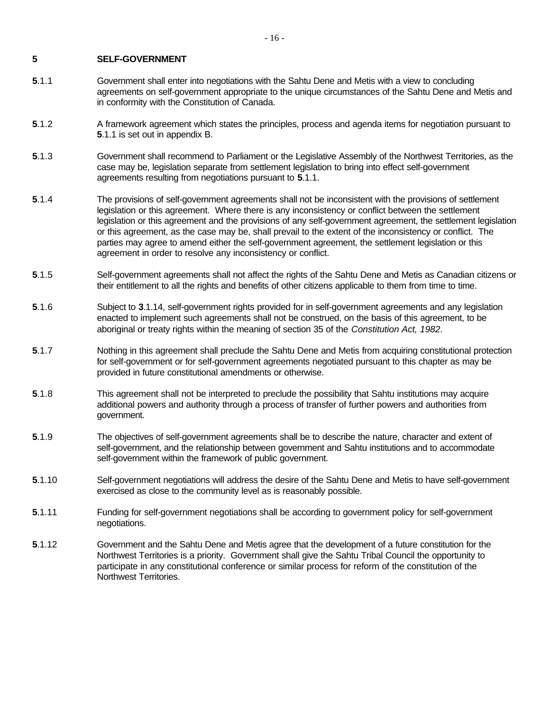#### **5 SELF-GOVERNMENT**

- **5**.1.1 Government shall enter into negotiations with the Sahtu Dene and Metis with a view to concluding agreements on self-government appropriate to the unique circumstances of the Sahtu Dene and Metis and in conformity with the Constitution of Canada.
- **5**.1.2 A framework agreement which states the principles, process and agenda items for negotiation pursuant to **5**.1.1 is set out in appendix B.
- **5**.1.3 Government shall recommend to Parliament or the Legislative Assembly of the Northwest Territories, as the case may be, legislation separate from settlement legislation to bring into effect self-government agreements resulting from negotiations pursuant to **5**.1.1.
- **5**.1.4 The provisions of self-government agreements shall not be inconsistent with the provisions of settlement legislation or this agreement. Where there is any inconsistency or conflict between the settlement legislation or this agreement and the provisions of any self-government agreement, the settlement legislation or this agreement, as the case may be, shall prevail to the extent of the inconsistency or conflict. The parties may agree to amend either the self-government agreement, the settlement legislation or this agreement in order to resolve any inconsistency or conflict.
- **5**.1.5 Self-government agreements shall not affect the rights of the Sahtu Dene and Metis as Canadian citizens or their entitlement to all the rights and benefits of other citizens applicable to them from time to time.
- **5**.1.6 Subject to **3**.1.14, self-government rights provided for in self-government agreements and any legislation enacted to implement such agreements shall not be construed, on the basis of this agreement, to be aboriginal or treaty rights within the meaning of section 35 of the *Constitution Act, 1982*.
- **5**.1.7 Nothing in this agreement shall preclude the Sahtu Dene and Metis from acquiring constitutional protection for self-government or for self-government agreements negotiated pursuant to this chapter as may be provided in future constitutional amendments or otherwise.
- **5**.1.8 This agreement shall not be interpreted to preclude the possibility that Sahtu institutions may acquire additional powers and authority through a process of transfer of further powers and authorities from government.
- **5**.1.9 The objectives of self-government agreements shall be to describe the nature, character and extent of self-government, and the relationship between government and Sahtu institutions and to accommodate self-government within the framework of public government.
- **5**.1.10 Self-government negotiations will address the desire of the Sahtu Dene and Metis to have self-government exercised as close to the community level as is reasonably possible.
- **5**.1.11 Funding for self-government negotiations shall be according to government policy for self-government negotiations.
- **5**.1.12 Government and the Sahtu Dene and Metis agree that the development of a future constitution for the Northwest Territories is a priority. Government shall give the Sahtu Tribal Council the opportunity to participate in any constitutional conference or similar process for reform of the constitution of the Northwest Territories.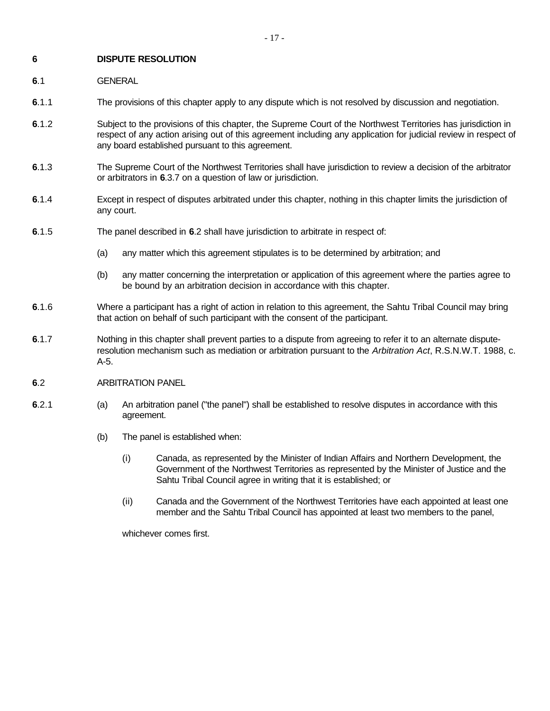#### **6 DISPUTE RESOLUTION**

**6**.1 GENERAL

- **6**.1.1 The provisions of this chapter apply to any dispute which is not resolved by discussion and negotiation.
- **6**.1.2 Subject to the provisions of this chapter, the Supreme Court of the Northwest Territories has jurisdiction in respect of any action arising out of this agreement including any application for judicial review in respect of any board established pursuant to this agreement.
- **6**.1.3 The Supreme Court of the Northwest Territories shall have jurisdiction to review a decision of the arbitrator or arbitrators in **6**.3.7 on a question of law or jurisdiction.
- **6**.1.4 Except in respect of disputes arbitrated under this chapter, nothing in this chapter limits the jurisdiction of any court.
- **6**.1.5 The panel described in **6**.2 shall have jurisdiction to arbitrate in respect of:
	- (a) any matter which this agreement stipulates is to be determined by arbitration; and
	- (b) any matter concerning the interpretation or application of this agreement where the parties agree to be bound by an arbitration decision in accordance with this chapter.
- **6**.1.6 Where a participant has a right of action in relation to this agreement, the Sahtu Tribal Council may bring that action on behalf of such participant with the consent of the participant.
- **6**.1.7 Nothing in this chapter shall prevent parties to a dispute from agreeing to refer it to an alternate disputeresolution mechanism such as mediation or arbitration pursuant to the *Arbitration Act*, R.S.N.W.T. 1988, c. A-5.

#### **6**.2 ARBITRATION PANEL

- **6**.2.1 (a) An arbitration panel ("the panel") shall be established to resolve disputes in accordance with this agreement.
	- (b) The panel is established when:
		- (i) Canada, as represented by the Minister of Indian Affairs and Northern Development, the Government of the Northwest Territories as represented by the Minister of Justice and the Sahtu Tribal Council agree in writing that it is established; or
		- (ii) Canada and the Government of the Northwest Territories have each appointed at least one member and the Sahtu Tribal Council has appointed at least two members to the panel,

whichever comes first.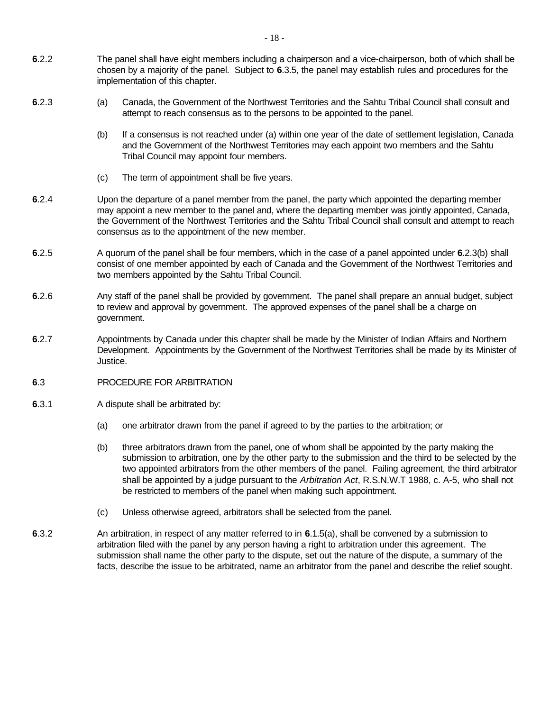- **6**.2.2 The panel shall have eight members including a chairperson and a vice-chairperson, both of which shall be chosen by a majority of the panel. Subject to **6**.3.5, the panel may establish rules and procedures for the implementation of this chapter.
- **6**.2.3 (a) Canada, the Government of the Northwest Territories and the Sahtu Tribal Council shall consult and attempt to reach consensus as to the persons to be appointed to the panel.
	- (b) If a consensus is not reached under (a) within one year of the date of settlement legislation, Canada and the Government of the Northwest Territories may each appoint two members and the Sahtu Tribal Council may appoint four members.
	- (c) The term of appointment shall be five years.
- **6**.2.4 Upon the departure of a panel member from the panel, the party which appointed the departing member may appoint a new member to the panel and, where the departing member was jointly appointed, Canada, the Government of the Northwest Territories and the Sahtu Tribal Council shall consult and attempt to reach consensus as to the appointment of the new member.
- **6**.2.5 A quorum of the panel shall be four members, which in the case of a panel appointed under **6**.2.3(b) shall consist of one member appointed by each of Canada and the Government of the Northwest Territories and two members appointed by the Sahtu Tribal Council.
- **6**.2.6 Any staff of the panel shall be provided by government. The panel shall prepare an annual budget, subject to review and approval by government. The approved expenses of the panel shall be a charge on government.
- **6**.2.7 Appointments by Canada under this chapter shall be made by the Minister of Indian Affairs and Northern Development.Appointments by the Government of the Northwest Territories shall be made by its Minister of Justice.
- **6**.3 PROCEDURE FOR ARBITRATION
- **6**.3.1 A dispute shall be arbitrated by:
	- (a) one arbitrator drawn from the panel if agreed to by the parties to the arbitration; or
	- (b) three arbitrators drawn from the panel, one of whom shall be appointed by the party making the submission to arbitration, one by the other party to the submission and the third to be selected by the two appointed arbitrators from the other members of the panel. Failing agreement, the third arbitrator shall be appointed by a judge pursuant to the *Arbitration Act*, R.S.N.W.T 1988, c. A-5, who shall not be restricted to members of the panel when making such appointment.
	- (c) Unless otherwise agreed, arbitrators shall be selected from the panel.
- **6**.3.2 An arbitration, in respect of any matter referred to in **6**.1.5(a), shall be convened by a submission to arbitration filed with the panel by any person having a right to arbitration under this agreement. The submission shall name the other party to the dispute, set out the nature of the dispute, a summary of the facts, describe the issue to be arbitrated, name an arbitrator from the panel and describe the relief sought.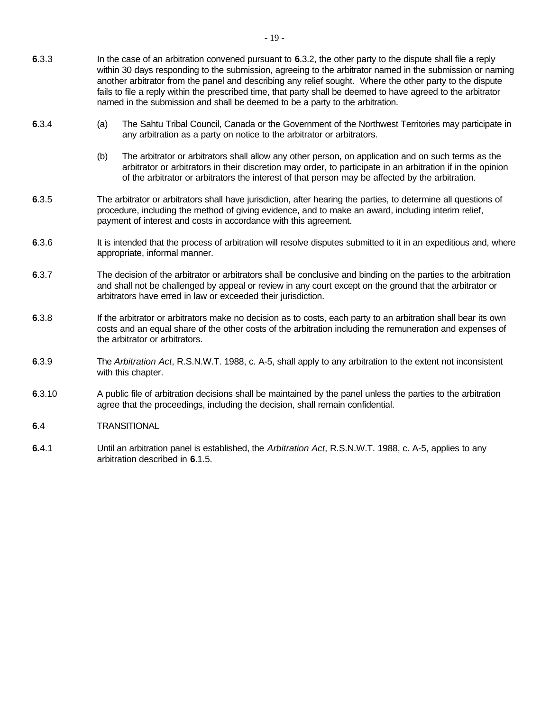- **6**.3.3 In the case of an arbitration convened pursuant to **6**.3.2, the other party to the dispute shall file a reply within 30 days responding to the submission, agreeing to the arbitrator named in the submission or naming another arbitrator from the panel and describing any relief sought. Where the other party to the dispute fails to file a reply within the prescribed time, that party shall be deemed to have agreed to the arbitrator named in the submission and shall be deemed to be a party to the arbitration.
- **6**.3.4 (a) The Sahtu Tribal Council, Canada or the Government of the Northwest Territories may participate in any arbitration as a party on notice to the arbitrator or arbitrators.
	- (b) The arbitrator or arbitrators shall allow any other person, on application and on such terms as the arbitrator or arbitrators in their discretion may order, to participate in an arbitration if in the opinion of the arbitrator or arbitrators the interest of that person may be affected by the arbitration.
- **6**.3.5 The arbitrator or arbitrators shall have jurisdiction, after hearing the parties, to determine all questions of procedure, including the method of giving evidence, and to make an award, including interim relief, payment of interest and costs in accordance with this agreement.
- **6.**3.6 It is intended that the process of arbitration will resolve disputes submitted to it in an expeditious and, where appropriate, informal manner.
- **6**.3.7 The decision of the arbitrator or arbitrators shall be conclusive and binding on the parties to the arbitration and shall not be challenged by appeal or review in any court except on the ground that the arbitrator or arbitrators have erred in law or exceeded their jurisdiction.
- **6.3.8** If the arbitrator or arbitrators make no decision as to costs, each party to an arbitration shall bear its own costs and an equal share of the other costs of the arbitration including the remuneration and expenses of the arbitrator or arbitrators.
- **6**.3.9 The *Arbitration Act*, R.S.N.W.T. 1988, c. A-5, shall apply to any arbitration to the extent not inconsistent with this chapter.
- **6**.3.10 A public file of arbitration decisions shall be maintained by the panel unless the parties to the arbitration agree that the proceedings, including the decision, shall remain confidential.
- **6**.4 TRANSITIONAL
- **6.**4.1 Until an arbitration panel is established, the *Arbitration Act*, R.S.N.W.T. 1988, c. A-5, applies to any arbitration described in **6**.1.5.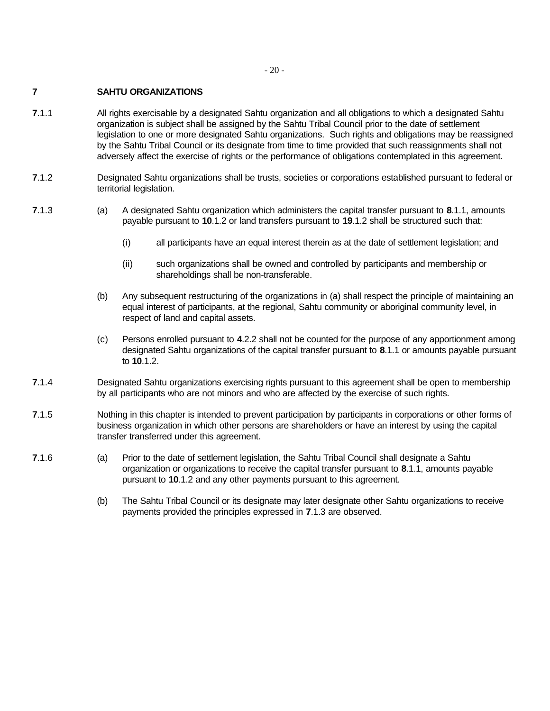- 20 -

#### **7 SAHTU ORGANIZATIONS**

- **7**.1.1 All rights exercisable by a designated Sahtu organization and all obligations to which a designated Sahtu organization is subject shall be assigned by the Sahtu Tribal Council prior to the date of settlement legislation to one or more designated Sahtu organizations. Such rights and obligations may be reassigned by the Sahtu Tribal Council or its designate from time to time provided that such reassignments shall not adversely affect the exercise of rights or the performance of obligations contemplated in this agreement.
- **7**.1.2 Designated Sahtu organizations shall be trusts, societies or corporations established pursuant to federal or territorial legislation.
- **7**.1.3 (a) A designated Sahtu organization which administers the capital transfer pursuant to **8**.1.1, amounts payable pursuant to **10**.1.2 or land transfers pursuant to **19**.1.2 shall be structured such that:
	- (i) all participants have an equal interest therein as at the date of settlement legislation; and
	- (ii) such organizations shall be owned and controlled by participants and membership or shareholdings shall be non-transferable.
	- (b) Any subsequent restructuring of the organizations in (a) shall respect the principle of maintaining an equal interest of participants, at the regional, Sahtu community or aboriginal community level, in respect of land and capital assets.
	- (c) Persons enrolled pursuant to **4**.2.2 shall not be counted for the purpose of any apportionment among designated Sahtu organizations of the capital transfer pursuant to **8**.1.1 or amounts payable pursuant to **10**.1.2.
- **7**.1.4 Designated Sahtu organizations exercising rights pursuant to this agreement shall be open to membership by all participants who are not minors and who are affected by the exercise of such rights.
- **7**.1.5 Nothing in this chapter is intended to prevent participation by participants in corporations or other forms of business organization in which other persons are shareholders or have an interest by using the capital transfer transferred under this agreement.
- **7**.1.6 (a) Prior to the date of settlement legislation, the Sahtu Tribal Council shall designate a Sahtu organization or organizations to receive the capital transfer pursuant to **8**.1.1, amounts payable pursuant to **10**.1.2 and any other payments pursuant to this agreement.
	- (b) The Sahtu Tribal Council or its designate may later designate other Sahtu organizations to receive payments provided the principles expressed in **7**.1.3 are observed.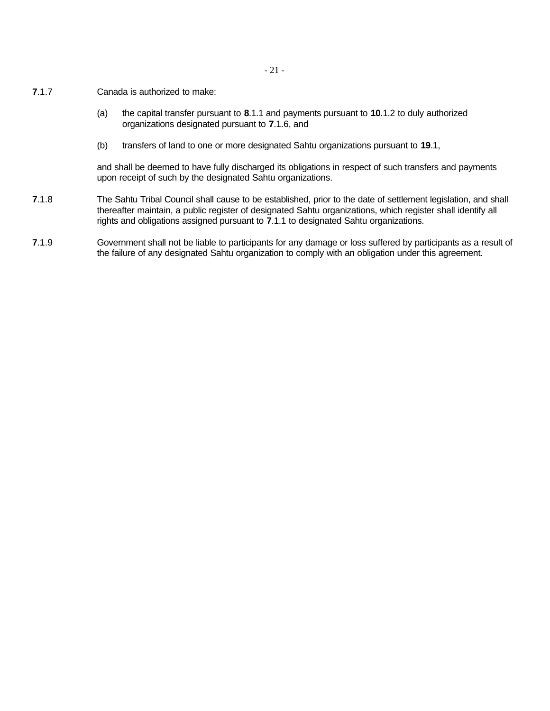- 21 -

- **7**.1.7 Canada is authorized to make:
	- (a) the capital transfer pursuant to **8**.1.1 and payments pursuant to **10**.1.2 to duly authorized organizations designated pursuant to **7**.1.6, and
	- (b) transfers of land to one or more designated Sahtu organizations pursuant to **19**.1,

and shall be deemed to have fully discharged its obligations in respect of such transfers and payments upon receipt of such by the designated Sahtu organizations.

- **7**.1.8 The Sahtu Tribal Council shall cause to be established, prior to the date of settlement legislation, and shall thereafter maintain, a public register of designated Sahtu organizations, which register shall identify all rights and obligations assigned pursuant to **7**.1.1 to designated Sahtu organizations.
- **7**.1.9 Government shall not be liable to participants for any damage or loss suffered by participants as a result of the failure of any designated Sahtu organization to comply with an obligation under this agreement.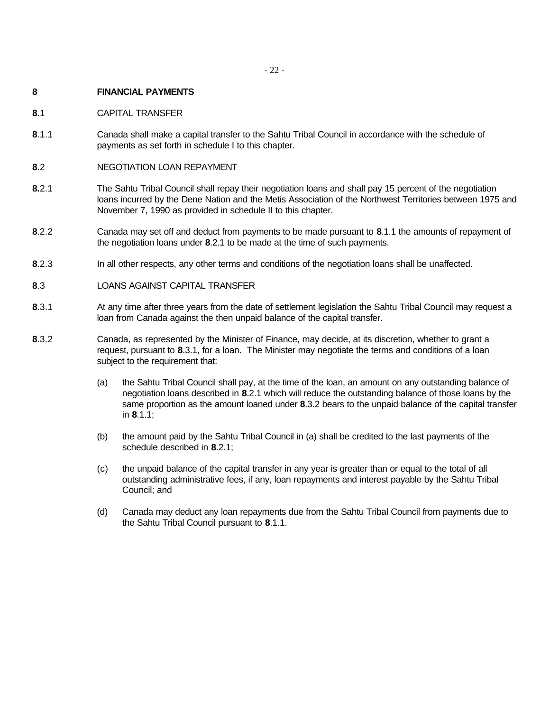#### **8 FINANCIAL PAYMENTS**

- **8**.1 CAPITAL TRANSFER
- **8**.1.1 Canada shall make a capital transfer to the Sahtu Tribal Council in accordance with the schedule of payments as set forth in schedule I to this chapter.
- **8**.2 NEGOTIATION LOAN REPAYMENT
- **8.**2.1 The Sahtu Tribal Council shall repay their negotiation loans and shall pay 15 percent of the negotiation loans incurred by the Dene Nation and the Metis Association of the Northwest Territories between 1975 and November 7, 1990 as provided in schedule II to this chapter.
- **8**.2.2 Canada may set off and deduct from payments to be made pursuant to **8**.1.1 the amounts of repayment of the negotiation loans under **8**.2.1 to be made at the time of such payments.
- **8**.2.3 In all other respects, any other terms and conditions of the negotiation loans shall be unaffected.
- **8**.3 LOANS AGAINST CAPITAL TRANSFER
- **8.**3.1 At any time after three years from the date of settlement legislation the Sahtu Tribal Council may request a loan from Canada against the then unpaid balance of the capital transfer.
- **8**.3.2 Canada, as represented by the Minister of Finance, may decide, at its discretion, whether to grant a request, pursuant to **8**.3.1, for a loan. The Minister may negotiate the terms and conditions of a loan subject to the requirement that:
	- (a) the Sahtu Tribal Council shall pay, at the time of the loan, an amount on any outstanding balance of negotiation loans described in **8**.2.1 which will reduce the outstanding balance of those loans by the same proportion as the amount loaned under **8**.3.2 bears to the unpaid balance of the capital transfer in **8**.1.1;
	- (b) the amount paid by the Sahtu Tribal Council in (a) shall be credited to the last payments of the schedule described in **8**.2.1;
	- (c) the unpaid balance of the capital transfer in any year is greater than or equal to the total of all outstanding administrative fees, if any, loan repayments and interest payable by the Sahtu Tribal Council; and
	- (d) Canada may deduct any loan repayments due from the Sahtu Tribal Council from payments due to the Sahtu Tribal Council pursuant to **8**.1.1.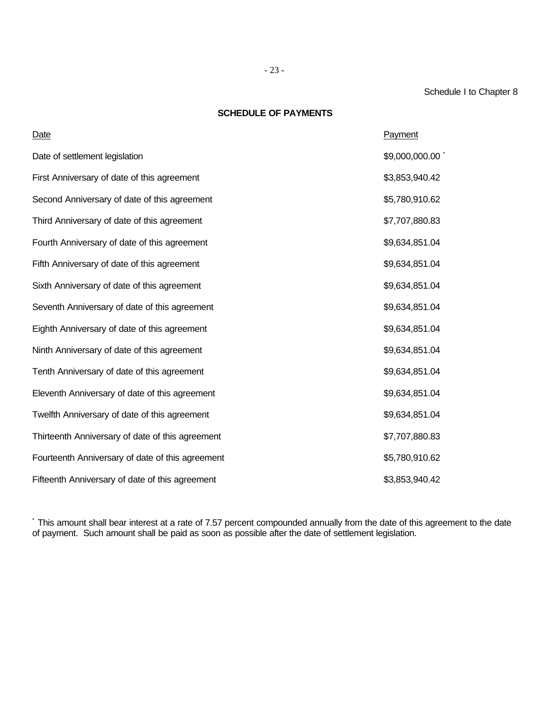### Schedule I to Chapter 8

#### **SCHEDULE OF PAYMENTS**

| Date                                             | Payment        |
|--------------------------------------------------|----------------|
| Date of settlement legislation                   | \$9,000,000.00 |
| First Anniversary of date of this agreement      | \$3,853,940.42 |
| Second Anniversary of date of this agreement     | \$5,780,910.62 |
| Third Anniversary of date of this agreement      | \$7,707,880.83 |
| Fourth Anniversary of date of this agreement     | \$9,634,851.04 |
| Fifth Anniversary of date of this agreement      | \$9,634,851.04 |
| Sixth Anniversary of date of this agreement      | \$9,634,851.04 |
| Seventh Anniversary of date of this agreement    | \$9,634,851.04 |
| Eighth Anniversary of date of this agreement     | \$9,634,851.04 |
| Ninth Anniversary of date of this agreement      | \$9,634,851.04 |
| Tenth Anniversary of date of this agreement      | \$9,634,851.04 |
| Eleventh Anniversary of date of this agreement   | \$9,634,851.04 |
| Twelfth Anniversary of date of this agreement    | \$9,634,851.04 |
| Thirteenth Anniversary of date of this agreement | \$7,707,880.83 |
| Fourteenth Anniversary of date of this agreement | \$5,780,910.62 |
| Fifteenth Anniversary of date of this agreement  | \$3,853,940.42 |

\* This amount shall bear interest at a rate of 7.57 percent compounded annually from the date of this agreement to the date of payment. Such amount shall be paid as soon as possible after the date of settlement legislation.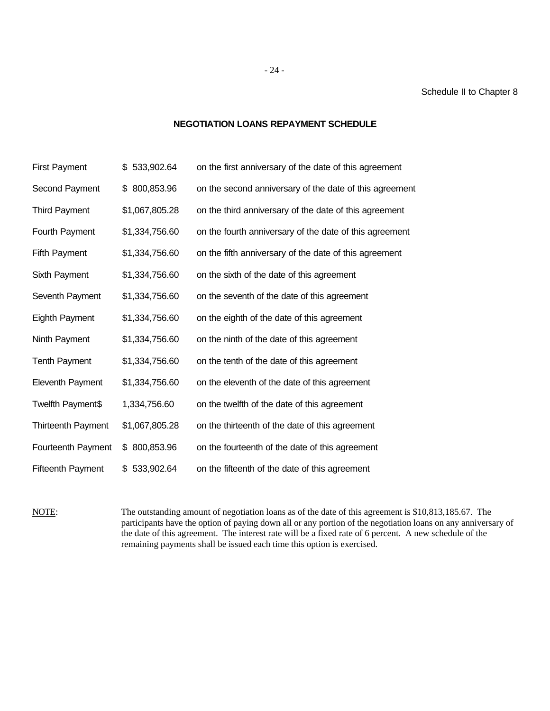#### Schedule II to Chapter 8

#### **NEGOTIATION LOANS REPAYMENT SCHEDULE**

| <b>First Payment</b>      | \$533,902.64     | on the first anniversary of the date of this agreement  |
|---------------------------|------------------|---------------------------------------------------------|
| Second Payment            | 800,853.96<br>\$ | on the second anniversary of the date of this agreement |
| <b>Third Payment</b>      | \$1,067,805.28   | on the third anniversary of the date of this agreement  |
| Fourth Payment            | \$1,334,756.60   | on the fourth anniversary of the date of this agreement |
| <b>Fifth Payment</b>      | \$1,334,756.60   | on the fifth anniversary of the date of this agreement  |
| Sixth Payment             | \$1,334,756.60   | on the sixth of the date of this agreement              |
| Seventh Payment           | \$1,334,756.60   | on the seventh of the date of this agreement            |
| Eighth Payment            | \$1,334,756.60   | on the eighth of the date of this agreement             |
| Ninth Payment             | \$1,334,756.60   | on the ninth of the date of this agreement              |
| <b>Tenth Payment</b>      | \$1,334,756.60   | on the tenth of the date of this agreement              |
| Eleventh Payment          | \$1,334,756.60   | on the eleventh of the date of this agreement           |
| Twelfth Payment\$         | 1,334,756.60     | on the twelfth of the date of this agreement            |
| <b>Thirteenth Payment</b> | \$1,067,805.28   | on the thirteenth of the date of this agreement         |
| Fourteenth Payment        | \$800,853.96     | on the fourteenth of the date of this agreement         |
| <b>Fifteenth Payment</b>  | \$533,902.64     | on the fifteenth of the date of this agreement          |

NOTE: The outstanding amount of negotiation loans as of the date of this agreement is \$10,813,185.67. The participants have the option of paying down all or any portion of the negotiation loans on any anniversary of the date of this agreement. The interest rate will be a fixed rate of 6 percent. A new schedule of the remaining payments shall be issued each time this option is exercised.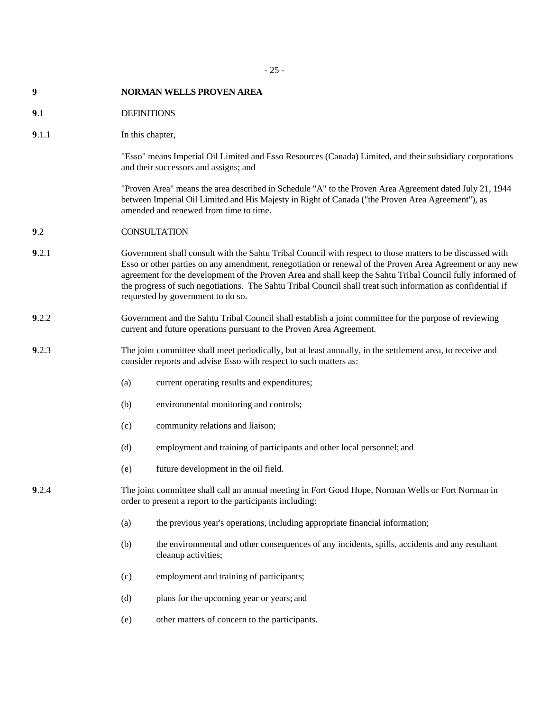# - 25 -

| 9     | <b>NORMAN WELLS PROVEN AREA</b>                                                                                                                                                                                                                                                                                                                                                                                                                                                         |  |
|-------|-----------------------------------------------------------------------------------------------------------------------------------------------------------------------------------------------------------------------------------------------------------------------------------------------------------------------------------------------------------------------------------------------------------------------------------------------------------------------------------------|--|
| 9.1   | <b>DEFINITIONS</b>                                                                                                                                                                                                                                                                                                                                                                                                                                                                      |  |
| 9.1.1 | In this chapter,                                                                                                                                                                                                                                                                                                                                                                                                                                                                        |  |
|       | "Esso" means Imperial Oil Limited and Esso Resources (Canada) Limited, and their subsidiary corporations<br>and their successors and assigns; and                                                                                                                                                                                                                                                                                                                                       |  |
|       | "Proven Area" means the area described in Schedule "A" to the Proven Area Agreement dated July 21, 1944<br>between Imperial Oil Limited and His Majesty in Right of Canada ("the Proven Area Agreement"), as<br>amended and renewed from time to time.                                                                                                                                                                                                                                  |  |
| 9.2   | <b>CONSULTATION</b>                                                                                                                                                                                                                                                                                                                                                                                                                                                                     |  |
| 9.2.1 | Government shall consult with the Sahtu Tribal Council with respect to those matters to be discussed with<br>Esso or other parties on any amendment, renegotiation or renewal of the Proven Area Agreement or any new<br>agreement for the development of the Proven Area and shall keep the Sahtu Tribal Council fully informed of<br>the progress of such negotiations. The Sahtu Tribal Council shall treat such information as confidential if<br>requested by government to do so. |  |
| 9.2.2 | Government and the Sahtu Tribal Council shall establish a joint committee for the purpose of reviewing<br>current and future operations pursuant to the Proven Area Agreement.                                                                                                                                                                                                                                                                                                          |  |
| 9.2.3 | The joint committee shall meet periodically, but at least annually, in the settlement area, to receive and<br>consider reports and advise Esso with respect to such matters as:                                                                                                                                                                                                                                                                                                         |  |
|       | (a)<br>current operating results and expenditures;                                                                                                                                                                                                                                                                                                                                                                                                                                      |  |
|       | (b)<br>environmental monitoring and controls;                                                                                                                                                                                                                                                                                                                                                                                                                                           |  |
|       | (c)<br>community relations and liaison;                                                                                                                                                                                                                                                                                                                                                                                                                                                 |  |
|       | employment and training of participants and other local personnel; and<br>(d)                                                                                                                                                                                                                                                                                                                                                                                                           |  |
|       | future development in the oil field.<br>(e)                                                                                                                                                                                                                                                                                                                                                                                                                                             |  |
| 9.2.4 | The joint committee shall call an annual meeting in Fort Good Hope, Norman Wells or Fort Norman in<br>order to present a report to the participants including:                                                                                                                                                                                                                                                                                                                          |  |
|       | the previous year's operations, including appropriate financial information;<br>(a)                                                                                                                                                                                                                                                                                                                                                                                                     |  |
|       | (b)<br>the environmental and other consequences of any incidents, spills, accidents and any resultant<br>cleanup activities;                                                                                                                                                                                                                                                                                                                                                            |  |
|       | employment and training of participants;<br>(c)                                                                                                                                                                                                                                                                                                                                                                                                                                         |  |
|       | plans for the upcoming year or years; and<br>(d)                                                                                                                                                                                                                                                                                                                                                                                                                                        |  |
|       | other matters of concern to the participants.<br>(e)                                                                                                                                                                                                                                                                                                                                                                                                                                    |  |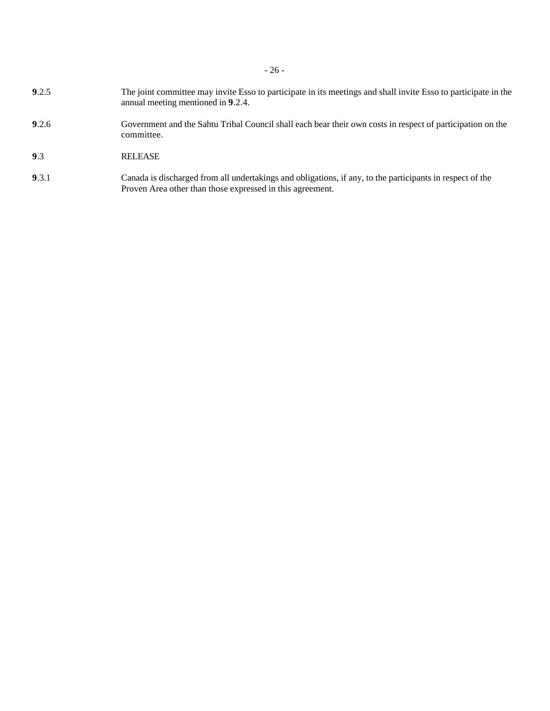- **9**.2.5 The joint committee may invite Esso to participate in its meetings and shall invite Esso to participate in the annual meeting mentioned in **9**.2.4.
- **9**.2.6 Government and the Sahtu Tribal Council shall each bear their own costs in respect of participation on the committee.
- **9**.3 RELEASE
- **9**.3.1 Canada is discharged from all undertakings and obligations, if any, to the participants in respect of the Proven Area other than those expressed in this agreement.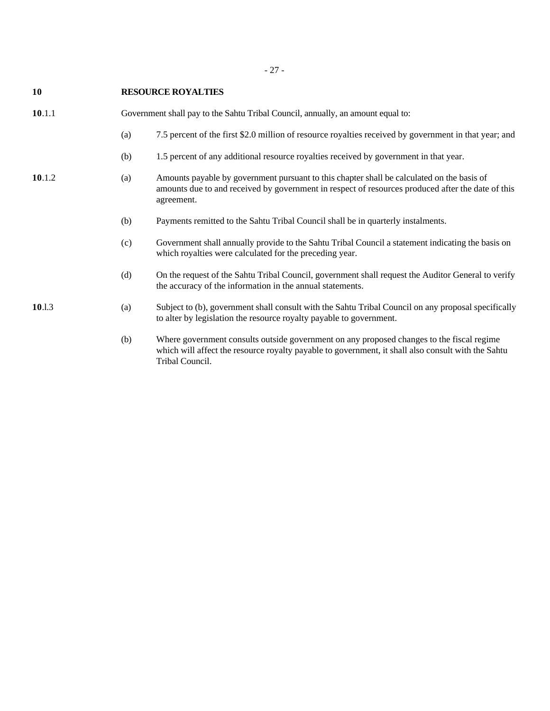- 27 -

| 10     |                                                                                 | <b>RESOURCE ROYALTIES</b>                                                                                                                                                                                     |
|--------|---------------------------------------------------------------------------------|---------------------------------------------------------------------------------------------------------------------------------------------------------------------------------------------------------------|
| 10.1.1 | Government shall pay to the Sahtu Tribal Council, annually, an amount equal to: |                                                                                                                                                                                                               |
|        | (a)                                                                             | 7.5 percent of the first \$2.0 million of resource royalties received by government in that year; and                                                                                                         |
|        | (b)                                                                             | 1.5 percent of any additional resource royalties received by government in that year.                                                                                                                         |
| 10.1.2 | (a)                                                                             | Amounts payable by government pursuant to this chapter shall be calculated on the basis of<br>amounts due to and received by government in respect of resources produced after the date of this<br>agreement. |
|        | (b)                                                                             | Payments remitted to the Sahtu Tribal Council shall be in quarterly instalments.                                                                                                                              |
|        | (c)                                                                             | Government shall annually provide to the Sahtu Tribal Council a statement indicating the basis on<br>which royalties were calculated for the preceding year.                                                  |
|        | (d)                                                                             | On the request of the Sahtu Tribal Council, government shall request the Auditor General to verify<br>the accuracy of the information in the annual statements.                                               |
| 10.1.3 | (a)                                                                             | Subject to (b), government shall consult with the Sahtu Tribal Council on any proposal specifically<br>to alter by legislation the resource royalty payable to government.                                    |
|        | (b)                                                                             | Where government consults outside government on any proposed changes to the fiscal regime<br>which will affect the resource royalty payable to government, it shall also consult with the Sahtu               |

Tribal Council.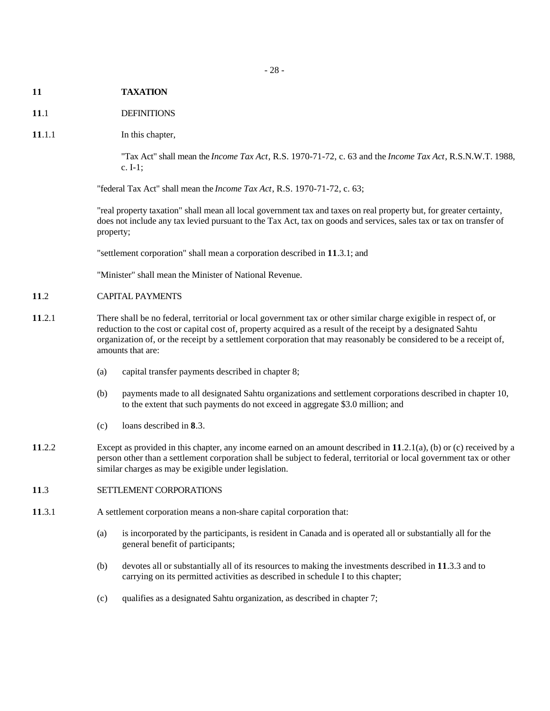- **11 TAXATION**
- **11**.1 DEFINITIONS
- **11.1.1** In this chapter,

"Tax Act" shall mean the *Income Tax Act*, R.S. 1970-71-72, c. 63 and the *Income Tax Act*, R.S.N.W.T. 1988, c. I-1;

"federal Tax Act" shall mean the *Income Tax Act*, R.S. 1970-71-72, c. 63;

"real property taxation" shall mean all local government tax and taxes on real property but, for greater certainty, does not include any tax levied pursuant to the Tax Act, tax on goods and services, sales tax or tax on transfer of property;

"settlement corporation" shall mean a corporation described in **11**.3.1; and

"Minister" shall mean the Minister of National Revenue.

# **11**.2 CAPITAL PAYMENTS

- **11**.2.1 There shall be no federal, territorial or local government tax or other similar charge exigible in respect of, or reduction to the cost or capital cost of, property acquired as a result of the receipt by a designated Sahtu organization of, or the receipt by a settlement corporation that may reasonably be considered to be a receipt of, amounts that are:
	- (a) capital transfer payments described in chapter 8;
	- (b) payments made to all designated Sahtu organizations and settlement corporations described in chapter 10, to the extent that such payments do not exceed in aggregate \$3.0 million; and
	- (c) loans described in **8**.3.
- **11**.2.2 Except as provided in this chapter, any income earned on an amount described in **11**.2.1(a), (b) or (c) received by a person other than a settlement corporation shall be subject to federal, territorial or local government tax or other similar charges as may be exigible under legislation.

# **11**.3 SETTLEMENT CORPORATIONS

- **11**.3.1 A settlement corporation means a non-share capital corporation that:
	- (a) is incorporated by the participants, is resident in Canada and is operated all or substantially all for the general benefit of participants;
	- (b) devotes all or substantially all of its resources to making the investments described in **11**.3.3 and to carrying on its permitted activities as described in schedule I to this chapter;
	- (c) qualifies as a designated Sahtu organization, as described in chapter 7;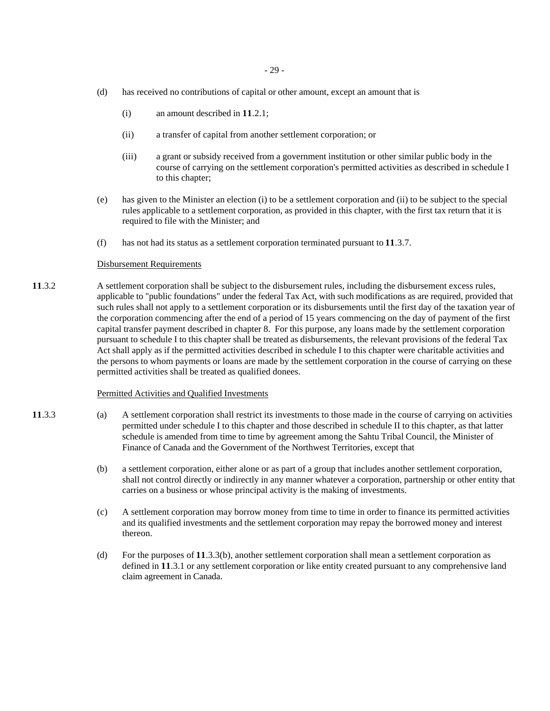- (d) has received no contributions of capital or other amount, except an amount that is
	- (i) an amount described in **11**.2.1;
	- (ii) a transfer of capital from another settlement corporation; or
	- (iii) a grant or subsidy received from a government institution or other similar public body in the course of carrying on the settlement corporation's permitted activities as described in schedule I to this chapter;
- (e) has given to the Minister an election (i) to be a settlement corporation and (ii) to be subject to the special rules applicable to a settlement corporation, as provided in this chapter, with the first tax return that it is required to file with the Minister; and
- (f) has not had its status as a settlement corporation terminated pursuant to **11**.3.7.

#### Disbursement Requirements

**11**.3.2 A settlement corporation shall be subject to the disbursement rules, including the disbursement excess rules, applicable to "public foundations" under the federal Tax Act, with such modifications as are required, provided that such rules shall not apply to a settlement corporation or its disbursements until the first day of the taxation year of the corporation commencing after the end of a period of 15 years commencing on the day of payment of the first capital transfer payment described in chapter 8. For this purpose, any loans made by the settlement corporation pursuant to schedule I to this chapter shall be treated as disbursements, the relevant provisions of the federal Tax Act shall apply as if the permitted activities described in schedule I to this chapter were charitable activities and the persons to whom payments or loans are made by the settlement corporation in the course of carrying on these permitted activities shall be treated as qualified donees.

#### Permitted Activities and Qualified Investments

- **11**.3.3 (a) A settlement corporation shall restrict its investments to those made in the course of carrying on activities permitted under schedule I to this chapter and those described in schedule II to this chapter, as that latter schedule is amended from time to time by agreement among the Sahtu Tribal Council, the Minister of Finance of Canada and the Government of the Northwest Territories, except that
	- (b) a settlement corporation, either alone or as part of a group that includes another settlement corporation, shall not control directly or indirectly in any manner whatever a corporation, partnership or other entity that carries on a business or whose principal activity is the making of investments.
	- (c) A settlement corporation may borrow money from time to time in order to finance its permitted activities and its qualified investments and the settlement corporation may repay the borrowed money and interest thereon.
	- (d) For the purposes of **11**.3.3(b), another settlement corporation shall mean a settlement corporation as defined in **11**.3.1 or any settlement corporation or like entity created pursuant to any comprehensive land claim agreement in Canada.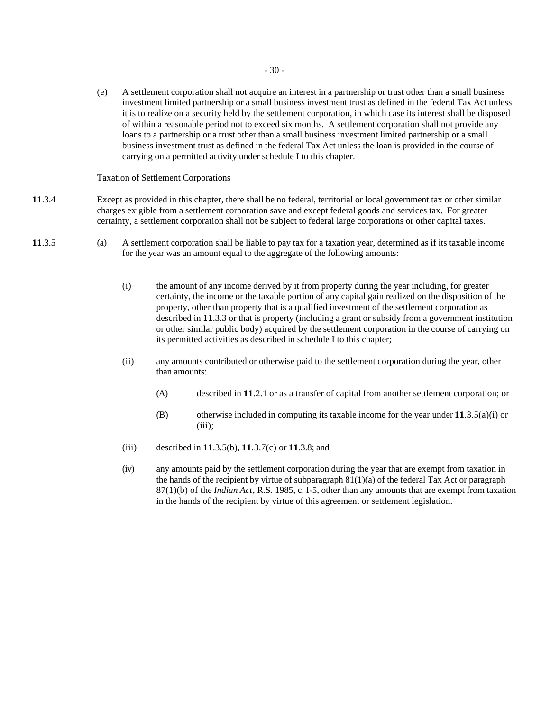(e) A settlement corporation shall not acquire an interest in a partnership or trust other than a small business investment limited partnership or a small business investment trust as defined in the federal Tax Act unless it is to realize on a security held by the settlement corporation, in which case its interest shall be disposed of within a reasonable period not to exceed six months. A settlement corporation shall not provide any loans to a partnership or a trust other than a small business investment limited partnership or a small business investment trust as defined in the federal Tax Act unless the loan is provided in the course of carrying on a permitted activity under schedule I to this chapter.

# Taxation of Settlement Corporations

- **11**.3.4 Except as provided in this chapter, there shall be no federal, territorial or local government tax or other similar charges exigible from a settlement corporation save and except federal goods and services tax. For greater certainty, a settlement corporation shall not be subject to federal large corporations or other capital taxes.
- **11**.3.5 (a) A settlement corporation shall be liable to pay tax for a taxation year, determined as if its taxable income for the year was an amount equal to the aggregate of the following amounts:
	- (i) the amount of any income derived by it from property during the year including, for greater certainty, the income or the taxable portion of any capital gain realized on the disposition of the property, other than property that is a qualified investment of the settlement corporation as described in **11**.3.3 or that is property (including a grant or subsidy from a government institution or other similar public body) acquired by the settlement corporation in the course of carrying on its permitted activities as described in schedule I to this chapter;
	- (ii) any amounts contributed or otherwise paid to the settlement corporation during the year, other than amounts:
		- (A) described in **11**.2.1 or as a transfer of capital from another settlement corporation; or
		- (B) otherwise included in computing its taxable income for the year under **11**.3.5(a)(i) or  $(iii)$ ;
	- (iii) described in **11**.3.5(b), **11**.3.7(c) or **11**.3.8; and
	- (iv) any amounts paid by the settlement corporation during the year that are exempt from taxation in the hands of the recipient by virtue of subparagraph  $81(1)(a)$  of the federal Tax Act or paragraph 87(1)(b) of the *Indian Act*, R.S. 1985, c. I-5, other than any amounts that are exempt from taxation in the hands of the recipient by virtue of this agreement or settlement legislation.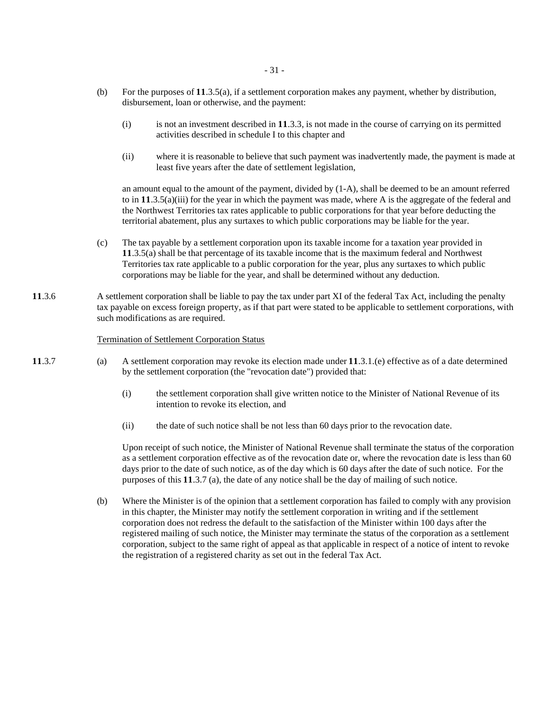- (b) For the purposes of **11**.3.5(a), if a settlement corporation makes any payment, whether by distribution, disbursement, loan or otherwise, and the payment:
	- (i) is not an investment described in **11**.3.3, is not made in the course of carrying on its permitted activities described in schedule I to this chapter and
	- (ii) where it is reasonable to believe that such payment was inadvertently made, the payment is made at least five years after the date of settlement legislation,

an amount equal to the amount of the payment, divided by (1-A), shall be deemed to be an amount referred to in **11**.3.5(a)(iii) for the year in which the payment was made, where A is the aggregate of the federal and the Northwest Territories tax rates applicable to public corporations for that year before deducting the territorial abatement, plus any surtaxes to which public corporations may be liable for the year.

- (c) The tax payable by a settlement corporation upon its taxable income for a taxation year provided in **11**.3.5(a) shall be that percentage of its taxable income that is the maximum federal and Northwest Territories tax rate applicable to a public corporation for the year, plus any surtaxes to which public corporations may be liable for the year, and shall be determined without any deduction.
- **11**.3.6 A settlement corporation shall be liable to pay the tax under part XI of the federal Tax Act, including the penalty tax payable on excess foreign property, as if that part were stated to be applicable to settlement corporations, with such modifications as are required.

# Termination of Settlement Corporation Status

- **11**.3.7 (a) A settlement corporation may revoke its election made under **11**.3.1.(e) effective as of a date determined by the settlement corporation (the "revocation date") provided that:
	- (i) the settlement corporation shall give written notice to the Minister of National Revenue of its intention to revoke its election, and
	- (ii) the date of such notice shall be not less than 60 days prior to the revocation date.

Upon receipt of such notice, the Minister of National Revenue shall terminate the status of the corporation as a settlement corporation effective as of the revocation date or, where the revocation date is less than 60 days prior to the date of such notice, as of the day which is 60 days after the date of such notice. For the purposes of this **11**.3.7 (a), the date of any notice shall be the day of mailing of such notice.

(b) Where the Minister is of the opinion that a settlement corporation has failed to comply with any provision in this chapter, the Minister may notify the settlement corporation in writing and if the settlement corporation does not redress the default to the satisfaction of the Minister within 100 days after the registered mailing of such notice, the Minister may terminate the status of the corporation as a settlement corporation, subject to the same right of appeal as that applicable in respect of a notice of intent to revoke the registration of a registered charity as set out in the federal Tax Act.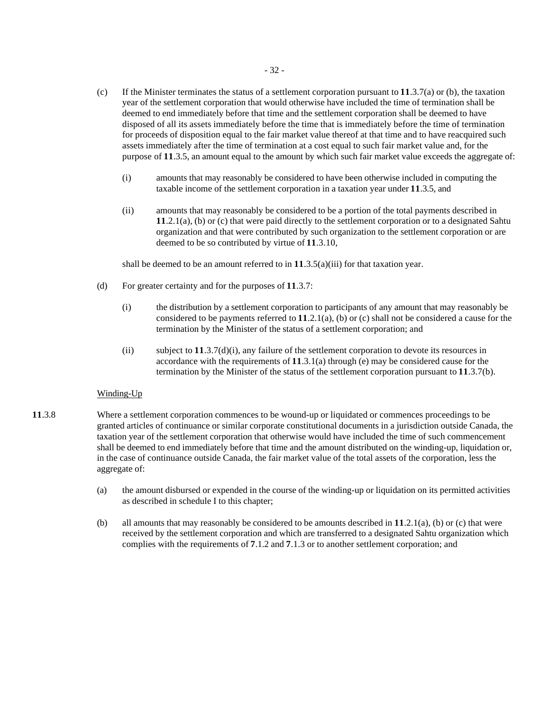- (c) If the Minister terminates the status of a settlement corporation pursuant to **11**.3.7(a) or (b), the taxation year of the settlement corporation that would otherwise have included the time of termination shall be deemed to end immediately before that time and the settlement corporation shall be deemed to have disposed of all its assets immediately before the time that is immediately before the time of termination for proceeds of disposition equal to the fair market value thereof at that time and to have reacquired such assets immediately after the time of termination at a cost equal to such fair market value and, for the purpose of **11**.3.5, an amount equal to the amount by which such fair market value exceeds the aggregate of:
	- (i) amounts that may reasonably be considered to have been otherwise included in computing the taxable income of the settlement corporation in a taxation year under **11**.3.5, and
	- (ii) amounts that may reasonably be considered to be a portion of the total payments described in **11**.2.1(a), (b) or (c) that were paid directly to the settlement corporation or to a designated Sahtu organization and that were contributed by such organization to the settlement corporation or are deemed to be so contributed by virtue of **11**.3.10,

shall be deemed to be an amount referred to in **11**.3.5(a)(iii) for that taxation year.

- (d) For greater certainty and for the purposes of **11**.3.7:
	- (i) the distribution by a settlement corporation to participants of any amount that may reasonably be considered to be payments referred to **11**.2.1(a), (b) or (c) shall not be considered a cause for the termination by the Minister of the status of a settlement corporation; and
	- (ii) subject to **11**.3.7(d)(i), any failure of the settlement corporation to devote its resources in accordance with the requirements of **11**.3.1(a) through (e) may be considered cause for the termination by the Minister of the status of the settlement corporation pursuant to **11**.3.7(b).

# Winding-Up

- **11**.3.8 Where a settlement corporation commences to be wound-up or liquidated or commences proceedings to be granted articles of continuance or similar corporate constitutional documents in a jurisdiction outside Canada, the taxation year of the settlement corporation that otherwise would have included the time of such commencement shall be deemed to end immediately before that time and the amount distributed on the winding-up, liquidation or, in the case of continuance outside Canada, the fair market value of the total assets of the corporation, less the aggregate of:
	- (a) the amount disbursed or expended in the course of the winding-up or liquidation on its permitted activities as described in schedule I to this chapter;
	- (b) all amounts that may reasonably be considered to be amounts described in **11**.2.1(a), (b) or (c) that were received by the settlement corporation and which are transferred to a designated Sahtu organization which complies with the requirements of **7**.1.2 and **7**.1.3 or to another settlement corporation; and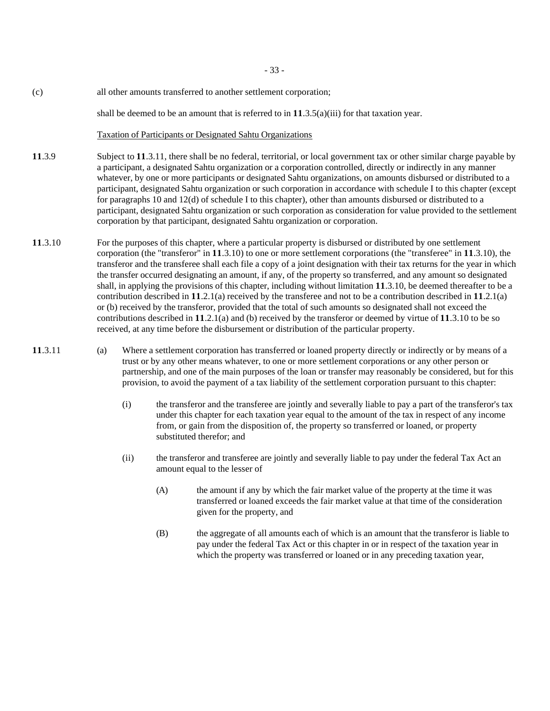- 33 -

(c) all other amounts transferred to another settlement corporation;

shall be deemed to be an amount that is referred to in **11**.3.5(a)(iii) for that taxation year.

#### Taxation of Participants or Designated Sahtu Organizations

- **11**.3.9 Subject to **11**.3.11, there shall be no federal, territorial, or local government tax or other similar charge payable by a participant, a designated Sahtu organization or a corporation controlled, directly or indirectly in any manner whatever, by one or more participants or designated Sahtu organizations, on amounts disbursed or distributed to a participant, designated Sahtu organization or such corporation in accordance with schedule I to this chapter (except for paragraphs 10 and 12(d) of schedule I to this chapter), other than amounts disbursed or distributed to a participant, designated Sahtu organization or such corporation as consideration for value provided to the settlement corporation by that participant, designated Sahtu organization or corporation.
- **11**.3.10 For the purposes of this chapter, where a particular property is disbursed or distributed by one settlement corporation (the "transferor" in **11**.3.10) to one or more settlement corporations (the "transferee" in **11**.3.10), the transferor and the transferee shall each file a copy of a joint designation with their tax returns for the year in which the transfer occurred designating an amount, if any, of the property so transferred, and any amount so designated shall, in applying the provisions of this chapter, including without limitation **11**.3.10, be deemed thereafter to be a contribution described in **11**.2.1(a) received by the transferee and not to be a contribution described in **11**.2.1(a) or (b) received by the transferor, provided that the total of such amounts so designated shall not exceed the contributions described in **11**.2.1(a) and (b) received by the transferor or deemed by virtue of **11**.3.10 to be so received, at any time before the disbursement or distribution of the particular property.
- **11**.3.11 (a) Where a settlement corporation has transferred or loaned property directly or indirectly or by means of a trust or by any other means whatever, to one or more settlement corporations or any other person or partnership, and one of the main purposes of the loan or transfer may reasonably be considered, but for this provision, to avoid the payment of a tax liability of the settlement corporation pursuant to this chapter:
	- (i) the transferor and the transferee are jointly and severally liable to pay a part of the transferor's tax under this chapter for each taxation year equal to the amount of the tax in respect of any income from, or gain from the disposition of, the property so transferred or loaned, or property substituted therefor; and
	- (ii) the transferor and transferee are jointly and severally liable to pay under the federal Tax Act an amount equal to the lesser of
		- (A) the amount if any by which the fair market value of the property at the time it was transferred or loaned exceeds the fair market value at that time of the consideration given for the property, and
		- (B) the aggregate of all amounts each of which is an amount that the transferor is liable to pay under the federal Tax Act or this chapter in or in respect of the taxation year in which the property was transferred or loaned or in any preceding taxation year,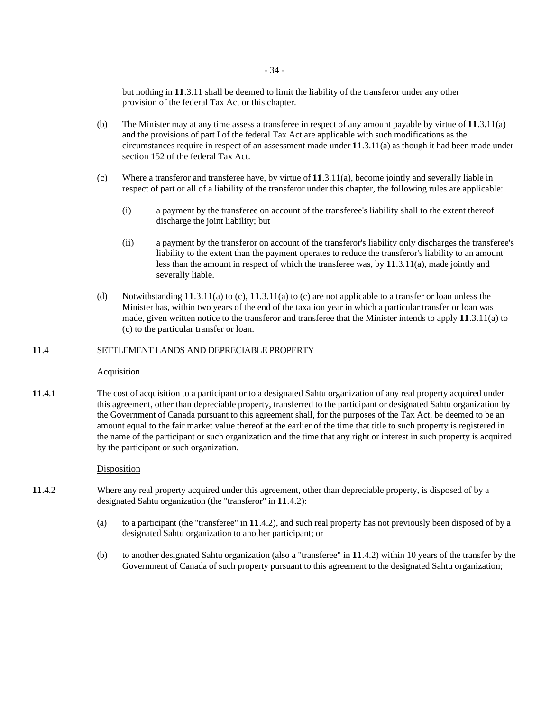but nothing in **11**.3.11 shall be deemed to limit the liability of the transferor under any other provision of the federal Tax Act or this chapter.

- (b) The Minister may at any time assess a transferee in respect of any amount payable by virtue of **11**.3.11(a) and the provisions of part I of the federal Tax Act are applicable with such modifications as the circumstances require in respect of an assessment made under **11**.3.11(a) as though it had been made under section 152 of the federal Tax Act.
- (c) Where a transferor and transferee have, by virtue of **11**.3.11(a), become jointly and severally liable in respect of part or all of a liability of the transferor under this chapter, the following rules are applicable:
	- (i) a payment by the transferee on account of the transferee's liability shall to the extent thereof discharge the joint liability; but
	- (ii) a payment by the transferor on account of the transferor's liability only discharges the transferee's liability to the extent than the payment operates to reduce the transferor's liability to an amount less than the amount in respect of which the transferee was, by **11**.3.11(a), made jointly and severally liable.
- (d) Notwithstanding **11**.3.11(a) to (c), **11**.3.11(a) to (c) are not applicable to a transfer or loan unless the Minister has, within two years of the end of the taxation year in which a particular transfer or loan was made, given written notice to the transferor and transferee that the Minister intends to apply **11**.3.11(a) to (c) to the particular transfer or loan.

# **11**.4 SETTLEMENT LANDS AND DEPRECIABLE PROPERTY

# **Acquisition**

**11**.4.1 The cost of acquisition to a participant or to a designated Sahtu organization of any real property acquired under this agreement, other than depreciable property, transferred to the participant or designated Sahtu organization by the Government of Canada pursuant to this agreement shall, for the purposes of the Tax Act, be deemed to be an amount equal to the fair market value thereof at the earlier of the time that title to such property is registered in the name of the participant or such organization and the time that any right or interest in such property is acquired by the participant or such organization.

# Disposition

- **11**.4.2 Where any real property acquired under this agreement, other than depreciable property, is disposed of by a designated Sahtu organization (the "transferor" in **11**.4.2):
	- (a) to a participant (the "transferee" in **11**.4.2), and such real property has not previously been disposed of by a designated Sahtu organization to another participant; or
	- (b) to another designated Sahtu organization (also a "transferee" in **11**.4.2) within 10 years of the transfer by the Government of Canada of such property pursuant to this agreement to the designated Sahtu organization;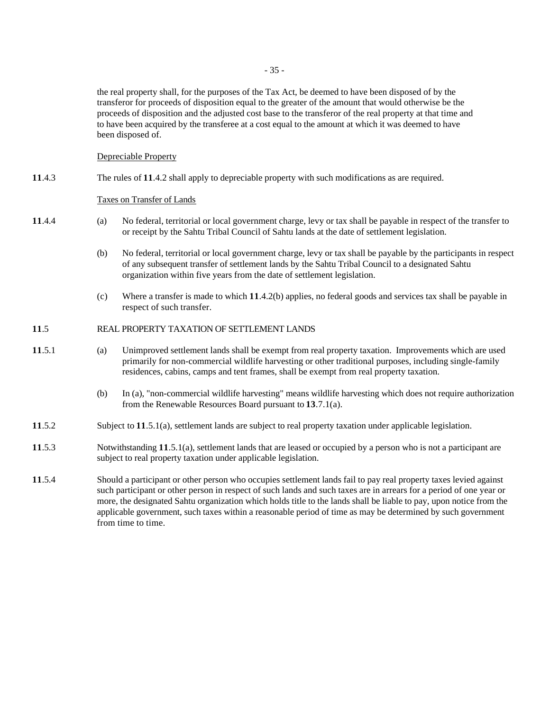the real property shall, for the purposes of the Tax Act, be deemed to have been disposed of by the transferor for proceeds of disposition equal to the greater of the amount that would otherwise be the proceeds of disposition and the adjusted cost base to the transferor of the real property at that time and to have been acquired by the transferee at a cost equal to the amount at which it was deemed to have been disposed of.

Depreciable Property

# **11**.4.3 The rules of **11**.4.2 shall apply to depreciable property with such modifications as are required.

# Taxes on Transfer of Lands

- **11**.4.4 (a) No federal, territorial or local government charge, levy or tax shall be payable in respect of the transfer to or receipt by the Sahtu Tribal Council of Sahtu lands at the date of settlement legislation.
	- (b) No federal, territorial or local government charge, levy or tax shall be payable by the participants in respect of any subsequent transfer of settlement lands by the Sahtu Tribal Council to a designated Sahtu organization within five years from the date of settlement legislation.
	- (c) Where a transfer is made to which **11**.4.2(b) applies, no federal goods and services tax shall be payable in respect of such transfer.

### **11**.5 REAL PROPERTY TAXATION OF SETTLEMENT LANDS

- **11**.5.1 (a) Unimproved settlement lands shall be exempt from real property taxation. Improvements which are used primarily for non-commercial wildlife harvesting or other traditional purposes, including single-family residences, cabins, camps and tent frames, shall be exempt from real property taxation.
	- (b) In (a), "non-commercial wildlife harvesting" means wildlife harvesting which does not require authorization from the Renewable Resources Board pursuant to **13**.7.1(a).
- **11**.5.2 Subject to **11**.5.1(a), settlement lands are subject to real property taxation under applicable legislation.
- **11**.5.3 Notwithstanding **11**.5.1(a), settlement lands that are leased or occupied by a person who is not a participant are subject to real property taxation under applicable legislation.
- **11**.5.4 Should a participant or other person who occupies settlement lands fail to pay real property taxes levied against such participant or other person in respect of such lands and such taxes are in arrears for a period of one year or more, the designated Sahtu organization which holds title to the lands shall be liable to pay, upon notice from the applicable government, such taxes within a reasonable period of time as may be determined by such government from time to time.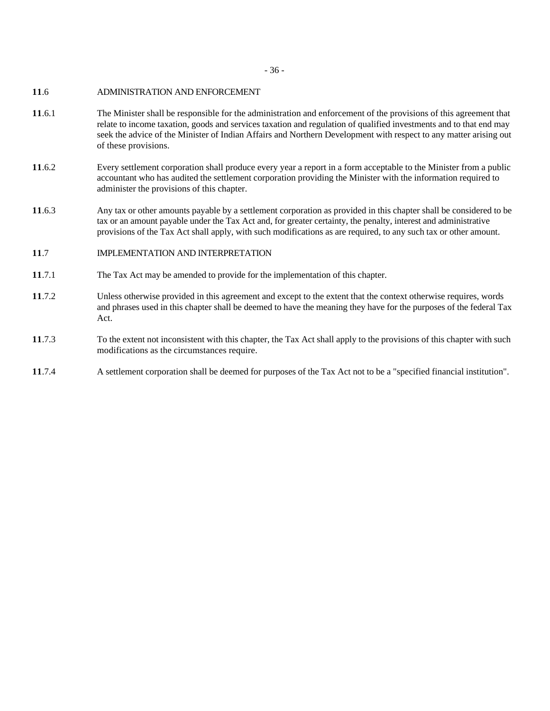- 36 -

# **11**.6 ADMINISTRATION AND ENFORCEMENT

- **11**.6.1 The Minister shall be responsible for the administration and enforcement of the provisions of this agreement that relate to income taxation, goods and services taxation and regulation of qualified investments and to that end may seek the advice of the Minister of Indian Affairs and Northern Development with respect to any matter arising out of these provisions.
- **11**.6.2 Every settlement corporation shall produce every year a report in a form acceptable to the Minister from a public accountant who has audited the settlement corporation providing the Minister with the information required to administer the provisions of this chapter.
- **11**.6.3 Any tax or other amounts payable by a settlement corporation as provided in this chapter shall be considered to be tax or an amount payable under the Tax Act and, for greater certainty, the penalty, interest and administrative provisions of the Tax Act shall apply, with such modifications as are required, to any such tax or other amount.
- **11**.7 IMPLEMENTATION AND INTERPRETATION
- **11**.7.1 The Tax Act may be amended to provide for the implementation of this chapter.
- **11**.7.2 Unless otherwise provided in this agreement and except to the extent that the context otherwise requires, words and phrases used in this chapter shall be deemed to have the meaning they have for the purposes of the federal Tax Act.
- **11**.7.3 To the extent not inconsistent with this chapter, the Tax Act shall apply to the provisions of this chapter with such modifications as the circumstances require.
- **11**.7.4 A settlement corporation shall be deemed for purposes of the Tax Act not to be a "specified financial institution".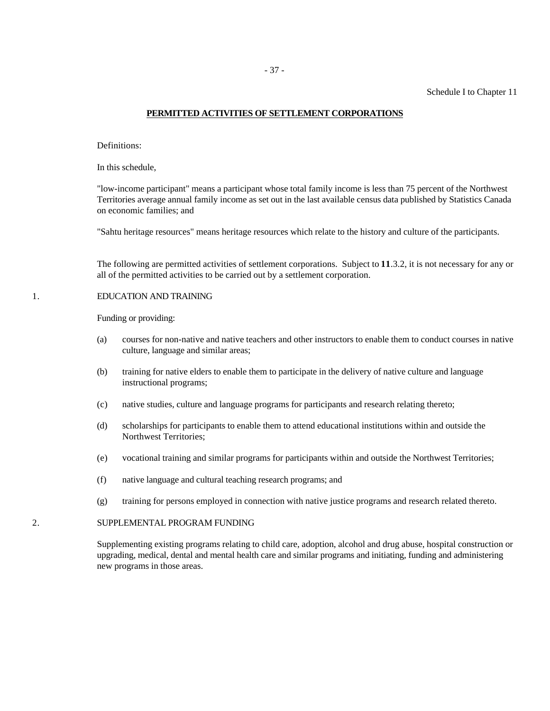# **PERMITTED ACTIVITIES OF SETTLEMENT CORPORATIONS**

Definitions:

In this schedule,

"low-income participant" means a participant whose total family income is less than 75 percent of the Northwest Territories average annual family income as set out in the last available census data published by Statistics Canada on economic families; and

"Sahtu heritage resources" means heritage resources which relate to the history and culture of the participants.

The following are permitted activities of settlement corporations. Subject to **11**.3.2, it is not necessary for any or all of the permitted activities to be carried out by a settlement corporation.

# 1. EDUCATION AND TRAINING

Funding or providing:

- (a) courses for non-native and native teachers and other instructors to enable them to conduct courses in native culture, language and similar areas;
- (b) training for native elders to enable them to participate in the delivery of native culture and language instructional programs;
- (c) native studies, culture and language programs for participants and research relating thereto;
- (d) scholarships for participants to enable them to attend educational institutions within and outside the Northwest Territories;
- (e) vocational training and similar programs for participants within and outside the Northwest Territories;
- (f) native language and cultural teaching research programs; and
- (g) training for persons employed in connection with native justice programs and research related thereto.

### 2. SUPPLEMENTAL PROGRAM FUNDING

Supplementing existing programs relating to child care, adoption, alcohol and drug abuse, hospital construction or upgrading, medical, dental and mental health care and similar programs and initiating, funding and administering new programs in those areas.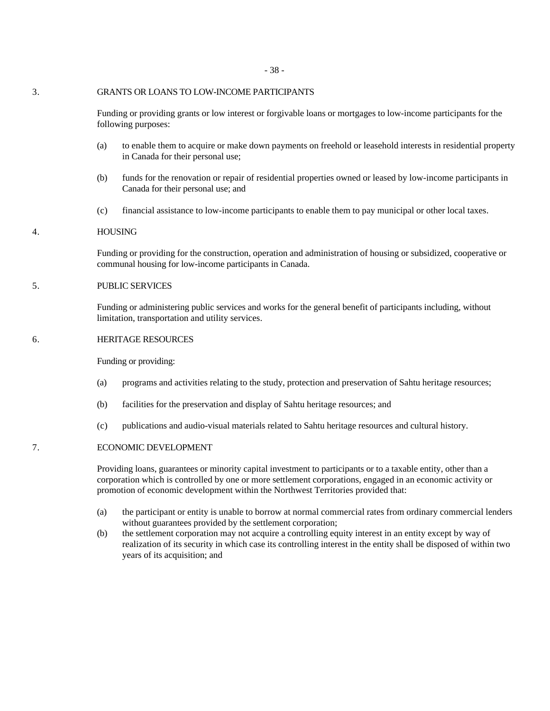### 3. GRANTS OR LOANS TO LOW-INCOME PARTICIPANTS

Funding or providing grants or low interest or forgivable loans or mortgages to low-income participants for the following purposes:

- (a) to enable them to acquire or make down payments on freehold or leasehold interests in residential property in Canada for their personal use;
- (b) funds for the renovation or repair of residential properties owned or leased by low-income participants in Canada for their personal use; and
- (c) financial assistance to low-income participants to enable them to pay municipal or other local taxes.

#### 4. HOUSING

Funding or providing for the construction, operation and administration of housing or subsidized, cooperative or communal housing for low-income participants in Canada.

# 5. PUBLIC SERVICES

Funding or administering public services and works for the general benefit of participants including, without limitation, transportation and utility services.

### 6. HERITAGE RESOURCES

Funding or providing:

- (a) programs and activities relating to the study, protection and preservation of Sahtu heritage resources;
- (b) facilities for the preservation and display of Sahtu heritage resources; and
- (c) publications and audio-visual materials related to Sahtu heritage resources and cultural history.

#### 7. ECONOMIC DEVELOPMENT

Providing loans, guarantees or minority capital investment to participants or to a taxable entity, other than a corporation which is controlled by one or more settlement corporations, engaged in an economic activity or promotion of economic development within the Northwest Territories provided that:

- (a) the participant or entity is unable to borrow at normal commercial rates from ordinary commercial lenders without guarantees provided by the settlement corporation;
- (b) the settlement corporation may not acquire a controlling equity interest in an entity except by way of realization of its security in which case its controlling interest in the entity shall be disposed of within two years of its acquisition; and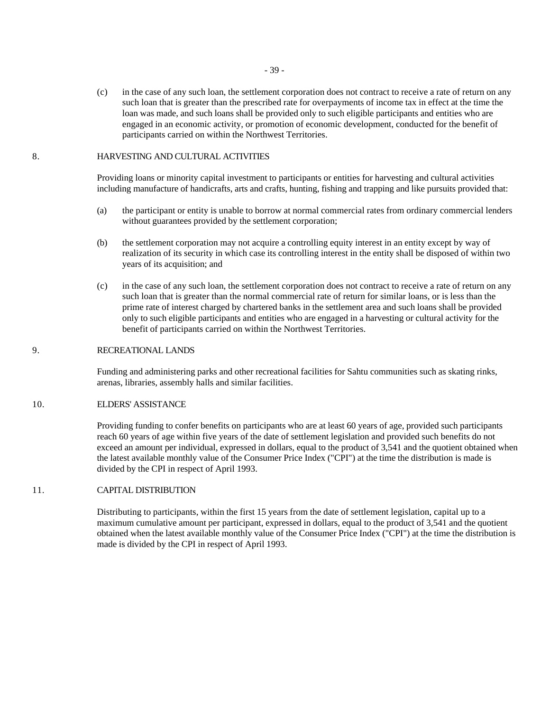(c) in the case of any such loan, the settlement corporation does not contract to receive a rate of return on any such loan that is greater than the prescribed rate for overpayments of income tax in effect at the time the loan was made, and such loans shall be provided only to such eligible participants and entities who are engaged in an economic activity, or promotion of economic development, conducted for the benefit of participants carried on within the Northwest Territories.

### 8. HARVESTING AND CULTURAL ACTIVITIES

Providing loans or minority capital investment to participants or entities for harvesting and cultural activities including manufacture of handicrafts, arts and crafts, hunting, fishing and trapping and like pursuits provided that:

- (a) the participant or entity is unable to borrow at normal commercial rates from ordinary commercial lenders without guarantees provided by the settlement corporation;
- (b) the settlement corporation may not acquire a controlling equity interest in an entity except by way of realization of its security in which case its controlling interest in the entity shall be disposed of within two years of its acquisition; and
- (c) in the case of any such loan, the settlement corporation does not contract to receive a rate of return on any such loan that is greater than the normal commercial rate of return for similar loans, or is less than the prime rate of interest charged by chartered banks in the settlement area and such loans shall be provided only to such eligible participants and entities who are engaged in a harvesting or cultural activity for the benefit of participants carried on within the Northwest Territories.

# 9. RECREATIONAL LANDS

Funding and administering parks and other recreational facilities for Sahtu communities such as skating rinks, arenas, libraries, assembly halls and similar facilities.

#### 10. ELDERS' ASSISTANCE

Providing funding to confer benefits on participants who are at least 60 years of age, provided such participants reach 60 years of age within five years of the date of settlement legislation and provided such benefits do not exceed an amount per individual, expressed in dollars, equal to the product of 3,541 and the quotient obtained when the latest available monthly value of the Consumer Price Index ("CPI") at the time the distribution is made is divided by the CPI in respect of April 1993.

# 11. CAPITAL DISTRIBUTION

Distributing to participants, within the first 15 years from the date of settlement legislation, capital up to a maximum cumulative amount per participant, expressed in dollars, equal to the product of 3,541 and the quotient obtained when the latest available monthly value of the Consumer Price Index ("CPI") at the time the distribution is made is divided by the CPI in respect of April 1993.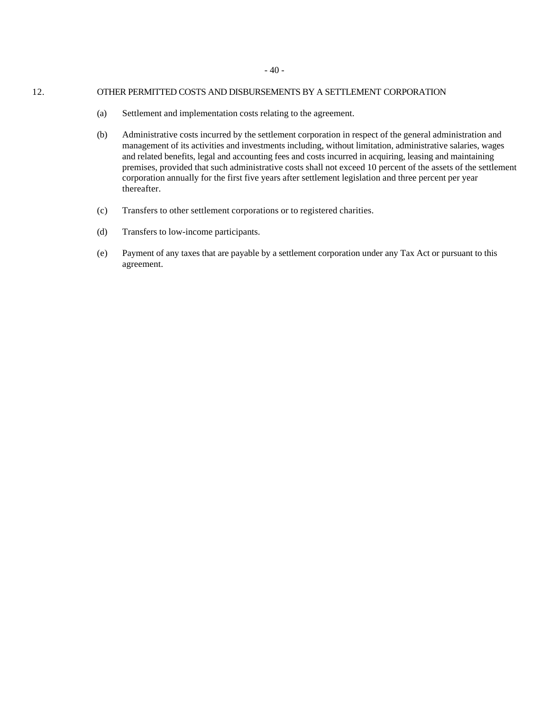### 12. OTHER PERMITTED COSTS AND DISBURSEMENTS BY A SETTLEMENT CORPORATION

- (a) Settlement and implementation costs relating to the agreement.
- (b) Administrative costs incurred by the settlement corporation in respect of the general administration and management of its activities and investments including, without limitation, administrative salaries, wages and related benefits, legal and accounting fees and costs incurred in acquiring, leasing and maintaining premises, provided that such administrative costs shall not exceed 10 percent of the assets of the settlement corporation annually for the first five years after settlement legislation and three percent per year thereafter.
- (c) Transfers to other settlement corporations or to registered charities.
- (d) Transfers to low-income participants.
- (e) Payment of any taxes that are payable by a settlement corporation under any Tax Act or pursuant to this agreement.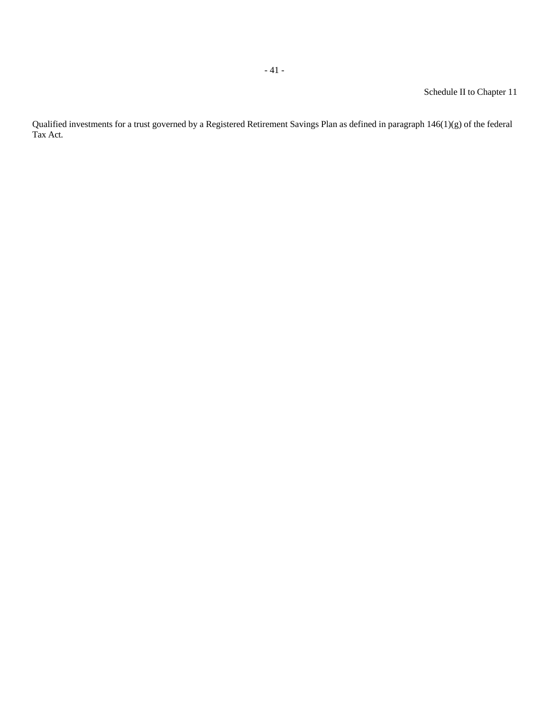Qualified investments for a trust governed by a Registered Retirement Savings Plan as defined in paragraph 146(1)(g) of the federal Tax Act.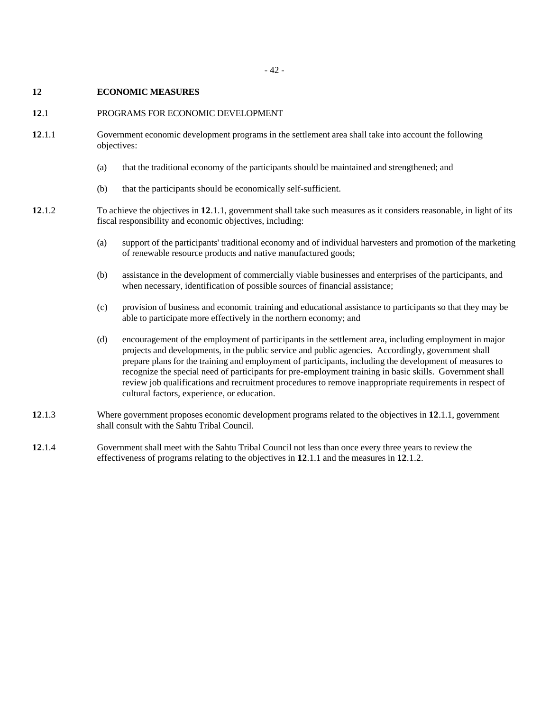# **12 ECONOMIC MEASURES**

#### **12**.1 PROGRAMS FOR ECONOMIC DEVELOPMENT

- **12**.1.1 Government economic development programs in the settlement area shall take into account the following objectives:
	- (a) that the traditional economy of the participants should be maintained and strengthened; and
	- (b) that the participants should be economically self-sufficient.
- **12**.1.2 To achieve the objectives in **12**.1.1, government shall take such measures as it considers reasonable, in light of its fiscal responsibility and economic objectives, including:
	- (a) support of the participants' traditional economy and of individual harvesters and promotion of the marketing of renewable resource products and native manufactured goods;
	- (b) assistance in the development of commercially viable businesses and enterprises of the participants, and when necessary, identification of possible sources of financial assistance;
	- (c) provision of business and economic training and educational assistance to participants so that they may be able to participate more effectively in the northern economy; and
	- (d) encouragement of the employment of participants in the settlement area, including employment in major projects and developments, in the public service and public agencies. Accordingly, government shall prepare plans for the training and employment of participants, including the development of measures to recognize the special need of participants for pre-employment training in basic skills. Government shall review job qualifications and recruitment procedures to remove inappropriate requirements in respect of cultural factors, experience, or education.
- **12**.1.3 Where government proposes economic development programs related to the objectives in **12**.1.1, government shall consult with the Sahtu Tribal Council.
- **12**.1.4 Government shall meet with the Sahtu Tribal Council not less than once every three years to review the effectiveness of programs relating to the objectives in **12**.1.1 and the measures in **12**.1.2.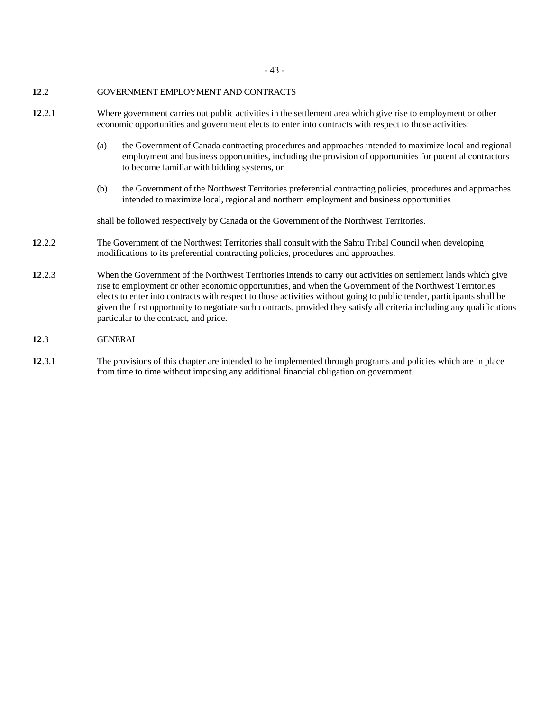- 43 -

# **12**.2 GOVERNMENT EMPLOYMENT AND CONTRACTS

- **12**.2.1 Where government carries out public activities in the settlement area which give rise to employment or other economic opportunities and government elects to enter into contracts with respect to those activities:
	- (a) the Government of Canada contracting procedures and approaches intended to maximize local and regional employment and business opportunities, including the provision of opportunities for potential contractors to become familiar with bidding systems, or
	- (b) the Government of the Northwest Territories preferential contracting policies, procedures and approaches intended to maximize local, regional and northern employment and business opportunities

shall be followed respectively by Canada or the Government of the Northwest Territories.

- **12**.2.2 The Government of the Northwest Territories shall consult with the Sahtu Tribal Council when developing modifications to its preferential contracting policies, procedures and approaches.
- **12**.2.3 When the Government of the Northwest Territories intends to carry out activities on settlement lands which give rise to employment or other economic opportunities, and when the Government of the Northwest Territories elects to enter into contracts with respect to those activities without going to public tender, participants shall be given the first opportunity to negotiate such contracts, provided they satisfy all criteria including any qualifications particular to the contract, and price.
- **12**.3 GENERAL
- **12**.3.1 The provisions of this chapter are intended to be implemented through programs and policies which are in place from time to time without imposing any additional financial obligation on government.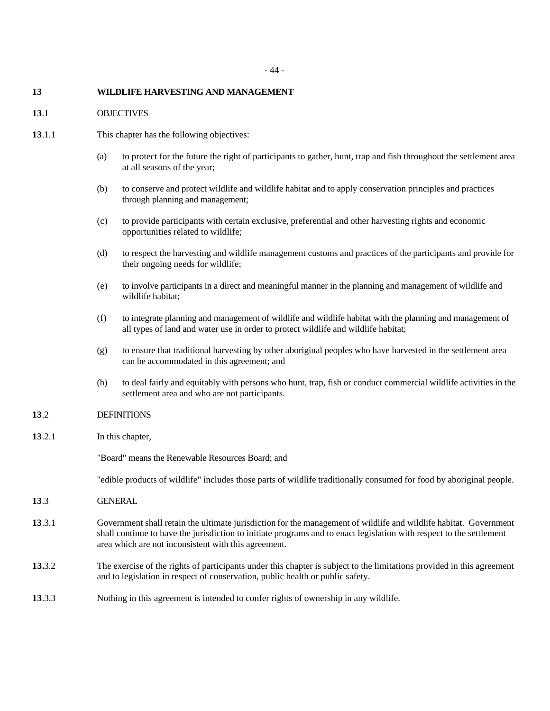# **13 WILDLIFE HARVESTING AND MANAGEMENT**

# **13**.1 OBJECTIVES

- **13**.1.1 This chapter has the following objectives:
	- (a) to protect for the future the right of participants to gather, hunt, trap and fish throughout the settlement area at all seasons of the year;
	- (b) to conserve and protect wildlife and wildlife habitat and to apply conservation principles and practices through planning and management;
	- (c) to provide participants with certain exclusive, preferential and other harvesting rights and economic opportunities related to wildlife;
	- (d) to respect the harvesting and wildlife management customs and practices of the participants and provide for their ongoing needs for wildlife;
	- (e) to involve participants in a direct and meaningful manner in the planning and management of wildlife and wildlife habitat;
	- (f) to integrate planning and management of wildlife and wildlife habitat with the planning and management of all types of land and water use in order to protect wildlife and wildlife habitat;
	- (g) to ensure that traditional harvesting by other aboriginal peoples who have harvested in the settlement area can be accommodated in this agreement; and
	- (h) to deal fairly and equitably with persons who hunt, trap, fish or conduct commercial wildlife activities in the settlement area and who are not participants.

# **13**.2 DEFINITIONS

**13**.2.1 In this chapter,

"Board" means the Renewable Resources Board; and

"edible products of wildlife" includes those parts of wildlife traditionally consumed for food by aboriginal people.

- **13**.3 GENERAL
- **13**.3.1 Government shall retain the ultimate jurisdiction for the management of wildlife and wildlife habitat. Government shall continue to have the jurisdiction to initiate programs and to enact legislation with respect to the settlement area which are not inconsistent with this agreement.
- **13.**3.2 The exercise of the rights of participants under this chapter is subject to the limitations provided in this agreement and to legislation in respect of conservation, public health or public safety.
- **13**.3.3 Nothing in this agreement is intended to confer rights of ownership in any wildlife.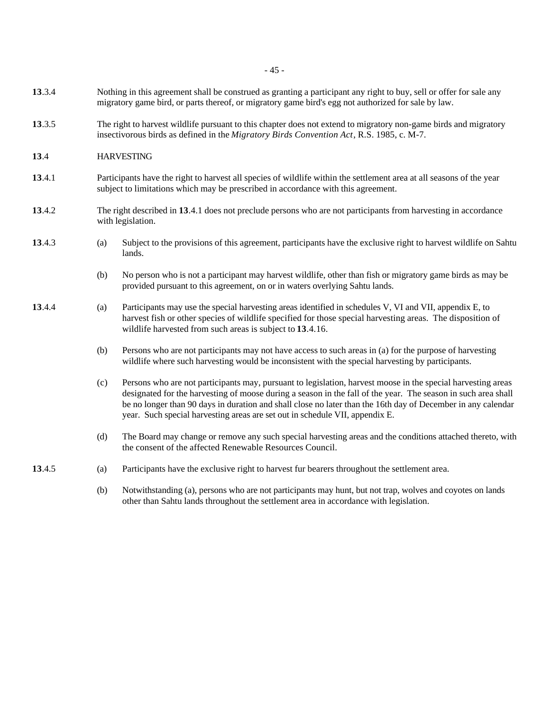- 45 -

- **13**.3.4 Nothing in this agreement shall be construed as granting a participant any right to buy, sell or offer for sale any migratory game bird, or parts thereof, or migratory game bird's egg not authorized for sale by law.
- **13**.3.5 The right to harvest wildlife pursuant to this chapter does not extend to migratory non-game birds and migratory insectivorous birds as defined in the *Migratory Birds Convention Act*, R.S. 1985, c. M-7.
- **13**.4 HARVESTING
- **13**.4.1 Participants have the right to harvest all species of wildlife within the settlement area at all seasons of the year subject to limitations which may be prescribed in accordance with this agreement.
- **13**.4.2 The right described in **13**.4.1 does not preclude persons who are not participants from harvesting in accordance with legislation.
- **13**.4.3 (a) Subject to the provisions of this agreement, participants have the exclusive right to harvest wildlife on Sahtu lands.
	- (b) No person who is not a participant may harvest wildlife, other than fish or migratory game birds as may be provided pursuant to this agreement, on or in waters overlying Sahtu lands.
- **13**.4.4 (a) Participants may use the special harvesting areas identified in schedules V, VI and VII, appendix E, to harvest fish or other species of wildlife specified for those special harvesting areas. The disposition of wildlife harvested from such areas is subject to **13**.4.16.
	- (b) Persons who are not participants may not have access to such areas in (a) for the purpose of harvesting wildlife where such harvesting would be inconsistent with the special harvesting by participants.
	- (c) Persons who are not participants may, pursuant to legislation, harvest moose in the special harvesting areas designated for the harvesting of moose during a season in the fall of the year. The season in such area shall be no longer than 90 days in duration and shall close no later than the 16th day of December in any calendar year. Such special harvesting areas are set out in schedule VII, appendix E.
	- (d) The Board may change or remove any such special harvesting areas and the conditions attached thereto, with the consent of the affected Renewable Resources Council.
- **13**.4.5 (a) Participants have the exclusive right to harvest fur bearers throughout the settlement area.
	- (b) Notwithstanding (a), persons who are not participants may hunt, but not trap, wolves and coyotes on lands other than Sahtu lands throughout the settlement area in accordance with legislation.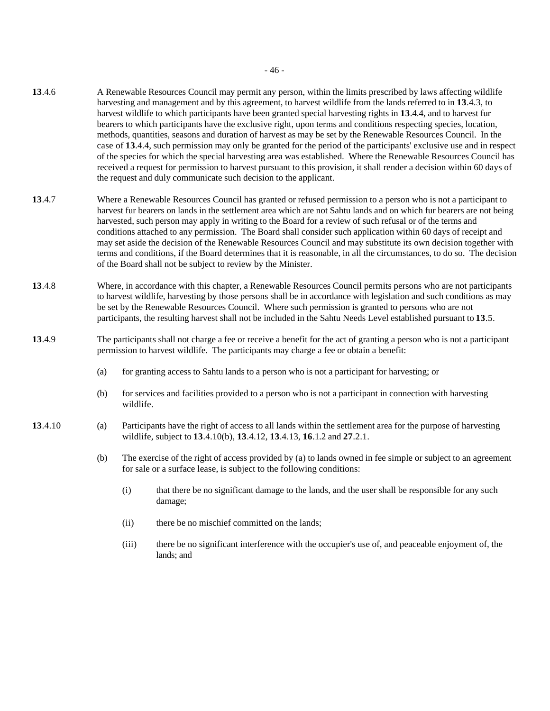- **13**.4.6 A Renewable Resources Council may permit any person, within the limits prescribed by laws affecting wildlife harvesting and management and by this agreement, to harvest wildlife from the lands referred to in **13**.4.3, to harvest wildlife to which participants have been granted special harvesting rights in **13**.4.4, and to harvest fur bearers to which participants have the exclusive right, upon terms and conditions respecting species, location, methods, quantities, seasons and duration of harvest as may be set by the Renewable Resources Council. In the case of **13**.4.4, such permission may only be granted for the period of the participants' exclusive use and in respect of the species for which the special harvesting area was established. Where the Renewable Resources Council has received a request for permission to harvest pursuant to this provision, it shall render a decision within 60 days of the request and duly communicate such decision to the applicant.
- **13**.4.7 Where a Renewable Resources Council has granted or refused permission to a person who is not a participant to harvest fur bearers on lands in the settlement area which are not Sahtu lands and on which fur bearers are not being harvested, such person may apply in writing to the Board for a review of such refusal or of the terms and conditions attached to any permission. The Board shall consider such application within 60 days of receipt and may set aside the decision of the Renewable Resources Council and may substitute its own decision together with terms and conditions, if the Board determines that it is reasonable, in all the circumstances, to do so. The decision of the Board shall not be subject to review by the Minister.
- **13**.4.8 Where, in accordance with this chapter, a Renewable Resources Council permits persons who are not participants to harvest wildlife, harvesting by those persons shall be in accordance with legislation and such conditions as may be set by the Renewable Resources Council. Where such permission is granted to persons who are not participants, the resulting harvest shall not be included in the Sahtu Needs Level established pursuant to **13**.5.
- **13**.4.9 The participants shall not charge a fee or receive a benefit for the act of granting a person who is not a participant permission to harvest wildlife. The participants may charge a fee or obtain a benefit:
	- (a) for granting access to Sahtu lands to a person who is not a participant for harvesting; or
	- (b) for services and facilities provided to a person who is not a participant in connection with harvesting wildlife.
- **13**.4.10 (a) Participants have the right of access to all lands within the settlement area for the purpose of harvesting wildlife, subject to **13**.4.10(b), **13**.4.12, **13**.4.13, **16**.1.2 and **27**.2.1.
	- (b) The exercise of the right of access provided by (a) to lands owned in fee simple or subject to an agreement for sale or a surface lease, is subject to the following conditions:
		- (i) that there be no significant damage to the lands, and the user shall be responsible for any such damage;
		- (ii) there be no mischief committed on the lands;
		- (iii) there be no significant interference with the occupier's use of, and peaceable enjoyment of, the lands; and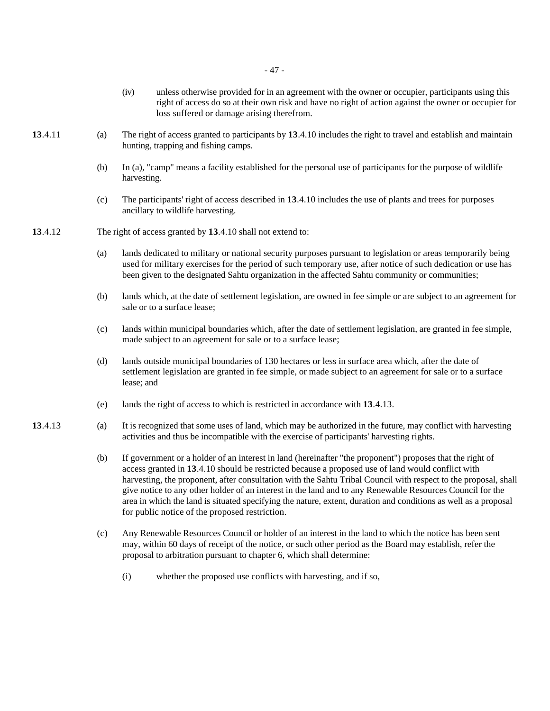|         |     | (iv)<br>unless otherwise provided for in an agreement with the owner or occupier, participants using this<br>right of access do so at their own risk and have no right of action against the owner or occupier for<br>loss suffered or damage arising therefrom.                                                                                                                                                                                                                                                                                                                                                    |  |  |  |  |
|---------|-----|---------------------------------------------------------------------------------------------------------------------------------------------------------------------------------------------------------------------------------------------------------------------------------------------------------------------------------------------------------------------------------------------------------------------------------------------------------------------------------------------------------------------------------------------------------------------------------------------------------------------|--|--|--|--|
| 13.4.11 | (a) | The right of access granted to participants by 13.4.10 includes the right to travel and establish and maintain<br>hunting, trapping and fishing camps.                                                                                                                                                                                                                                                                                                                                                                                                                                                              |  |  |  |  |
|         | (b) | In (a), "camp" means a facility established for the personal use of participants for the purpose of wildlife<br>harvesting.                                                                                                                                                                                                                                                                                                                                                                                                                                                                                         |  |  |  |  |
|         | (c) | The participants' right of access described in 13.4.10 includes the use of plants and trees for purposes<br>ancillary to wildlife harvesting.                                                                                                                                                                                                                                                                                                                                                                                                                                                                       |  |  |  |  |
| 13.4.12 |     | The right of access granted by 13.4.10 shall not extend to:                                                                                                                                                                                                                                                                                                                                                                                                                                                                                                                                                         |  |  |  |  |
|         | (a) | lands dedicated to military or national security purposes pursuant to legislation or areas temporarily being<br>used for military exercises for the period of such temporary use, after notice of such dedication or use has<br>been given to the designated Sahtu organization in the affected Sahtu community or communities;                                                                                                                                                                                                                                                                                     |  |  |  |  |
|         | (b) | lands which, at the date of settlement legislation, are owned in fee simple or are subject to an agreement for<br>sale or to a surface lease;                                                                                                                                                                                                                                                                                                                                                                                                                                                                       |  |  |  |  |
|         | (c) | lands within municipal boundaries which, after the date of settlement legislation, are granted in fee simple,<br>made subject to an agreement for sale or to a surface lease;                                                                                                                                                                                                                                                                                                                                                                                                                                       |  |  |  |  |
|         | (d) | lands outside municipal boundaries of 130 hectares or less in surface area which, after the date of<br>settlement legislation are granted in fee simple, or made subject to an agreement for sale or to a surface<br>lease; and                                                                                                                                                                                                                                                                                                                                                                                     |  |  |  |  |
|         | (e) | lands the right of access to which is restricted in accordance with 13.4.13.                                                                                                                                                                                                                                                                                                                                                                                                                                                                                                                                        |  |  |  |  |
| 13.4.13 | (a) | It is recognized that some uses of land, which may be authorized in the future, may conflict with harvesting<br>activities and thus be incompatible with the exercise of participants' harvesting rights.                                                                                                                                                                                                                                                                                                                                                                                                           |  |  |  |  |
|         | (b) | If government or a holder of an interest in land (hereinafter "the proponent") proposes that the right of<br>access granted in 13.4.10 should be restricted because a proposed use of land would conflict with<br>harvesting, the proponent, after consultation with the Sahtu Tribal Council with respect to the proposal, shall<br>give notice to any other holder of an interest in the land and to any Renewable Resources Council for the<br>area in which the land is situated specifying the nature, extent, duration and conditions as well as a proposal<br>for public notice of the proposed restriction. |  |  |  |  |
|         | (c) | Any Renewable Resources Council or holder of an interest in the land to which the notice has been sent<br>may, within 60 days of receipt of the notice, or such other period as the Board may establish, refer the<br>proposal to arbitration pursuant to chapter 6, which shall determine:                                                                                                                                                                                                                                                                                                                         |  |  |  |  |
|         |     | whether the proposed use conflicts with harvesting, and if so,<br>(i)                                                                                                                                                                                                                                                                                                                                                                                                                                                                                                                                               |  |  |  |  |
|         |     |                                                                                                                                                                                                                                                                                                                                                                                                                                                                                                                                                                                                                     |  |  |  |  |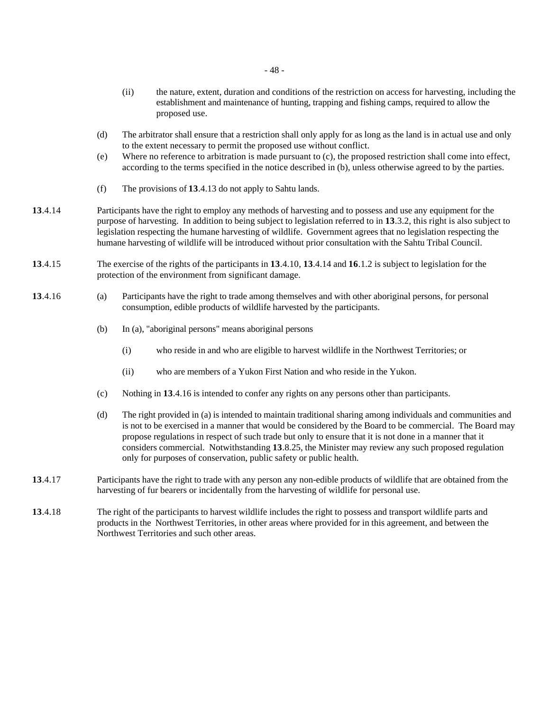- (ii) the nature, extent, duration and conditions of the restriction on access for harvesting, including the establishment and maintenance of hunting, trapping and fishing camps, required to allow the proposed use.
- (d) The arbitrator shall ensure that a restriction shall only apply for as long as the land is in actual use and only to the extent necessary to permit the proposed use without conflict.
- (e) Where no reference to arbitration is made pursuant to (c), the proposed restriction shall come into effect, according to the terms specified in the notice described in (b), unless otherwise agreed to by the parties.
- (f) The provisions of **13**.4.13 do not apply to Sahtu lands.
- **13**.4.14 Participants have the right to employ any methods of harvesting and to possess and use any equipment for the purpose of harvesting. In addition to being subject to legislation referred to in **13**.3.2, this right is also subject to legislation respecting the humane harvesting of wildlife. Government agrees that no legislation respecting the humane harvesting of wildlife will be introduced without prior consultation with the Sahtu Tribal Council.
- **13**.4.15 The exercise of the rights of the participants in **13**.4.10, **13**.4.14 and **16**.1.2 is subject to legislation for the protection of the environment from significant damage.
- **13**.4.16 (a) Participants have the right to trade among themselves and with other aboriginal persons, for personal consumption, edible products of wildlife harvested by the participants.
	- (b) In (a), "aboriginal persons" means aboriginal persons
		- (i) who reside in and who are eligible to harvest wildlife in the Northwest Territories; or
		- (ii) who are members of a Yukon First Nation and who reside in the Yukon.
	- (c) Nothing in **13**.4.16 is intended to confer any rights on any persons other than participants.
	- (d) The right provided in (a) is intended to maintain traditional sharing among individuals and communities and is not to be exercised in a manner that would be considered by the Board to be commercial. The Board may propose regulations in respect of such trade but only to ensure that it is not done in a manner that it considers commercial. Notwithstanding **13**.8.25, the Minister may review any such proposed regulation only for purposes of conservation, public safety or public health.
- **13**.4.17 Participants have the right to trade with any person any non-edible products of wildlife that are obtained from the harvesting of fur bearers or incidentally from the harvesting of wildlife for personal use.
- **13**.4.18 The right of the participants to harvest wildlife includes the right to possess and transport wildlife parts and products in the Northwest Territories, in other areas where provided for in this agreement, and between the Northwest Territories and such other areas.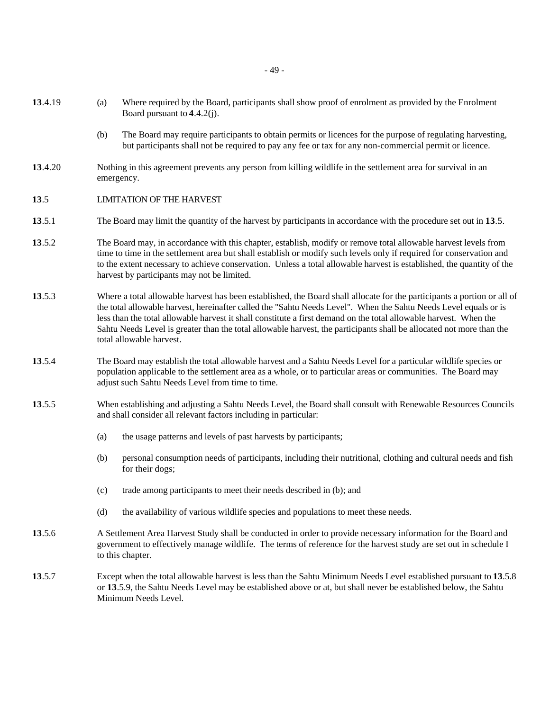- 49 -
- **13**.4.19 (a) Where required by the Board, participants shall show proof of enrolment as provided by the Enrolment Board pursuant to **4**.4.2(j).
	- (b) The Board may require participants to obtain permits or licences for the purpose of regulating harvesting, but participants shall not be required to pay any fee or tax for any non-commercial permit or licence.
- **13**.4.20 Nothing in this agreement prevents any person from killing wildlife in the settlement area for survival in an emergency.
- **13**.5 LIMITATION OF THE HARVEST
- **13**.5.1 The Board may limit the quantity of the harvest by participants in accordance with the procedure set out in **13**.5.
- **13**.5.2 The Board may, in accordance with this chapter, establish, modify or remove total allowable harvest levels from time to time in the settlement area but shall establish or modify such levels only if required for conservation and to the extent necessary to achieve conservation. Unless a total allowable harvest is established, the quantity of the harvest by participants may not be limited.
- **13**.5.3 Where a total allowable harvest has been established, the Board shall allocate for the participants a portion or all of the total allowable harvest, hereinafter called the "Sahtu Needs Level". When the Sahtu Needs Level equals or is less than the total allowable harvest it shall constitute a first demand on the total allowable harvest. When the Sahtu Needs Level is greater than the total allowable harvest, the participants shall be allocated not more than the total allowable harvest.
- **13**.5.4 The Board may establish the total allowable harvest and a Sahtu Needs Level for a particular wildlife species or population applicable to the settlement area as a whole, or to particular areas or communities. The Board may adjust such Sahtu Needs Level from time to time.
- **13**.5.5 When establishing and adjusting a Sahtu Needs Level, the Board shall consult with Renewable Resources Councils and shall consider all relevant factors including in particular:
	- (a) the usage patterns and levels of past harvests by participants;
	- (b) personal consumption needs of participants, including their nutritional, clothing and cultural needs and fish for their dogs;
	- (c) trade among participants to meet their needs described in (b); and
	- (d) the availability of various wildlife species and populations to meet these needs.
- **13**.5.6 A Settlement Area Harvest Study shall be conducted in order to provide necessary information for the Board and government to effectively manage wildlife. The terms of reference for the harvest study are set out in schedule I to this chapter.
- **13**.5.7 Except when the total allowable harvest is less than the Sahtu Minimum Needs Level established pursuant to **13**.5.8 or **13**.5.9, the Sahtu Needs Level may be established above or at, but shall never be established below, the Sahtu Minimum Needs Level.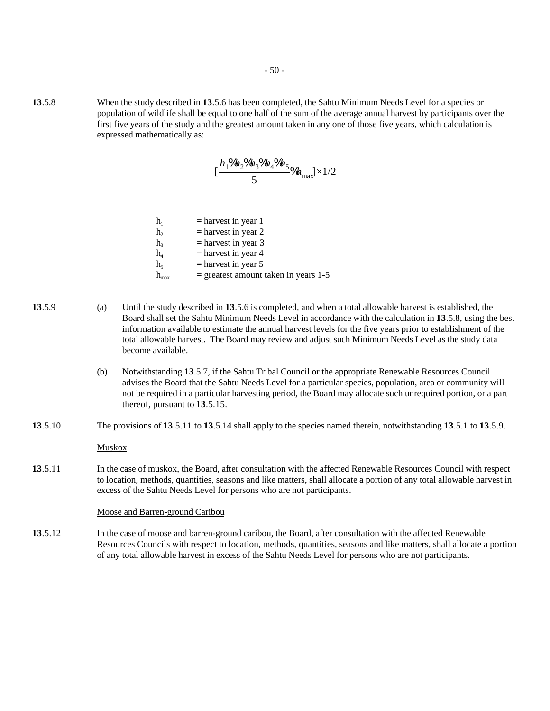**13**.5.8 When the study described in **13**.5.6 has been completed, the Sahtu Minimum Needs Level for a species or population of wildlife shall be equal to one half of the sum of the average annual harvest by participants over the first five years of the study and the greatest amount taken in any one of those five years, which calculation is expressed mathematically as:

$$
[\frac{h_1\% h_2\% h_3\% h_4\% h_5}{5}\% h_{\rm max}]\times 1/2
$$

| h,            | $=$ harvest in year 1                  |
|---------------|----------------------------------------|
| h,            | $=$ harvest in year 2                  |
| h,            | $=$ harvest in year 3                  |
| h,            | $=$ harvest in year 4                  |
| h៹            | $=$ harvest in year 5                  |
| $\rm h_{max}$ | $=$ greatest amount taken in years 1-5 |

- **13**.5.9 (a) Until the study described in **13**.5.6 is completed, and when a total allowable harvest is established, the Board shall set the Sahtu Minimum Needs Level in accordance with the calculation in **13**.5.8, using the best information available to estimate the annual harvest levels for the five years prior to establishment of the total allowable harvest. The Board may review and adjust such Minimum Needs Level as the study data become available.
	- (b) Notwithstanding **13**.5.7, if the Sahtu Tribal Council or the appropriate Renewable Resources Council advises the Board that the Sahtu Needs Level for a particular species, population, area or community will not be required in a particular harvesting period, the Board may allocate such unrequired portion, or a part thereof, pursuant to **13**.5.15.
- **13**.5.10 The provisions of **13**.5.11 to **13**.5.14 shall apply to the species named therein, notwithstanding **13**.5.1 to **13**.5.9.

Muskox

**13**.5.11 In the case of muskox, the Board, after consultation with the affected Renewable Resources Council with respect to location, methods, quantities, seasons and like matters, shall allocate a portion of any total allowable harvest in excess of the Sahtu Needs Level for persons who are not participants.

#### Moose and Barren-ground Caribou

**13**.5.12 In the case of moose and barren-ground caribou, the Board, after consultation with the affected Renewable Resources Councils with respect to location, methods, quantities, seasons and like matters, shall allocate a portion of any total allowable harvest in excess of the Sahtu Needs Level for persons who are not participants.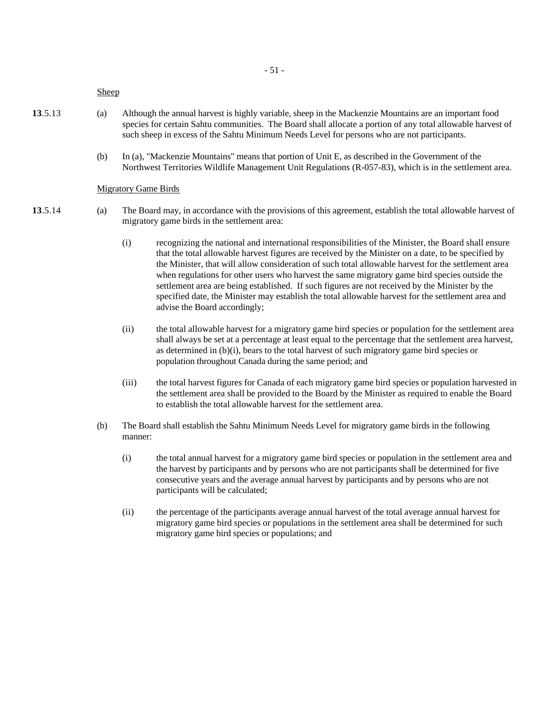#### Sheep

- **13**.5.13 (a) Although the annual harvest is highly variable, sheep in the Mackenzie Mountains are an important food species for certain Sahtu communities. The Board shall allocate a portion of any total allowable harvest of such sheep in excess of the Sahtu Minimum Needs Level for persons who are not participants.
	- (b) In (a), "Mackenzie Mountains" means that portion of Unit E, as described in the Government of the Northwest Territories Wildlife Management Unit Regulations (R-057-83), which is in the settlement area.

#### Migratory Game Birds

- **13**.5.14 (a) The Board may, in accordance with the provisions of this agreement, establish the total allowable harvest of migratory game birds in the settlement area:
	- (i) recognizing the national and international responsibilities of the Minister, the Board shall ensure that the total allowable harvest figures are received by the Minister on a date, to be specified by the Minister, that will allow consideration of such total allowable harvest for the settlement area when regulations for other users who harvest the same migratory game bird species outside the settlement area are being established. If such figures are not received by the Minister by the specified date, the Minister may establish the total allowable harvest for the settlement area and advise the Board accordingly;
	- (ii) the total allowable harvest for a migratory game bird species or population for the settlement area shall always be set at a percentage at least equal to the percentage that the settlement area harvest, as determined in (b)(i), bears to the total harvest of such migratory game bird species or population throughout Canada during the same period; and
	- (iii) the total harvest figures for Canada of each migratory game bird species or population harvested in the settlement area shall be provided to the Board by the Minister as required to enable the Board to establish the total allowable harvest for the settlement area.
	- (b) The Board shall establish the Sahtu Minimum Needs Level for migratory game birds in the following manner:
		- (i) the total annual harvest for a migratory game bird species or population in the settlement area and the harvest by participants and by persons who are not participants shall be determined for five consecutive years and the average annual harvest by participants and by persons who are not participants will be calculated;
		- (ii) the percentage of the participants average annual harvest of the total average annual harvest for migratory game bird species or populations in the settlement area shall be determined for such migratory game bird species or populations; and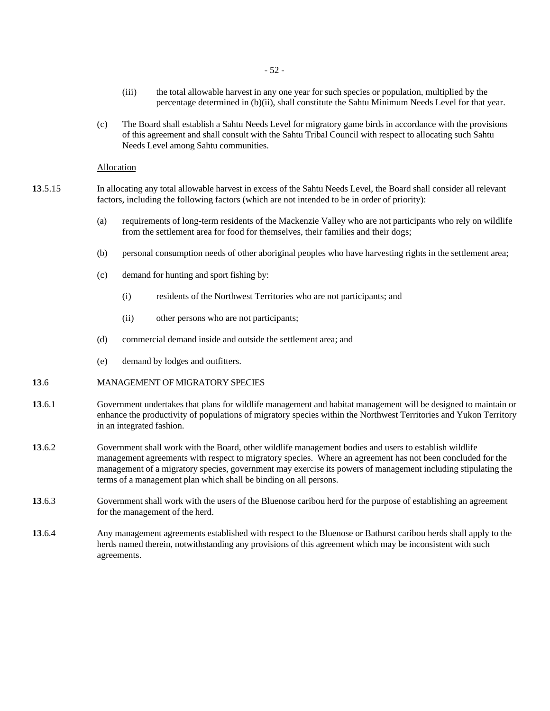- 52 -

- (iii) the total allowable harvest in any one year for such species or population, multiplied by the percentage determined in (b)(ii), shall constitute the Sahtu Minimum Needs Level for that year.
- (c) The Board shall establish a Sahtu Needs Level for migratory game birds in accordance with the provisions of this agreement and shall consult with the Sahtu Tribal Council with respect to allocating such Sahtu Needs Level among Sahtu communities.

# **Allocation**

- **13**.5.15 In allocating any total allowable harvest in excess of the Sahtu Needs Level, the Board shall consider all relevant factors, including the following factors (which are not intended to be in order of priority):
	- (a) requirements of long-term residents of the Mackenzie Valley who are not participants who rely on wildlife from the settlement area for food for themselves, their families and their dogs;
	- (b) personal consumption needs of other aboriginal peoples who have harvesting rights in the settlement area;
	- (c) demand for hunting and sport fishing by:
		- (i) residents of the Northwest Territories who are not participants; and
		- (ii) other persons who are not participants;
	- (d) commercial demand inside and outside the settlement area; and
	- (e) demand by lodges and outfitters.

# **13**.6 MANAGEMENT OF MIGRATORY SPECIES

- **13**.6.1 Government undertakes that plans for wildlife management and habitat management will be designed to maintain or enhance the productivity of populations of migratory species within the Northwest Territories and Yukon Territory in an integrated fashion.
- **13**.6.2 Government shall work with the Board, other wildlife management bodies and users to establish wildlife management agreements with respect to migratory species. Where an agreement has not been concluded for the management of a migratory species, government may exercise its powers of management including stipulating the terms of a management plan which shall be binding on all persons.
- **13**.6.3 Government shall work with the users of the Bluenose caribou herd for the purpose of establishing an agreement for the management of the herd.
- **13**.6.4 Any management agreements established with respect to the Bluenose or Bathurst caribou herds shall apply to the herds named therein, notwithstanding any provisions of this agreement which may be inconsistent with such agreements.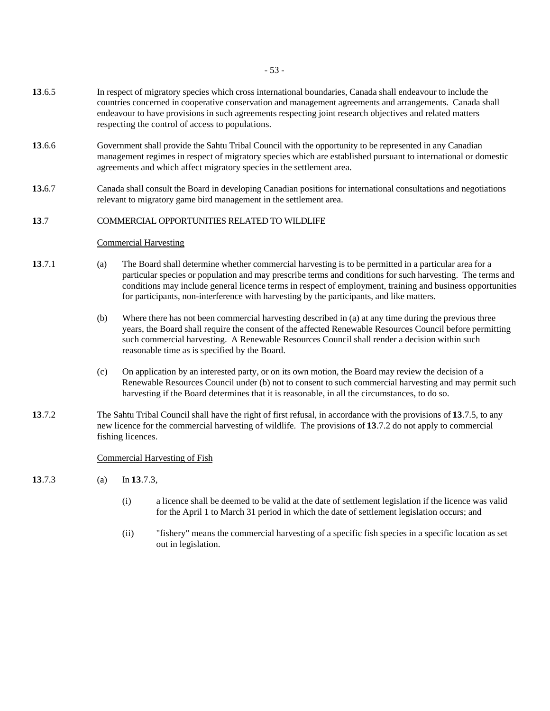- 53 -

- **13**.6.5 In respect of migratory species which cross international boundaries, Canada shall endeavour to include the countries concerned in cooperative conservation and management agreements and arrangements. Canada shall endeavour to have provisions in such agreements respecting joint research objectives and related matters respecting the control of access to populations.
- **13**.6.6 Government shall provide the Sahtu Tribal Council with the opportunity to be represented in any Canadian management regimes in respect of migratory species which are established pursuant to international or domestic agreements and which affect migratory species in the settlement area.
- **13.**6.7 Canada shall consult the Board in developing Canadian positions for international consultations and negotiations relevant to migratory game bird management in the settlement area.

# **13**.7 COMMERCIAL OPPORTUNITIES RELATED TO WILDLIFE

# Commercial Harvesting

- **13**.7.1 (a) The Board shall determine whether commercial harvesting is to be permitted in a particular area for a particular species or population and may prescribe terms and conditions for such harvesting. The terms and conditions may include general licence terms in respect of employment, training and business opportunities for participants, non-interference with harvesting by the participants, and like matters.
	- (b) Where there has not been commercial harvesting described in (a) at any time during the previous three years, the Board shall require the consent of the affected Renewable Resources Council before permitting such commercial harvesting. A Renewable Resources Council shall render a decision within such reasonable time as is specified by the Board.
	- (c) On application by an interested party, or on its own motion, the Board may review the decision of a Renewable Resources Council under (b) not to consent to such commercial harvesting and may permit such harvesting if the Board determines that it is reasonable, in all the circumstances, to do so.
- **13**.7.2 The Sahtu Tribal Council shall have the right of first refusal, in accordance with the provisions of **13**.7.5, to any new licence for the commercial harvesting of wildlife. The provisions of **13**.7.2 do not apply to commercial fishing licences.

# Commercial Harvesting of Fish

- **13**.7.3 (a) In **13**.7.3,
	- (i) a licence shall be deemed to be valid at the date of settlement legislation if the licence was valid for the April 1 to March 31 period in which the date of settlement legislation occurs; and
	- (ii) "fishery" means the commercial harvesting of a specific fish species in a specific location as set out in legislation.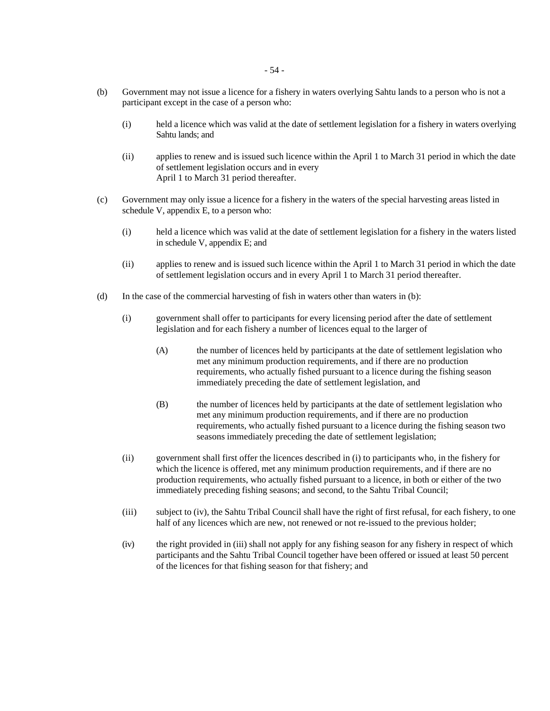- (b) Government may not issue a licence for a fishery in waters overlying Sahtu lands to a person who is not a participant except in the case of a person who:
	- (i) held a licence which was valid at the date of settlement legislation for a fishery in waters overlying Sahtu lands; and
	- (ii) applies to renew and is issued such licence within the April 1 to March 31 period in which the date of settlement legislation occurs and in every April 1 to March 31 period thereafter.
- (c) Government may only issue a licence for a fishery in the waters of the special harvesting areas listed in schedule V, appendix E, to a person who:
	- (i) held a licence which was valid at the date of settlement legislation for a fishery in the waters listed in schedule V, appendix E; and
	- (ii) applies to renew and is issued such licence within the April 1 to March 31 period in which the date of settlement legislation occurs and in every April 1 to March 31 period thereafter.
- (d) In the case of the commercial harvesting of fish in waters other than waters in (b):
	- (i) government shall offer to participants for every licensing period after the date of settlement legislation and for each fishery a number of licences equal to the larger of
		- (A) the number of licences held by participants at the date of settlement legislation who met any minimum production requirements, and if there are no production requirements, who actually fished pursuant to a licence during the fishing season immediately preceding the date of settlement legislation, and
		- (B) the number of licences held by participants at the date of settlement legislation who met any minimum production requirements, and if there are no production requirements, who actually fished pursuant to a licence during the fishing season two seasons immediately preceding the date of settlement legislation;
	- (ii) government shall first offer the licences described in (i) to participants who, in the fishery for which the licence is offered, met any minimum production requirements, and if there are no production requirements, who actually fished pursuant to a licence, in both or either of the two immediately preceding fishing seasons; and second, to the Sahtu Tribal Council;
	- (iii) subject to (iv), the Sahtu Tribal Council shall have the right of first refusal, for each fishery, to one half of any licences which are new, not renewed or not re-issued to the previous holder;
	- (iv) the right provided in (iii) shall not apply for any fishing season for any fishery in respect of which participants and the Sahtu Tribal Council together have been offered or issued at least 50 percent of the licences for that fishing season for that fishery; and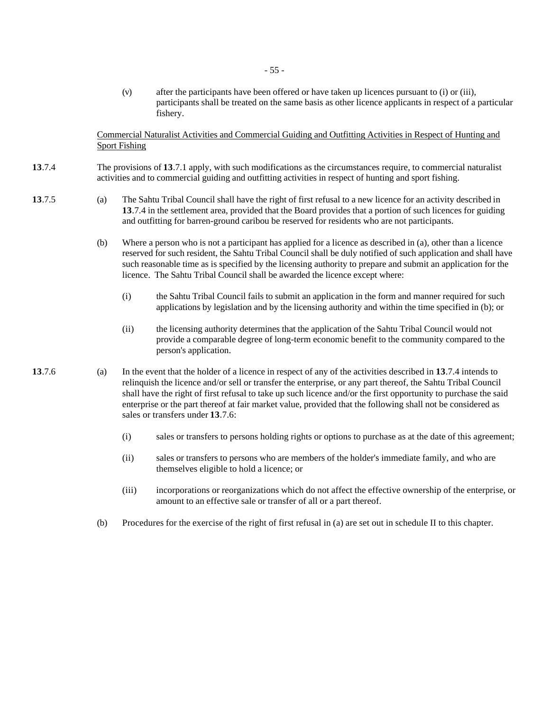(v) after the participants have been offered or have taken up licences pursuant to (i) or (iii), participants shall be treated on the same basis as other licence applicants in respect of a particular fishery.

Commercial Naturalist Activities and Commercial Guiding and Outfitting Activities in Respect of Hunting and Sport Fishing

- **13**.7.4 The provisions of **13**.7.1 apply, with such modifications as the circumstances require, to commercial naturalist activities and to commercial guiding and outfitting activities in respect of hunting and sport fishing.
- **13**.7.5 (a) The Sahtu Tribal Council shall have the right of first refusal to a new licence for an activity described in **13**.7.4 in the settlement area, provided that the Board provides that a portion of such licences for guiding and outfitting for barren-ground caribou be reserved for residents who are not participants.
	- (b) Where a person who is not a participant has applied for a licence as described in (a), other than a licence reserved for such resident, the Sahtu Tribal Council shall be duly notified of such application and shall have such reasonable time as is specified by the licensing authority to prepare and submit an application for the licence. The Sahtu Tribal Council shall be awarded the licence except where:
		- (i) the Sahtu Tribal Council fails to submit an application in the form and manner required for such applications by legislation and by the licensing authority and within the time specified in (b); or
		- (ii) the licensing authority determines that the application of the Sahtu Tribal Council would not provide a comparable degree of long-term economic benefit to the community compared to the person's application.
- **13**.7.6 (a) In the event that the holder of a licence in respect of any of the activities described in **13**.7.4 intends to relinquish the licence and/or sell or transfer the enterprise, or any part thereof, the Sahtu Tribal Council shall have the right of first refusal to take up such licence and/or the first opportunity to purchase the said enterprise or the part thereof at fair market value, provided that the following shall not be considered as sales or transfers under **13**.7.6:
	- (i) sales or transfers to persons holding rights or options to purchase as at the date of this agreement;
	- (ii) sales or transfers to persons who are members of the holder's immediate family, and who are themselves eligible to hold a licence; or
	- (iii) incorporations or reorganizations which do not affect the effective ownership of the enterprise, or amount to an effective sale or transfer of all or a part thereof.
	- (b) Procedures for the exercise of the right of first refusal in (a) are set out in schedule II to this chapter.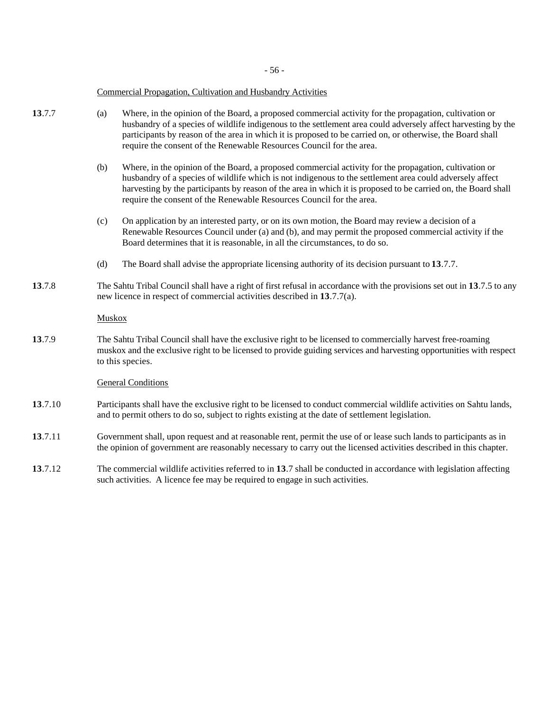- 56 -

#### Commercial Propagation, Cultivation and Husbandry Activities

- **13**.7.7 (a) Where, in the opinion of the Board, a proposed commercial activity for the propagation, cultivation or husbandry of a species of wildlife indigenous to the settlement area could adversely affect harvesting by the participants by reason of the area in which it is proposed to be carried on, or otherwise, the Board shall require the consent of the Renewable Resources Council for the area.
	- (b) Where, in the opinion of the Board, a proposed commercial activity for the propagation, cultivation or husbandry of a species of wildlife which is not indigenous to the settlement area could adversely affect harvesting by the participants by reason of the area in which it is proposed to be carried on, the Board shall require the consent of the Renewable Resources Council for the area.
	- (c) On application by an interested party, or on its own motion, the Board may review a decision of a Renewable Resources Council under (a) and (b), and may permit the proposed commercial activity if the Board determines that it is reasonable, in all the circumstances, to do so.
	- (d) The Board shall advise the appropriate licensing authority of its decision pursuant to **13**.7.7.
- **13**.7.8 The Sahtu Tribal Council shall have a right of first refusal in accordance with the provisions set out in **13**.7.5 to any new licence in respect of commercial activities described in **13**.7.7(a).

# Muskox

**13**.7.9 The Sahtu Tribal Council shall have the exclusive right to be licensed to commercially harvest free-roaming muskox and the exclusive right to be licensed to provide guiding services and harvesting opportunities with respect to this species.

# General Conditions

- **13**.7.10 Participants shall have the exclusive right to be licensed to conduct commercial wildlife activities on Sahtu lands, and to permit others to do so, subject to rights existing at the date of settlement legislation.
- **13**.7.11 Government shall, upon request and at reasonable rent, permit the use of or lease such lands to participants as in the opinion of government are reasonably necessary to carry out the licensed activities described in this chapter.
- **13**.7.12 The commercial wildlife activities referred to in **13**.7 shall be conducted in accordance with legislation affecting such activities. A licence fee may be required to engage in such activities.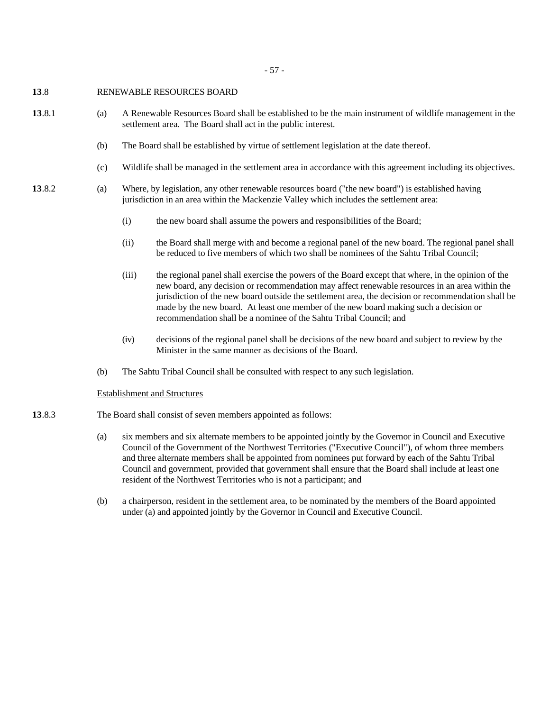# **13**.8 RENEWABLE RESOURCES BOARD

- **13**.8.1 (a) A Renewable Resources Board shall be established to be the main instrument of wildlife management in the settlement area. The Board shall act in the public interest.
	- (b) The Board shall be established by virtue of settlement legislation at the date thereof.
	- (c) Wildlife shall be managed in the settlement area in accordance with this agreement including its objectives.
- **13**.8.2 (a) Where, by legislation, any other renewable resources board ("the new board") is established having jurisdiction in an area within the Mackenzie Valley which includes the settlement area:
	- (i) the new board shall assume the powers and responsibilities of the Board;
	- (ii) the Board shall merge with and become a regional panel of the new board. The regional panel shall be reduced to five members of which two shall be nominees of the Sahtu Tribal Council;
	- (iii) the regional panel shall exercise the powers of the Board except that where, in the opinion of the new board, any decision or recommendation may affect renewable resources in an area within the jurisdiction of the new board outside the settlement area, the decision or recommendation shall be made by the new board. At least one member of the new board making such a decision or recommendation shall be a nominee of the Sahtu Tribal Council; and
	- (iv) decisions of the regional panel shall be decisions of the new board and subject to review by the Minister in the same manner as decisions of the Board.
	- (b) The Sahtu Tribal Council shall be consulted with respect to any such legislation.

#### Establishment and Structures

- **13**.8.3 The Board shall consist of seven members appointed as follows:
	- (a) six members and six alternate members to be appointed jointly by the Governor in Council and Executive Council of the Government of the Northwest Territories ("Executive Council"), of whom three members and three alternate members shall be appointed from nominees put forward by each of the Sahtu Tribal Council and government, provided that government shall ensure that the Board shall include at least one resident of the Northwest Territories who is not a participant; and
	- (b) a chairperson, resident in the settlement area, to be nominated by the members of the Board appointed under (a) and appointed jointly by the Governor in Council and Executive Council.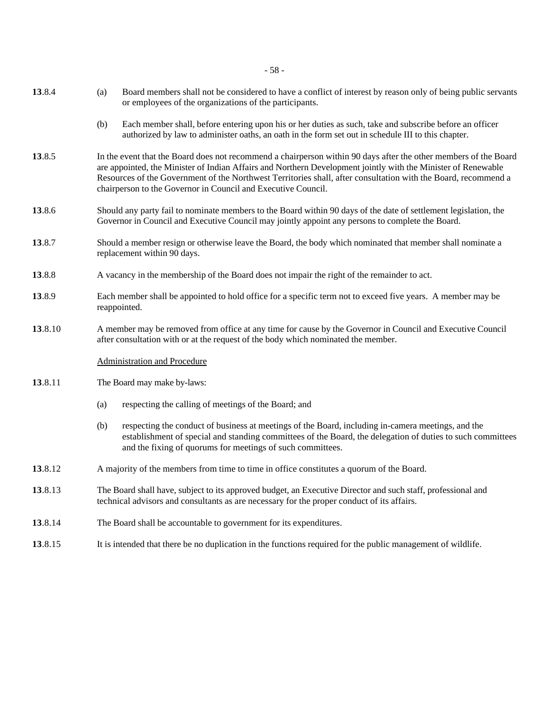- 58 -

| 13.8.4  | (a)                                                                                                                                                                                                                  | Board members shall not be considered to have a conflict of interest by reason only of being public servants<br>or employees of the organizations of the participants.                                                                                                                                                                                                                                               |  |  |
|---------|----------------------------------------------------------------------------------------------------------------------------------------------------------------------------------------------------------------------|----------------------------------------------------------------------------------------------------------------------------------------------------------------------------------------------------------------------------------------------------------------------------------------------------------------------------------------------------------------------------------------------------------------------|--|--|
|         | (b)                                                                                                                                                                                                                  | Each member shall, before entering upon his or her duties as such, take and subscribe before an officer<br>authorized by law to administer oaths, an oath in the form set out in schedule III to this chapter.                                                                                                                                                                                                       |  |  |
| 13.8.5  |                                                                                                                                                                                                                      | In the event that the Board does not recommend a chairperson within 90 days after the other members of the Board<br>are appointed, the Minister of Indian Affairs and Northern Development jointly with the Minister of Renewable<br>Resources of the Government of the Northwest Territories shall, after consultation with the Board, recommend a<br>chairperson to the Governor in Council and Executive Council. |  |  |
| 13.8.6  | Should any party fail to nominate members to the Board within 90 days of the date of settlement legislation, the<br>Governor in Council and Executive Council may jointly appoint any persons to complete the Board. |                                                                                                                                                                                                                                                                                                                                                                                                                      |  |  |
| 13.8.7  |                                                                                                                                                                                                                      | Should a member resign or otherwise leave the Board, the body which nominated that member shall nominate a<br>replacement within 90 days.                                                                                                                                                                                                                                                                            |  |  |
| 13.8.8  | A vacancy in the membership of the Board does not impair the right of the remainder to act.                                                                                                                          |                                                                                                                                                                                                                                                                                                                                                                                                                      |  |  |
| 13.8.9  |                                                                                                                                                                                                                      | Each member shall be appointed to hold office for a specific term not to exceed five years. A member may be<br>reappointed.                                                                                                                                                                                                                                                                                          |  |  |
| 13.8.10 |                                                                                                                                                                                                                      | A member may be removed from office at any time for cause by the Governor in Council and Executive Council<br>after consultation with or at the request of the body which nominated the member.                                                                                                                                                                                                                      |  |  |
|         |                                                                                                                                                                                                                      | <b>Administration and Procedure</b>                                                                                                                                                                                                                                                                                                                                                                                  |  |  |
| 13.8.11 | The Board may make by-laws:                                                                                                                                                                                          |                                                                                                                                                                                                                                                                                                                                                                                                                      |  |  |
|         | (a)                                                                                                                                                                                                                  | respecting the calling of meetings of the Board; and                                                                                                                                                                                                                                                                                                                                                                 |  |  |
|         | (b)                                                                                                                                                                                                                  | respecting the conduct of business at meetings of the Board, including in-camera meetings, and the<br>establishment of special and standing committees of the Board, the delegation of duties to such committees<br>and the fixing of quorums for meetings of such committees.                                                                                                                                       |  |  |
| 13.8.12 |                                                                                                                                                                                                                      | A majority of the members from time to time in office constitutes a quorum of the Board.                                                                                                                                                                                                                                                                                                                             |  |  |
| 13.8.13 | The Board shall have, subject to its approved budget, an Executive Director and such staff, professional and<br>technical advisors and consultants as are necessary for the proper conduct of its affairs.           |                                                                                                                                                                                                                                                                                                                                                                                                                      |  |  |
| 13.8.14 | The Board shall be accountable to government for its expenditures.                                                                                                                                                   |                                                                                                                                                                                                                                                                                                                                                                                                                      |  |  |
| 13.8.15 | It is intended that there be no duplication in the functions required for the public management of wildlife.                                                                                                         |                                                                                                                                                                                                                                                                                                                                                                                                                      |  |  |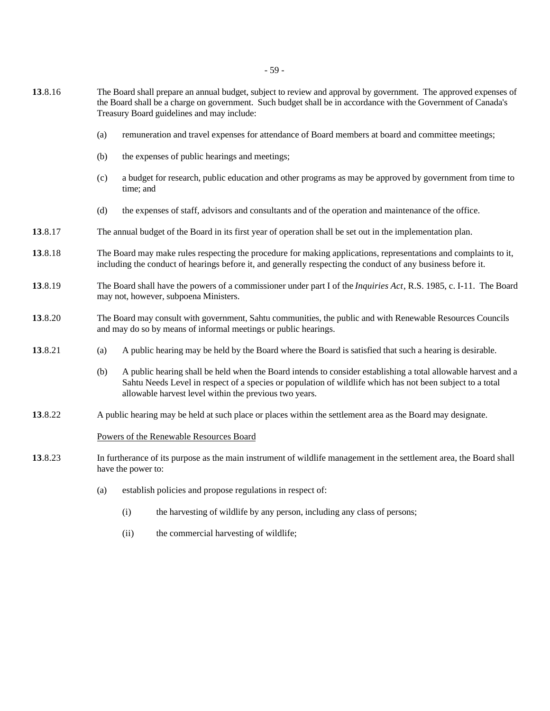- 59 -
- **13**.8.16 The Board shall prepare an annual budget, subject to review and approval by government. The approved expenses of the Board shall be a charge on government. Such budget shall be in accordance with the Government of Canada's Treasury Board guidelines and may include:
	- (a) remuneration and travel expenses for attendance of Board members at board and committee meetings;
	- (b) the expenses of public hearings and meetings;
	- (c) a budget for research, public education and other programs as may be approved by government from time to time; and
	- (d) the expenses of staff, advisors and consultants and of the operation and maintenance of the office.
- **13**.8.17 The annual budget of the Board in its first year of operation shall be set out in the implementation plan.
- **13**.8.18 The Board may make rules respecting the procedure for making applications, representations and complaints to it, including the conduct of hearings before it, and generally respecting the conduct of any business before it.
- **13**.8.19 The Board shall have the powers of a commissioner under part I of the *Inquiries Act*, R.S. 1985, c. I-11. The Board may not, however, subpoena Ministers.
- **13**.8.20 The Board may consult with government, Sahtu communities, the public and with Renewable Resources Councils and may do so by means of informal meetings or public hearings.
- **13**.8.21 (a) A public hearing may be held by the Board where the Board is satisfied that such a hearing is desirable.
	- (b) A public hearing shall be held when the Board intends to consider establishing a total allowable harvest and a Sahtu Needs Level in respect of a species or population of wildlife which has not been subject to a total allowable harvest level within the previous two years.
- **13**.8.22 A public hearing may be held at such place or places within the settlement area as the Board may designate.

#### Powers of the Renewable Resources Board

- **13**.8.23 In furtherance of its purpose as the main instrument of wildlife management in the settlement area, the Board shall have the power to:
	- (a) establish policies and propose regulations in respect of:
		- (i) the harvesting of wildlife by any person, including any class of persons;
		- (ii) the commercial harvesting of wildlife;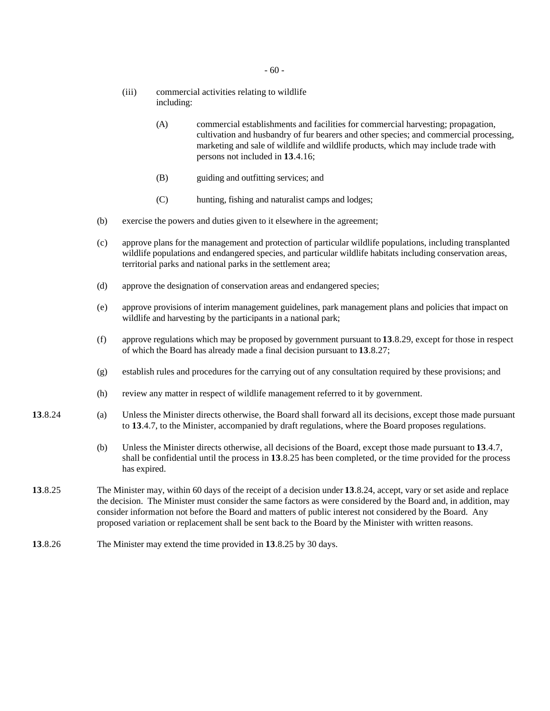- (iii) commercial activities relating to wildlife including:
	- (A) commercial establishments and facilities for commercial harvesting; propagation, cultivation and husbandry of fur bearers and other species; and commercial processing, marketing and sale of wildlife and wildlife products, which may include trade with persons not included in **13**.4.16;
	- (B) guiding and outfitting services; and
	- (C) hunting, fishing and naturalist camps and lodges;
- (b) exercise the powers and duties given to it elsewhere in the agreement;
- (c) approve plans for the management and protection of particular wildlife populations, including transplanted wildlife populations and endangered species, and particular wildlife habitats including conservation areas, territorial parks and national parks in the settlement area;
- (d) approve the designation of conservation areas and endangered species;
- (e) approve provisions of interim management guidelines, park management plans and policies that impact on wildlife and harvesting by the participants in a national park;
- (f) approve regulations which may be proposed by government pursuant to **13**.8.29, except for those in respect of which the Board has already made a final decision pursuant to **13**.8.27;
- (g) establish rules and procedures for the carrying out of any consultation required by these provisions; and
- (h) review any matter in respect of wildlife management referred to it by government.
- **13**.8.24 (a) Unless the Minister directs otherwise, the Board shall forward all its decisions, except those made pursuant to **13**.4.7, to the Minister, accompanied by draft regulations, where the Board proposes regulations.
	- (b) Unless the Minister directs otherwise, all decisions of the Board, except those made pursuant to **13**.4.7, shall be confidential until the process in **13**.8.25 has been completed, or the time provided for the process has expired.
- **13**.8.25 The Minister may, within 60 days of the receipt of a decision under **13**.8.24, accept, vary or set aside and replace the decision. The Minister must consider the same factors as were considered by the Board and, in addition, may consider information not before the Board and matters of public interest not considered by the Board. Any proposed variation or replacement shall be sent back to the Board by the Minister with written reasons.
- **13**.8.26 The Minister may extend the time provided in **13**.8.25 by 30 days.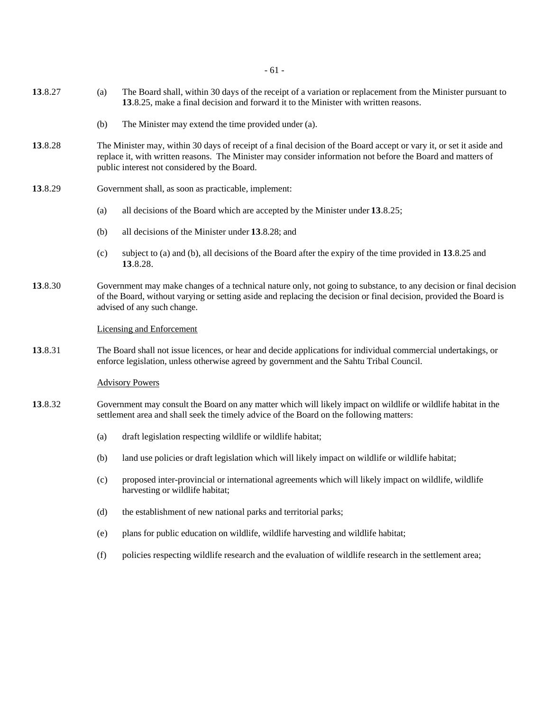- 61 -

- **13**.8.27 (a) The Board shall, within 30 days of the receipt of a variation or replacement from the Minister pursuant to **13**.8.25, make a final decision and forward it to the Minister with written reasons.
	- (b) The Minister may extend the time provided under (a).
- **13**.8.28 The Minister may, within 30 days of receipt of a final decision of the Board accept or vary it, or set it aside and replace it, with written reasons. The Minister may consider information not before the Board and matters of public interest not considered by the Board.
- **13**.8.29 Government shall, as soon as practicable, implement:
	- (a) all decisions of the Board which are accepted by the Minister under **13**.8.25;
	- (b) all decisions of the Minister under **13**.8.28; and
	- (c) subject to (a) and (b), all decisions of the Board after the expiry of the time provided in **13**.8.25 and **13**.8.28.
- **13**.8.30 Government may make changes of a technical nature only, not going to substance, to any decision or final decision of the Board, without varying or setting aside and replacing the decision or final decision, provided the Board is advised of any such change.

#### Licensing and Enforcement

**13**.8.31 The Board shall not issue licences, or hear and decide applications for individual commercial undertakings, or enforce legislation, unless otherwise agreed by government and the Sahtu Tribal Council.

#### Advisory Powers

- **13**.8.32 Government may consult the Board on any matter which will likely impact on wildlife or wildlife habitat in the settlement area and shall seek the timely advice of the Board on the following matters:
	- (a) draft legislation respecting wildlife or wildlife habitat;
	- (b) land use policies or draft legislation which will likely impact on wildlife or wildlife habitat;
	- (c) proposed inter-provincial or international agreements which will likely impact on wildlife, wildlife harvesting or wildlife habitat;
	- (d) the establishment of new national parks and territorial parks;
	- (e) plans for public education on wildlife, wildlife harvesting and wildlife habitat;
	- (f) policies respecting wildlife research and the evaluation of wildlife research in the settlement area;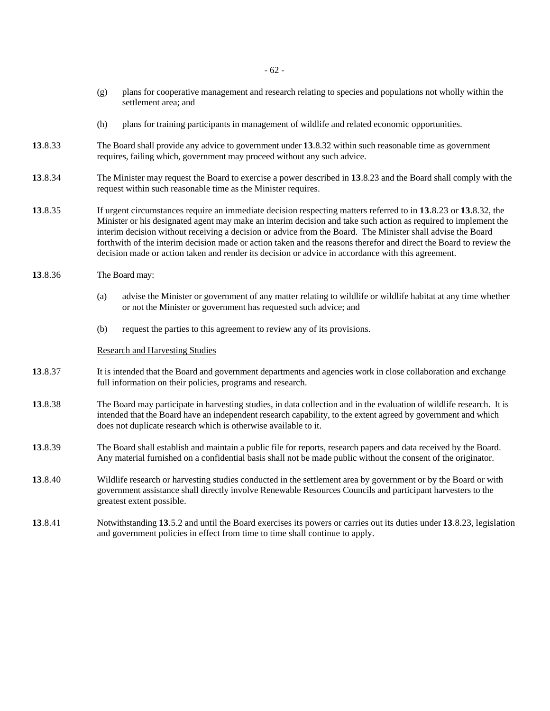- (g) plans for cooperative management and research relating to species and populations not wholly within the settlement area; and
- (h) plans for training participants in management of wildlife and related economic opportunities.
- **13**.8.33 The Board shall provide any advice to government under **13**.8.32 within such reasonable time as government requires, failing which, government may proceed without any such advice.
- **13**.8.34 The Minister may request the Board to exercise a power described in **13**.8.23 and the Board shall comply with the request within such reasonable time as the Minister requires.
- **13**.8.35 If urgent circumstances require an immediate decision respecting matters referred to in **13**.8.23 or **13**.8.32, the Minister or his designated agent may make an interim decision and take such action as required to implement the interim decision without receiving a decision or advice from the Board. The Minister shall advise the Board forthwith of the interim decision made or action taken and the reasons therefor and direct the Board to review the decision made or action taken and render its decision or advice in accordance with this agreement.
- **13**.8.36 The Board may:
	- (a) advise the Minister or government of any matter relating to wildlife or wildlife habitat at any time whether or not the Minister or government has requested such advice; and
	- (b) request the parties to this agreement to review any of its provisions.

#### Research and Harvesting Studies

- **13**.8.37 It is intended that the Board and government departments and agencies work in close collaboration and exchange full information on their policies, programs and research.
- **13**.8.38 The Board may participate in harvesting studies, in data collection and in the evaluation of wildlife research. It is intended that the Board have an independent research capability, to the extent agreed by government and which does not duplicate research which is otherwise available to it.
- **13**.8.39 The Board shall establish and maintain a public file for reports, research papers and data received by the Board. Any material furnished on a confidential basis shall not be made public without the consent of the originator.
- **13**.8.40 Wildlife research or harvesting studies conducted in the settlement area by government or by the Board or with government assistance shall directly involve Renewable Resources Councils and participant harvesters to the greatest extent possible.
- **13**.8.41 Notwithstanding **13**.5.2 and until the Board exercises its powers or carries out its duties under **13**.8.23, legislation and government policies in effect from time to time shall continue to apply.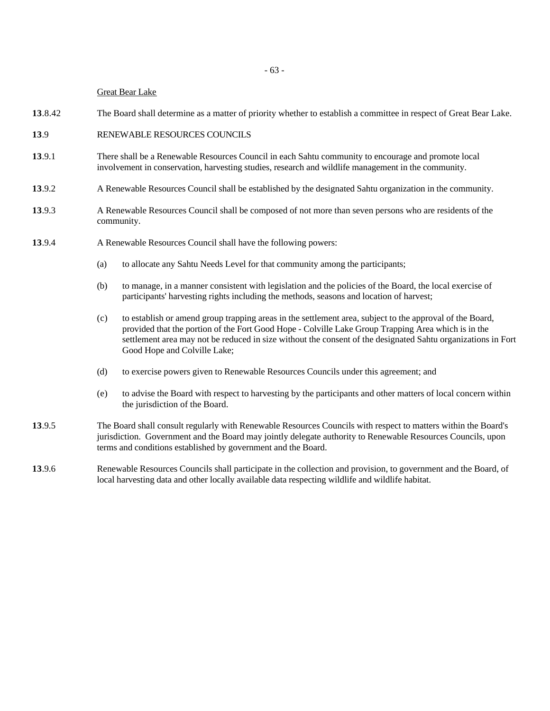#### Great Bear Lake

- **13**.8.42 The Board shall determine as a matter of priority whether to establish a committee in respect of Great Bear Lake.
- **13**.9 RENEWABLE RESOURCES COUNCILS
- **13**.9.1 There shall be a Renewable Resources Council in each Sahtu community to encourage and promote local involvement in conservation, harvesting studies, research and wildlife management in the community.
- **13**.9.2 A Renewable Resources Council shall be established by the designated Sahtu organization in the community.
- **13**.9.3 A Renewable Resources Council shall be composed of not more than seven persons who are residents of the community.
- **13**.9.4 A Renewable Resources Council shall have the following powers:
	- (a) to allocate any Sahtu Needs Level for that community among the participants;
	- (b) to manage, in a manner consistent with legislation and the policies of the Board, the local exercise of participants' harvesting rights including the methods, seasons and location of harvest;
	- (c) to establish or amend group trapping areas in the settlement area, subject to the approval of the Board, provided that the portion of the Fort Good Hope - Colville Lake Group Trapping Area which is in the settlement area may not be reduced in size without the consent of the designated Sahtu organizations in Fort Good Hope and Colville Lake;
	- (d) to exercise powers given to Renewable Resources Councils under this agreement; and
	- (e) to advise the Board with respect to harvesting by the participants and other matters of local concern within the jurisdiction of the Board.
- **13**.9.5 The Board shall consult regularly with Renewable Resources Councils with respect to matters within the Board's jurisdiction. Government and the Board may jointly delegate authority to Renewable Resources Councils, upon terms and conditions established by government and the Board.
- **13**.9.6 Renewable Resources Councils shall participate in the collection and provision, to government and the Board, of local harvesting data and other locally available data respecting wildlife and wildlife habitat.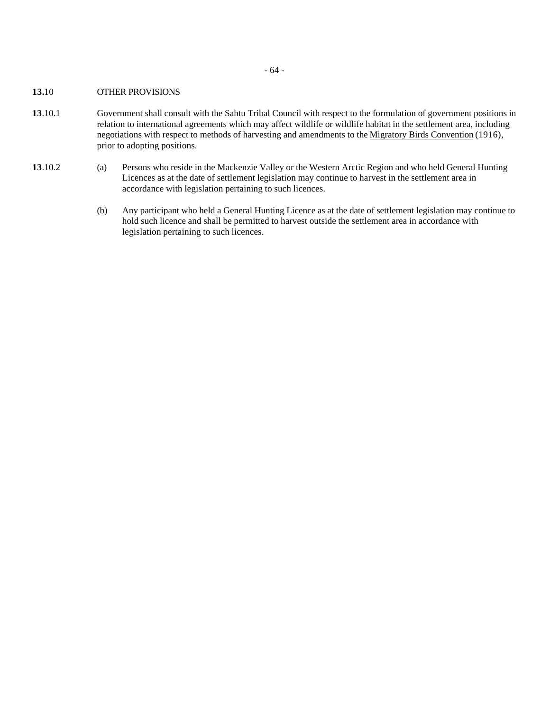- 64 -

# **13.**10 OTHER PROVISIONS

- **13**.10.1 Government shall consult with the Sahtu Tribal Council with respect to the formulation of government positions in relation to international agreements which may affect wildlife or wildlife habitat in the settlement area, including negotiations with respect to methods of harvesting and amendments to the Migratory Birds Convention (1916), prior to adopting positions.
- **13**.10.2 (a) Persons who reside in the Mackenzie Valley or the Western Arctic Region and who held General Hunting Licences as at the date of settlement legislation may continue to harvest in the settlement area in accordance with legislation pertaining to such licences.
	- (b) Any participant who held a General Hunting Licence as at the date of settlement legislation may continue to hold such licence and shall be permitted to harvest outside the settlement area in accordance with legislation pertaining to such licences.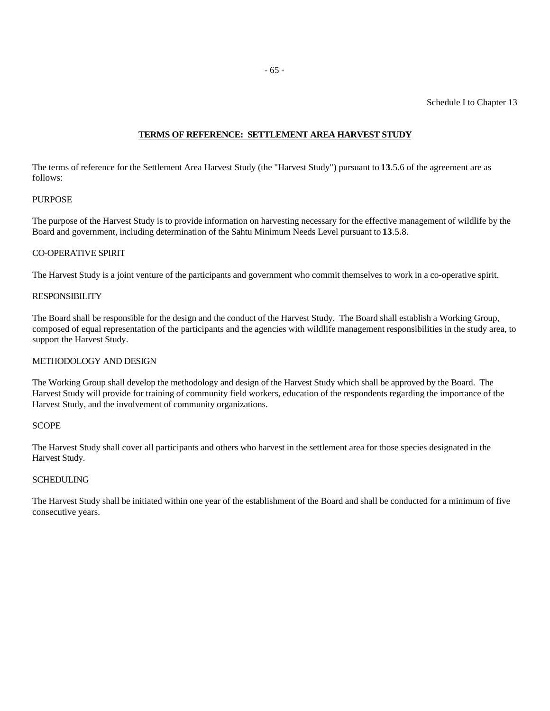Schedule I to Chapter 13

# **TERMS OF REFERENCE: SETTLEMENT AREA HARVEST STUDY**

The terms of reference for the Settlement Area Harvest Study (the "Harvest Study") pursuant to **13**.5.6 of the agreement are as follows:

# **PURPOSE**

The purpose of the Harvest Study is to provide information on harvesting necessary for the effective management of wildlife by the Board and government, including determination of the Sahtu Minimum Needs Level pursuant to **13**.5.8.

## CO-OPERATIVE SPIRIT

The Harvest Study is a joint venture of the participants and government who commit themselves to work in a co-operative spirit.

## RESPONSIBILITY

The Board shall be responsible for the design and the conduct of the Harvest Study. The Board shall establish a Working Group, composed of equal representation of the participants and the agencies with wildlife management responsibilities in the study area, to support the Harvest Study.

# METHODOLOGY AND DESIGN

The Working Group shall develop the methodology and design of the Harvest Study which shall be approved by the Board. The Harvest Study will provide for training of community field workers, education of the respondents regarding the importance of the Harvest Study, and the involvement of community organizations.

#### **SCOPE**

The Harvest Study shall cover all participants and others who harvest in the settlement area for those species designated in the Harvest Study.

#### SCHEDULING

The Harvest Study shall be initiated within one year of the establishment of the Board and shall be conducted for a minimum of five consecutive years.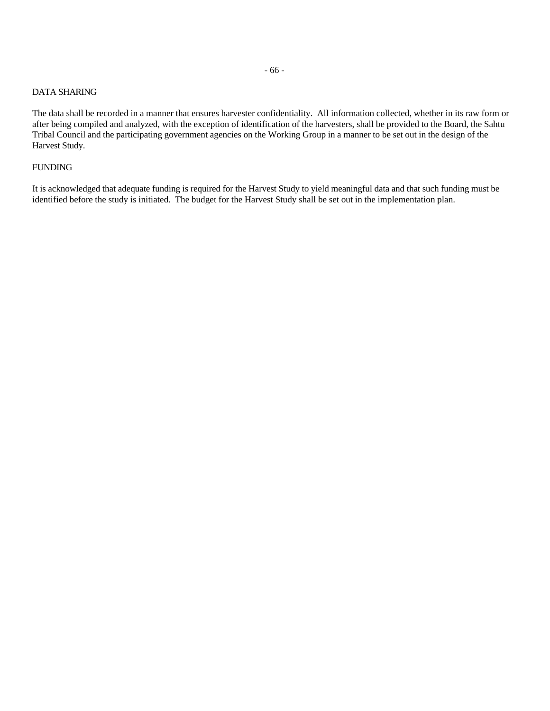# DATA SHARING

The data shall be recorded in a manner that ensures harvester confidentiality. All information collected, whether in its raw form or after being compiled and analyzed, with the exception of identification of the harvesters, shall be provided to the Board, the Sahtu Tribal Council and the participating government agencies on the Working Group in a manner to be set out in the design of the Harvest Study.

## FUNDING

It is acknowledged that adequate funding is required for the Harvest Study to yield meaningful data and that such funding must be identified before the study is initiated. The budget for the Harvest Study shall be set out in the implementation plan.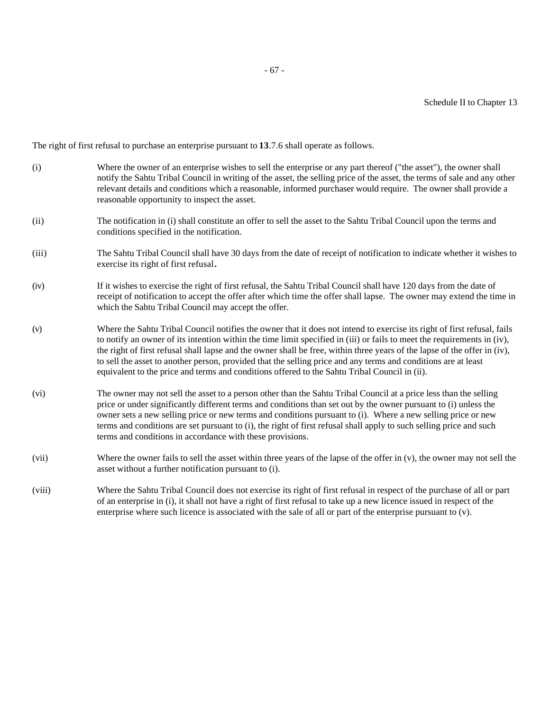The right of first refusal to purchase an enterprise pursuant to **13**.7.6 shall operate as follows.

| (i)    | Where the owner of an enterprise wishes to sell the enterprise or any part thereof ("the asset"), the owner shall<br>notify the Sahtu Tribal Council in writing of the asset, the selling price of the asset, the terms of sale and any other<br>relevant details and conditions which a reasonable, informed purchaser would require. The owner shall provide a<br>reasonable opportunity to inspect the asset.                                                                                                                                                                                   |
|--------|----------------------------------------------------------------------------------------------------------------------------------------------------------------------------------------------------------------------------------------------------------------------------------------------------------------------------------------------------------------------------------------------------------------------------------------------------------------------------------------------------------------------------------------------------------------------------------------------------|
| (ii)   | The notification in (i) shall constitute an offer to sell the asset to the Sahtu Tribal Council upon the terms and<br>conditions specified in the notification.                                                                                                                                                                                                                                                                                                                                                                                                                                    |
| (iii)  | The Sahtu Tribal Council shall have 30 days from the date of receipt of notification to indicate whether it wishes to<br>exercise its right of first refusal.                                                                                                                                                                                                                                                                                                                                                                                                                                      |
| (iv)   | If it wishes to exercise the right of first refusal, the Sahtu Tribal Council shall have 120 days from the date of<br>receipt of notification to accept the offer after which time the offer shall lapse. The owner may extend the time in<br>which the Sahtu Tribal Council may accept the offer.                                                                                                                                                                                                                                                                                                 |
| (v)    | Where the Sahtu Tribal Council notifies the owner that it does not intend to exercise its right of first refusal, fails<br>to notify an owner of its intention within the time limit specified in (iii) or fails to meet the requirements in (iv),<br>the right of first refusal shall lapse and the owner shall be free, within three years of the lapse of the offer in (iv),<br>to sell the asset to another person, provided that the selling price and any terms and conditions are at least<br>equivalent to the price and terms and conditions offered to the Sahtu Tribal Council in (ii). |
| (vi)   | The owner may not sell the asset to a person other than the Sahtu Tribal Council at a price less than the selling<br>price or under significantly different terms and conditions than set out by the owner pursuant to (i) unless the<br>owner sets a new selling price or new terms and conditions pursuant to (i). Where a new selling price or new<br>terms and conditions are set pursuant to (i), the right of first refusal shall apply to such selling price and such<br>terms and conditions in accordance with these provisions.                                                          |
| (vii)  | Where the owner fails to sell the asset within three years of the lapse of the offer in $(v)$ , the owner may not sell the<br>asset without a further notification pursuant to (i).                                                                                                                                                                                                                                                                                                                                                                                                                |
| (viii) | Where the Sahtu Tribal Council does not exercise its right of first refusal in respect of the purchase of all or part<br>of an enterprise in (i), it shall not have a right of first refusal to take up a new licence issued in respect of the<br>enterprise where such licence is associated with the sale of all or part of the enterprise pursuant to (v).                                                                                                                                                                                                                                      |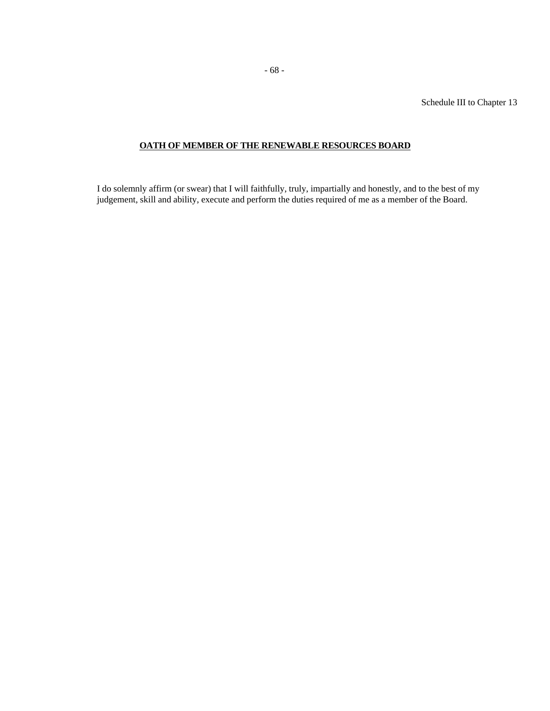Schedule III to Chapter 13

# **OATH OF MEMBER OF THE RENEWABLE RESOURCES BOARD**

I do solemnly affirm (or swear) that I will faithfully, truly, impartially and honestly, and to the best of my judgement, skill and ability, execute and perform the duties required of me as a member of the Board.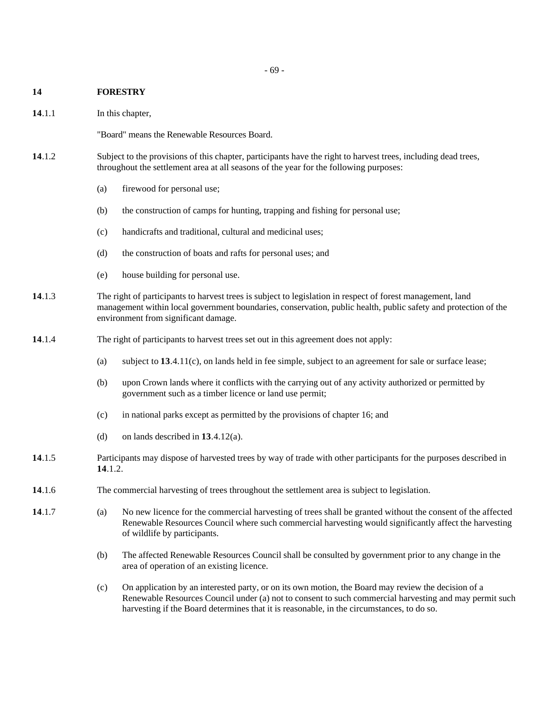#### - 69 -

## **14 FORESTRY**

14.1.1 In this chapter,

"Board" means the Renewable Resources Board.

- **14**.1.2 Subject to the provisions of this chapter, participants have the right to harvest trees, including dead trees, throughout the settlement area at all seasons of the year for the following purposes:
	- (a) firewood for personal use;
	- (b) the construction of camps for hunting, trapping and fishing for personal use;
	- (c) handicrafts and traditional, cultural and medicinal uses;
	- (d) the construction of boats and rafts for personal uses; and
	- (e) house building for personal use.
- **14**.1.3 The right of participants to harvest trees is subject to legislation in respect of forest management, land management within local government boundaries, conservation, public health, public safety and protection of the environment from significant damage.
- **14**.1.4 The right of participants to harvest trees set out in this agreement does not apply:
	- (a) subject to **13**.4.11(c), on lands held in fee simple, subject to an agreement for sale or surface lease;
	- (b) upon Crown lands where it conflicts with the carrying out of any activity authorized or permitted by government such as a timber licence or land use permit;
	- (c) in national parks except as permitted by the provisions of chapter 16; and
	- (d) on lands described in **13**.4.12(a).
- **14**.1.5 Participants may dispose of harvested trees by way of trade with other participants for the purposes described in **14**.1.2.
- **14**.1.6 The commercial harvesting of trees throughout the settlement area is subject to legislation.
- **14**.1.7 (a) No new licence for the commercial harvesting of trees shall be granted without the consent of the affected Renewable Resources Council where such commercial harvesting would significantly affect the harvesting of wildlife by participants.
	- (b) The affected Renewable Resources Council shall be consulted by government prior to any change in the area of operation of an existing licence.
	- (c) On application by an interested party, or on its own motion, the Board may review the decision of a Renewable Resources Council under (a) not to consent to such commercial harvesting and may permit such harvesting if the Board determines that it is reasonable, in the circumstances, to do so.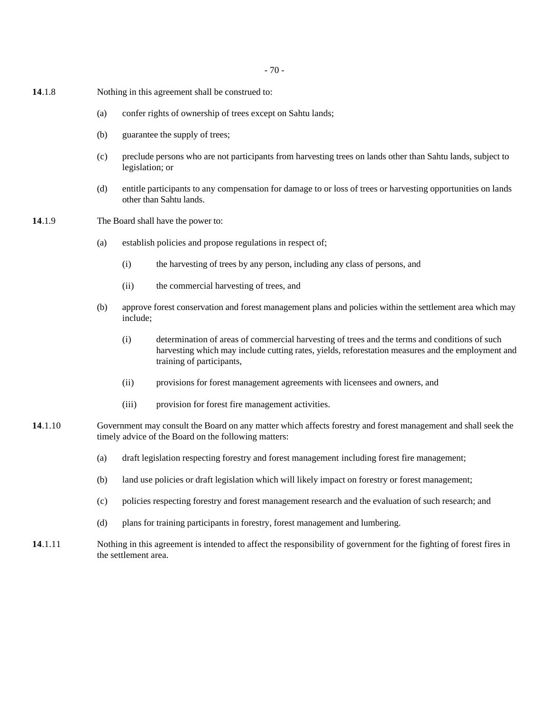- 70 -

- **14**.1.8 Nothing in this agreement shall be construed to:
	- (a) confer rights of ownership of trees except on Sahtu lands;
	- (b) guarantee the supply of trees;
	- (c) preclude persons who are not participants from harvesting trees on lands other than Sahtu lands, subject to legislation; or
	- (d) entitle participants to any compensation for damage to or loss of trees or harvesting opportunities on lands other than Sahtu lands.
- **14**.1.9 The Board shall have the power to:
	- (a) establish policies and propose regulations in respect of;
		- (i) the harvesting of trees by any person, including any class of persons, and
		- (ii) the commercial harvesting of trees, and
	- (b) approve forest conservation and forest management plans and policies within the settlement area which may include;
		- (i) determination of areas of commercial harvesting of trees and the terms and conditions of such harvesting which may include cutting rates, yields, reforestation measures and the employment and training of participants,
		- (ii) provisions for forest management agreements with licensees and owners, and
		- (iii) provision for forest fire management activities.
- **14**.1.10 Government may consult the Board on any matter which affects forestry and forest management and shall seek the timely advice of the Board on the following matters:
	- (a) draft legislation respecting forestry and forest management including forest fire management;
	- (b) land use policies or draft legislation which will likely impact on forestry or forest management;
	- (c) policies respecting forestry and forest management research and the evaluation of such research; and
	- (d) plans for training participants in forestry, forest management and lumbering.
- **14**.1.11 Nothing in this agreement is intended to affect the responsibility of government for the fighting of forest fires in the settlement area.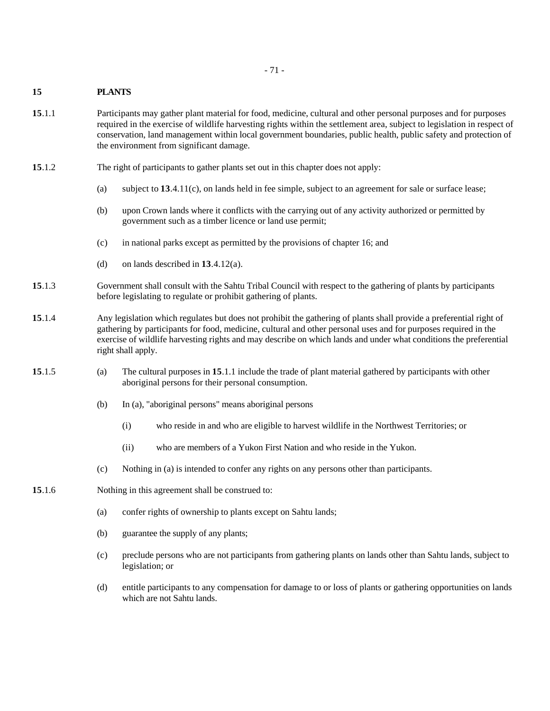## - 71 -

# **15 PLANTS**

- **15**.1.1 Participants may gather plant material for food, medicine, cultural and other personal purposes and for purposes required in the exercise of wildlife harvesting rights within the settlement area, subject to legislation in respect of conservation, land management within local government boundaries, public health, public safety and protection of the environment from significant damage.
- **15**.1.2 The right of participants to gather plants set out in this chapter does not apply:
	- (a) subject to **13**.4.11(c), on lands held in fee simple, subject to an agreement for sale or surface lease;
	- (b) upon Crown lands where it conflicts with the carrying out of any activity authorized or permitted by government such as a timber licence or land use permit;
	- (c) in national parks except as permitted by the provisions of chapter 16; and
	- (d) on lands described in **13**.4.12(a).
- **15**.1.3 Government shall consult with the Sahtu Tribal Council with respect to the gathering of plants by participants before legislating to regulate or prohibit gathering of plants.
- **15**.1.4 Any legislation which regulates but does not prohibit the gathering of plants shall provide a preferential right of gathering by participants for food, medicine, cultural and other personal uses and for purposes required in the exercise of wildlife harvesting rights and may describe on which lands and under what conditions the preferential right shall apply.
- **15**.1.5 (a) The cultural purposes in **15**.1.1 include the trade of plant material gathered by participants with other aboriginal persons for their personal consumption.
	- (b) In (a), "aboriginal persons" means aboriginal persons
		- (i) who reside in and who are eligible to harvest wildlife in the Northwest Territories; or
		- (ii) who are members of a Yukon First Nation and who reside in the Yukon.
	- (c) Nothing in (a) is intended to confer any rights on any persons other than participants.
- **15**.1.6 Nothing in this agreement shall be construed to:
	- (a) confer rights of ownership to plants except on Sahtu lands;
	- (b) guarantee the supply of any plants;
	- (c) preclude persons who are not participants from gathering plants on lands other than Sahtu lands, subject to legislation; or
	- (d) entitle participants to any compensation for damage to or loss of plants or gathering opportunities on lands which are not Sahtu lands.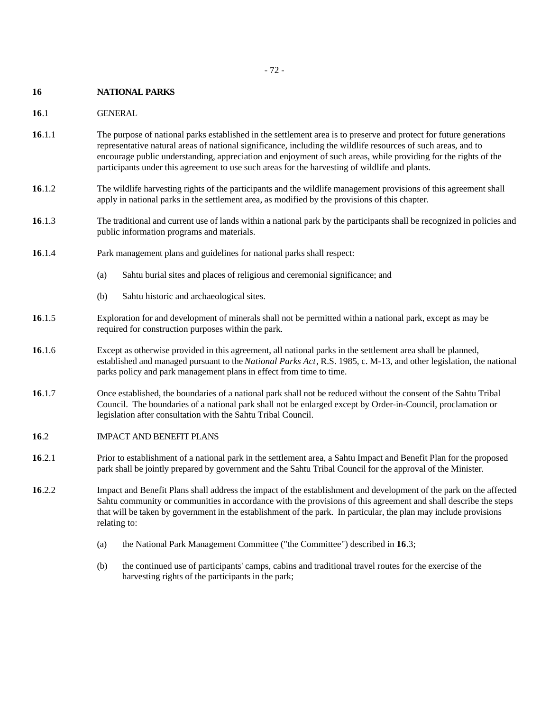## **16 NATIONAL PARKS**

## **16**.1 GENERAL

- **16**.1.1 The purpose of national parks established in the settlement area is to preserve and protect for future generations representative natural areas of national significance, including the wildlife resources of such areas, and to encourage public understanding, appreciation and enjoyment of such areas, while providing for the rights of the participants under this agreement to use such areas for the harvesting of wildlife and plants.
- **16**.1.2 The wildlife harvesting rights of the participants and the wildlife management provisions of this agreement shall apply in national parks in the settlement area, as modified by the provisions of this chapter.
- **16**.1.3 The traditional and current use of lands within a national park by the participants shall be recognized in policies and public information programs and materials.
- **16**.1.4 Park management plans and guidelines for national parks shall respect:
	- (a) Sahtu burial sites and places of religious and ceremonial significance; and
	- (b) Sahtu historic and archaeological sites.
- **16**.1.5 Exploration for and development of minerals shall not be permitted within a national park, except as may be required for construction purposes within the park.
- **16**.1.6 Except as otherwise provided in this agreement, all national parks in the settlement area shall be planned, established and managed pursuant to the *National Parks Act*, R.S. 1985, c. M-13, and other legislation, the national parks policy and park management plans in effect from time to time.
- **16**.1.7 Once established, the boundaries of a national park shall not be reduced without the consent of the Sahtu Tribal Council. The boundaries of a national park shall not be enlarged except by Order-in-Council, proclamation or legislation after consultation with the Sahtu Tribal Council.
- **16**.2 IMPACT AND BENEFIT PLANS
- **16**.2.1 Prior to establishment of a national park in the settlement area, a Sahtu Impact and Benefit Plan for the proposed park shall be jointly prepared by government and the Sahtu Tribal Council for the approval of the Minister.
- **16**.2.2 Impact and Benefit Plans shall address the impact of the establishment and development of the park on the affected Sahtu community or communities in accordance with the provisions of this agreement and shall describe the steps that will be taken by government in the establishment of the park. In particular, the plan may include provisions relating to:
	- (a) the National Park Management Committee ("the Committee") described in **16**.3;
	- (b) the continued use of participants' camps, cabins and traditional travel routes for the exercise of the harvesting rights of the participants in the park;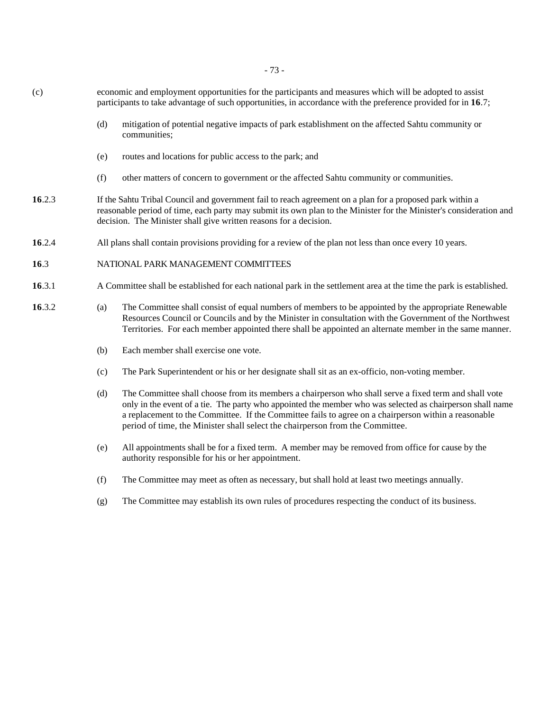- 73 -

- (c) economic and employment opportunities for the participants and measures which will be adopted to assist participants to take advantage of such opportunities, in accordance with the preference provided for in **16**.7; (d) mitigation of potential negative impacts of park establishment on the affected Sahtu community or communities; (e) routes and locations for public access to the park; and (f) other matters of concern to government or the affected Sahtu community or communities. **16**.2.3 If the Sahtu Tribal Council and government fail to reach agreement on a plan for a proposed park within a reasonable period of time, each party may submit its own plan to the Minister for the Minister's consideration and decision. The Minister shall give written reasons for a decision. **16**.2.4 All plans shall contain provisions providing for a review of the plan not less than once every 10 years. **16**.3 NATIONAL PARK MANAGEMENT COMMITTEES
- **16**.3.1 A Committee shall be established for each national park in the settlement area at the time the park is established.
- **16**.3.2 (a) The Committee shall consist of equal numbers of members to be appointed by the appropriate Renewable Resources Council or Councils and by the Minister in consultation with the Government of the Northwest Territories. For each member appointed there shall be appointed an alternate member in the same manner.
	- (b) Each member shall exercise one vote.
	- (c) The Park Superintendent or his or her designate shall sit as an ex-officio, non-voting member.
	- (d) The Committee shall choose from its members a chairperson who shall serve a fixed term and shall vote only in the event of a tie. The party who appointed the member who was selected as chairperson shall name a replacement to the Committee. If the Committee fails to agree on a chairperson within a reasonable period of time, the Minister shall select the chairperson from the Committee.
	- (e) All appointments shall be for a fixed term. A member may be removed from office for cause by the authority responsible for his or her appointment.
	- (f) The Committee may meet as often as necessary, but shall hold at least two meetings annually.
	- (g) The Committee may establish its own rules of procedures respecting the conduct of its business.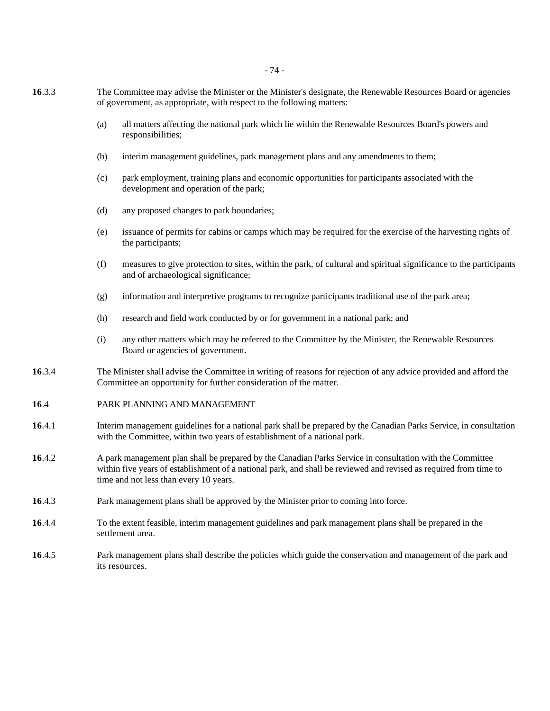- 74 -

- **16**.3.3 The Committee may advise the Minister or the Minister's designate, the Renewable Resources Board or agencies of government, as appropriate, with respect to the following matters:
	- (a) all matters affecting the national park which lie within the Renewable Resources Board's powers and responsibilities;
	- (b) interim management guidelines, park management plans and any amendments to them;
	- (c) park employment, training plans and economic opportunities for participants associated with the development and operation of the park;
	- (d) any proposed changes to park boundaries;
	- (e) issuance of permits for cabins or camps which may be required for the exercise of the harvesting rights of the participants;
	- (f) measures to give protection to sites, within the park, of cultural and spiritual significance to the participants and of archaeological significance;
	- (g) information and interpretive programs to recognize participants traditional use of the park area;
	- (h) research and field work conducted by or for government in a national park; and
	- (i) any other matters which may be referred to the Committee by the Minister, the Renewable Resources Board or agencies of government.
- **16**.3.4 The Minister shall advise the Committee in writing of reasons for rejection of any advice provided and afford the Committee an opportunity for further consideration of the matter.
- **16**.4 PARK PLANNING AND MANAGEMENT
- **16**.4.1 Interim management guidelines for a national park shall be prepared by the Canadian Parks Service, in consultation with the Committee, within two years of establishment of a national park.
- **16**.4.2 A park management plan shall be prepared by the Canadian Parks Service in consultation with the Committee within five years of establishment of a national park, and shall be reviewed and revised as required from time to time and not less than every 10 years.
- **16**.4.3 Park management plans shall be approved by the Minister prior to coming into force.
- **16**.4.4 To the extent feasible, interim management guidelines and park management plans shall be prepared in the settlement area.
- **16**.4.5 Park management plans shall describe the policies which guide the conservation and management of the park and its resources.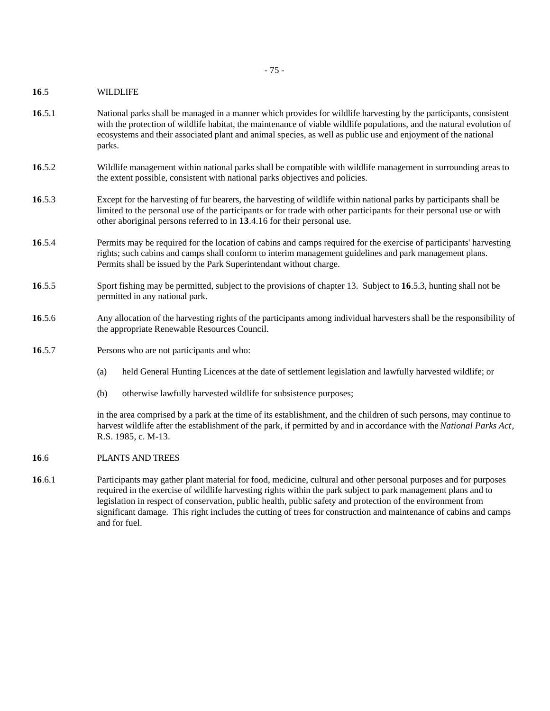**16**.5 WILDLIFE

- **16**.5.1 National parks shall be managed in a manner which provides for wildlife harvesting by the participants, consistent with the protection of wildlife habitat, the maintenance of viable wildlife populations, and the natural evolution of ecosystems and their associated plant and animal species, as well as public use and enjoyment of the national parks.
- **16**.5.2 Wildlife management within national parks shall be compatible with wildlife management in surrounding areas to the extent possible, consistent with national parks objectives and policies.
- **16**.5.3 Except for the harvesting of fur bearers, the harvesting of wildlife within national parks by participants shall be limited to the personal use of the participants or for trade with other participants for their personal use or with other aboriginal persons referred to in **13**.4.16 for their personal use.
- **16**.5.4 Permits may be required for the location of cabins and camps required for the exercise of participants' harvesting rights; such cabins and camps shall conform to interim management guidelines and park management plans. Permits shall be issued by the Park Superintendant without charge.
- **16**.5.5 Sport fishing may be permitted, subject to the provisions of chapter 13. Subject to **16**.5.3, hunting shall not be permitted in any national park.
- **16**.5.6 Any allocation of the harvesting rights of the participants among individual harvesters shall be the responsibility of the appropriate Renewable Resources Council.
- **16**.5.7 Persons who are not participants and who:
	- (a) held General Hunting Licences at the date of settlement legislation and lawfully harvested wildlife; or
	- (b) otherwise lawfully harvested wildlife for subsistence purposes;

in the area comprised by a park at the time of its establishment, and the children of such persons, may continue to harvest wildlife after the establishment of the park, if permitted by and in accordance with the *National Parks Act*, R.S. 1985, c. M-13.

- **16**.6 PLANTS AND TREES
- **16**.6.1 Participants may gather plant material for food, medicine, cultural and other personal purposes and for purposes required in the exercise of wildlife harvesting rights within the park subject to park management plans and to legislation in respect of conservation, public health, public safety and protection of the environment from significant damage. This right includes the cutting of trees for construction and maintenance of cabins and camps and for fuel.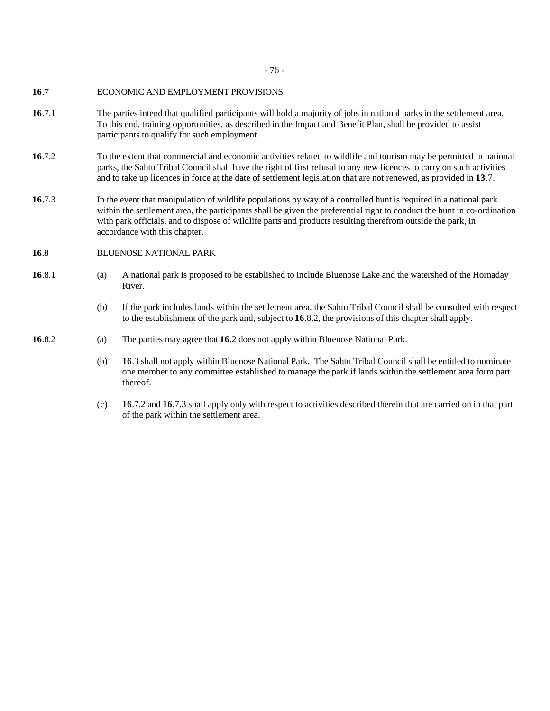- 76 -

#### **16**.7 ECONOMIC AND EMPLOYMENT PROVISIONS

- **16**.7.1 The parties intend that qualified participants will hold a majority of jobs in national parks in the settlement area. To this end, training opportunities, as described in the Impact and Benefit Plan, shall be provided to assist participants to qualify for such employment.
- **16**.7.2 To the extent that commercial and economic activities related to wildlife and tourism may be permitted in national parks, the Sahtu Tribal Council shall have the right of first refusal to any new licences to carry on such activities and to take up licences in force at the date of settlement legislation that are not renewed, as provided in **13**.7.
- **16**.7.3 In the event that manipulation of wildlife populations by way of a controlled hunt is required in a national park within the settlement area, the participants shall be given the preferential right to conduct the hunt in co-ordination with park officials, and to dispose of wildlife parts and products resulting therefrom outside the park, in accordance with this chapter.
- **16**.8 BLUENOSE NATIONAL PARK
- **16**.8.1 (a) A national park is proposed to be established to include Bluenose Lake and the watershed of the Hornaday River.
	- (b) If the park includes lands within the settlement area, the Sahtu Tribal Council shall be consulted with respect to the establishment of the park and, subject to **16**.8.2, the provisions of this chapter shall apply.
- **16**.8.2 (a) The parties may agree that **16**.2 does not apply within Bluenose National Park.
	- (b) **16**.3 shall not apply within Bluenose National Park. The Sahtu Tribal Council shall be entitled to nominate one member to any committee established to manage the park if lands within the settlement area form part thereof.
	- (c) **16**.7.2 and **16**.7.3 shall apply only with respect to activities described therein that are carried on in that part of the park within the settlement area.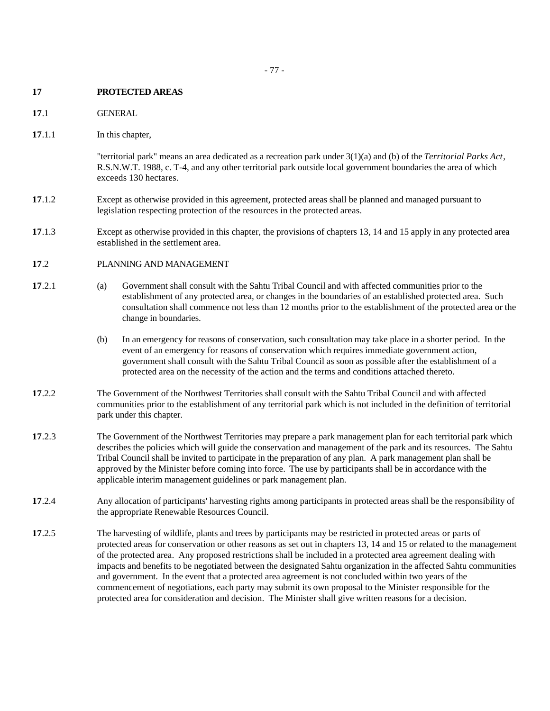## **17 PROTECTED AREAS**

- **17**.1 GENERAL
- **17**.1.1 In this chapter,

"territorial park" means an area dedicated as a recreation park under 3(1)(a) and (b) of the *Territorial Parks Act*, R.S.N.W.T. 1988, c. T-4, and any other territorial park outside local government boundaries the area of which exceeds 130 hectares.

- **17**.1.2 Except as otherwise provided in this agreement, protected areas shall be planned and managed pursuant to legislation respecting protection of the resources in the protected areas.
- **17**.1.3 Except as otherwise provided in this chapter, the provisions of chapters 13, 14 and 15 apply in any protected area established in the settlement area.
- **17**.2 PLANNING AND MANAGEMENT
- **17**.2.1 (a) Government shall consult with the Sahtu Tribal Council and with affected communities prior to the establishment of any protected area, or changes in the boundaries of an established protected area. Such consultation shall commence not less than 12 months prior to the establishment of the protected area or the change in boundaries.
	- (b) In an emergency for reasons of conservation, such consultation may take place in a shorter period. In the event of an emergency for reasons of conservation which requires immediate government action, government shall consult with the Sahtu Tribal Council as soon as possible after the establishment of a protected area on the necessity of the action and the terms and conditions attached thereto.
- **17**.2.2 The Government of the Northwest Territories shall consult with the Sahtu Tribal Council and with affected communities prior to the establishment of any territorial park which is not included in the definition of territorial park under this chapter.
- **17**.2.3 The Government of the Northwest Territories may prepare a park management plan for each territorial park which describes the policies which will guide the conservation and management of the park and its resources. The Sahtu Tribal Council shall be invited to participate in the preparation of any plan. A park management plan shall be approved by the Minister before coming into force.The use by participants shall be in accordance with the applicable interim management guidelines or park management plan.
- **17**.2.4 Any allocation of participants' harvesting rights among participants in protected areas shall be the responsibility of the appropriate Renewable Resources Council.
- **17**.2.5 The harvesting of wildlife, plants and trees by participants may be restricted in protected areas or parts of protected areas for conservation or other reasons as set out in chapters 13, 14 and 15 or related to the management of the protected area. Any proposed restrictions shall be included in a protected area agreement dealing with impacts and benefits to be negotiated between the designated Sahtu organization in the affected Sahtu communities and government. In the event that a protected area agreement is not concluded within two years of the commencement of negotiations, each party may submit its own proposal to the Minister responsible for the protected area for consideration and decision. The Minister shall give written reasons for a decision.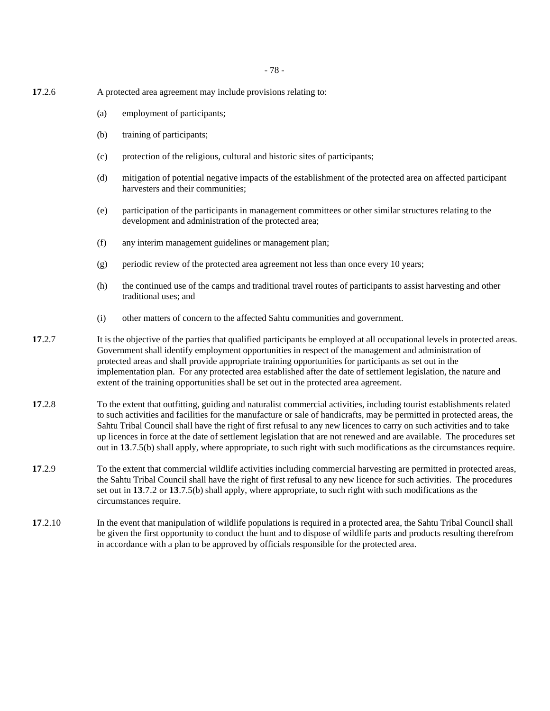- 78 -

- **17**.2.6 A protected area agreement may include provisions relating to:
	- (a) employment of participants;
	- (b) training of participants;
	- (c) protection of the religious, cultural and historic sites of participants;
	- (d) mitigation of potential negative impacts of the establishment of the protected area on affected participant harvesters and their communities;
	- (e) participation of the participants in management committees or other similar structures relating to the development and administration of the protected area;
	- (f) any interim management guidelines or management plan;
	- (g) periodic review of the protected area agreement not less than once every 10 years;
	- (h) the continued use of the camps and traditional travel routes of participants to assist harvesting and other traditional uses; and
	- (i) other matters of concern to the affected Sahtu communities and government.
- **17.2.7** It is the objective of the parties that qualified participants be employed at all occupational levels in protected areas. Government shall identify employment opportunities in respect of the management and administration of protected areas and shall provide appropriate training opportunities for participants as set out in the implementation plan. For any protected area established after the date of settlement legislation, the nature and extent of the training opportunities shall be set out in the protected area agreement.
- **17**.2.8 To the extent that outfitting, guiding and naturalist commercial activities, including tourist establishments related to such activities and facilities for the manufacture or sale of handicrafts, may be permitted in protected areas, the Sahtu Tribal Council shall have the right of first refusal to any new licences to carry on such activities and to take up licences in force at the date of settlement legislation that are not renewed and are available. The procedures set out in **13**.7.5(b) shall apply, where appropriate, to such right with such modifications as the circumstances require.
- **17**.2.9 To the extent that commercial wildlife activities including commercial harvesting are permitted in protected areas, the Sahtu Tribal Council shall have the right of first refusal to any new licence for such activities. The procedures set out in **13**.7.2 or **13**.7.5(b) shall apply, where appropriate, to such right with such modifications as the circumstances require.
- **17**.2.10 In the event that manipulation of wildlife populations is required in a protected area, the Sahtu Tribal Council shall be given the first opportunity to conduct the hunt and to dispose of wildlife parts and products resulting therefrom in accordance with a plan to be approved by officials responsible for the protected area.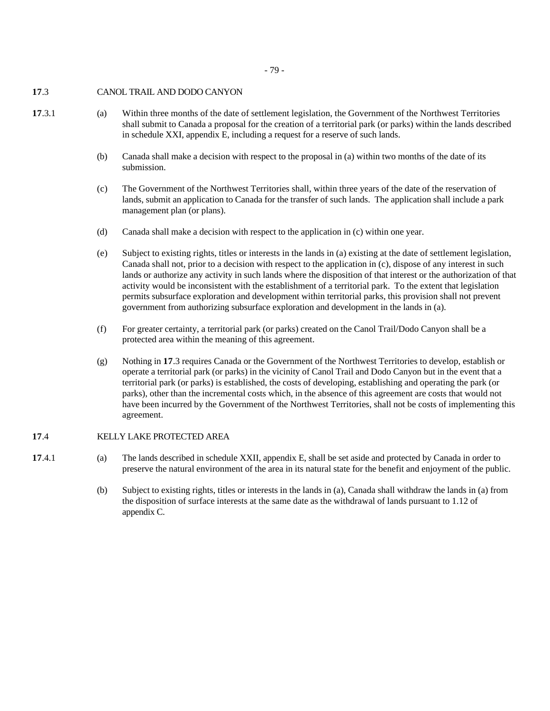- 79 -

## **17**.3 CANOL TRAIL AND DODO CANYON

- **17**.3.1 (a) Within three months of the date of settlement legislation, the Government of the Northwest Territories shall submit to Canada a proposal for the creation of a territorial park (or parks) within the lands described in schedule XXI, appendix E, including a request for a reserve of such lands.
	- (b) Canada shall make a decision with respect to the proposal in (a) within two months of the date of its submission.
	- (c) The Government of the Northwest Territories shall, within three years of the date of the reservation of lands, submit an application to Canada for the transfer of such lands. The application shall include a park management plan (or plans).
	- (d) Canada shall make a decision with respect to the application in (c) within one year.
	- (e) Subject to existing rights, titles or interests in the lands in (a) existing at the date of settlement legislation, Canada shall not, prior to a decision with respect to the application in (c), dispose of any interest in such lands or authorize any activity in such lands where the disposition of that interest or the authorization of that activity would be inconsistent with the establishment of a territorial park. To the extent that legislation permits subsurface exploration and development within territorial parks, this provision shall not prevent government from authorizing subsurface exploration and development in the lands in (a).
	- (f) For greater certainty, a territorial park (or parks) created on the Canol Trail/Dodo Canyon shall be a protected area within the meaning of this agreement.
	- (g) Nothing in **17**.3 requires Canada or the Government of the Northwest Territories to develop, establish or operate a territorial park (or parks) in the vicinity of Canol Trail and Dodo Canyon but in the event that a territorial park (or parks) is established, the costs of developing, establishing and operating the park (or parks), other than the incremental costs which, in the absence of this agreement are costs that would not have been incurred by the Government of the Northwest Territories, shall not be costs of implementing this agreement.

# **17**.4 KELLY LAKE PROTECTED AREA

- **17**.4.1 (a) The lands described in schedule XXII, appendix E, shall be set aside and protected by Canada in order to preserve the natural environment of the area in its natural state for the benefit and enjoyment of the public.
	- (b) Subject to existing rights, titles or interests in the lands in (a), Canada shall withdraw the lands in (a) from the disposition of surface interests at the same date as the withdrawal of lands pursuant to 1.12 of appendix C.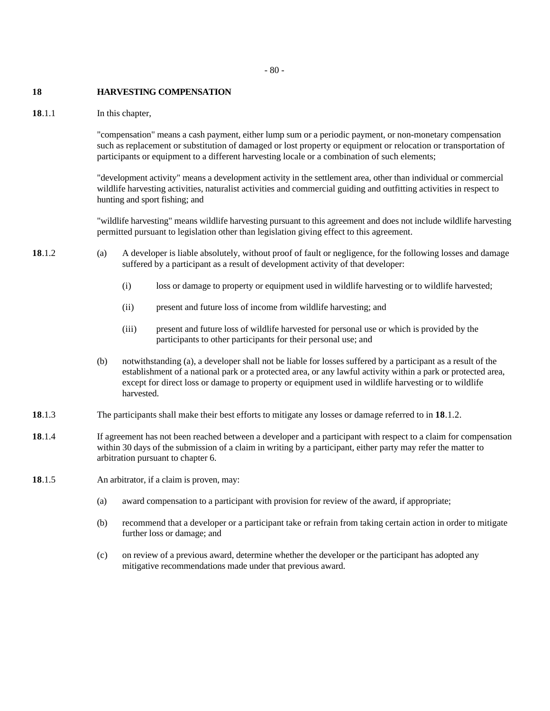#### **18 HARVESTING COMPENSATION**

**18**.1.1 In this chapter,

"compensation" means a cash payment, either lump sum or a periodic payment, or non-monetary compensation such as replacement or substitution of damaged or lost property or equipment or relocation or transportation of participants or equipment to a different harvesting locale or a combination of such elements;

"development activity" means a development activity in the settlement area, other than individual or commercial wildlife harvesting activities, naturalist activities and commercial guiding and outfitting activities in respect to hunting and sport fishing; and

"wildlife harvesting" means wildlife harvesting pursuant to this agreement and does not include wildlife harvesting permitted pursuant to legislation other than legislation giving effect to this agreement.

- **18**.1.2 (a) A developer is liable absolutely, without proof of fault or negligence, for the following losses and damage suffered by a participant as a result of development activity of that developer:
	- (i) loss or damage to property or equipment used in wildlife harvesting or to wildlife harvested;
	- (ii) present and future loss of income from wildlife harvesting; and
	- (iii) present and future loss of wildlife harvested for personal use or which is provided by the participants to other participants for their personal use; and
	- (b) notwithstanding (a), a developer shall not be liable for losses suffered by a participant as a result of the establishment of a national park or a protected area, or any lawful activity within a park or protected area, except for direct loss or damage to property or equipment used in wildlife harvesting or to wildlife harvested.
- **18**.1.3 The participants shall make their best efforts to mitigate any losses or damage referred to in **18**.1.2.
- **18**.1.4 If agreement has not been reached between a developer and a participant with respect to a claim for compensation within 30 days of the submission of a claim in writing by a participant, either party may refer the matter to arbitration pursuant to chapter 6.
- **18**.1.5 An arbitrator, if a claim is proven, may:
	- (a) award compensation to a participant with provision for review of the award, if appropriate;
	- (b) recommend that a developer or a participant take or refrain from taking certain action in order to mitigate further loss or damage; and
	- (c) on review of a previous award, determine whether the developer or the participant has adopted any mitigative recommendations made under that previous award.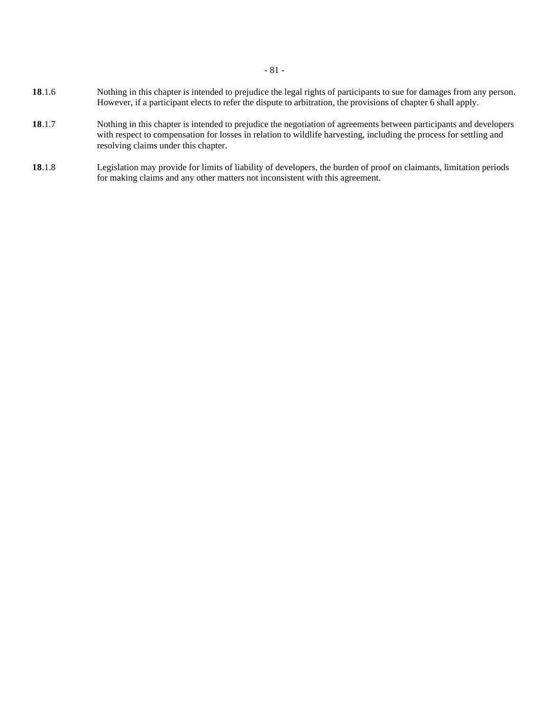- **18**.1.6 Nothing in this chapter is intended to prejudice the legal rights of participants to sue for damages from any person. However, if a participant elects to refer the dispute to arbitration, the provisions of chapter 6 shall apply.
- **18**.1.7 Nothing in this chapter is intended to prejudice the negotiation of agreements between participants and developers with respect to compensation for losses in relation to wildlife harvesting, including the process for settling and resolving claims under this chapter.
- **18**.1.8 Legislation may provide for limits of liability of developers, the burden of proof on claimants, limitation periods for making claims and any other matters not inconsistent with this agreement.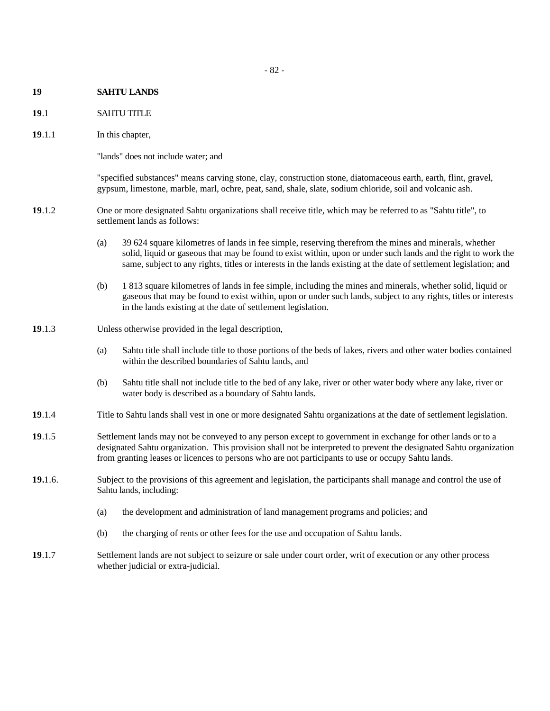#### **19 SAHTU LANDS**

#### **19**.1 SAHTU TITLE

**19**.1.1 In this chapter,

"lands" does not include water; and

"specified substances" means carving stone, clay, construction stone, diatomaceous earth, earth, flint, gravel, gypsum, limestone, marble, marl, ochre, peat, sand, shale, slate, sodium chloride, soil and volcanic ash.

- **19**.1.2 One or more designated Sahtu organizations shall receive title, which may be referred to as "Sahtu title", to settlement lands as follows:
	- (a) 39 624 square kilometres of lands in fee simple, reserving therefrom the mines and minerals, whether solid, liquid or gaseous that may be found to exist within, upon or under such lands and the right to work the same, subject to any rights, titles or interests in the lands existing at the date of settlement legislation; and
	- (b) 1 813 square kilometres of lands in fee simple, including the mines and minerals, whether solid, liquid or gaseous that may be found to exist within, upon or under such lands, subject to any rights, titles or interests in the lands existing at the date of settlement legislation.
- **19**.1.3 Unless otherwise provided in the legal description,
	- (a) Sahtu title shall include title to those portions of the beds of lakes, rivers and other water bodies contained within the described boundaries of Sahtu lands, and
	- (b) Sahtu title shall not include title to the bed of any lake, river or other water body where any lake, river or water body is described as a boundary of Sahtu lands.
- **19**.1.4 Title to Sahtu lands shall vest in one or more designated Sahtu organizations at the date of settlement legislation.
- **19**.1.5 Settlement lands may not be conveyed to any person except to government in exchange for other lands or to a designated Sahtu organization. This provision shall not be interpreted to prevent the designated Sahtu organization from granting leases or licences to persons who are not participants to use or occupy Sahtu lands.
- **19.**1.6. Subject to the provisions of this agreement and legislation, the participants shall manage and control the use of Sahtu lands, including:
	- (a) the development and administration of land management programs and policies; and
	- (b) the charging of rents or other fees for the use and occupation of Sahtu lands.
- **19**.1.7 Settlement lands are not subject to seizure or sale under court order, writ of execution or any other process whether judicial or extra-judicial.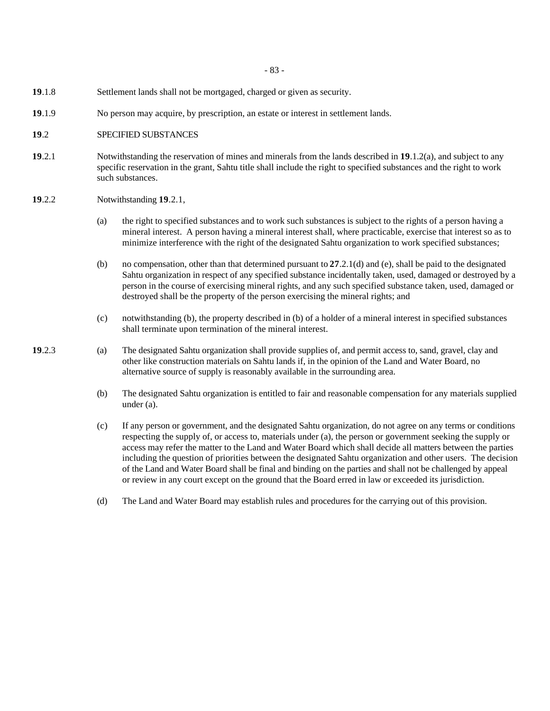- 83 -

- **19**.1.8 Settlement lands shall not be mortgaged, charged or given as security.
- **19**.1.9 No person may acquire, by prescription, an estate or interest in settlement lands.
- **19**.2 SPECIFIED SUBSTANCES
- **19**.2.1 Notwithstanding the reservation of mines and minerals from the lands described in **19**.1.2(a), and subject to any specific reservation in the grant, Sahtu title shall include the right to specified substances and the right to work such substances.
- **19**.2.2 Notwithstanding **19**.2.1,
	- (a) the right to specified substances and to work such substances is subject to the rights of a person having a mineral interest. A person having a mineral interest shall, where practicable, exercise that interest so as to minimize interference with the right of the designated Sahtu organization to work specified substances;
	- (b) no compensation, other than that determined pursuant to **27**.2.1(d) and (e), shall be paid to the designated Sahtu organization in respect of any specified substance incidentally taken, used, damaged or destroyed by a person in the course of exercising mineral rights, and any such specified substance taken, used, damaged or destroyed shall be the property of the person exercising the mineral rights; and
	- (c) notwithstanding (b), the property described in (b) of a holder of a mineral interest in specified substances shall terminate upon termination of the mineral interest.
- **19**.2.3 (a) The designated Sahtu organization shall provide supplies of, and permit access to, sand, gravel, clay and other like construction materials on Sahtu lands if, in the opinion of the Land and Water Board, no alternative source of supply is reasonably available in the surrounding area.
	- (b) The designated Sahtu organization is entitled to fair and reasonable compensation for any materials supplied under (a).
	- (c) If any person or government, and the designated Sahtu organization, do not agree on any terms or conditions respecting the supply of, or access to, materials under (a), the person or government seeking the supply or access may refer the matter to the Land and Water Board which shall decide all matters between the parties including the question of priorities between the designated Sahtu organization and other users. The decision of the Land and Water Board shall be final and binding on the parties and shall not be challenged by appeal or review in any court except on the ground that the Board erred in law or exceeded its jurisdiction.
	- (d) The Land and Water Board may establish rules and procedures for the carrying out of this provision.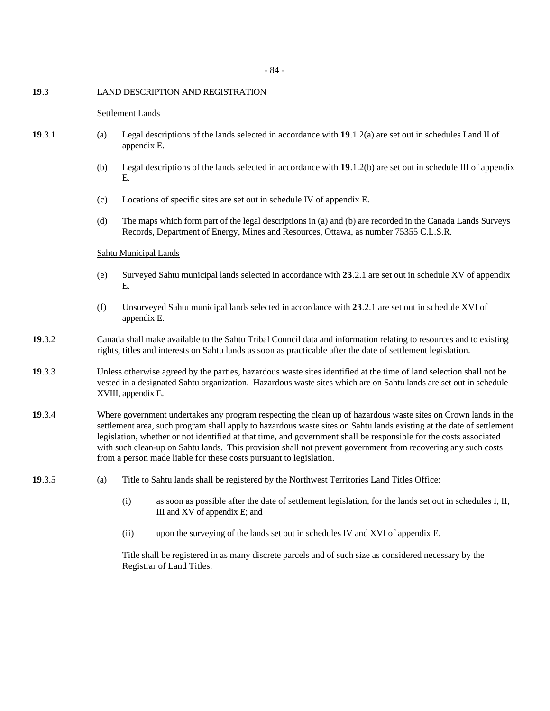#### **19**.3 LAND DESCRIPTION AND REGISTRATION

#### Settlement Lands

- **19**.3.1 (a) Legal descriptions of the lands selected in accordance with **19**.1.2(a) are set out in schedules I and II of appendix E.
	- (b) Legal descriptions of the lands selected in accordance with **19**.1.2(b) are set out in schedule III of appendix E.
	- (c) Locations of specific sites are set out in schedule IV of appendix E.
	- (d) The maps which form part of the legal descriptions in (a) and (b) are recorded in the Canada Lands Surveys Records, Department of Energy, Mines and Resources, Ottawa, as number 75355 C.L.S.R.

#### Sahtu Municipal Lands

- (e) Surveyed Sahtu municipal lands selected in accordance with **23**.2.1 are set out in schedule XV of appendix E.
- (f) Unsurveyed Sahtu municipal lands selected in accordance with **23**.2.1 are set out in schedule XVI of appendix E.
- **19**.3.2 Canada shall make available to the Sahtu Tribal Council data and information relating to resources and to existing rights, titles and interests on Sahtu lands as soon as practicable after the date of settlement legislation.
- **19**.3.3 Unless otherwise agreed by the parties, hazardous waste sites identified at the time of land selection shall not be vested in a designated Sahtu organization. Hazardous waste sites which are on Sahtu lands are set out in schedule XVIII, appendix E.
- **19**.3.4 Where government undertakes any program respecting the clean up of hazardous waste sites on Crown lands in the settlement area, such program shall apply to hazardous waste sites on Sahtu lands existing at the date of settlement legislation, whether or not identified at that time, and government shall be responsible for the costs associated with such clean-up on Sahtu lands. This provision shall not prevent government from recovering any such costs from a person made liable for these costs pursuant to legislation.
- **19**.3.5 (a) Title to Sahtu lands shall be registered by the Northwest Territories Land Titles Office:
	- (i) as soon as possible after the date of settlement legislation, for the lands set out in schedules I, II, III and XV of appendix E; and
	- (ii) upon the surveying of the lands set out in schedules IV and XVI of appendix E.

Title shall be registered in as many discrete parcels and of such size as considered necessary by the Registrar of Land Titles.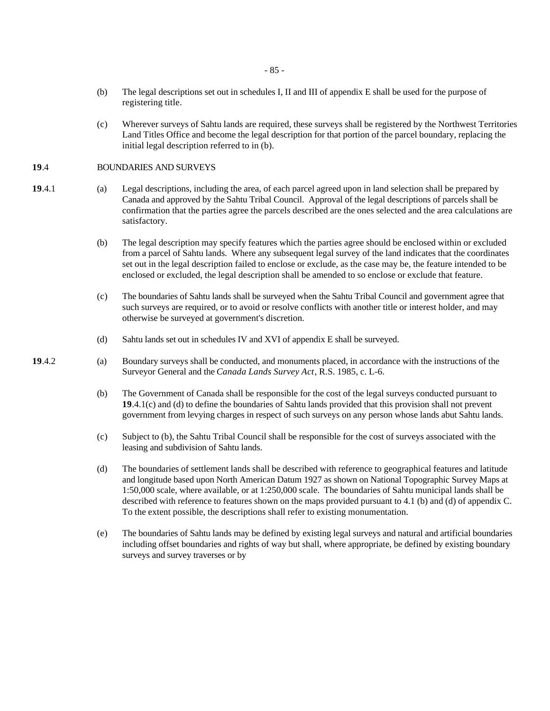- (b) The legal descriptions set out in schedules I, II and III of appendix E shall be used for the purpose of registering title.
- (c) Wherever surveys of Sahtu lands are required, these surveys shall be registered by the Northwest Territories Land Titles Office and become the legal description for that portion of the parcel boundary, replacing the initial legal description referred to in (b).

#### **19**.4 BOUNDARIES AND SURVEYS

- **19**.4.1 (a) Legal descriptions, including the area, of each parcel agreed upon in land selection shall be prepared by Canada and approved by the Sahtu Tribal Council. Approval of the legal descriptions of parcels shall be confirmation that the parties agree the parcels described are the ones selected and the area calculations are satisfactory.
	- (b) The legal description may specify features which the parties agree should be enclosed within or excluded from a parcel of Sahtu lands. Where any subsequent legal survey of the land indicates that the coordinates set out in the legal description failed to enclose or exclude, as the case may be, the feature intended to be enclosed or excluded, the legal description shall be amended to so enclose or exclude that feature.
	- (c) The boundaries of Sahtu lands shall be surveyed when the Sahtu Tribal Council and government agree that such surveys are required, or to avoid or resolve conflicts with another title or interest holder, and may otherwise be surveyed at government's discretion.
	- (d) Sahtu lands set out in schedules IV and XVI of appendix E shall be surveyed.
- **19**.4.2 (a) Boundary surveys shall be conducted, and monuments placed, in accordance with the instructions of the Surveyor General and the *Canada Lands Survey Act*, R.S. 1985, c. L-6.
	- (b) The Government of Canada shall be responsible for the cost of the legal surveys conducted pursuant to **19**.4.1(c) and (d) to define the boundaries of Sahtu lands provided that this provision shall not prevent government from levying charges in respect of such surveys on any person whose lands abut Sahtu lands.
	- (c) Subject to (b), the Sahtu Tribal Council shall be responsible for the cost of surveys associated with the leasing and subdivision of Sahtu lands.
	- (d) The boundaries of settlement lands shall be described with reference to geographical features and latitude and longitude based upon North American Datum 1927 as shown on National Topographic Survey Maps at 1:50,000 scale, where available, or at 1:250,000 scale. The boundaries of Sahtu municipal lands shall be described with reference to features shown on the maps provided pursuant to 4.1 (b) and (d) of appendix C. To the extent possible, the descriptions shall refer to existing monumentation.
	- (e) The boundaries of Sahtu lands may be defined by existing legal surveys and natural and artificial boundaries including offset boundaries and rights of way but shall, where appropriate, be defined by existing boundary surveys and survey traverses or by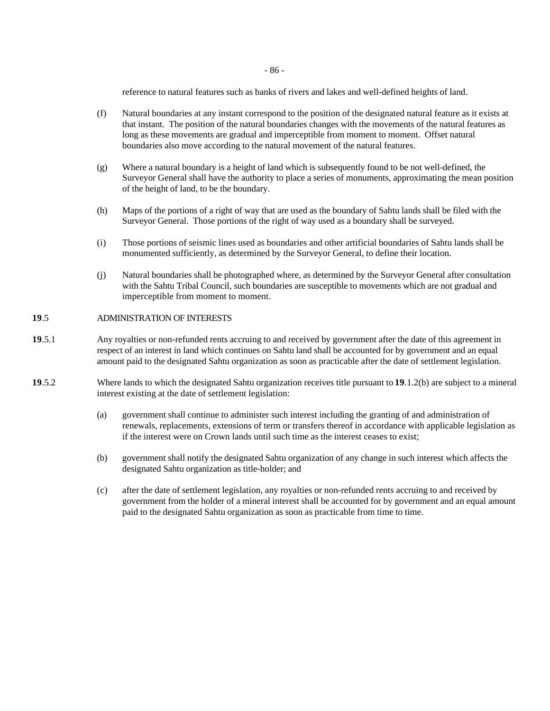- 86 -

reference to natural features such as banks of rivers and lakes and well-defined heights of land.

- (f) Natural boundaries at any instant correspond to the position of the designated natural feature as it exists at that instant. The position of the natural boundaries changes with the movements of the natural features as long as these movements are gradual and imperceptible from moment to moment. Offset natural boundaries also move according to the natural movement of the natural features.
- (g) Where a natural boundary is a height of land which is subsequently found to be not well-defined, the Surveyor General shall have the authority to place a series of monuments, approximating the mean position of the height of land, to be the boundary.
- (h) Maps of the portions of a right of way that are used as the boundary of Sahtu lands shall be filed with the Surveyor General. Those portions of the right of way used as a boundary shall be surveyed.
- (i) Those portions of seismic lines used as boundaries and other artificial boundaries of Sahtu lands shall be monumented sufficiently, as determined by the Surveyor General, to define their location.
- (j) Natural boundaries shall be photographed where, as determined by the Surveyor General after consultation with the Sahtu Tribal Council, such boundaries are susceptible to movements which are not gradual and imperceptible from moment to moment.

#### **19**.5 ADMINISTRATION OF INTERESTS

- **19**.5.1 Any royalties or non-refunded rents accruing to and received by government after the date of this agreement in respect of an interest in land which continues on Sahtu land shall be accounted for by government and an equal amount paid to the designated Sahtu organization as soon as practicable after the date of settlement legislation.
- **19**.5.2 Where lands to which the designated Sahtu organization receives title pursuant to **19**.1.2(b) are subject to a mineral interest existing at the date of settlement legislation:
	- (a) government shall continue to administer such interest including the granting of and administration of renewals, replacements, extensions of term or transfers thereof in accordance with applicable legislation as if the interest were on Crown lands until such time as the interest ceases to exist;
	- (b) government shall notify the designated Sahtu organization of any change in such interest which affects the designated Sahtu organization as title-holder; and
	- (c) after the date of settlement legislation, any royalties or non-refunded rents accruing to and received by government from the holder of a mineral interest shall be accounted for by government and an equal amount paid to the designated Sahtu organization as soon as practicable from time to time.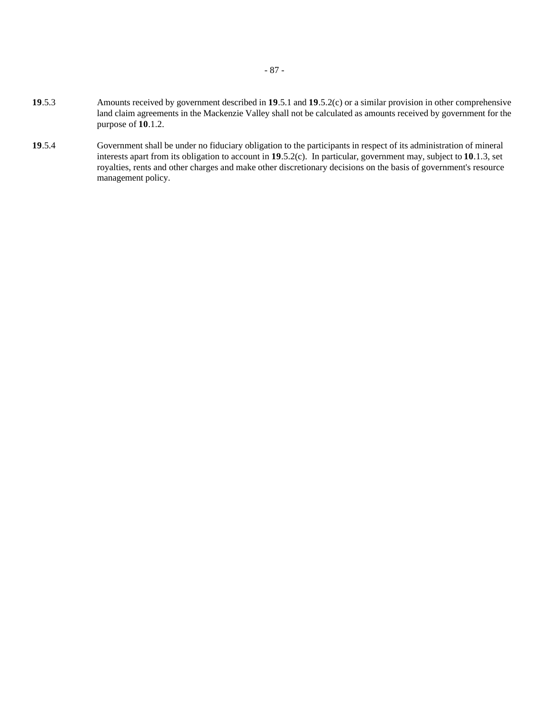- **19**.5.3 Amounts received by government described in **19**.5.1 and **19**.5.2(c) or a similar provision in other comprehensive land claim agreements in the Mackenzie Valley shall not be calculated as amounts received by government for the purpose of **10**.1.2.
- **19**.5.4 Government shall be under no fiduciary obligation to the participants in respect of its administration of mineral interests apart from its obligation to account in **19**.5.2(c). In particular, government may, subject to **10**.1.3, set royalties, rents and other charges and make other discretionary decisions on the basis of government's resource management policy.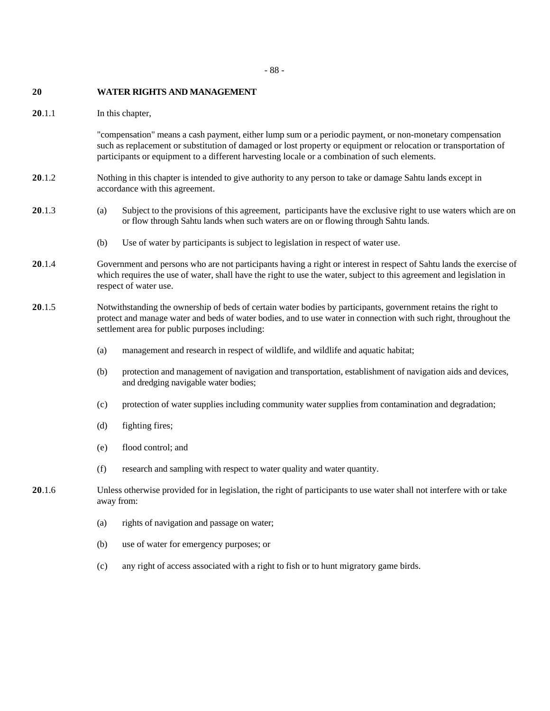#### - 88 -

#### **20 WATER RIGHTS AND MANAGEMENT**

**20**.1.1 In this chapter,

"compensation" means a cash payment, either lump sum or a periodic payment, or non-monetary compensation such as replacement or substitution of damaged or lost property or equipment or relocation or transportation of participants or equipment to a different harvesting locale or a combination of such elements.

- **20**.1.2 Nothing in this chapter is intended to give authority to any person to take or damage Sahtu lands except in accordance with this agreement.
- **20**.1.3 (a) Subject to the provisions of this agreement, participants have the exclusive right to use waters which are on or flow through Sahtu lands when such waters are on or flowing through Sahtu lands.
	- (b) Use of water by participants is subject to legislation in respect of water use.
- **20**.1.4 Government and persons who are not participants having a right or interest in respect of Sahtu lands the exercise of which requires the use of water, shall have the right to use the water, subject to this agreement and legislation in respect of water use.
- **20**.1.5 Notwithstanding the ownership of beds of certain water bodies by participants, government retains the right to protect and manage water and beds of water bodies, and to use water in connection with such right, throughout the settlement area for public purposes including:
	- (a) management and research in respect of wildlife, and wildlife and aquatic habitat;
	- (b) protection and management of navigation and transportation, establishment of navigation aids and devices, and dredging navigable water bodies;
	- (c) protection of water supplies including community water supplies from contamination and degradation;
	- (d) fighting fires;
	- (e) flood control; and
	- (f) research and sampling with respect to water quality and water quantity.
- **20**.1.6 Unless otherwise provided for in legislation, the right of participants to use water shall not interfere with or take away from:
	- (a) rights of navigation and passage on water;
	- (b) use of water for emergency purposes; or
	- (c) any right of access associated with a right to fish or to hunt migratory game birds.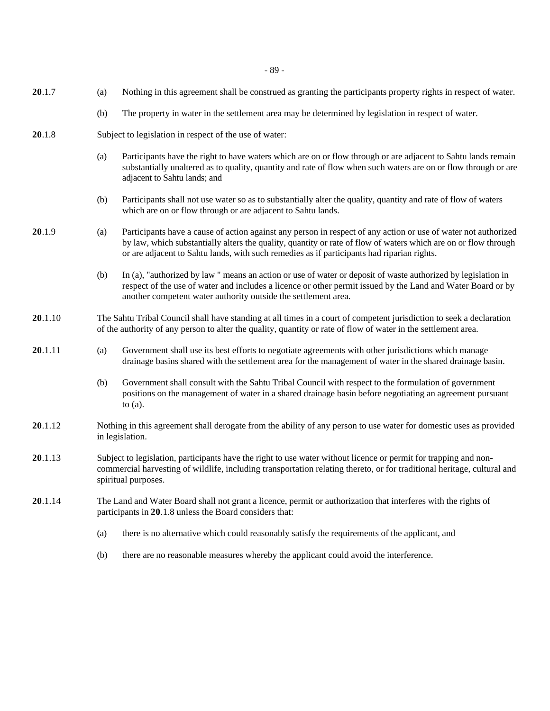- 89 -

- **20**.1.7 (a) Nothing in this agreement shall be construed as granting the participants property rights in respect of water.
	- (b) The property in water in the settlement area may be determined by legislation in respect of water.
- **20**.1.8 Subject to legislation in respect of the use of water:
	- (a) Participants have the right to have waters which are on or flow through or are adjacent to Sahtu lands remain substantially unaltered as to quality, quantity and rate of flow when such waters are on or flow through or are adjacent to Sahtu lands; and
	- (b) Participants shall not use water so as to substantially alter the quality, quantity and rate of flow of waters which are on or flow through or are adjacent to Sahtu lands.
- **20**.1.9 (a) Participants have a cause of action against any person in respect of any action or use of water not authorized by law, which substantially alters the quality, quantity or rate of flow of waters which are on or flow through or are adjacent to Sahtu lands, with such remedies as if participants had riparian rights.
	- (b) In (a), "authorized by law " means an action or use of water or deposit of waste authorized by legislation in respect of the use of water and includes a licence or other permit issued by the Land and Water Board or by another competent water authority outside the settlement area.
- **20**.1.10 The Sahtu Tribal Council shall have standing at all times in a court of competent jurisdiction to seek a declaration of the authority of any person to alter the quality, quantity or rate of flow of water in the settlement area.
- **20**.1.11 (a) Government shall use its best efforts to negotiate agreements with other jurisdictions which manage drainage basins shared with the settlement area for the management of water in the shared drainage basin.
	- (b) Government shall consult with the Sahtu Tribal Council with respect to the formulation of government positions on the management of water in a shared drainage basin before negotiating an agreement pursuant to (a).
- **20**.1.12 Nothing in this agreement shall derogate from the ability of any person to use water for domestic uses as provided in legislation.
- **20**.1.13 Subject to legislation, participants have the right to use water without licence or permit for trapping and noncommercial harvesting of wildlife, including transportation relating thereto, or for traditional heritage, cultural and spiritual purposes.
- **20**.1.14 The Land and Water Board shall not grant a licence, permit or authorization that interferes with the rights of participants in **20**.1.8 unless the Board considers that:
	- (a) there is no alternative which could reasonably satisfy the requirements of the applicant, and
	- (b) there are no reasonable measures whereby the applicant could avoid the interference.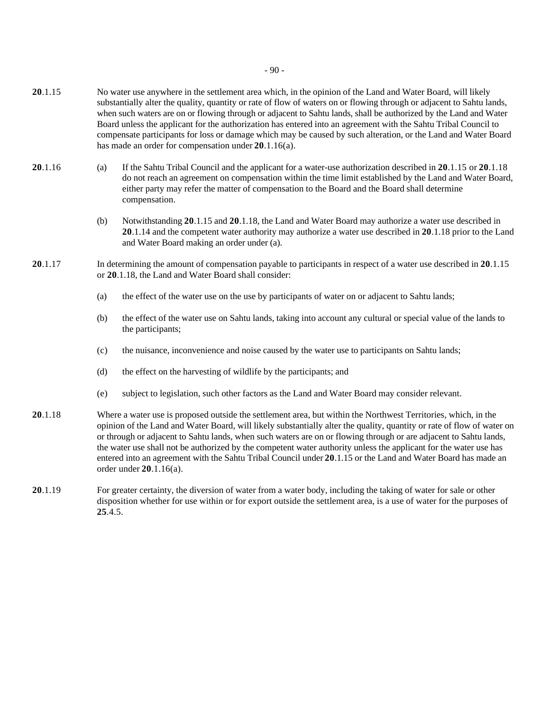- **20**.1.15 No water use anywhere in the settlement area which, in the opinion of the Land and Water Board, will likely substantially alter the quality, quantity or rate of flow of waters on or flowing through or adjacent to Sahtu lands, when such waters are on or flowing through or adjacent to Sahtu lands, shall be authorized by the Land and Water Board unless the applicant for the authorization has entered into an agreement with the Sahtu Tribal Council to compensate participants for loss or damage which may be caused by such alteration, or the Land and Water Board has made an order for compensation under **20**.1.16(a).
- **20**.1.16 (a) If the Sahtu Tribal Council and the applicant for a water-use authorization described in **20**.1.15 or **20**.1.18 do not reach an agreement on compensation within the time limit established by the Land and Water Board, either party may refer the matter of compensation to the Board and the Board shall determine compensation.
	- (b) Notwithstanding **20**.1.15 and **20**.1.18, the Land and Water Board may authorize a water use described in **20**.1.14 and the competent water authority may authorize a water use described in **20**.1.18 prior to the Land and Water Board making an order under (a).
- **20**.1.17 In determining the amount of compensation payable to participants in respect of a water use described in **20**.1.15 or **20**.1.18, the Land and Water Board shall consider:
	- (a) the effect of the water use on the use by participants of water on or adjacent to Sahtu lands;
	- (b) the effect of the water use on Sahtu lands, taking into account any cultural or special value of the lands to the participants;
	- (c) the nuisance, inconvenience and noise caused by the water use to participants on Sahtu lands;
	- (d) the effect on the harvesting of wildlife by the participants; and
	- (e) subject to legislation, such other factors as the Land and Water Board may consider relevant.
- **20**.1.18 Where a water use is proposed outside the settlement area, but within the Northwest Territories, which, in the opinion of the Land and Water Board, will likely substantially alter the quality, quantity or rate of flow of water on or through or adjacent to Sahtu lands, when such waters are on or flowing through or are adjacent to Sahtu lands, the water use shall not be authorized by the competent water authority unless the applicant for the water use has entered into an agreement with the Sahtu Tribal Council under **20**.1.15 or the Land and Water Board has made an order under **20**.1.16(a).
- **20**.1.19 For greater certainty, the diversion of water from a water body, including the taking of water for sale or other disposition whether for use within or for export outside the settlement area, is a use of water for the purposes of **25**.4.5.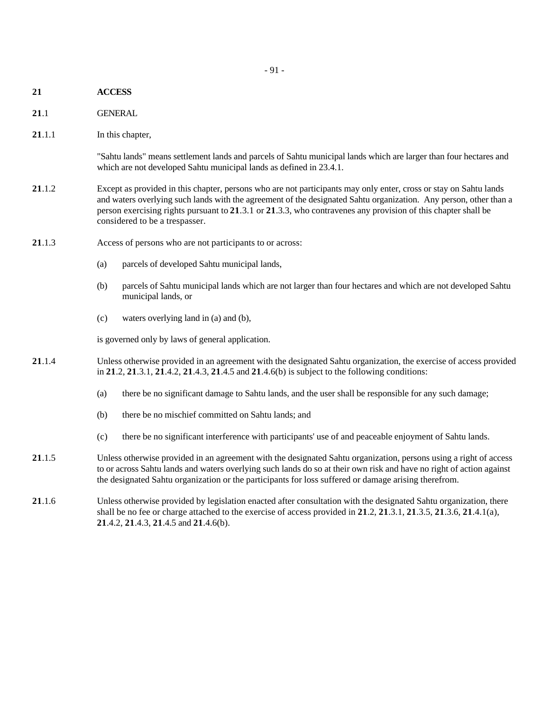- **21 ACCESS**
- **21**.1 GENERAL
- **21.1.1** In this chapter,

"Sahtu lands" means settlement lands and parcels of Sahtu municipal lands which are larger than four hectares and which are not developed Sahtu municipal lands as defined in 23.4.1.

- **21**.1.2 Except as provided in this chapter, persons who are not participants may only enter, cross or stay on Sahtu lands and waters overlying such lands with the agreement of the designated Sahtu organization. Any person, other than a person exercising rights pursuant to **21**.3.1 or **21**.3.3, who contravenes any provision of this chapter shall be considered to be a trespasser.
- **21**.1.3 Access of persons who are not participants to or across:
	- (a) parcels of developed Sahtu municipal lands,
	- (b) parcels of Sahtu municipal lands which are not larger than four hectares and which are not developed Sahtu municipal lands, or
	- (c) waters overlying land in (a) and (b),

is governed only by laws of general application.

- **21**.1.4 Unless otherwise provided in an agreement with the designated Sahtu organization, the exercise of access provided in **21**.2, **21**.3.1, **21**.4.2, **21**.4.3, **21**.4.5 and **21**.4.6(b) is subject to the following conditions:
	- (a) there be no significant damage to Sahtu lands, and the user shall be responsible for any such damage;
	- (b) there be no mischief committed on Sahtu lands; and
	- (c) there be no significant interference with participants' use of and peaceable enjoyment of Sahtu lands.
- **21**.1.5 Unless otherwise provided in an agreement with the designated Sahtu organization, persons using a right of access to or across Sahtu lands and waters overlying such lands do so at their own risk and have no right of action against the designated Sahtu organization or the participants for loss suffered or damage arising therefrom.
- **21**.1.6 Unless otherwise provided by legislation enacted after consultation with the designated Sahtu organization, there shall be no fee or charge attached to the exercise of access provided in **21**.2, **21**.3.1, **21**.3.5, **21**.3.6, **21**.4.1(a), **21**.4.2, **21**.4.3, **21**.4.5 and **21**.4.6(b).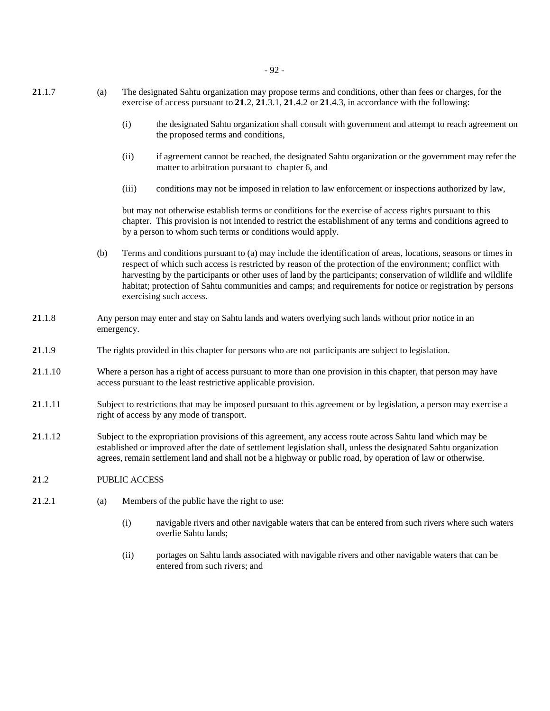- **21**.1.7 (a) The designated Sahtu organization may propose terms and conditions, other than fees or charges, for the exercise of access pursuant to **21**.2, **21**.3.1, **21**.4.2 or **21**.4.3, in accordance with the following:
	- (i) the designated Sahtu organization shall consult with government and attempt to reach agreement on the proposed terms and conditions,
	- (ii) if agreement cannot be reached, the designated Sahtu organization or the government may refer the matter to arbitration pursuant to chapter 6, and
	- (iii) conditions may not be imposed in relation to law enforcement or inspections authorized by law,

but may not otherwise establish terms or conditions for the exercise of access rights pursuant to this chapter. This provision is not intended to restrict the establishment of any terms and conditions agreed to by a person to whom such terms or conditions would apply.

- (b) Terms and conditions pursuant to (a) may include the identification of areas, locations, seasons or times in respect of which such access is restricted by reason of the protection of the environment; conflict with harvesting by the participants or other uses of land by the participants; conservation of wildlife and wildlife habitat; protection of Sahtu communities and camps; and requirements for notice or registration by persons exercising such access.
- **21**.1.8 Any person may enter and stay on Sahtu lands and waters overlying such lands without prior notice in an emergency.
- **21**.1.9 The rights provided in this chapter for persons who are not participants are subject to legislation.
- **21**.1.10 Where a person has a right of access pursuant to more than one provision in this chapter, that person may have access pursuant to the least restrictive applicable provision.
- **21**.1.11 Subject to restrictions that may be imposed pursuant to this agreement or by legislation, a person may exercise a right of access by any mode of transport.
- **21**.1.12 Subject to the expropriation provisions of this agreement, any access route across Sahtu land which may be established or improved after the date of settlement legislation shall, unless the designated Sahtu organization agrees, remain settlement land and shall not be a highway or public road, by operation of law or otherwise.
- **21**.2 PUBLIC ACCESS
- **21**.2.1 (a) Members of the public have the right to use:
	- (i) navigable rivers and other navigable waters that can be entered from such rivers where such waters overlie Sahtu lands;
	- (ii) portages on Sahtu lands associated with navigable rivers and other navigable waters that can be entered from such rivers; and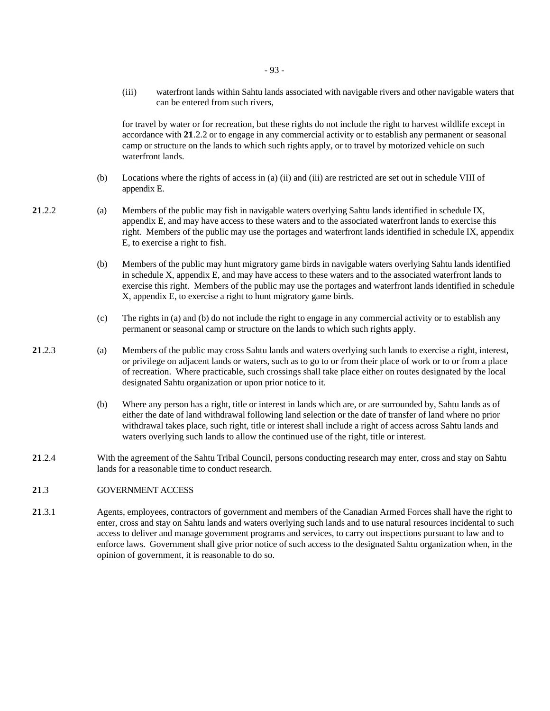(iii) waterfront lands within Sahtu lands associated with navigable rivers and other navigable waters that can be entered from such rivers,

for travel by water or for recreation, but these rights do not include the right to harvest wildlife except in accordance with **21**.2.2 or to engage in any commercial activity or to establish any permanent or seasonal camp or structure on the lands to which such rights apply, or to travel by motorized vehicle on such waterfront lands.

- (b) Locations where the rights of access in (a) (ii) and (iii) are restricted are set out in schedule VIII of appendix E.
- 
- **21**.2.2 (a) Members of the public may fish in navigable waters overlying Sahtu lands identified in schedule IX, appendix E, and may have access to these waters and to the associated waterfront lands to exercise this right. Members of the public may use the portages and waterfront lands identified in schedule IX, appendix E, to exercise a right to fish.
	- (b) Members of the public may hunt migratory game birds in navigable waters overlying Sahtu lands identified in schedule X, appendix E, and may have access to these waters and to the associated waterfront lands to exercise this right. Members of the public may use the portages and waterfront lands identified in schedule X, appendix E, to exercise a right to hunt migratory game birds.
	- (c) The rights in (a) and (b) do not include the right to engage in any commercial activity or to establish any permanent or seasonal camp or structure on the lands to which such rights apply.
- **21**.2.3 (a) Members of the public may cross Sahtu lands and waters overlying such lands to exercise a right, interest, or privilege on adjacent lands or waters, such as to go to or from their place of work or to or from a place of recreation. Where practicable, such crossings shall take place either on routes designated by the local designated Sahtu organization or upon prior notice to it.
	- (b) Where any person has a right, title or interest in lands which are, or are surrounded by, Sahtu lands as of either the date of land withdrawal following land selection or the date of transfer of land where no prior withdrawal takes place, such right, title or interest shall include a right of access across Sahtu lands and waters overlying such lands to allow the continued use of the right, title or interest.
- **21**.2.4 With the agreement of the Sahtu Tribal Council, persons conducting research may enter, cross and stay on Sahtu lands for a reasonable time to conduct research.

## **21**.3 GOVERNMENT ACCESS

**21**.3.1 Agents, employees, contractors of government and members of the Canadian Armed Forces shall have the right to enter, cross and stay on Sahtu lands and waters overlying such lands and to use natural resources incidental to such access to deliver and manage government programs and services, to carry out inspections pursuant to law and to enforce laws. Government shall give prior notice of such access to the designated Sahtu organization when, in the opinion of government, it is reasonable to do so.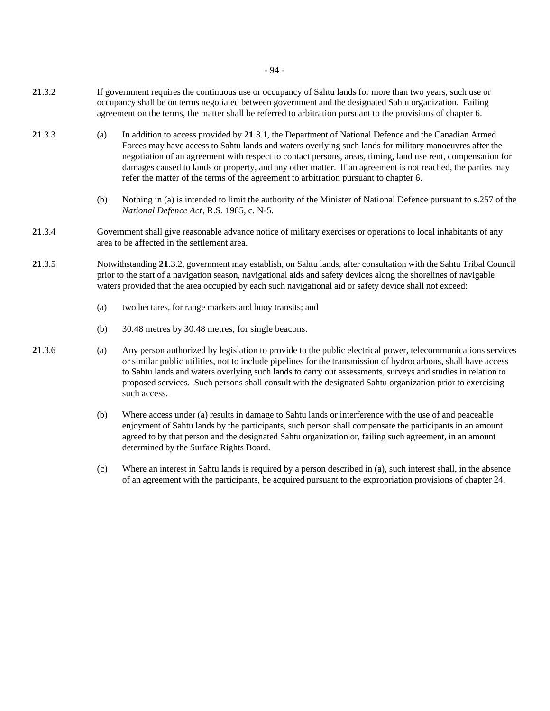- **21**.3.2 If government requires the continuous use or occupancy of Sahtu lands for more than two years, such use or occupancy shall be on terms negotiated between government and the designated Sahtu organization. Failing agreement on the terms, the matter shall be referred to arbitration pursuant to the provisions of chapter 6.
- **21**.3.3 (a) In addition to access provided by **21**.3.1, the Department of National Defence and the Canadian Armed Forces may have access to Sahtu lands and waters overlying such lands for military manoeuvres after the negotiation of an agreement with respect to contact persons, areas, timing, land use rent, compensation for damages caused to lands or property, and any other matter. If an agreement is not reached, the parties may refer the matter of the terms of the agreement to arbitration pursuant to chapter 6.
	- (b) Nothing in (a) is intended to limit the authority of the Minister of National Defence pursuant to s.257 of the *National Defence Act*, R.S. 1985, c. N-5.
- **21**.3.4 Government shall give reasonable advance notice of military exercises or operations to local inhabitants of any area to be affected in the settlement area.
- **21**.3.5 Notwithstanding **21**.3.2, government may establish, on Sahtu lands, after consultation with the Sahtu Tribal Council prior to the start of a navigation season, navigational aids and safety devices along the shorelines of navigable waters provided that the area occupied by each such navigational aid or safety device shall not exceed:
	- (a) two hectares, for range markers and buoy transits; and
	- (b) 30.48 metres by 30.48 metres, for single beacons.
- **21**.3.6 (a) Any person authorized by legislation to provide to the public electrical power, telecommunications services or similar public utilities, not to include pipelines for the transmission of hydrocarbons, shall have access to Sahtu lands and waters overlying such lands to carry out assessments, surveys and studies in relation to proposed services. Such persons shall consult with the designated Sahtu organization prior to exercising such access.
	- (b) Where access under (a) results in damage to Sahtu lands or interference with the use of and peaceable enjoyment of Sahtu lands by the participants, such person shall compensate the participants in an amount agreed to by that person and the designated Sahtu organization or, failing such agreement, in an amount determined by the Surface Rights Board.
	- (c) Where an interest in Sahtu lands is required by a person described in (a), such interest shall, in the absence of an agreement with the participants, be acquired pursuant to the expropriation provisions of chapter 24.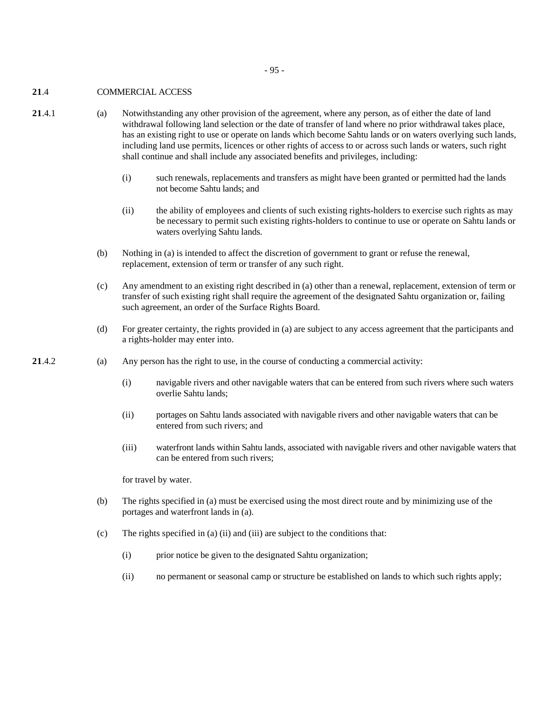- 95 -

## **21**.4 COMMERCIAL ACCESS

- **21**.4.1 (a) Notwithstanding any other provision of the agreement, where any person, as of either the date of land withdrawal following land selection or the date of transfer of land where no prior withdrawal takes place, has an existing right to use or operate on lands which become Sahtu lands or on waters overlying such lands, including land use permits, licences or other rights of access to or across such lands or waters, such right shall continue and shall include any associated benefits and privileges, including:
	- (i) such renewals, replacements and transfers as might have been granted or permitted had the lands not become Sahtu lands; and
	- (ii) the ability of employees and clients of such existing rights-holders to exercise such rights as may be necessary to permit such existing rights-holders to continue to use or operate on Sahtu lands or waters overlying Sahtu lands.
	- (b) Nothing in (a) is intended to affect the discretion of government to grant or refuse the renewal, replacement, extension of term or transfer of any such right.
	- (c) Any amendment to an existing right described in (a) other than a renewal, replacement, extension of term or transfer of such existing right shall require the agreement of the designated Sahtu organization or, failing such agreement, an order of the Surface Rights Board.
	- (d) For greater certainty, the rights provided in (a) are subject to any access agreement that the participants and a rights-holder may enter into.
- **21**.4.2 (a) Any person has the right to use, in the course of conducting a commercial activity:
	- (i) navigable rivers and other navigable waters that can be entered from such rivers where such waters overlie Sahtu lands;
	- (ii) portages on Sahtu lands associated with navigable rivers and other navigable waters that can be entered from such rivers; and
	- (iii) waterfront lands within Sahtu lands, associated with navigable rivers and other navigable waters that can be entered from such rivers;

for travel by water.

- (b) The rights specified in (a) must be exercised using the most direct route and by minimizing use of the portages and waterfront lands in (a).
- (c) The rights specified in (a) (ii) and (iii) are subject to the conditions that:
	- (i) prior notice be given to the designated Sahtu organization;
	- (ii) no permanent or seasonal camp or structure be established on lands to which such rights apply;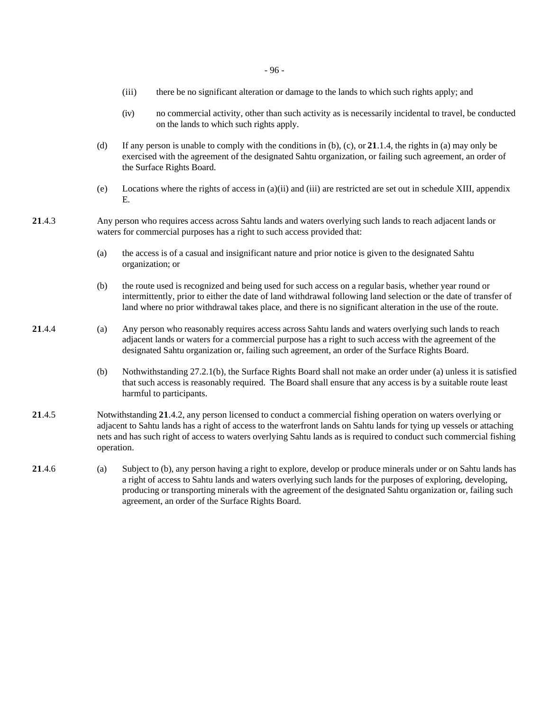- (iii) there be no significant alteration or damage to the lands to which such rights apply; and
- (iv) no commercial activity, other than such activity as is necessarily incidental to travel, be conducted on the lands to which such rights apply.
- (d) If any person is unable to comply with the conditions in (b), (c), or **21**.1.4, the rights in (a) may only be exercised with the agreement of the designated Sahtu organization, or failing such agreement, an order of the Surface Rights Board.
- (e) Locations where the rights of access in  $(a)(ii)$  and  $(iii)$  are restricted are set out in schedule XIII, appendix E.
- **21**.4.3 Any person who requires access across Sahtu lands and waters overlying such lands to reach adjacent lands or waters for commercial purposes has a right to such access provided that:
	- (a) the access is of a casual and insignificant nature and prior notice is given to the designated Sahtu organization; or
	- (b) the route used is recognized and being used for such access on a regular basis, whether year round or intermittently, prior to either the date of land withdrawal following land selection or the date of transfer of land where no prior withdrawal takes place, and there is no significant alteration in the use of the route.
- **21**.4.4 (a) Any person who reasonably requires access across Sahtu lands and waters overlying such lands to reach adjacent lands or waters for a commercial purpose has a right to such access with the agreement of the designated Sahtu organization or, failing such agreement, an order of the Surface Rights Board.
	- (b) Nothwithstanding 27.2.1(b), the Surface Rights Board shall not make an order under (a) unless it is satisfied that such access is reasonably required. The Board shall ensure that any access is by a suitable route least harmful to participants.
- **21**.4.5 Notwithstanding **21**.4.2, any person licensed to conduct a commercial fishing operation on waters overlying or adjacent to Sahtu lands has a right of access to the waterfront lands on Sahtu lands for tying up vessels or attaching nets and has such right of access to waters overlying Sahtu lands as is required to conduct such commercial fishing operation.
- **21**.4.6 (a) Subject to (b), any person having a right to explore, develop or produce minerals under or on Sahtu lands has a right of access to Sahtu lands and waters overlying such lands for the purposes of exploring, developing, producing or transporting minerals with the agreement of the designated Sahtu organization or, failing such agreement, an order of the Surface Rights Board.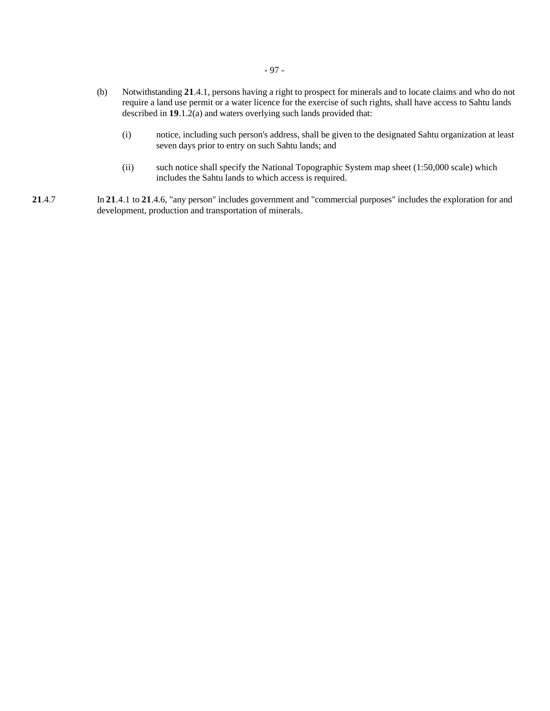- (b) Notwithstanding **21**.4.1, persons having a right to prospect for minerals and to locate claims and who do not require a land use permit or a water licence for the exercise of such rights, shall have access to Sahtu lands described in **19**.1.2(a) and waters overlying such lands provided that:
	- (i) notice, including such person's address, shall be given to the designated Sahtu organization at least seven days prior to entry on such Sahtu lands; and
	- (ii) such notice shall specify the National Topographic System map sheet (1:50,000 scale) which includes the Sahtu lands to which access is required.
- **21**.4.7 In **21**.4.1 to **21**.4.6, "any person" includes government and "commercial purposes" includes the exploration for and development, production and transportation of minerals.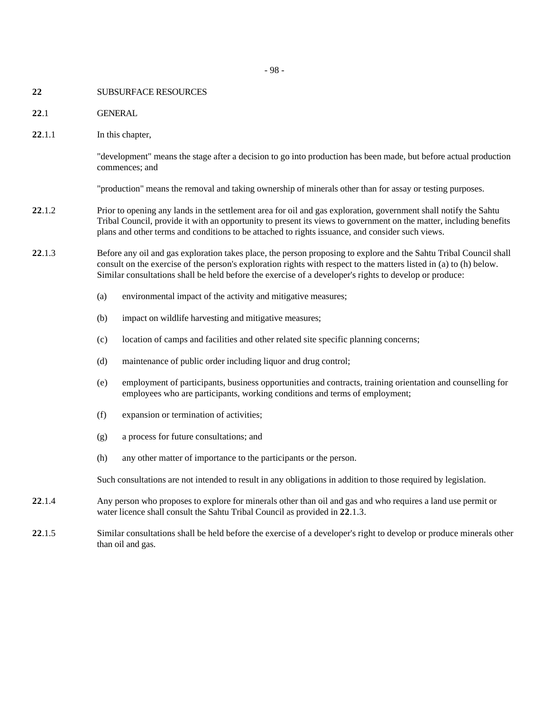- 98 -

- **22** SUBSURFACE RESOURCES
- **22**.1 GENERAL
- **22**.1.1 In this chapter,

"development" means the stage after a decision to go into production has been made, but before actual production commences; and

"production" means the removal and taking ownership of minerals other than for assay or testing purposes.

- **22**.1.2 Prior to opening any lands in the settlement area for oil and gas exploration, government shall notify the Sahtu Tribal Council, provide it with an opportunity to present its views to government on the matter, including benefits plans and other terms and conditions to be attached to rights issuance, and consider such views.
- **22**.1.3 Before any oil and gas exploration takes place, the person proposing to explore and the Sahtu Tribal Council shall consult on the exercise of the person's exploration rights with respect to the matters listed in (a) to (h) below. Similar consultations shall be held before the exercise of a developer's rights to develop or produce:
	- (a) environmental impact of the activity and mitigative measures;
	- (b) impact on wildlife harvesting and mitigative measures;
	- (c) location of camps and facilities and other related site specific planning concerns;
	- (d) maintenance of public order including liquor and drug control;
	- (e) employment of participants, business opportunities and contracts, training orientation and counselling for employees who are participants, working conditions and terms of employment;
	- (f) expansion or termination of activities;
	- (g) a process for future consultations; and
	- (h) any other matter of importance to the participants or the person.

Such consultations are not intended to result in any obligations in addition to those required by legislation.

- **22**.1.4 Any person who proposes to explore for minerals other than oil and gas and who requires a land use permit or water licence shall consult the Sahtu Tribal Council as provided in **22**.1.3.
- **22**.1.5 Similar consultations shall be held before the exercise of a developer's right to develop or produce minerals other than oil and gas.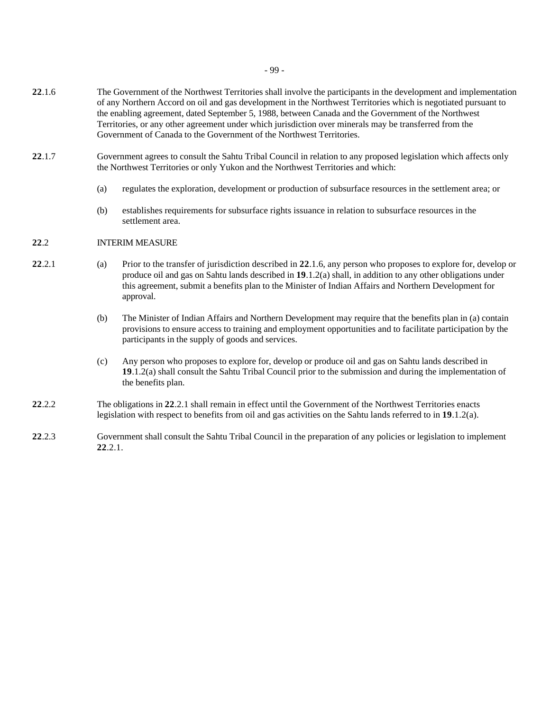- **22**.1.6 The Government of the Northwest Territories shall involve the participants in the development and implementation of any Northern Accord on oil and gas development in the Northwest Territories which is negotiated pursuant to the enabling agreement, dated September 5, 1988, between Canada and the Government of the Northwest Territories, or any other agreement under which jurisdiction over minerals may be transferred from the Government of Canada to the Government of the Northwest Territories.
- **22**.1.7 Government agrees to consult the Sahtu Tribal Council in relation to any proposed legislation which affects only the Northwest Territories or only Yukon and the Northwest Territories and which:
	- (a) regulates the exploration, development or production of subsurface resources in the settlement area; or
	- (b) establishes requirements for subsurface rights issuance in relation to subsurface resources in the settlement area.

### **22**.2 INTERIM MEASURE

- **22**.2.1 (a) Prior to the transfer of jurisdiction described in **22**.1.6, any person who proposes to explore for, develop or produce oil and gas on Sahtu lands described in **19**.1.2(a) shall, in addition to any other obligations under this agreement, submit a benefits plan to the Minister of Indian Affairs and Northern Development for approval.
	- (b) The Minister of Indian Affairs and Northern Development may require that the benefits plan in (a) contain provisions to ensure access to training and employment opportunities and to facilitate participation by the participants in the supply of goods and services.
	- (c) Any person who proposes to explore for, develop or produce oil and gas on Sahtu lands described in **19**.1.2(a) shall consult the Sahtu Tribal Council prior to the submission and during the implementation of the benefits plan.
- **22**.2.2 The obligations in **22**.2.1 shall remain in effect until the Government of the Northwest Territories enacts legislation with respect to benefits from oil and gas activities on the Sahtu lands referred to in **19**.1.2(a).
- **22**.2.3 Government shall consult the Sahtu Tribal Council in the preparation of any policies or legislation to implement **22**.2.1.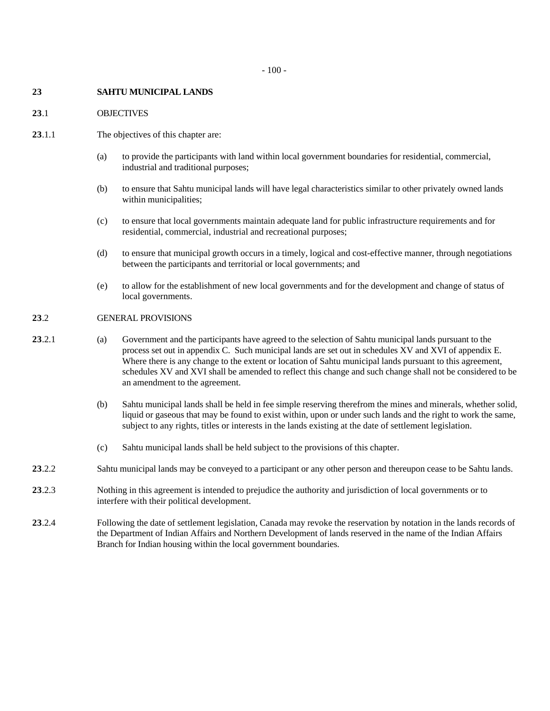#### **23 SAHTU MUNICIPAL LANDS**

#### **23**.1 OBJECTIVES

- **23**.1.1 The objectives of this chapter are:
	- (a) to provide the participants with land within local government boundaries for residential, commercial, industrial and traditional purposes;
	- (b) to ensure that Sahtu municipal lands will have legal characteristics similar to other privately owned lands within municipalities;
	- (c) to ensure that local governments maintain adequate land for public infrastructure requirements and for residential, commercial, industrial and recreational purposes;
	- (d) to ensure that municipal growth occurs in a timely, logical and cost-effective manner, through negotiations between the participants and territorial or local governments; and
	- (e) to allow for the establishment of new local governments and for the development and change of status of local governments.

### **23**.2 GENERAL PROVISIONS

- **23**.2.1 (a) Government and the participants have agreed to the selection of Sahtu municipal lands pursuant to the process set out in appendix C. Such municipal lands are set out in schedules XV and XVI of appendix E. Where there is any change to the extent or location of Sahtu municipal lands pursuant to this agreement, schedules XV and XVI shall be amended to reflect this change and such change shall not be considered to be an amendment to the agreement.
	- (b) Sahtu municipal lands shall be held in fee simple reserving therefrom the mines and minerals, whether solid, liquid or gaseous that may be found to exist within, upon or under such lands and the right to work the same, subject to any rights, titles or interests in the lands existing at the date of settlement legislation.
	- (c) Sahtu municipal lands shall be held subject to the provisions of this chapter.
- **23**.2.2 Sahtu municipal lands may be conveyed to a participant or any other person and thereupon cease to be Sahtu lands.
- **23**.2.3 Nothing in this agreement is intended to prejudice the authority and jurisdiction of local governments or to interfere with their political development.
- **23**.2.4 Following the date of settlement legislation, Canada may revoke the reservation by notation in the lands records of the Department of Indian Affairs and Northern Development of lands reserved in the name of the Indian Affairs Branch for Indian housing within the local government boundaries.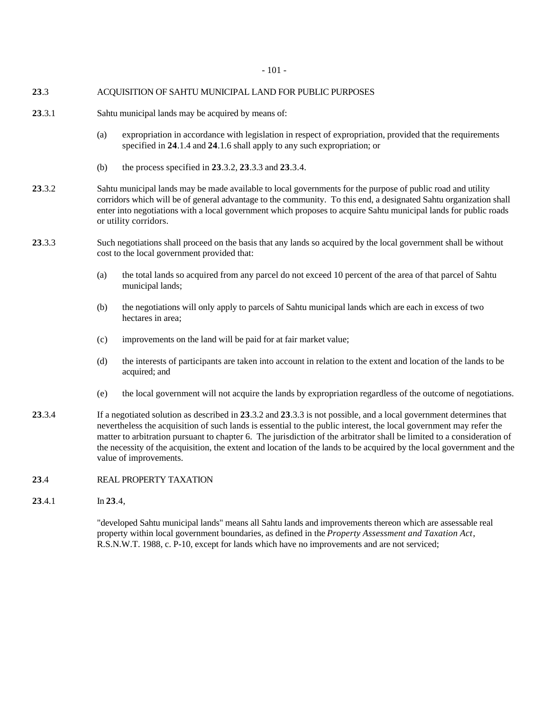# **23**.3 ACQUISITION OF SAHTU MUNICIPAL LAND FOR PUBLIC PURPOSES

- **23**.3.1 Sahtu municipal lands may be acquired by means of:
	- (a) expropriation in accordance with legislation in respect of expropriation, provided that the requirements specified in **24**.1.4 and **24**.1.6 shall apply to any such expropriation; or
	- (b) the process specified in **23**.3.2, **23**.3.3 and **23**.3.4.
- **23**.3.2 Sahtu municipal lands may be made available to local governments for the purpose of public road and utility corridors which will be of general advantage to the community. To this end, a designated Sahtu organization shall enter into negotiations with a local government which proposes to acquire Sahtu municipal lands for public roads or utility corridors.
- **23**.3.3 Such negotiations shall proceed on the basis that any lands so acquired by the local government shall be without cost to the local government provided that:
	- (a) the total lands so acquired from any parcel do not exceed 10 percent of the area of that parcel of Sahtu municipal lands;
	- (b) the negotiations will only apply to parcels of Sahtu municipal lands which are each in excess of two hectares in area;
	- (c) improvements on the land will be paid for at fair market value;
	- (d) the interests of participants are taken into account in relation to the extent and location of the lands to be acquired; and
	- (e) the local government will not acquire the lands by expropriation regardless of the outcome of negotiations.
- **23**.3.4 If a negotiated solution as described in **23**.3.2 and **23**.3.3 is not possible, and a local government determines that nevertheless the acquisition of such lands is essential to the public interest, the local government may refer the matter to arbitration pursuant to chapter 6. The jurisdiction of the arbitrator shall be limited to a consideration of the necessity of the acquisition, the extent and location of the lands to be acquired by the local government and the value of improvements.

# 23.4 REAL PROPERTY TAXATION

**23**.4.1 In **23**.4,

"developed Sahtu municipal lands" means all Sahtu lands and improvements thereon which are assessable real property within local government boundaries, as defined in the *Property Assessment and Taxation Act*, R.S.N.W.T. 1988, c. P-10, except for lands which have no improvements and are not serviced;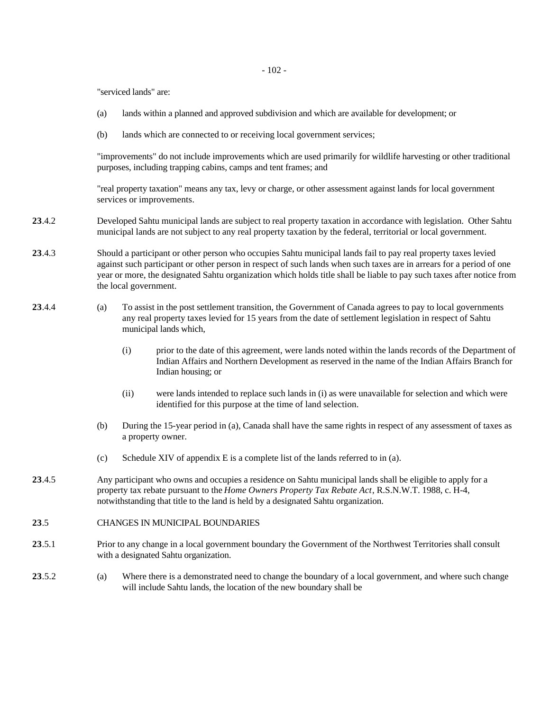"serviced lands" are:

- (a) lands within a planned and approved subdivision and which are available for development; or
- (b) lands which are connected to or receiving local government services;

"improvements" do not include improvements which are used primarily for wildlife harvesting or other traditional purposes, including trapping cabins, camps and tent frames; and

"real property taxation" means any tax, levy or charge, or other assessment against lands for local government services or improvements.

- **23**.4.2 Developed Sahtu municipal lands are subject to real property taxation in accordance with legislation. Other Sahtu municipal lands are not subject to any real property taxation by the federal, territorial or local government.
- **23**.4.3 Should a participant or other person who occupies Sahtu municipal lands fail to pay real property taxes levied against such participant or other person in respect of such lands when such taxes are in arrears for a period of one year or more, the designated Sahtu organization which holds title shall be liable to pay such taxes after notice from the local government.
- **23**.4.4 (a) To assist in the post settlement transition, the Government of Canada agrees to pay to local governments any real property taxes levied for 15 years from the date of settlement legislation in respect of Sahtu municipal lands which,
	- (i) prior to the date of this agreement, were lands noted within the lands records of the Department of Indian Affairs and Northern Development as reserved in the name of the Indian Affairs Branch for Indian housing; or
	- (ii) were lands intended to replace such lands in (i) as were unavailable for selection and which were identified for this purpose at the time of land selection.
	- (b) During the 15-year period in (a), Canada shall have the same rights in respect of any assessment of taxes as a property owner.
	- (c) Schedule XIV of appendix E is a complete list of the lands referred to in (a).
- **23**.4.5 Any participant who owns and occupies a residence on Sahtu municipal lands shall be eligible to apply for a property tax rebate pursuant to the *Home Owners Property Tax Rebate Act*, R.S.N.W.T. 1988, c. H-4, notwithstanding that title to the land is held by a designated Sahtu organization.
- **23**.5 CHANGES IN MUNICIPAL BOUNDARIES
- **23**.5.1 Prior to any change in a local government boundary the Government of the Northwest Territories shall consult with a designated Sahtu organization.
- **23**.5.2 (a) Where there is a demonstrated need to change the boundary of a local government, and where such change will include Sahtu lands, the location of the new boundary shall be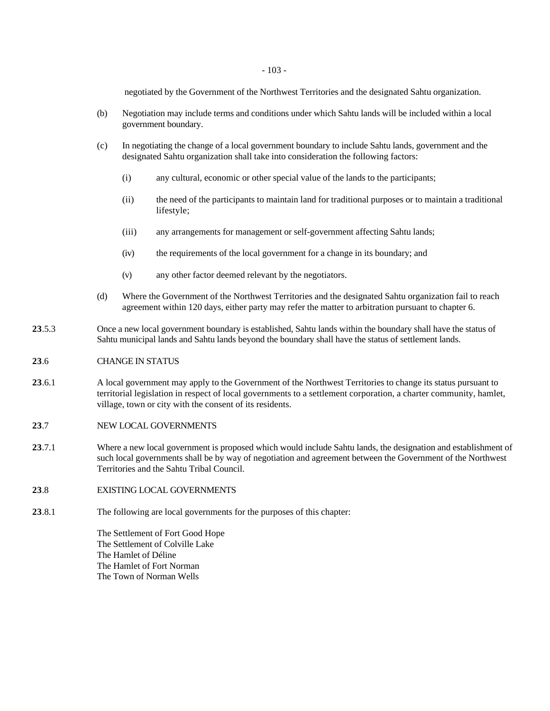negotiated by the Government of the Northwest Territories and the designated Sahtu organization.

- (b) Negotiation may include terms and conditions under which Sahtu lands will be included within a local government boundary.
- (c) In negotiating the change of a local government boundary to include Sahtu lands, government and the designated Sahtu organization shall take into consideration the following factors:
	- (i) any cultural, economic or other special value of the lands to the participants;
	- (ii) the need of the participants to maintain land for traditional purposes or to maintain a traditional lifestyle;
	- (iii) any arrangements for management or self-government affecting Sahtu lands;
	- (iv) the requirements of the local government for a change in its boundary; and
	- (v) any other factor deemed relevant by the negotiators.
- (d) Where the Government of the Northwest Territories and the designated Sahtu organization fail to reach agreement within 120 days, either party may refer the matter to arbitration pursuant to chapter 6.
- **23**.5.3 Once a new local government boundary is established, Sahtu lands within the boundary shall have the status of Sahtu municipal lands and Sahtu lands beyond the boundary shall have the status of settlement lands.

### **23**.6 CHANGE IN STATUS

**23**.6.1 A local government may apply to the Government of the Northwest Territories to change its status pursuant to territorial legislation in respect of local governments to a settlement corporation, a charter community, hamlet, village, town or city with the consent of its residents.

### **23**.7 NEW LOCAL GOVERNMENTS

- **23**.7.1 Where a new local government is proposed which would include Sahtu lands, the designation and establishment of such local governments shall be by way of negotiation and agreement between the Government of the Northwest Territories and the Sahtu Tribal Council.
- **23**.8 EXISTING LOCAL GOVERNMENTS
- **23**.8.1 The following are local governments for the purposes of this chapter:

The Settlement of Fort Good Hope The Settlement of Colville Lake The Hamlet of Déline The Hamlet of Fort Norman The Town of Norman Wells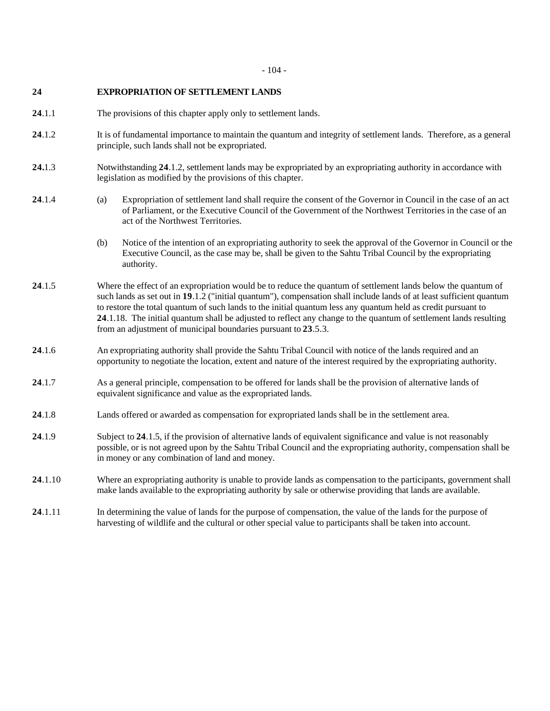# **24 EXPROPRIATION OF SETTLEMENT LANDS**

- **24**.1.1 The provisions of this chapter apply only to settlement lands.
- **24**.1.2 It is of fundamental importance to maintain the quantum and integrity of settlement lands. Therefore, as a general principle, such lands shall not be expropriated.
- **24.**1.3 Notwithstanding **24**.1.2, settlement lands may be expropriated by an expropriating authority in accordance with legislation as modified by the provisions of this chapter.
- **24**.1.4 (a) Expropriation of settlement land shall require the consent of the Governor in Council in the case of an act of Parliament, or the Executive Council of the Government of the Northwest Territories in the case of an act of the Northwest Territories.
	- (b) Notice of the intention of an expropriating authority to seek the approval of the Governor in Council or the Executive Council, as the case may be, shall be given to the Sahtu Tribal Council by the expropriating authority.
- **24**.1.5 Where the effect of an expropriation would be to reduce the quantum of settlement lands below the quantum of such lands as set out in **19**.1.2 ("initial quantum"), compensation shall include lands of at least sufficient quantum to restore the total quantum of such lands to the initial quantum less any quantum held as credit pursuant to **24**.1.18. The initial quantum shall be adjusted to reflect any change to the quantum of settlement lands resulting from an adjustment of municipal boundaries pursuant to **23**.5.3.
- **24**.1.6 An expropriating authority shall provide the Sahtu Tribal Council with notice of the lands required and an opportunity to negotiate the location, extent and nature of the interest required by the expropriating authority.
- **24**.1.7 As a general principle, compensation to be offered for lands shall be the provision of alternative lands of equivalent significance and value as the expropriated lands.
- **24**.1.8 Lands offered or awarded as compensation for expropriated lands shall be in the settlement area.
- **24**.1.9 Subject to **24**.1.5, if the provision of alternative lands of equivalent significance and value is not reasonably possible, or is not agreed upon by the Sahtu Tribal Council and the expropriating authority, compensation shall be in money or any combination of land and money.
- **24**.1.10 Where an expropriating authority is unable to provide lands as compensation to the participants, government shall make lands available to the expropriating authority by sale or otherwise providing that lands are available.
- **24**.1.11 In determining the value of lands for the purpose of compensation, the value of the lands for the purpose of harvesting of wildlife and the cultural or other special value to participants shall be taken into account.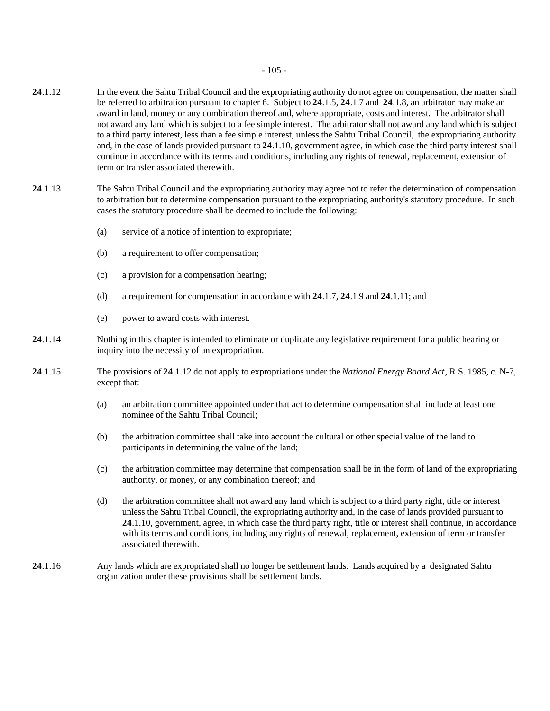- **24**.1.12 In the event the Sahtu Tribal Council and the expropriating authority do not agree on compensation, the matter shall be referred to arbitration pursuant to chapter 6. Subject to **24**.1.5, **24**.1.7 and **24**.1.8, an arbitrator may make an award in land, money or any combination thereof and, where appropriate, costs and interest. The arbitrator shall not award any land which is subject to a fee simple interest. The arbitrator shall not award any land which is subject to a third party interest, less than a fee simple interest, unless the Sahtu Tribal Council, the expropriating authority and, in the case of lands provided pursuant to **24**.1.10, government agree, in which case the third party interest shall continue in accordance with its terms and conditions, including any rights of renewal, replacement, extension of term or transfer associated therewith.
- **24**.1.13 The Sahtu Tribal Council and the expropriating authority may agree not to refer the determination of compensation to arbitration but to determine compensation pursuant to the expropriating authority's statutory procedure. In such cases the statutory procedure shall be deemed to include the following:
	- (a) service of a notice of intention to expropriate;
	- (b) a requirement to offer compensation;
	- (c) a provision for a compensation hearing;
	- (d) a requirement for compensation in accordance with **24**.1.7, **24**.1.9 and **24**.1.11; and
	- (e) power to award costs with interest.
- **24**.1.14 Nothing in this chapter is intended to eliminate or duplicate any legislative requirement for a public hearing or inquiry into the necessity of an expropriation.
- **24**.1.15 The provisions of **24**.1.12 do not apply to expropriations under the *National Energy Board Act*, R.S. 1985, c. N-7, except that:
	- (a) an arbitration committee appointed under that act to determine compensation shall include at least one nominee of the Sahtu Tribal Council;
	- (b) the arbitration committee shall take into account the cultural or other special value of the land to participants in determining the value of the land;
	- (c) the arbitration committee may determine that compensation shall be in the form of land of the expropriating authority, or money, or any combination thereof; and
	- (d) the arbitration committee shall not award any land which is subject to a third party right, title or interest unless the Sahtu Tribal Council, the expropriating authority and, in the case of lands provided pursuant to **24**.1.10, government, agree, in which case the third party right, title or interest shall continue, in accordance with its terms and conditions, including any rights of renewal, replacement, extension of term or transfer associated therewith.
- **24**.1.16 Any lands which are expropriated shall no longer be settlement lands. Lands acquired by a designated Sahtu organization under these provisions shall be settlement lands.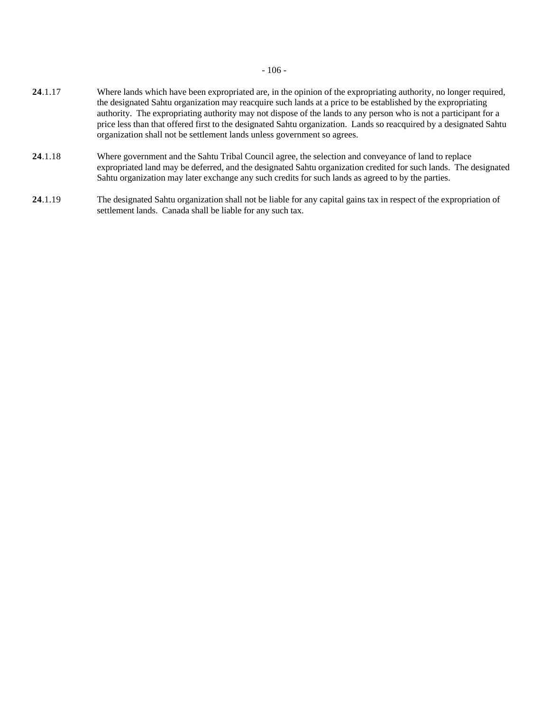- 106 -

- **24**.1.17 Where lands which have been expropriated are, in the opinion of the expropriating authority, no longer required, the designated Sahtu organization may reacquire such lands at a price to be established by the expropriating authority. The expropriating authority may not dispose of the lands to any person who is not a participant for a price less than that offered first to the designated Sahtu organization. Lands so reacquired by a designated Sahtu organization shall not be settlement lands unless government so agrees.
- **24**.1.18 Where government and the Sahtu Tribal Council agree, the selection and conveyance of land to replace expropriated land may be deferred, and the designated Sahtu organization credited for such lands. The designated Sahtu organization may later exchange any such credits for such lands as agreed to by the parties.
- **24**.1.19 The designated Sahtu organization shall not be liable for any capital gains tax in respect of the expropriation of settlement lands. Canada shall be liable for any such tax.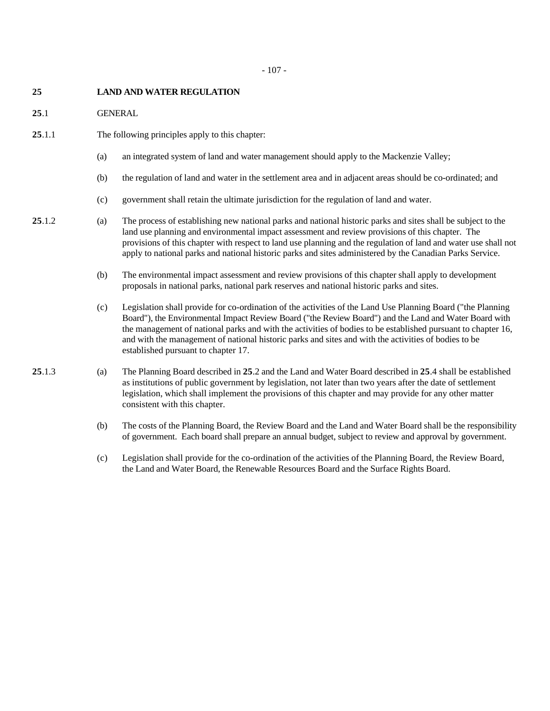### **25 LAND AND WATER REGULATION**

**25**.1 GENERAL

- **25**.1.1 The following principles apply to this chapter:
	- (a) an integrated system of land and water management should apply to the Mackenzie Valley;
	- (b) the regulation of land and water in the settlement area and in adjacent areas should be co-ordinated; and
	- (c) government shall retain the ultimate jurisdiction for the regulation of land and water.
- **25**.1.2 (a) The process of establishing new national parks and national historic parks and sites shall be subject to the land use planning and environmental impact assessment and review provisions of this chapter. The provisions of this chapter with respect to land use planning and the regulation of land and water use shall not apply to national parks and national historic parks and sites administered by the Canadian Parks Service.
	- (b) The environmental impact assessment and review provisions of this chapter shall apply to development proposals in national parks, national park reserves and national historic parks and sites.
	- (c) Legislation shall provide for co-ordination of the activities of the Land Use Planning Board ("the Planning Board"), the Environmental Impact Review Board ("the Review Board") and the Land and Water Board with the management of national parks and with the activities of bodies to be established pursuant to chapter 16, and with the management of national historic parks and sites and with the activities of bodies to be established pursuant to chapter 17.
- **25**.1.3 (a) The Planning Board described in **25**.2 and the Land and Water Board described in **25**.4 shall be established as institutions of public government by legislation, not later than two years after the date of settlement legislation, which shall implement the provisions of this chapter and may provide for any other matter consistent with this chapter.
	- (b) The costs of the Planning Board, the Review Board and the Land and Water Board shall be the responsibility of government. Each board shall prepare an annual budget, subject to review and approval by government.
	- (c) Legislation shall provide for the co-ordination of the activities of the Planning Board, the Review Board, the Land and Water Board, the Renewable Resources Board and the Surface Rights Board.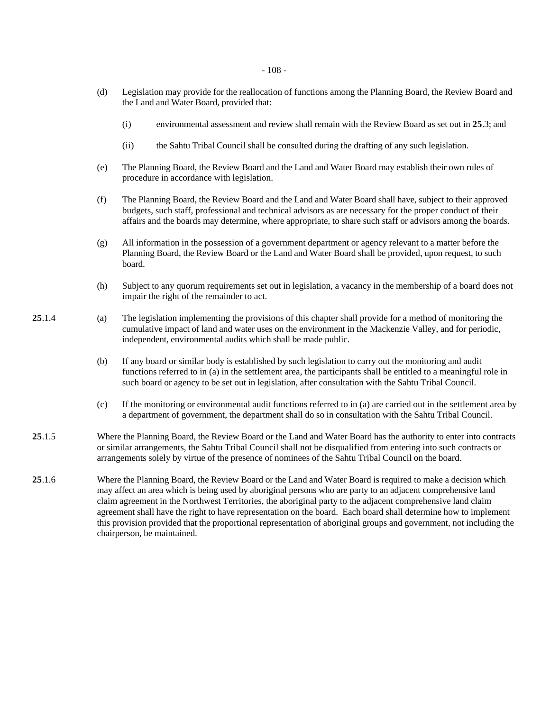- (d) Legislation may provide for the reallocation of functions among the Planning Board, the Review Board and the Land and Water Board, provided that:
	- (i) environmental assessment and review shall remain with the Review Board as set out in **25**.3; and
	- (ii) the Sahtu Tribal Council shall be consulted during the drafting of any such legislation.
- (e) The Planning Board, the Review Board and the Land and Water Board may establish their own rules of procedure in accordance with legislation.
- (f) The Planning Board, the Review Board and the Land and Water Board shall have, subject to their approved budgets, such staff, professional and technical advisors as are necessary for the proper conduct of their affairs and the boards may determine, where appropriate, to share such staff or advisors among the boards.
- (g) All information in the possession of a government department or agency relevant to a matter before the Planning Board, the Review Board or the Land and Water Board shall be provided, upon request, to such board.
- (h) Subject to any quorum requirements set out in legislation, a vacancy in the membership of a board does not impair the right of the remainder to act.
- **25**.1.4 (a) The legislation implementing the provisions of this chapter shall provide for a method of monitoring the cumulative impact of land and water uses on the environment in the Mackenzie Valley, and for periodic, independent, environmental audits which shall be made public.
	- (b) If any board or similar body is established by such legislation to carry out the monitoring and audit functions referred to in (a) in the settlement area, the participants shall be entitled to a meaningful role in such board or agency to be set out in legislation, after consultation with the Sahtu Tribal Council.
	- (c) If the monitoring or environmental audit functions referred to in (a) are carried out in the settlement area by a department of government, the department shall do so in consultation with the Sahtu Tribal Council.
- **25**.1.5 Where the Planning Board, the Review Board or the Land and Water Board has the authority to enter into contracts or similar arrangements, the Sahtu Tribal Council shall not be disqualified from entering into such contracts or arrangements solely by virtue of the presence of nominees of the Sahtu Tribal Council on the board.
- **25**.1.6 Where the Planning Board, the Review Board or the Land and Water Board is required to make a decision which may affect an area which is being used by aboriginal persons who are party to an adjacent comprehensive land claim agreement in the Northwest Territories, the aboriginal party to the adjacent comprehensive land claim agreement shall have the right to have representation on the board. Each board shall determine how to implement this provision provided that the proportional representation of aboriginal groups and government, not including the chairperson, be maintained.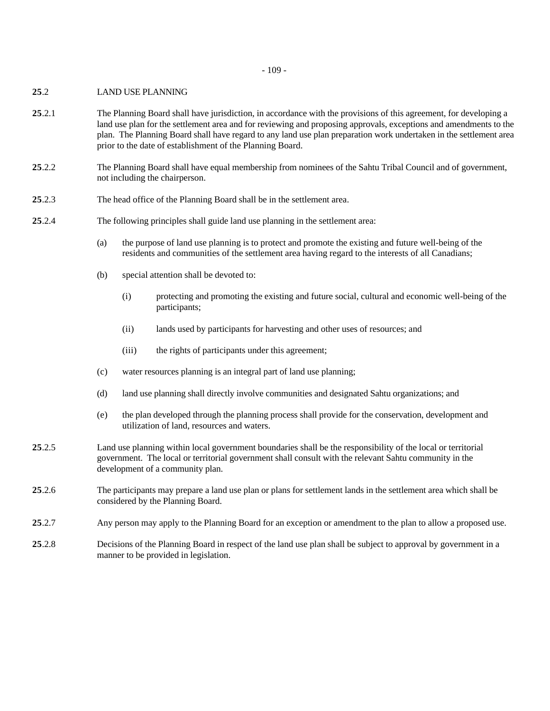- 109 -

### **25**.2 LAND USE PLANNING

- **25**.2.1 The Planning Board shall have jurisdiction, in accordance with the provisions of this agreement, for developing a land use plan for the settlement area and for reviewing and proposing approvals, exceptions and amendments to the plan. The Planning Board shall have regard to any land use plan preparation work undertaken in the settlement area prior to the date of establishment of the Planning Board.
- **25**.2.2 The Planning Board shall have equal membership from nominees of the Sahtu Tribal Council and of government, not including the chairperson.
- **25**.2.3 The head office of the Planning Board shall be in the settlement area.
- **25**.2.4 The following principles shall guide land use planning in the settlement area:
	- (a) the purpose of land use planning is to protect and promote the existing and future well-being of the residents and communities of the settlement area having regard to the interests of all Canadians;
	- (b) special attention shall be devoted to:
		- (i) protecting and promoting the existing and future social, cultural and economic well-being of the participants;
		- (ii) lands used by participants for harvesting and other uses of resources; and
		- (iii) the rights of participants under this agreement;
	- (c) water resources planning is an integral part of land use planning;
	- (d) land use planning shall directly involve communities and designated Sahtu organizations; and
	- (e) the plan developed through the planning process shall provide for the conservation, development and utilization of land, resources and waters.
- **25**.2.5 Land use planning within local government boundaries shall be the responsibility of the local or territorial government. The local or territorial government shall consult with the relevant Sahtu community in the development of a community plan.
- **25**.2.6 The participants may prepare a land use plan or plans for settlement lands in the settlement area which shall be considered by the Planning Board.
- **25**.2.7 Any person may apply to the Planning Board for an exception or amendment to the plan to allow a proposed use.
- **25**.2.8 Decisions of the Planning Board in respect of the land use plan shall be subject to approval by government in a manner to be provided in legislation.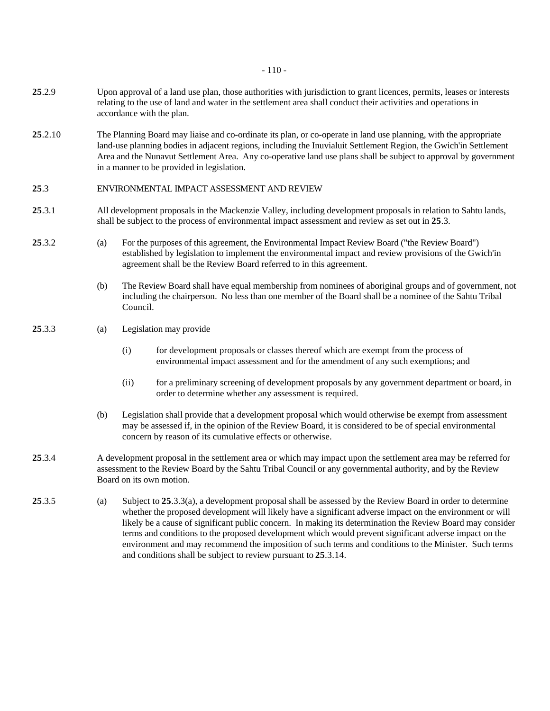- 110 -

- **25**.2.9 Upon approval of a land use plan, those authorities with jurisdiction to grant licences, permits, leases or interests relating to the use of land and water in the settlement area shall conduct their activities and operations in accordance with the plan.
- **25**.2.10 The Planning Board may liaise and co-ordinate its plan, or co-operate in land use planning, with the appropriate land-use planning bodies in adjacent regions, including the Inuvialuit Settlement Region, the Gwich'in Settlement Area and the Nunavut Settlement Area. Any co-operative land use plans shall be subject to approval by government in a manner to be provided in legislation.

## **25**.3 ENVIRONMENTAL IMPACT ASSESSMENT AND REVIEW

- **25**.3.1 All development proposals in the Mackenzie Valley, including development proposals in relation to Sahtu lands, shall be subject to the process of environmental impact assessment and review as set out in **25**.3.
- **25**.3.2 (a) For the purposes of this agreement, the Environmental Impact Review Board ("the Review Board") established by legislation to implement the environmental impact and review provisions of the Gwich'in agreement shall be the Review Board referred to in this agreement.
	- (b) The Review Board shall have equal membership from nominees of aboriginal groups and of government, not including the chairperson. No less than one member of the Board shall be a nominee of the Sahtu Tribal Council.

## **25**.3.3 (a) Legislation may provide

- (i) for development proposals or classes thereof which are exempt from the process of environmental impact assessment and for the amendment of any such exemptions; and
- (ii) for a preliminary screening of development proposals by any government department or board, in order to determine whether any assessment is required.
- (b) Legislation shall provide that a development proposal which would otherwise be exempt from assessment may be assessed if, in the opinion of the Review Board, it is considered to be of special environmental concern by reason of its cumulative effects or otherwise.
- **25**.3.4 A development proposal in the settlement area or which may impact upon the settlement area may be referred for assessment to the Review Board by the Sahtu Tribal Council or any governmental authority, and by the Review Board on its own motion.
- **25**.3.5 (a) Subject to **25**.3.3(a), a development proposal shall be assessed by the Review Board in order to determine whether the proposed development will likely have a significant adverse impact on the environment or will likely be a cause of significant public concern. In making its determination the Review Board may consider terms and conditions to the proposed development which would prevent significant adverse impact on the environment and may recommend the imposition of such terms and conditions to the Minister. Such terms and conditions shall be subject to review pursuant to **25**.3.14.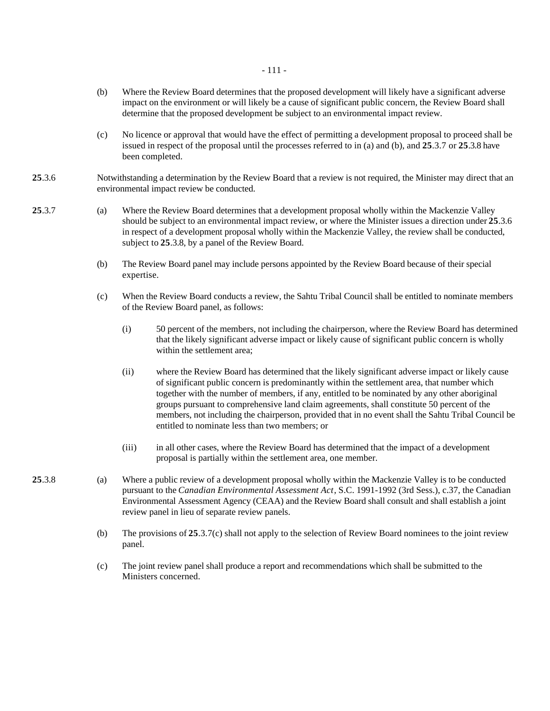- 111 -

- (b) Where the Review Board determines that the proposed development will likely have a significant adverse impact on the environment or will likely be a cause of significant public concern, the Review Board shall determine that the proposed development be subject to an environmental impact review.
- (c) No licence or approval that would have the effect of permitting a development proposal to proceed shall be issued in respect of the proposal until the processes referred to in (a) and (b), and **25**.3.7 or **25**.3.8 have been completed.
- **25**.3.6 Notwithstanding a determination by the Review Board that a review is not required, the Minister may direct that an environmental impact review be conducted.
- **25**.3.7 (a) Where the Review Board determines that a development proposal wholly within the Mackenzie Valley should be subject to an environmental impact review, or where the Minister issues a direction under **25**.3.6 in respect of a development proposal wholly within the Mackenzie Valley, the review shall be conducted, subject to **25**.3.8, by a panel of the Review Board.
	- (b) The Review Board panel may include persons appointed by the Review Board because of their special expertise.
	- (c) When the Review Board conducts a review, the Sahtu Tribal Council shall be entitled to nominate members of the Review Board panel, as follows:
		- (i) 50 percent of the members, not including the chairperson, where the Review Board has determined that the likely significant adverse impact or likely cause of significant public concern is wholly within the settlement area;
		- (ii) where the Review Board has determined that the likely significant adverse impact or likely cause of significant public concern is predominantly within the settlement area, that number which together with the number of members, if any, entitled to be nominated by any other aboriginal groups pursuant to comprehensive land claim agreements, shall constitute 50 percent of the members, not including the chairperson, provided that in no event shall the Sahtu Tribal Council be entitled to nominate less than two members; or
		- (iii) in all other cases, where the Review Board has determined that the impact of a development proposal is partially within the settlement area, one member.
- **25**.3.8 (a) Where a public review of a development proposal wholly within the Mackenzie Valley is to be conducted pursuant to the *Canadian Environmental Assessment Act*, S.C. 1991-1992 (3rd Sess.), c.37, the Canadian Environmental Assessment Agency (CEAA) and the Review Board shall consult and shall establish a joint review panel in lieu of separate review panels.
	- (b) The provisions of **25**.3.7(c) shall not apply to the selection of Review Board nominees to the joint review panel.
	- (c) The joint review panel shall produce a report and recommendations which shall be submitted to the Ministers concerned.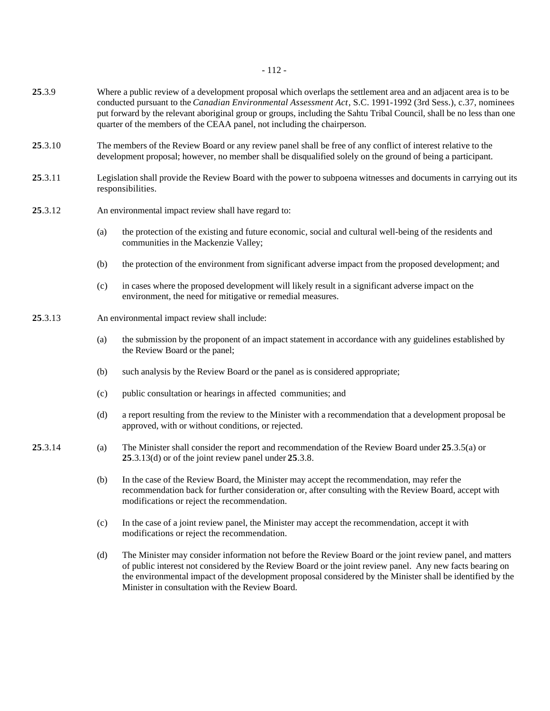- 112 -

- **25**.3.9 Where a public review of a development proposal which overlaps the settlement area and an adjacent area is to be conducted pursuant to the *Canadian Environmental Assessment Act*, S.C. 1991-1992 (3rd Sess.), c.37, nominees put forward by the relevant aboriginal group or groups, including the Sahtu Tribal Council, shall be no less than one quarter of the members of the CEAA panel, not including the chairperson.
- **25**.3.10 The members of the Review Board or any review panel shall be free of any conflict of interest relative to the development proposal; however, no member shall be disqualified solely on the ground of being a participant.
- **25**.3.11 Legislation shall provide the Review Board with the power to subpoena witnesses and documents in carrying out its responsibilities.
- **25**.3.12 An environmental impact review shall have regard to:
	- (a) the protection of the existing and future economic, social and cultural well-being of the residents and communities in the Mackenzie Valley;
	- (b) the protection of the environment from significant adverse impact from the proposed development; and
	- (c) in cases where the proposed development will likely result in a significant adverse impact on the environment, the need for mitigative or remedial measures.
- **25**.3.13 An environmental impact review shall include:
	- (a) the submission by the proponent of an impact statement in accordance with any guidelines established by the Review Board or the panel;
	- (b) such analysis by the Review Board or the panel as is considered appropriate;
	- (c) public consultation or hearings in affected communities; and
	- (d) a report resulting from the review to the Minister with a recommendation that a development proposal be approved, with or without conditions, or rejected.
- **25**.3.14 (a) The Minister shall consider the report and recommendation of the Review Board under **25**.3.5(a) or **25**.3.13(d) or of the joint review panel under **25**.3.8.
	- (b) In the case of the Review Board, the Minister may accept the recommendation, may refer the recommendation back for further consideration or, after consulting with the Review Board, accept with modifications or reject the recommendation.
	- (c) In the case of a joint review panel, the Minister may accept the recommendation, accept it with modifications or reject the recommendation.
	- (d) The Minister may consider information not before the Review Board or the joint review panel, and matters of public interest not considered by the Review Board or the joint review panel. Any new facts bearing on the environmental impact of the development proposal considered by the Minister shall be identified by the Minister in consultation with the Review Board.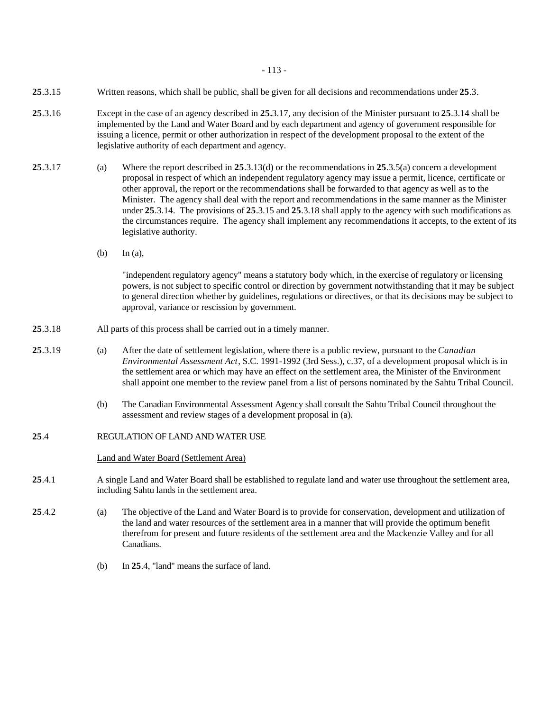- 113 -

- **25**.3.15 Written reasons, which shall be public, shall be given for all decisions and recommendations under **25**.3.
- **25**.3.16 Except in the case of an agency described in **25.**3.17, any decision of the Minister pursuant to **25**.3.14 shall be implemented by the Land and Water Board and by each department and agency of government responsible for issuing a licence, permit or other authorization in respect of the development proposal to the extent of the legislative authority of each department and agency.
- **25**.3.17 (a) Where the report described in **25**.3.13(d) or the recommendations in **25**.3.5(a) concern a development proposal in respect of which an independent regulatory agency may issue a permit, licence, certificate or other approval, the report or the recommendations shall be forwarded to that agency as well as to the Minister. The agency shall deal with the report and recommendations in the same manner as the Minister under **25**.3.14. The provisions of **25**.3.15 and **25**.3.18 shall apply to the agency with such modifications as the circumstances require. The agency shall implement any recommendations it accepts, to the extent of its legislative authority.
	- (b) In (a),

"independent regulatory agency" means a statutory body which, in the exercise of regulatory or licensing powers, is not subject to specific control or direction by government notwithstanding that it may be subject to general direction whether by guidelines, regulations or directives, or that its decisions may be subject to approval, variance or rescission by government.

- **25**.3.18 All parts of this process shall be carried out in a timely manner.
- **25**.3.19 (a) After the date of settlement legislation, where there is a public review, pursuant to the *Canadian Environmental Assessment Act*, S.C. 1991-1992 (3rd Sess.), c.37, of a development proposal which is in the settlement area or which may have an effect on the settlement area, the Minister of the Environment shall appoint one member to the review panel from a list of persons nominated by the Sahtu Tribal Council.
	- (b) The Canadian Environmental Assessment Agency shall consult the Sahtu Tribal Council throughout the assessment and review stages of a development proposal in (a).
- **25**.4 REGULATION OF LAND AND WATER USE

Land and Water Board (Settlement Area)

- **25**.4.1 A single Land and Water Board shall be established to regulate land and water use throughout the settlement area, including Sahtu lands in the settlement area.
- **25**.4.2 (a) The objective of the Land and Water Board is to provide for conservation, development and utilization of the land and water resources of the settlement area in a manner that will provide the optimum benefit therefrom for present and future residents of the settlement area and the Mackenzie Valley and for all Canadians.
	- (b) In **25**.4, "land" means the surface of land.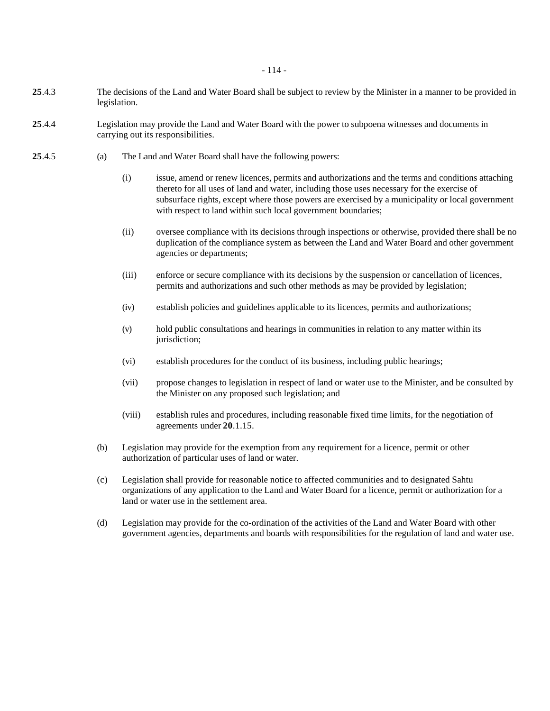- **25**.4.3 The decisions of the Land and Water Board shall be subject to review by the Minister in a manner to be provided in legislation.
- **25**.4.4 Legislation may provide the Land and Water Board with the power to subpoena witnesses and documents in carrying out its responsibilities.
- **25**.4.5 (a) The Land and Water Board shall have the following powers:
	- (i) issue, amend or renew licences, permits and authorizations and the terms and conditions attaching thereto for all uses of land and water, including those uses necessary for the exercise of subsurface rights, except where those powers are exercised by a municipality or local government with respect to land within such local government boundaries;
	- (ii) oversee compliance with its decisions through inspections or otherwise, provided there shall be no duplication of the compliance system as between the Land and Water Board and other government agencies or departments;
	- (iii) enforce or secure compliance with its decisions by the suspension or cancellation of licences, permits and authorizations and such other methods as may be provided by legislation;
	- (iv) establish policies and guidelines applicable to its licences, permits and authorizations;
	- (v) hold public consultations and hearings in communities in relation to any matter within its jurisdiction;
	- (vi) establish procedures for the conduct of its business, including public hearings;
	- (vii) propose changes to legislation in respect of land or water use to the Minister, and be consulted by the Minister on any proposed such legislation; and
	- (viii) establish rules and procedures, including reasonable fixed time limits, for the negotiation of agreements under **20**.1.15.
	- (b) Legislation may provide for the exemption from any requirement for a licence, permit or other authorization of particular uses of land or water.
	- (c) Legislation shall provide for reasonable notice to affected communities and to designated Sahtu organizations of any application to the Land and Water Board for a licence, permit or authorization for a land or water use in the settlement area.
	- (d) Legislation may provide for the co-ordination of the activities of the Land and Water Board with other government agencies, departments and boards with responsibilities for the regulation of land and water use.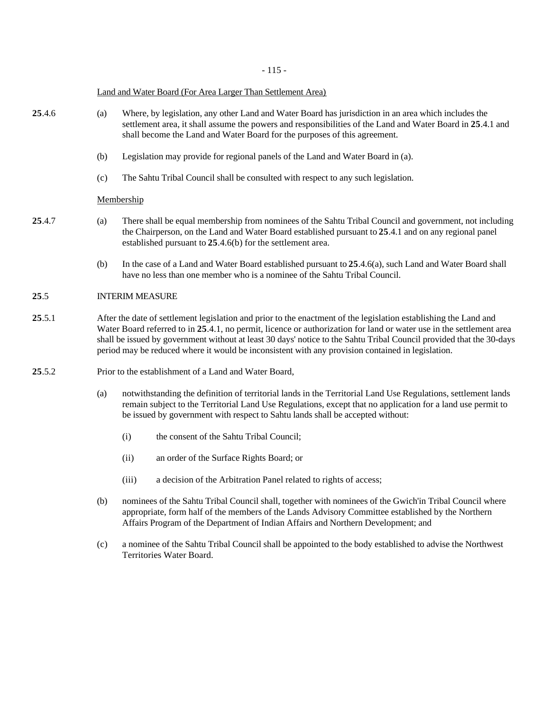- 115 -

#### Land and Water Board (For Area Larger Than Settlement Area)

- **25**.4.6 (a) Where, by legislation, any other Land and Water Board has jurisdiction in an area which includes the settlement area, it shall assume the powers and responsibilities of the Land and Water Board in **25**.4.1 and shall become the Land and Water Board for the purposes of this agreement.
	- (b) Legislation may provide for regional panels of the Land and Water Board in (a).
	- (c) The Sahtu Tribal Council shall be consulted with respect to any such legislation.

### Membership

- **25**.4.7 (a) There shall be equal membership from nominees of the Sahtu Tribal Council and government, not including the Chairperson, on the Land and Water Board established pursuant to **25**.4.1 and on any regional panel established pursuant to **25**.4.6(b) for the settlement area.
	- (b) In the case of a Land and Water Board established pursuant to **25**.4.6(a), such Land and Water Board shall have no less than one member who is a nominee of the Sahtu Tribal Council.

# **25**.5 INTERIM MEASURE

- **25**.5.1 After the date of settlement legislation and prior to the enactment of the legislation establishing the Land and Water Board referred to in **25**.4.1, no permit, licence or authorization for land or water use in the settlement area shall be issued by government without at least 30 days' notice to the Sahtu Tribal Council provided that the 30-days period may be reduced where it would be inconsistent with any provision contained in legislation.
- 25.5.2 Prior to the establishment of a Land and Water Board,
	- (a) notwithstanding the definition of territorial lands in the Territorial Land Use Regulations, settlement lands remain subject to the Territorial Land Use Regulations, except that no application for a land use permit to be issued by government with respect to Sahtu lands shall be accepted without:
		- (i) the consent of the Sahtu Tribal Council;
		- (ii) an order of the Surface Rights Board; or
		- (iii) a decision of the Arbitration Panel related to rights of access;
	- (b) nominees of the Sahtu Tribal Council shall, together with nominees of the Gwich'in Tribal Council where appropriate, form half of the members of the Lands Advisory Committee established by the Northern Affairs Program of the Department of Indian Affairs and Northern Development; and
	- (c) a nominee of the Sahtu Tribal Council shall be appointed to the body established to advise the Northwest Territories Water Board.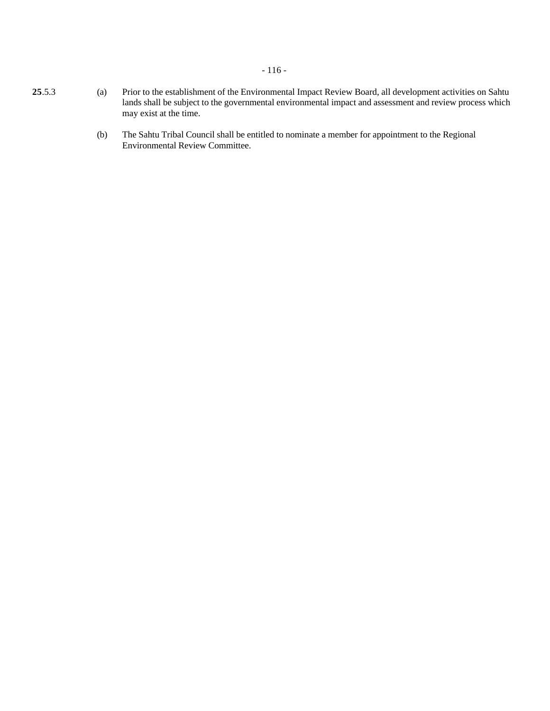# - 116 -

- **25**.5.3 (a) Prior to the establishment of the Environmental Impact Review Board, all development activities on Sahtu lands shall be subject to the governmental environmental impact and assessment and review process which may exist at the time.
	- (b) The Sahtu Tribal Council shall be entitled to nominate a member for appointment to the Regional Environmental Review Committee.
-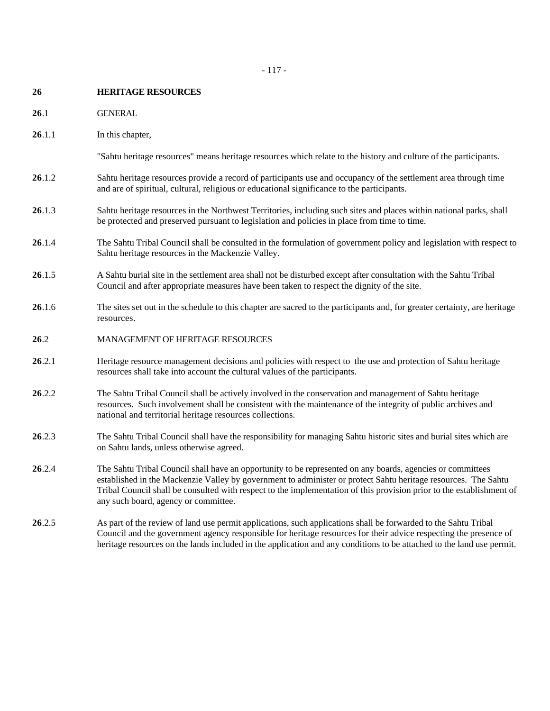- **26 HERITAGE RESOURCES**
- **26**.1 GENERAL
- **26**.1.1 In this chapter,

"Sahtu heritage resources" means heritage resources which relate to the history and culture of the participants.

- **26**.1.2 Sahtu heritage resources provide a record of participants use and occupancy of the settlement area through time and are of spiritual, cultural, religious or educational significance to the participants.
- **26**.1.3 Sahtu heritage resources in the Northwest Territories, including such sites and places within national parks, shall be protected and preserved pursuant to legislation and policies in place from time to time.
- **26**.1.4 The Sahtu Tribal Council shall be consulted in the formulation of government policy and legislation with respect to Sahtu heritage resources in the Mackenzie Valley.
- **26**.1.5 A Sahtu burial site in the settlement area shall not be disturbed except after consultation with the Sahtu Tribal Council and after appropriate measures have been taken to respect the dignity of the site.
- **26**.1.6 The sites set out in the schedule to this chapter are sacred to the participants and, for greater certainty, are heritage resources.
- **26**.2 MANAGEMENT OF HERITAGE RESOURCES
- **26**.2.1 Heritage resource management decisions and policies with respect to the use and protection of Sahtu heritage resources shall take into account the cultural values of the participants.
- **26**.2.2 The Sahtu Tribal Council shall be actively involved in the conservation and management of Sahtu heritage resources. Such involvement shall be consistent with the maintenance of the integrity of public archives and national and territorial heritage resources collections.
- **26**.2.3 The Sahtu Tribal Council shall have the responsibility for managing Sahtu historic sites and burial sites which are on Sahtu lands, unless otherwise agreed.
- **26**.2.4 The Sahtu Tribal Council shall have an opportunity to be represented on any boards, agencies or committees established in the Mackenzie Valley by government to administer or protect Sahtu heritage resources. The Sahtu Tribal Council shall be consulted with respect to the implementation of this provision prior to the establishment of any such board, agency or committee.
- **26**.2.5 As part of the review of land use permit applications, such applications shall be forwarded to the Sahtu Tribal Council and the government agency responsible for heritage resources for their advice respecting the presence of heritage resources on the lands included in the application and any conditions to be attached to the land use permit.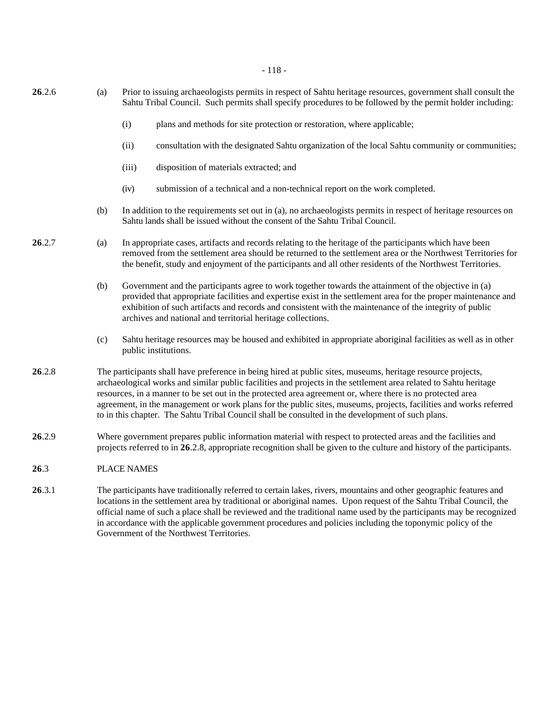- 118 -

| 26.2.6 | (a) | Prior to issuing archaeologists permits in respect of Sahtu heritage resources, government shall consult the<br>Sahtu Tribal Council. Such permits shall specify procedures to be followed by the permit holder including:                                                                                                                                                                                                                                                                                                                                             |                                                                                                                                                                                                                                                                                                                                                                                                   |  |
|--------|-----|------------------------------------------------------------------------------------------------------------------------------------------------------------------------------------------------------------------------------------------------------------------------------------------------------------------------------------------------------------------------------------------------------------------------------------------------------------------------------------------------------------------------------------------------------------------------|---------------------------------------------------------------------------------------------------------------------------------------------------------------------------------------------------------------------------------------------------------------------------------------------------------------------------------------------------------------------------------------------------|--|
|        |     | (i)                                                                                                                                                                                                                                                                                                                                                                                                                                                                                                                                                                    | plans and methods for site protection or restoration, where applicable;                                                                                                                                                                                                                                                                                                                           |  |
|        |     | (ii)                                                                                                                                                                                                                                                                                                                                                                                                                                                                                                                                                                   | consultation with the designated Sahtu organization of the local Sahtu community or communities;                                                                                                                                                                                                                                                                                                  |  |
|        |     | (iii)                                                                                                                                                                                                                                                                                                                                                                                                                                                                                                                                                                  | disposition of materials extracted; and                                                                                                                                                                                                                                                                                                                                                           |  |
|        |     | (iv)                                                                                                                                                                                                                                                                                                                                                                                                                                                                                                                                                                   | submission of a technical and a non-technical report on the work completed.                                                                                                                                                                                                                                                                                                                       |  |
|        | (b) |                                                                                                                                                                                                                                                                                                                                                                                                                                                                                                                                                                        | In addition to the requirements set out in (a), no archaeologists permits in respect of heritage resources on<br>Sahtu lands shall be issued without the consent of the Sahtu Tribal Council.                                                                                                                                                                                                     |  |
| 26.2.7 | (a) |                                                                                                                                                                                                                                                                                                                                                                                                                                                                                                                                                                        | In appropriate cases, artifacts and records relating to the heritage of the participants which have been<br>removed from the settlement area should be returned to the settlement area or the Northwest Territories for<br>the benefit, study and enjoyment of the participants and all other residents of the Northwest Territories.                                                             |  |
|        | (b) |                                                                                                                                                                                                                                                                                                                                                                                                                                                                                                                                                                        | Government and the participants agree to work together towards the attainment of the objective in (a)<br>provided that appropriate facilities and expertise exist in the settlement area for the proper maintenance and<br>exhibition of such artifacts and records and consistent with the maintenance of the integrity of public<br>archives and national and territorial heritage collections. |  |
|        | (c) |                                                                                                                                                                                                                                                                                                                                                                                                                                                                                                                                                                        | Sahtu heritage resources may be housed and exhibited in appropriate aboriginal facilities as well as in other<br>public institutions.                                                                                                                                                                                                                                                             |  |
| 26.2.8 |     | The participants shall have preference in being hired at public sites, museums, heritage resource projects,<br>archaeological works and similar public facilities and projects in the settlement area related to Sahtu heritage<br>resources, in a manner to be set out in the protected area agreement or, where there is no protected area<br>agreement, in the management or work plans for the public sites, museums, projects, facilities and works referred<br>to in this chapter. The Sahtu Tribal Council shall be consulted in the development of such plans. |                                                                                                                                                                                                                                                                                                                                                                                                   |  |
| 26.2.9 |     | Where government prepares public information material with respect to protected areas and the facilities and<br>projects referred to in 26.2.8, appropriate recognition shall be given to the culture and history of the participants.                                                                                                                                                                                                                                                                                                                                 |                                                                                                                                                                                                                                                                                                                                                                                                   |  |
| 26.3   |     | <b>PLACE NAMES</b>                                                                                                                                                                                                                                                                                                                                                                                                                                                                                                                                                     |                                                                                                                                                                                                                                                                                                                                                                                                   |  |
| 26.3.1 |     | The participants have traditionally referred to certain lakes, rivers, mountains and other geographic features and<br>locations in the settlement area by traditional or aboriginal names. Upon request of the Sahtu Tribal Council, the                                                                                                                                                                                                                                                                                                                               |                                                                                                                                                                                                                                                                                                                                                                                                   |  |

locations in the settlement area by traditional or aboriginal names. Upon request of the Sahtu Tribal Council, the official name of such a place shall be reviewed and the traditional name used by the participants may be recognized in accordance with the applicable government procedures and policies including the toponymic policy of the Government of the Northwest Territories.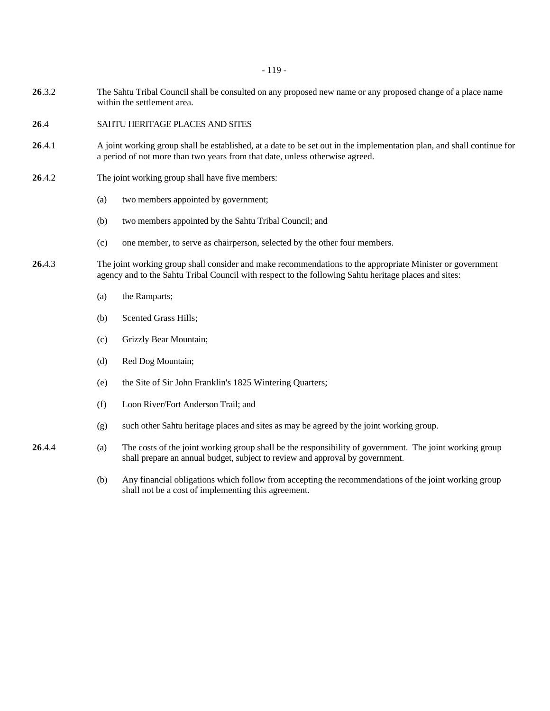- 119 -

- **26**.3.2 The Sahtu Tribal Council shall be consulted on any proposed new name or any proposed change of a place name within the settlement area.
- **26**.4 SAHTU HERITAGE PLACES AND SITES
- **26**.4.1 A joint working group shall be established, at a date to be set out in the implementation plan, and shall continue for a period of not more than two years from that date, unless otherwise agreed.
- **26**.4.2 The joint working group shall have five members:
	- (a) two members appointed by government;
	- (b) two members appointed by the Sahtu Tribal Council; and
	- (c) one member, to serve as chairperson, selected by the other four members.
- **26.**4.3 The joint working group shall consider and make recommendations to the appropriate Minister or government agency and to the Sahtu Tribal Council with respect to the following Sahtu heritage places and sites:
	- (a) the Ramparts;
	- (b) Scented Grass Hills;
	- (c) Grizzly Bear Mountain;
	- (d) Red Dog Mountain;
	- (e) the Site of Sir John Franklin's 1825 Wintering Quarters;
	- (f) Loon River/Fort Anderson Trail; and
	- (g) such other Sahtu heritage places and sites as may be agreed by the joint working group.
- **26**.4.4 (a) The costs of the joint working group shall be the responsibility of government. The joint working group shall prepare an annual budget, subject to review and approval by government.
	- (b) Any financial obligations which follow from accepting the recommendations of the joint working group shall not be a cost of implementing this agreement.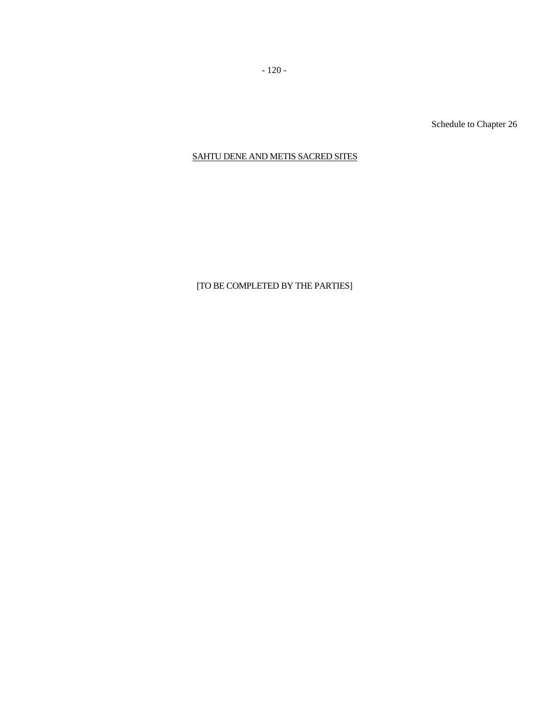Schedule to Chapter 26

# SAHTU DENE AND METIS SACRED SITES

# [TO BE COMPLETED BY THE PARTIES]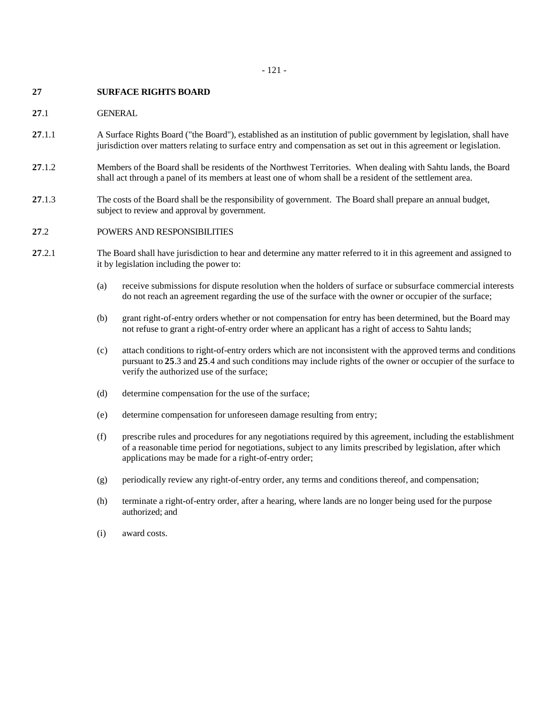### **27 SURFACE RIGHTS BOARD**

## **27**.1 GENERAL

- **27**.1.1 A Surface Rights Board ("the Board"), established as an institution of public government by legislation, shall have jurisdiction over matters relating to surface entry and compensation as set out in this agreement or legislation.
- **27**.1.2 Members of the Board shall be residents of the Northwest Territories. When dealing with Sahtu lands, the Board shall act through a panel of its members at least one of whom shall be a resident of the settlement area.
- **27**.1.3 The costs of the Board shall be the responsibility of government. The Board shall prepare an annual budget, subject to review and approval by government.

# **27**.2 POWERS AND RESPONSIBILITIES

- **27.2.1** The Board shall have jurisdiction to hear and determine any matter referred to it in this agreement and assigned to it by legislation including the power to:
	- (a) receive submissions for dispute resolution when the holders of surface or subsurface commercial interests do not reach an agreement regarding the use of the surface with the owner or occupier of the surface;
	- (b) grant right-of-entry orders whether or not compensation for entry has been determined, but the Board may not refuse to grant a right-of-entry order where an applicant has a right of access to Sahtu lands;
	- (c) attach conditions to right-of-entry orders which are not inconsistent with the approved terms and conditions pursuant to **25**.3 and **25**.4 and such conditions may include rights of the owner or occupier of the surface to verify the authorized use of the surface;
	- (d) determine compensation for the use of the surface;
	- (e) determine compensation for unforeseen damage resulting from entry;
	- (f) prescribe rules and procedures for any negotiations required by this agreement, including the establishment of a reasonable time period for negotiations, subject to any limits prescribed by legislation, after which applications may be made for a right-of-entry order;
	- (g) periodically review any right-of-entry order, any terms and conditions thereof, and compensation;
	- (h) terminate a right-of-entry order, after a hearing, where lands are no longer being used for the purpose authorized; and
	- (i) award costs.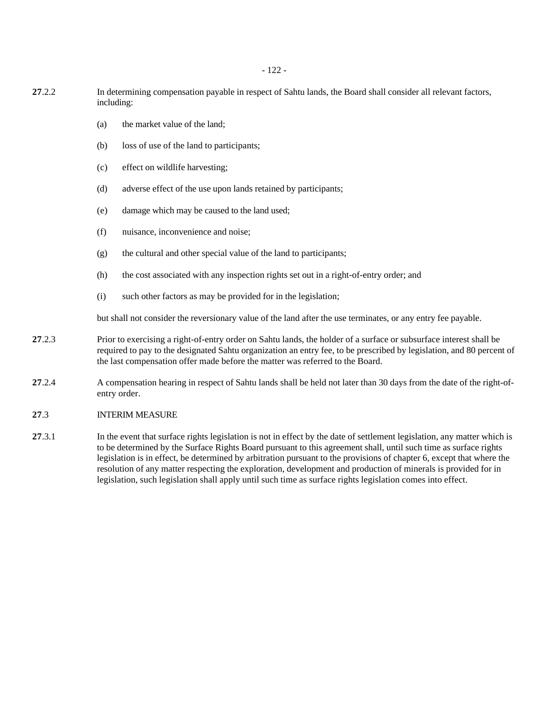- 122 -

- **27**.2.2 In determining compensation payable in respect of Sahtu lands, the Board shall consider all relevant factors, including:
	- (a) the market value of the land;
	- (b) loss of use of the land to participants;
	- (c) effect on wildlife harvesting;
	- (d) adverse effect of the use upon lands retained by participants;
	- (e) damage which may be caused to the land used;
	- (f) nuisance, inconvenience and noise;
	- (g) the cultural and other special value of the land to participants;
	- (h) the cost associated with any inspection rights set out in a right-of-entry order; and
	- (i) such other factors as may be provided for in the legislation;

but shall not consider the reversionary value of the land after the use terminates, or any entry fee payable.

- **27**.2.3 Prior to exercising a right-of-entry order on Sahtu lands, the holder of a surface or subsurface interest shall be required to pay to the designated Sahtu organization an entry fee, to be prescribed by legislation, and 80 percent of the last compensation offer made before the matter was referred to the Board.
- **27.2.4** A compensation hearing in respect of Sahtu lands shall be held not later than 30 days from the date of the right-ofentry order.

## **27**.3 INTERIM MEASURE

**27**.3.1 In the event that surface rights legislation is not in effect by the date of settlement legislation, any matter which is to be determined by the Surface Rights Board pursuant to this agreement shall, until such time as surface rights legislation is in effect, be determined by arbitration pursuant to the provisions of chapter 6, except that where the resolution of any matter respecting the exploration, development and production of minerals is provided for in legislation, such legislation shall apply until such time as surface rights legislation comes into effect.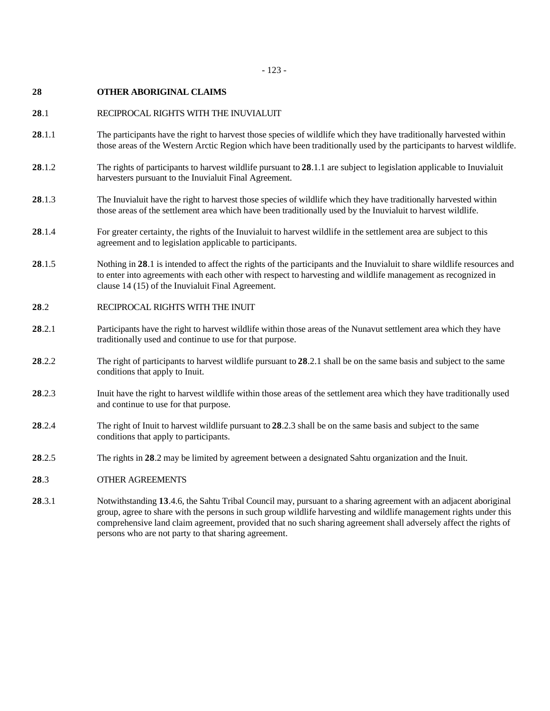## **28 OTHER ABORIGINAL CLAIMS**

## **28**.1 RECIPROCAL RIGHTS WITH THE INUVIALUIT

- **28**.1.1 The participants have the right to harvest those species of wildlife which they have traditionally harvested within those areas of the Western Arctic Region which have been traditionally used by the participants to harvest wildlife.
- **28**.1.2 The rights of participants to harvest wildlife pursuant to **28**.1.1 are subject to legislation applicable to Inuvialuit harvesters pursuant to the Inuvialuit Final Agreement.
- **28**.1.3 The Inuvialuit have the right to harvest those species of wildlife which they have traditionally harvested within those areas of the settlement area which have been traditionally used by the Inuvialuit to harvest wildlife.
- **28**.1.4 For greater certainty, the rights of the Inuvialuit to harvest wildlife in the settlement area are subject to this agreement and to legislation applicable to participants.
- **28**.1.5 Nothing in **28**.1 is intended to affect the rights of the participants and the Inuvialuit to share wildlife resources and to enter into agreements with each other with respect to harvesting and wildlife management as recognized in clause 14 (15) of the Inuvialuit Final Agreement.

## **28**.2 RECIPROCAL RIGHTS WITH THE INUIT

- **28**.2.1 Participants have the right to harvest wildlife within those areas of the Nunavut settlement area which they have traditionally used and continue to use for that purpose.
- **28**.2.2 The right of participants to harvest wildlife pursuant to **28**.2.1 shall be on the same basis and subject to the same conditions that apply to Inuit.
- **28**.2.3 Inuit have the right to harvest wildlife within those areas of the settlement area which they have traditionally used and continue to use for that purpose.
- **28**.2.4 The right of Inuit to harvest wildlife pursuant to **28**.2.3 shall be on the same basis and subject to the same conditions that apply to participants.
- **28**.2.5 The rights in **28**.2 may be limited by agreement between a designated Sahtu organization and the Inuit.

## **28**.3 OTHER AGREEMENTS

**28**.3.1 Notwithstanding **13**.4.6, the Sahtu Tribal Council may, pursuant to a sharing agreement with an adjacent aboriginal group, agree to share with the persons in such group wildlife harvesting and wildlife management rights under this comprehensive land claim agreement, provided that no such sharing agreement shall adversely affect the rights of persons who are not party to that sharing agreement.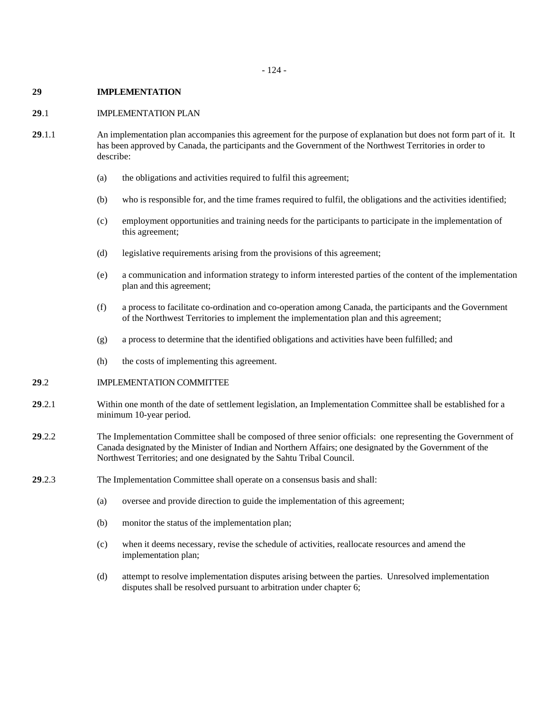### **29 IMPLEMENTATION**

### **29**.1 IMPLEMENTATION PLAN

- **29**.1.1 An implementation plan accompanies this agreement for the purpose of explanation but does not form part of it. It has been approved by Canada, the participants and the Government of the Northwest Territories in order to describe:
	- (a) the obligations and activities required to fulfil this agreement;
	- (b) who is responsible for, and the time frames required to fulfil, the obligations and the activities identified;
	- (c) employment opportunities and training needs for the participants to participate in the implementation of this agreement;
	- (d) legislative requirements arising from the provisions of this agreement;
	- (e) a communication and information strategy to inform interested parties of the content of the implementation plan and this agreement;
	- (f) a process to facilitate co-ordination and co-operation among Canada, the participants and the Government of the Northwest Territories to implement the implementation plan and this agreement;
	- (g) a process to determine that the identified obligations and activities have been fulfilled; and
	- (h) the costs of implementing this agreement.

# **29**.2 IMPLEMENTATION COMMITTEE

- **29**.2.1 Within one month of the date of settlement legislation, an Implementation Committee shall be established for a minimum 10-year period.
- **29**.2.2 The Implementation Committee shall be composed of three senior officials: one representing the Government of Canada designated by the Minister of Indian and Northern Affairs; one designated by the Government of the Northwest Territories; and one designated by the Sahtu Tribal Council.
- **29**.2.3 The Implementation Committee shall operate on a consensus basis and shall:
	- (a) oversee and provide direction to guide the implementation of this agreement;
	- (b) monitor the status of the implementation plan;
	- (c) when it deems necessary, revise the schedule of activities, reallocate resources and amend the implementation plan;
	- (d) attempt to resolve implementation disputes arising between the parties. Unresolved implementation disputes shall be resolved pursuant to arbitration under chapter 6;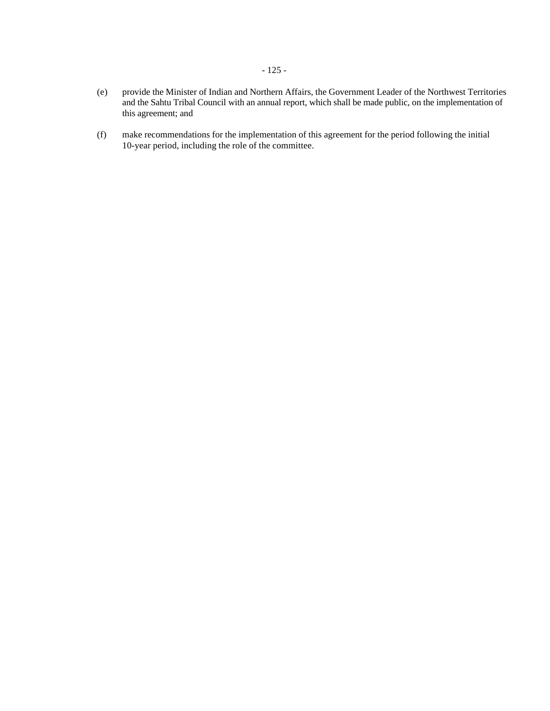- (e) provide the Minister of Indian and Northern Affairs, the Government Leader of the Northwest Territories and the Sahtu Tribal Council with an annual report, which shall be made public, on the implementation of this agreement; and
- (f) make recommendations for the implementation of this agreement for the period following the initial 10-year period, including the role of the committee.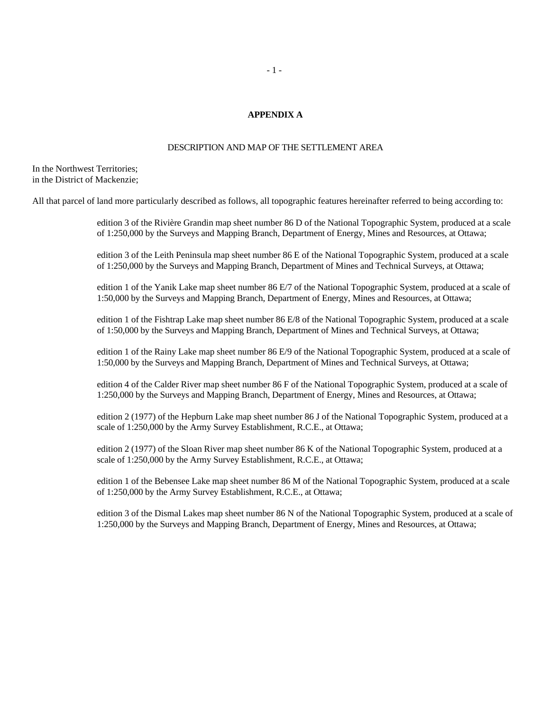# - 1 -

### **APPENDIX A**

### DESCRIPTION AND MAP OF THE SETTLEMENT AREA

In the Northwest Territories; in the District of Mackenzie;

All that parcel of land more particularly described as follows, all topographic features hereinafter referred to being according to:

edition 3 of the Rivière Grandin map sheet number 86 D of the National Topographic System, produced at a scale of 1:250,000 by the Surveys and Mapping Branch, Department of Energy, Mines and Resources, at Ottawa;

edition 3 of the Leith Peninsula map sheet number 86 E of the National Topographic System, produced at a scale of 1:250,000 by the Surveys and Mapping Branch, Department of Mines and Technical Surveys, at Ottawa;

edition 1 of the Yanik Lake map sheet number 86 E/7 of the National Topographic System, produced at a scale of 1:50,000 by the Surveys and Mapping Branch, Department of Energy, Mines and Resources, at Ottawa;

edition 1 of the Fishtrap Lake map sheet number 86 E/8 of the National Topographic System, produced at a scale of 1:50,000 by the Surveys and Mapping Branch, Department of Mines and Technical Surveys, at Ottawa;

edition 1 of the Rainy Lake map sheet number 86 E/9 of the National Topographic System, produced at a scale of 1:50,000 by the Surveys and Mapping Branch, Department of Mines and Technical Surveys, at Ottawa;

edition 4 of the Calder River map sheet number 86 F of the National Topographic System, produced at a scale of 1:250,000 by the Surveys and Mapping Branch, Department of Energy, Mines and Resources, at Ottawa;

edition 2 (1977) of the Hepburn Lake map sheet number 86 J of the National Topographic System, produced at a scale of 1:250,000 by the Army Survey Establishment, R.C.E., at Ottawa;

edition 2 (1977) of the Sloan River map sheet number 86 K of the National Topographic System, produced at a scale of 1:250,000 by the Army Survey Establishment, R.C.E., at Ottawa;

edition 1 of the Bebensee Lake map sheet number 86 M of the National Topographic System, produced at a scale of 1:250,000 by the Army Survey Establishment, R.C.E., at Ottawa;

edition 3 of the Dismal Lakes map sheet number 86 N of the National Topographic System, produced at a scale of 1:250,000 by the Surveys and Mapping Branch, Department of Energy, Mines and Resources, at Ottawa;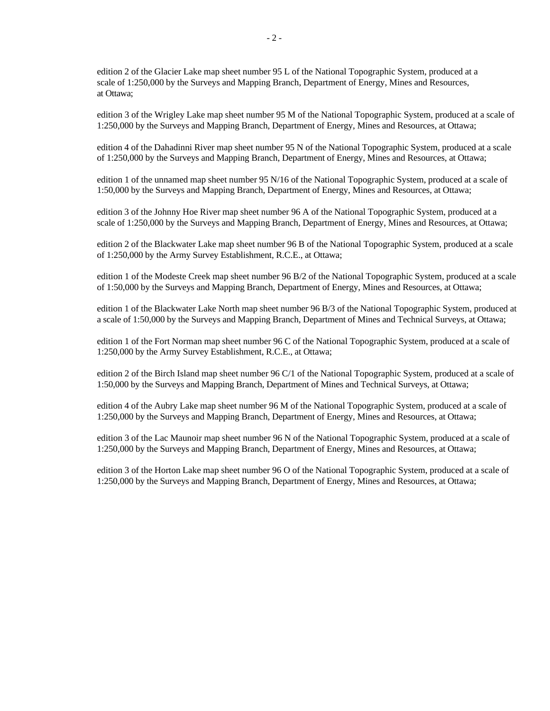edition 2 of the Glacier Lake map sheet number 95 L of the National Topographic System, produced at a scale of 1:250,000 by the Surveys and Mapping Branch, Department of Energy, Mines and Resources, at Ottawa;

edition 3 of the Wrigley Lake map sheet number 95 M of the National Topographic System, produced at a scale of 1:250,000 by the Surveys and Mapping Branch, Department of Energy, Mines and Resources, at Ottawa;

edition 4 of the Dahadinni River map sheet number 95 N of the National Topographic System, produced at a scale of 1:250,000 by the Surveys and Mapping Branch, Department of Energy, Mines and Resources, at Ottawa;

edition 1 of the unnamed map sheet number 95 N/16 of the National Topographic System, produced at a scale of 1:50,000 by the Surveys and Mapping Branch, Department of Energy, Mines and Resources, at Ottawa;

edition 3 of the Johnny Hoe River map sheet number 96 A of the National Topographic System, produced at a scale of 1:250,000 by the Surveys and Mapping Branch, Department of Energy, Mines and Resources, at Ottawa;

edition 2 of the Blackwater Lake map sheet number 96 B of the National Topographic System, produced at a scale of 1:250,000 by the Army Survey Establishment, R.C.E., at Ottawa;

edition 1 of the Modeste Creek map sheet number 96 B/2 of the National Topographic System, produced at a scale of 1:50,000 by the Surveys and Mapping Branch, Department of Energy, Mines and Resources, at Ottawa;

edition 1 of the Blackwater Lake North map sheet number 96 B/3 of the National Topographic System, produced at a scale of 1:50,000 by the Surveys and Mapping Branch, Department of Mines and Technical Surveys, at Ottawa;

edition 1 of the Fort Norman map sheet number 96 C of the National Topographic System, produced at a scale of 1:250,000 by the Army Survey Establishment, R.C.E., at Ottawa;

edition 2 of the Birch Island map sheet number 96 C/1 of the National Topographic System, produced at a scale of 1:50,000 by the Surveys and Mapping Branch, Department of Mines and Technical Surveys, at Ottawa;

edition 4 of the Aubry Lake map sheet number 96 M of the National Topographic System, produced at a scale of 1:250,000 by the Surveys and Mapping Branch, Department of Energy, Mines and Resources, at Ottawa;

edition 3 of the Lac Maunoir map sheet number 96 N of the National Topographic System, produced at a scale of 1:250,000 by the Surveys and Mapping Branch, Department of Energy, Mines and Resources, at Ottawa;

edition 3 of the Horton Lake map sheet number 96 O of the National Topographic System, produced at a scale of 1:250,000 by the Surveys and Mapping Branch, Department of Energy, Mines and Resources, at Ottawa;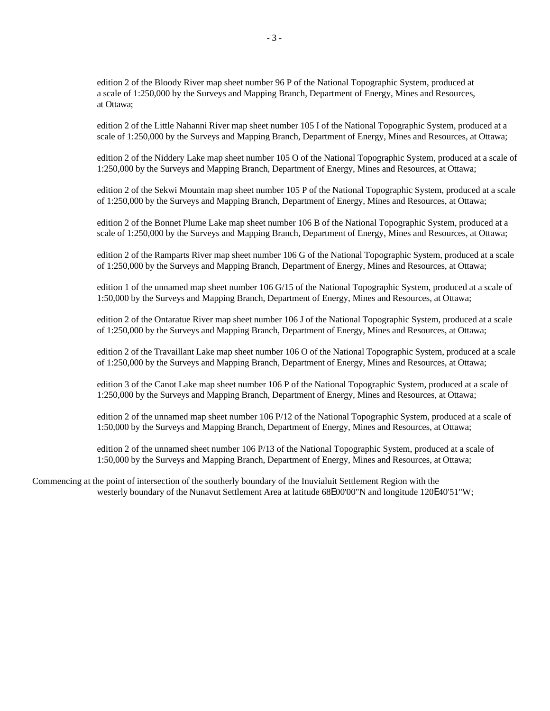edition 2 of the Bloody River map sheet number 96 P of the National Topographic System, produced at a scale of 1:250,000 by the Surveys and Mapping Branch, Department of Energy, Mines and Resources, at Ottawa;

edition 2 of the Little Nahanni River map sheet number 105 I of the National Topographic System, produced at a scale of 1:250,000 by the Surveys and Mapping Branch, Department of Energy, Mines and Resources, at Ottawa;

edition 2 of the Niddery Lake map sheet number 105 O of the National Topographic System, produced at a scale of 1:250,000 by the Surveys and Mapping Branch, Department of Energy, Mines and Resources, at Ottawa;

edition 2 of the Sekwi Mountain map sheet number 105 P of the National Topographic System, produced at a scale of 1:250,000 by the Surveys and Mapping Branch, Department of Energy, Mines and Resources, at Ottawa;

edition 2 of the Bonnet Plume Lake map sheet number 106 B of the National Topographic System, produced at a scale of 1:250,000 by the Surveys and Mapping Branch, Department of Energy, Mines and Resources, at Ottawa;

edition 2 of the Ramparts River map sheet number 106 G of the National Topographic System, produced at a scale of 1:250,000 by the Surveys and Mapping Branch, Department of Energy, Mines and Resources, at Ottawa;

edition 1 of the unnamed map sheet number 106 G/15 of the National Topographic System, produced at a scale of 1:50,000 by the Surveys and Mapping Branch, Department of Energy, Mines and Resources, at Ottawa;

edition 2 of the Ontaratue River map sheet number 106 J of the National Topographic System, produced at a scale of 1:250,000 by the Surveys and Mapping Branch, Department of Energy, Mines and Resources, at Ottawa;

edition 2 of the Travaillant Lake map sheet number 106 O of the National Topographic System, produced at a scale of 1:250,000 by the Surveys and Mapping Branch, Department of Energy, Mines and Resources, at Ottawa;

edition 3 of the Canot Lake map sheet number 106 P of the National Topographic System, produced at a scale of 1:250,000 by the Surveys and Mapping Branch, Department of Energy, Mines and Resources, at Ottawa;

edition 2 of the unnamed map sheet number 106 P/12 of the National Topographic System, produced at a scale of 1:50,000 by the Surveys and Mapping Branch, Department of Energy, Mines and Resources, at Ottawa;

edition 2 of the unnamed sheet number 106 P/13 of the National Topographic System, produced at a scale of 1:50,000 by the Surveys and Mapping Branch, Department of Energy, Mines and Resources, at Ottawa;

Commencing at the point of intersection of the southerly boundary of the Inuvialuit Settlement Region with the westerly boundary of the Nunavut Settlement Area at latitude 68E00'00"N and longitude 120E40'51"W;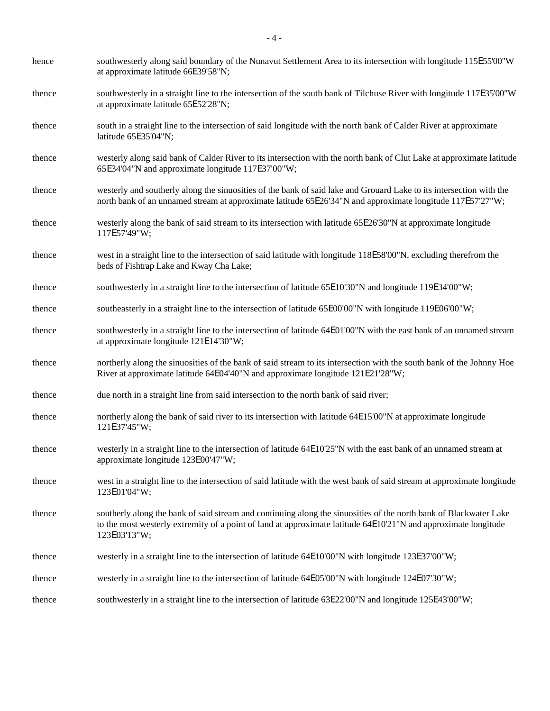| hence  | southwesterly along said boundary of the Nunavut Settlement Area to its intersection with longitude 115E55'00"W<br>at approximate latitude 66E39'58"N;                                                                                              |
|--------|-----------------------------------------------------------------------------------------------------------------------------------------------------------------------------------------------------------------------------------------------------|
| thence | southwesterly in a straight line to the intersection of the south bank of Tilchuse River with longitude 117E35'00"W<br>at approximate latitude 65E52'28"N;                                                                                          |
| thence | south in a straight line to the intersection of said longitude with the north bank of Calder River at approximate<br>latitude 65E35'04"N;                                                                                                           |
| thence | westerly along said bank of Calder River to its intersection with the north bank of Clut Lake at approximate latitude<br>65E34'04"N and approximate longitude 117E37'00"W;                                                                          |
| thence | westerly and southerly along the sinuosities of the bank of said lake and Grouard Lake to its intersection with the<br>north bank of an unnamed stream at approximate latitude 65E26'34"N and approximate longitude 117E57'27"W;                    |
| thence | westerly along the bank of said stream to its intersection with latitude 65E26'30"N at approximate longitude<br>117E57'49"W;                                                                                                                        |
| thence | west in a straight line to the intersection of said latitude with longitude 118E58'00"N, excluding therefrom the<br>beds of Fishtrap Lake and Kway Cha Lake;                                                                                        |
| thence | southwesterly in a straight line to the intersection of latitude 65E10'30"N and longitude 119E34'00"W;                                                                                                                                              |
| thence | southeasterly in a straight line to the intersection of latitude 65E00'00"N with longitude 119E06'00"W;                                                                                                                                             |
| thence | southwesterly in a straight line to the intersection of latitude 64E01'00"N with the east bank of an unnamed stream<br>at approximate longitude 121E14'30"W;                                                                                        |
| thence | northerly along the sinuosities of the bank of said stream to its intersection with the south bank of the Johnny Hoe<br>River at approximate latitude 64E04'40"N and approximate longitude 121E21'28"W;                                             |
| thence | due north in a straight line from said intersection to the north bank of said river;                                                                                                                                                                |
| thence | northerly along the bank of said river to its intersection with latitude 64E15'00"N at approximate longitude<br>121E37'45"W;                                                                                                                        |
| thence | westerly in a straight line to the intersection of latitude 64E10'25"N with the east bank of an unnamed stream at<br>approximate longitude 123E00'47"W;                                                                                             |
| thence | west in a straight line to the intersection of said latitude with the west bank of said stream at approximate longitude<br>123E01'04"W;                                                                                                             |
| thence | southerly along the bank of said stream and continuing along the sinuosities of the north bank of Blackwater Lake<br>to the most westerly extremity of a point of land at approximate latitude 64E10'21"N and approximate longitude<br>123E03'13"W; |
| thence | westerly in a straight line to the intersection of latitude 64E10'00"N with longitude 123E37'00"W;                                                                                                                                                  |
| thence | westerly in a straight line to the intersection of latitude 64E05'00"N with longitude 124E07'30"W;                                                                                                                                                  |
| thence | southwesterly in a straight line to the intersection of latitude 63E22'00"N and longitude 125E43'00"W;                                                                                                                                              |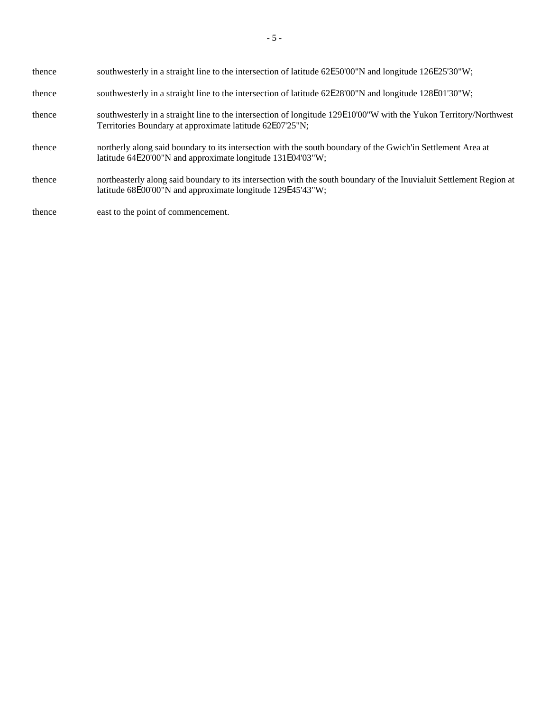| thence | southwesterly in a straight line to the intersection of latitude 62E50'00"N and longitude 126E25'30"W;                                                                             |
|--------|------------------------------------------------------------------------------------------------------------------------------------------------------------------------------------|
| thence | southwesterly in a straight line to the intersection of latitude 62E28'00"N and longitude 128E01'30"W;                                                                             |
| thence | southwesterly in a straight line to the intersection of longitude 129E10'00"W with the Yukon Territory/Northwest<br>Territories Boundary at approximate latitude 62E07'25"N;       |
| thence | northerly along said boundary to its intersection with the south boundary of the Gwich'in Settlement Area at<br>latitude 64E20'00"N and approximate longitude 131E04'03"W;         |
| thence | northeasterly along said boundary to its intersection with the south boundary of the Inuvialuit Settlement Region at<br>latitude 68E00'00"N and approximate longitude 129E45'43"W; |
| thence | east to the point of commencement.                                                                                                                                                 |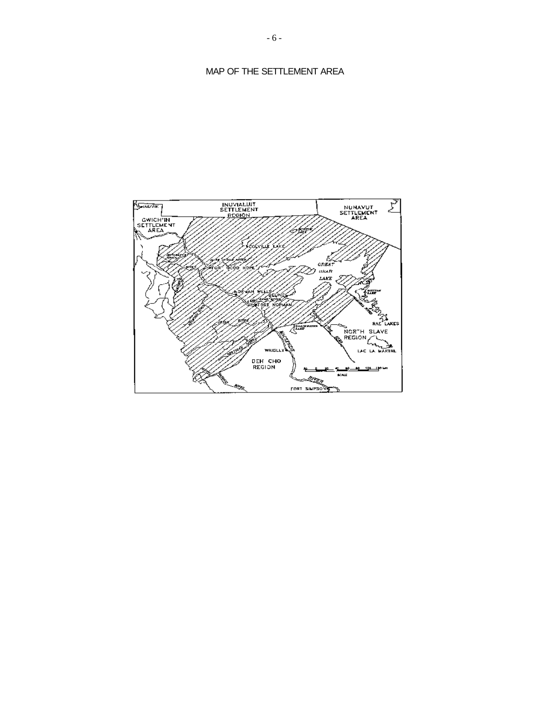# MAP OF THE SETTLEMENT AREA

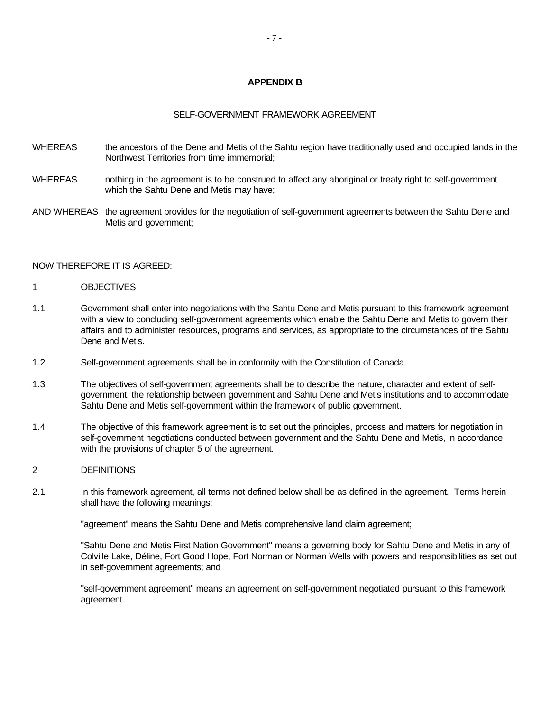# **APPENDIX B**

#### SELF-GOVERNMENT FRAMEWORK AGREEMENT

- WHEREAS the ancestors of the Dene and Metis of the Sahtu region have traditionally used and occupied lands in the Northwest Territories from time immemorial;
- WHEREAS nothing in the agreement is to be construed to affect any aboriginal or treaty right to self-government which the Sahtu Dene and Metis may have;
- AND WHEREAS the agreement provides for the negotiation of self-government agreements between the Sahtu Dene and Metis and government;

#### NOW THEREFORE IT IS AGREED:

#### 1 OBJECTIVES

- 1.1 Government shall enter into negotiations with the Sahtu Dene and Metis pursuant to this framework agreement with a view to concluding self-government agreements which enable the Sahtu Dene and Metis to govern their affairs and to administer resources, programs and services, as appropriate to the circumstances of the Sahtu Dene and Metis.
- 1.2 Self-government agreements shall be in conformity with the Constitution of Canada.
- 1.3 The objectives of self-government agreements shall be to describe the nature, character and extent of selfgovernment, the relationship between government and Sahtu Dene and Metis institutions and to accommodate Sahtu Dene and Metis self-government within the framework of public government.
- 1.4 The objective of this framework agreement is to set out the principles, process and matters for negotiation in self-government negotiations conducted between government and the Sahtu Dene and Metis, in accordance with the provisions of chapter 5 of the agreement.

#### 2 DEFINITIONS

2.1 In this framework agreement, all terms not defined below shall be as defined in the agreement. Terms herein shall have the following meanings:

"agreement" means the Sahtu Dene and Metis comprehensive land claim agreement;

"Sahtu Dene and Metis First Nation Government" means a governing body for Sahtu Dene and Metis in any of Colville Lake, Déline, Fort Good Hope, Fort Norman or Norman Wells with powers and responsibilities as set out in self-government agreements; and

"self-government agreement" means an agreement on self-government negotiated pursuant to this framework agreement.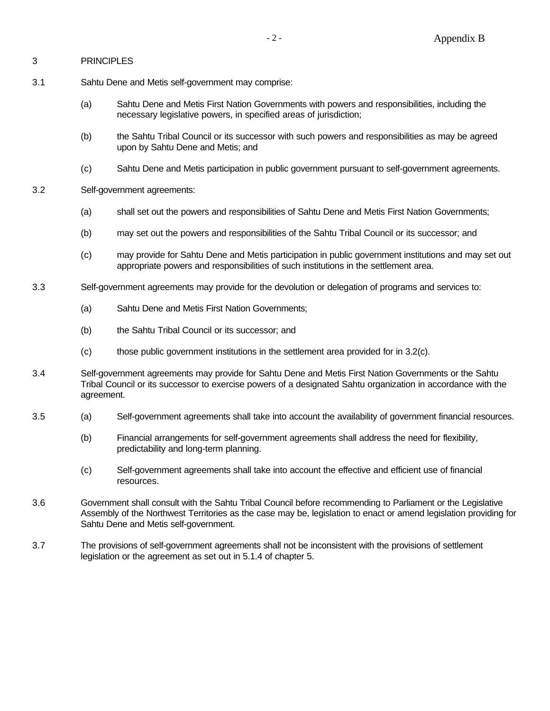## 3 PRINCIPLES

- 3.1 Sahtu Dene and Metis self-government may comprise:
	- (a) Sahtu Dene and Metis First Nation Governments with powers and responsibilities, including the necessary legislative powers, in specified areas of jurisdiction;
	- (b) the Sahtu Tribal Council or its successor with such powers and responsibilities as may be agreed upon by Sahtu Dene and Metis; and
	- (c) Sahtu Dene and Metis participation in public government pursuant to self-government agreements.
- 3.2 Self-government agreements:
	- (a) shall set out the powers and responsibilities of Sahtu Dene and Metis First Nation Governments;
	- (b) may set out the powers and responsibilities of the Sahtu Tribal Council or its successor; and
	- (c) may provide for Sahtu Dene and Metis participation in public government institutions and may set out appropriate powers and responsibilities of such institutions in the settlement area.
- 3.3 Self-government agreements may provide for the devolution or delegation of programs and services to:
	- (a) Sahtu Dene and Metis First Nation Governments;
	- (b) the Sahtu Tribal Council or its successor; and
	- (c) those public government institutions in the settlement area provided for in 3.2(c).
- 3.4 Self-government agreements may provide for Sahtu Dene and Metis First Nation Governments or the Sahtu Tribal Council or its successor to exercise powers of a designated Sahtu organization in accordance with the agreement.
- 3.5 (a) Self-government agreements shall take into account the availability of government financial resources.
	- (b) Financial arrangements for self-government agreements shall address the need for flexibility, predictability and long-term planning.
	- (c) Self-government agreements shall take into account the effective and efficient use of financial resources.
- 3.6 Government shall consult with the Sahtu Tribal Council before recommending to Parliament or the Legislative Assembly of the Northwest Territories as the case may be, legislation to enact or amend legislation providing for Sahtu Dene and Metis self-government.
- 3.7 The provisions of self-government agreements shall not be inconsistent with the provisions of settlement legislation or the agreement as set out in 5.1.4 of chapter 5.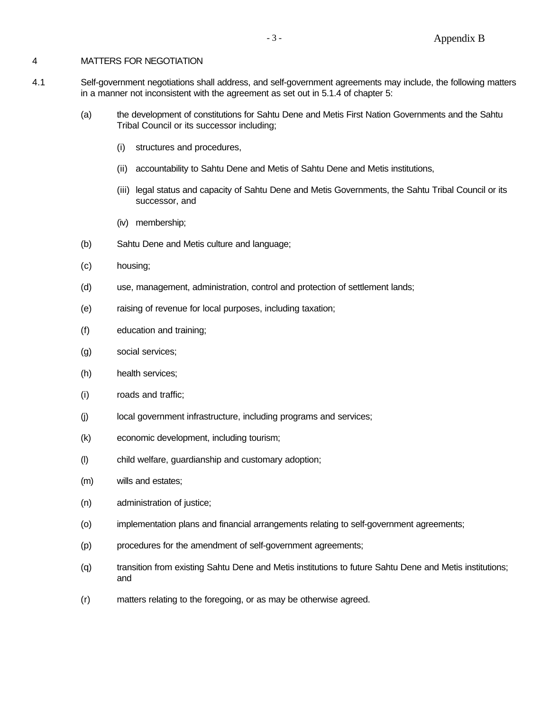### 4 MATTERS FOR NEGOTIATION

- 4.1 Self-government negotiations shall address, and self-government agreements may include, the following matters in a manner not inconsistent with the agreement as set out in 5.1.4 of chapter 5:
	- (a) the development of constitutions for Sahtu Dene and Metis First Nation Governments and the Sahtu Tribal Council or its successor including;
		- (i) structures and procedures,
		- (ii) accountability to Sahtu Dene and Metis of Sahtu Dene and Metis institutions,
		- (iii) legal status and capacity of Sahtu Dene and Metis Governments, the Sahtu Tribal Council or its successor, and
		- (iv) membership;
	- (b) Sahtu Dene and Metis culture and language;
	- (c) housing;
	- (d) use, management, administration, control and protection of settlement lands;
	- (e) raising of revenue for local purposes, including taxation;
	- (f) education and training;
	- (g) social services;
	- (h) health services;
	- (i) roads and traffic;
	- (j) local government infrastructure, including programs and services;
	- (k) economic development, including tourism;
	- (l) child welfare, guardianship and customary adoption;
	- (m) wills and estates;
	- (n) administration of justice;
	- (o) implementation plans and financial arrangements relating to self-government agreements;
	- (p) procedures for the amendment of self-government agreements;
	- (q) transition from existing Sahtu Dene and Metis institutions to future Sahtu Dene and Metis institutions; and
	- (r) matters relating to the foregoing, or as may be otherwise agreed.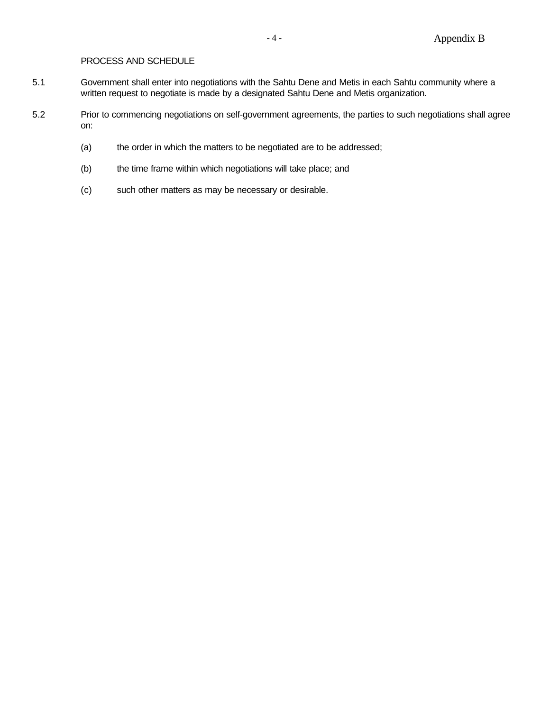# PROCESS AND SCHEDULE

- 5.1 Government shall enter into negotiations with the Sahtu Dene and Metis in each Sahtu community where a written request to negotiate is made by a designated Sahtu Dene and Metis organization.
- 5.2 Prior to commencing negotiations on self-government agreements, the parties to such negotiations shall agree on:
	- (a) the order in which the matters to be negotiated are to be addressed;
	- (b) the time frame within which negotiations will take place; and
	- (c) such other matters as may be necessary or desirable.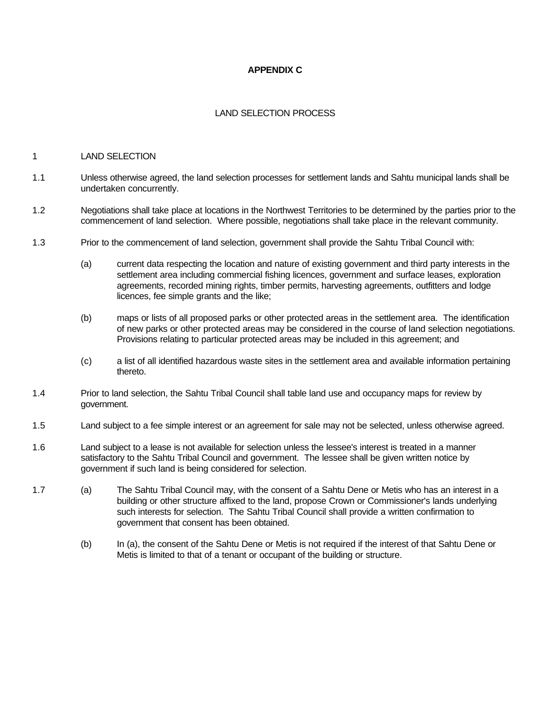## **APPENDIX C**

## LAND SELECTION PROCESS

#### 1 LAND SELECTION

- 1.1 Unless otherwise agreed, the land selection processes for settlement lands and Sahtu municipal lands shall be undertaken concurrently.
- 1.2 Negotiations shall take place at locations in the Northwest Territories to be determined by the parties prior to the commencement of land selection. Where possible, negotiations shall take place in the relevant community.
- 1.3 Prior to the commencement of land selection, government shall provide the Sahtu Tribal Council with:
	- (a) current data respecting the location and nature of existing government and third party interests in the settlement area including commercial fishing licences, government and surface leases, exploration agreements, recorded mining rights, timber permits, harvesting agreements, outfitters and lodge licences, fee simple grants and the like;
	- (b) maps or lists of all proposed parks or other protected areas in the settlement area. The identification of new parks or other protected areas may be considered in the course of land selection negotiations. Provisions relating to particular protected areas may be included in this agreement; and
	- (c) a list of all identified hazardous waste sites in the settlement area and available information pertaining thereto.
- 1.4 Prior to land selection, the Sahtu Tribal Council shall table land use and occupancy maps for review by government.
- 1.5 Land subject to a fee simple interest or an agreement for sale may not be selected, unless otherwise agreed.
- 1.6 Land subject to a lease is not available for selection unless the lessee's interest is treated in a manner satisfactory to the Sahtu Tribal Council and government. The lessee shall be given written notice by government if such land is being considered for selection.
- 1.7 (a) The Sahtu Tribal Council may, with the consent of a Sahtu Dene or Metis who has an interest in a building or other structure affixed to the land, propose Crown or Commissioner's lands underlying such interests for selection. The Sahtu Tribal Council shall provide a written confirmation to government that consent has been obtained.
	- (b) In (a), the consent of the Sahtu Dene or Metis is not required if the interest of that Sahtu Dene or Metis is limited to that of a tenant or occupant of the building or structure.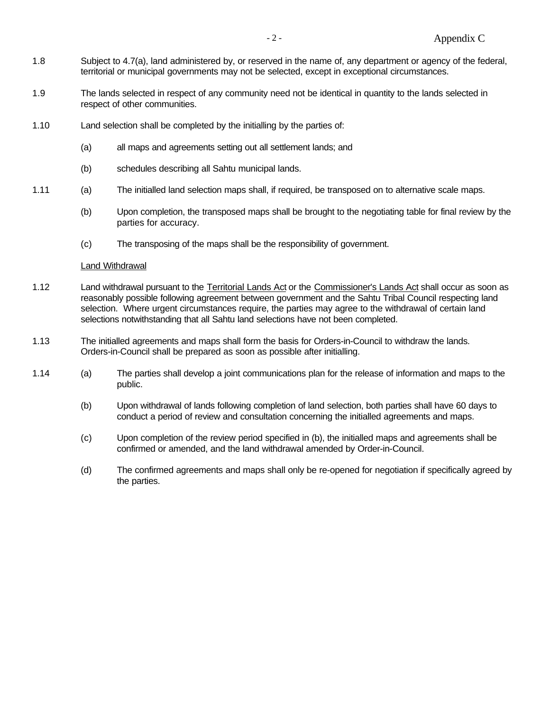- 1.8 Subject to 4.7(a), land administered by, or reserved in the name of, any department or agency of the federal, territorial or municipal governments may not be selected, except in exceptional circumstances.
- 1.9 The lands selected in respect of any community need not be identical in quantity to the lands selected in respect of other communities.
- 1.10 Land selection shall be completed by the initialling by the parties of:
	- (a) all maps and agreements setting out all settlement lands; and
	- (b) schedules describing all Sahtu municipal lands.
- 1.11 (a) The initialled land selection maps shall, if required, be transposed on to alternative scale maps.
	- (b) Upon completion, the transposed maps shall be brought to the negotiating table for final review by the parties for accuracy.
	- (c) The transposing of the maps shall be the responsibility of government.

#### Land Withdrawal

- 1.12 Land withdrawal pursuant to the Territorial Lands Act or the Commissioner's Lands Act shall occur as soon as reasonably possible following agreement between government and the Sahtu Tribal Council respecting land selection. Where urgent circumstances require, the parties may agree to the withdrawal of certain land selections notwithstanding that all Sahtu land selections have not been completed.
- 1.13 The initialled agreements and maps shall form the basis for Orders-in-Council to withdraw the lands. Orders-in-Council shall be prepared as soon as possible after initialling.
- 1.14 (a) The parties shall develop a joint communications plan for the release of information and maps to the public.
	- (b) Upon withdrawal of lands following completion of land selection, both parties shall have 60 days to conduct a period of review and consultation concerning the initialled agreements and maps.
	- (c) Upon completion of the review period specified in (b), the initialled maps and agreements shall be confirmed or amended, and the land withdrawal amended by Order-in-Council.
	- (d) The confirmed agreements and maps shall only be re-opened for negotiation if specifically agreed by the parties.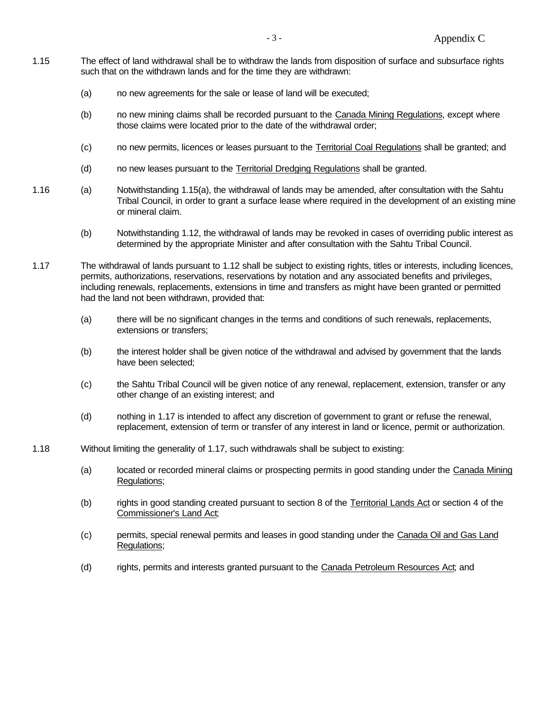- 1.15 The effect of land withdrawal shall be to withdraw the lands from disposition of surface and subsurface rights such that on the withdrawn lands and for the time they are withdrawn:
	- (a) no new agreements for the sale or lease of land will be executed;
	- (b) no new mining claims shall be recorded pursuant to the Canada Mining Regulations, except where those claims were located prior to the date of the withdrawal order;
	- (c) no new permits, licences or leases pursuant to the Territorial Coal Regulations shall be granted; and
	- (d) no new leases pursuant to the Territorial Dredging Regulations shall be granted.
- 1.16 (a) Notwithstanding 1.15(a), the withdrawal of lands may be amended, after consultation with the Sahtu Tribal Council, in order to grant a surface lease where required in the development of an existing mine or mineral claim.
	- (b) Notwithstanding 1.12, the withdrawal of lands may be revoked in cases of overriding public interest as determined by the appropriate Minister and after consultation with the Sahtu Tribal Council.
- 1.17 The withdrawal of lands pursuant to 1.12 shall be subject to existing rights, titles or interests, including licences, permits, authorizations, reservations, reservations by notation and any associated benefits and privileges, including renewals, replacements, extensions in time and transfers as might have been granted or permitted had the land not been withdrawn, provided that:
	- (a) there will be no significant changes in the terms and conditions of such renewals, replacements, extensions or transfers;
	- (b) the interest holder shall be given notice of the withdrawal and advised by government that the lands have been selected;
	- (c) the Sahtu Tribal Council will be given notice of any renewal, replacement, extension, transfer or any other change of an existing interest; and
	- (d) nothing in 1.17 is intended to affect any discretion of government to grant or refuse the renewal, replacement, extension of term or transfer of any interest in land or licence, permit or authorization.
- 1.18 Without limiting the generality of 1.17, such withdrawals shall be subject to existing:
	- (a) located or recorded mineral claims or prospecting permits in good standing under the Canada Mining Regulations;
	- (b) rights in good standing created pursuant to section 8 of the Territorial Lands Act or section 4 of the Commissioner's Land Act;
	- (c) permits, special renewal permits and leases in good standing under the Canada Oil and Gas Land Regulations;
	- (d) rights, permits and interests granted pursuant to the Canada Petroleum Resources Act; and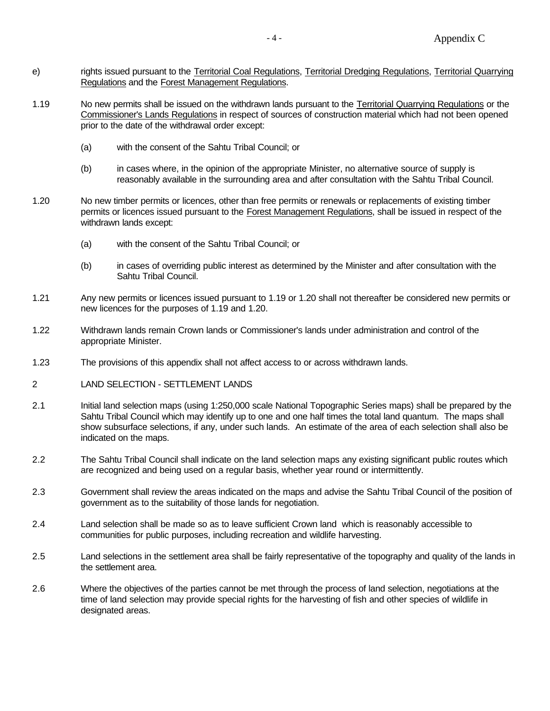- e) rights issued pursuant to the Territorial Coal Regulations, Territorial Dredging Regulations, Territorial Quarrying Regulations and the Forest Management Regulations.
- 1.19 No new permits shall be issued on the withdrawn lands pursuant to the Territorial Quarrying Regulations or the Commissioner's Lands Regulations in respect of sources of construction material which had not been opened prior to the date of the withdrawal order except:
	- (a) with the consent of the Sahtu Tribal Council; or
	- (b) in cases where, in the opinion of the appropriate Minister, no alternative source of supply is reasonably available in the surrounding area and after consultation with the Sahtu Tribal Council.
- 1.20 No new timber permits or licences, other than free permits or renewals or replacements of existing timber permits or licences issued pursuant to the Forest Management Regulations, shall be issued in respect of the withdrawn lands except:
	- (a) with the consent of the Sahtu Tribal Council; or
	- (b) in cases of overriding public interest as determined by the Minister and after consultation with the Sahtu Tribal Council.
- 1.21 Any new permits or licences issued pursuant to 1.19 or 1.20 shall not thereafter be considered new permits or new licences for the purposes of 1.19 and 1.20.
- 1.22 Withdrawn lands remain Crown lands or Commissioner's lands under administration and control of the appropriate Minister.
- 1.23 The provisions of this appendix shall not affect access to or across withdrawn lands.
- 2 LAND SELECTION SETTLEMENT LANDS
- 2.1 Initial land selection maps (using 1:250,000 scale National Topographic Series maps) shall be prepared by the Sahtu Tribal Council which may identify up to one and one half times the total land quantum. The maps shall show subsurface selections, if any, under such lands. An estimate of the area of each selection shall also be indicated on the maps.
- 2.2 The Sahtu Tribal Council shall indicate on the land selection maps any existing significant public routes which are recognized and being used on a regular basis, whether year round or intermittently.
- 2.3 Government shall review the areas indicated on the maps and advise the Sahtu Tribal Council of the position of government as to the suitability of those lands for negotiation.
- 2.4 Land selection shall be made so as to leave sufficient Crown land which is reasonably accessible to communities for public purposes, including recreation and wildlife harvesting.
- 2.5 Land selections in the settlement area shall be fairly representative of the topography and quality of the lands in the settlement area.
- 2.6 Where the objectives of the parties cannot be met through the process of land selection, negotiations at the time of land selection may provide special rights for the harvesting of fish and other species of wildlife in designated areas.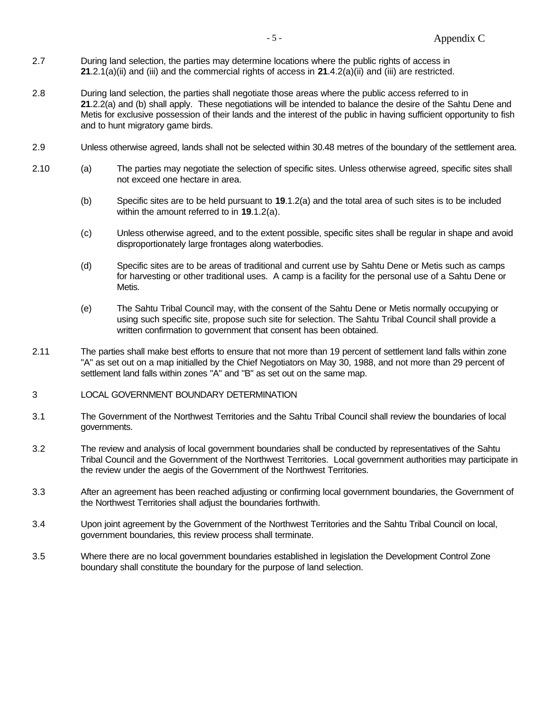- 2.7 During land selection, the parties may determine locations where the public rights of access in **21**.2.1(a)(ii) and (iii) and the commercial rights of access in **21**.4.2(a)(ii) and (iii) are restricted.
- 2.8 During land selection, the parties shall negotiate those areas where the public access referred to in **21**.2.2(a) and (b) shall apply. These negotiations will be intended to balance the desire of the Sahtu Dene and Metis for exclusive possession of their lands and the interest of the public in having sufficient opportunity to fish and to hunt migratory game birds.
- 2.9 Unless otherwise agreed, lands shall not be selected within 30.48 metres of the boundary of the settlement area.
- 2.10 (a) The parties may negotiate the selection of specific sites. Unless otherwise agreed, specific sites shall not exceed one hectare in area.
	- (b) Specific sites are to be held pursuant to **19**.1.2(a) and the total area of such sites is to be included within the amount referred to in **19**.1.2(a).
	- (c) Unless otherwise agreed, and to the extent possible, specific sites shall be regular in shape and avoid disproportionately large frontages along waterbodies.
	- (d) Specific sites are to be areas of traditional and current use by Sahtu Dene or Metis such as camps for harvesting or other traditional uses. A camp is a facility for the personal use of a Sahtu Dene or Metis.
	- (e) The Sahtu Tribal Council may, with the consent of the Sahtu Dene or Metis normally occupying or using such specific site, propose such site for selection. The Sahtu Tribal Council shall provide a written confirmation to government that consent has been obtained.
- 2.11 The parties shall make best efforts to ensure that not more than 19 percent of settlement land falls within zone "A" as set out on a map initialled by the Chief Negotiators on May 30, 1988, and not more than 29 percent of settlement land falls within zones "A" and "B" as set out on the same map.

## 3 LOCAL GOVERNMENT BOUNDARY DETERMINATION

- 3.1 The Government of the Northwest Territories and the Sahtu Tribal Council shall review the boundaries of local governments.
- 3.2 The review and analysis of local government boundaries shall be conducted by representatives of the Sahtu Tribal Council and the Government of the Northwest Territories. Local government authorities may participate in the review under the aegis of the Government of the Northwest Territories.
- 3.3 After an agreement has been reached adjusting or confirming local government boundaries, the Government of the Northwest Territories shall adjust the boundaries forthwith.
- 3.4 Upon joint agreement by the Government of the Northwest Territories and the Sahtu Tribal Council on local, government boundaries, this review process shall terminate.
- 3.5 Where there are no local government boundaries established in legislation the Development Control Zone boundary shall constitute the boundary for the purpose of land selection.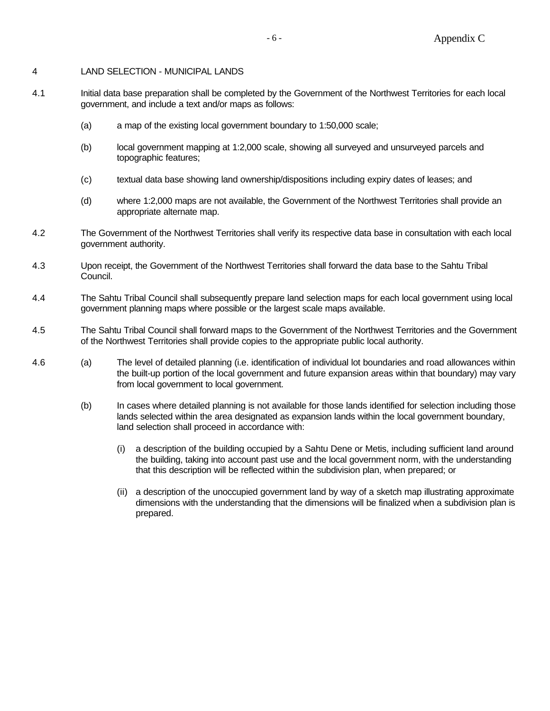#### 4 LAND SELECTION - MUNICIPAL LANDS

- 4.1 Initial data base preparation shall be completed by the Government of the Northwest Territories for each local government, and include a text and/or maps as follows:
	- (a) a map of the existing local government boundary to 1:50,000 scale;
	- (b) local government mapping at 1:2,000 scale, showing all surveyed and unsurveyed parcels and topographic features;
	- (c) textual data base showing land ownership/dispositions including expiry dates of leases; and
	- (d) where 1:2,000 maps are not available, the Government of the Northwest Territories shall provide an appropriate alternate map.
- 4.2 The Government of the Northwest Territories shall verify its respective data base in consultation with each local government authority.
- 4.3 Upon receipt, the Government of the Northwest Territories shall forward the data base to the Sahtu Tribal Council.
- 4.4 The Sahtu Tribal Council shall subsequently prepare land selection maps for each local government using local government planning maps where possible or the largest scale maps available.
- 4.5 The Sahtu Tribal Council shall forward maps to the Government of the Northwest Territories and the Government of the Northwest Territories shall provide copies to the appropriate public local authority.
- 4.6 (a) The level of detailed planning (i.e. identification of individual lot boundaries and road allowances within the built-up portion of the local government and future expansion areas within that boundary) may vary from local government to local government.
	- (b) In cases where detailed planning is not available for those lands identified for selection including those lands selected within the area designated as expansion lands within the local government boundary, land selection shall proceed in accordance with:
		- (i) a description of the building occupied by a Sahtu Dene or Metis, including sufficient land around the building, taking into account past use and the local government norm, with the understanding that this description will be reflected within the subdivision plan, when prepared; or
		- (ii) a description of the unoccupied government land by way of a sketch map illustrating approximate dimensions with the understanding that the dimensions will be finalized when a subdivision plan is prepared.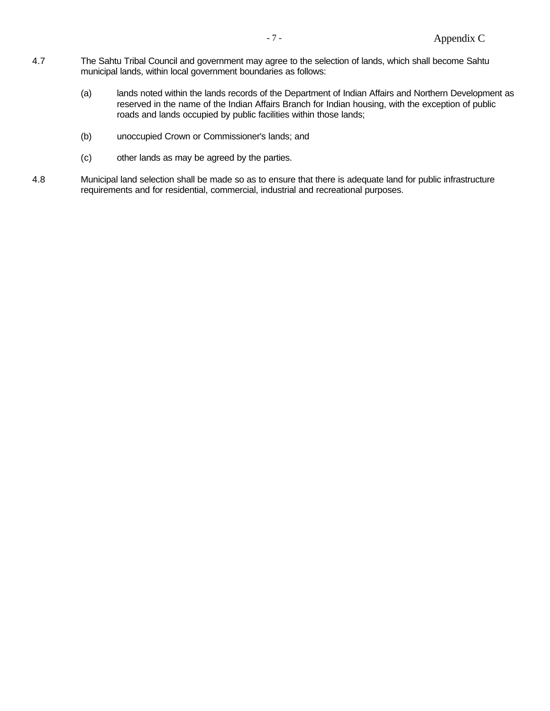- 4.7 The Sahtu Tribal Council and government may agree to the selection of lands, which shall become Sahtu municipal lands, within local government boundaries as follows:
	- (a) lands noted within the lands records of the Department of Indian Affairs and Northern Development as reserved in the name of the Indian Affairs Branch for Indian housing, with the exception of public roads and lands occupied by public facilities within those lands;
	- (b) unoccupied Crown or Commissioner's lands; and
	- (c) other lands as may be agreed by the parties.
- 4.8 Municipal land selection shall be made so as to ensure that there is adequate land for public infrastructure requirements and for residential, commercial, industrial and recreational purposes.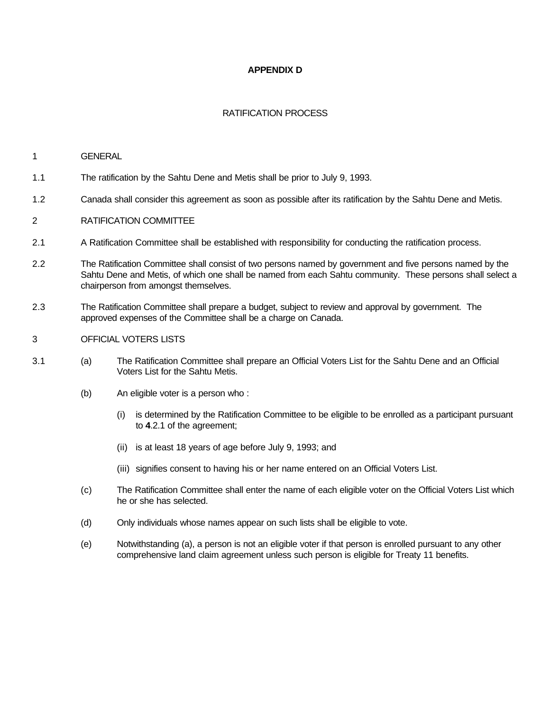## **APPENDIX D**

## RATIFICATION PROCESS

#### 1 GENERAL

- 1.1 The ratification by the Sahtu Dene and Metis shall be prior to July 9, 1993.
- 1.2 Canada shall consider this agreement as soon as possible after its ratification by the Sahtu Dene and Metis.
- 2 RATIFICATION COMMITTEE
- 2.1 A Ratification Committee shall be established with responsibility for conducting the ratification process.
- 2.2 The Ratification Committee shall consist of two persons named by government and five persons named by the Sahtu Dene and Metis, of which one shall be named from each Sahtu community. These persons shall select a chairperson from amongst themselves.
- 2.3 The Ratification Committee shall prepare a budget, subject to review and approval by government. The approved expenses of the Committee shall be a charge on Canada.
- 3 OFFICIAL VOTERS LISTS
- 3.1 (a) The Ratification Committee shall prepare an Official Voters List for the Sahtu Dene and an Official Voters List for the Sahtu Metis.
	- (b) An eligible voter is a person who :
		- (i) is determined by the Ratification Committee to be eligible to be enrolled as a participant pursuant to **4**.2.1 of the agreement;
		- (ii) is at least 18 years of age before July 9, 1993; and
		- (iii) signifies consent to having his or her name entered on an Official Voters List.
	- (c) The Ratification Committee shall enter the name of each eligible voter on the Official Voters List which he or she has selected.
	- (d) Only individuals whose names appear on such lists shall be eligible to vote.
	- (e) Notwithstanding (a), a person is not an eligible voter if that person is enrolled pursuant to any other comprehensive land claim agreement unless such person is eligible for Treaty 11 benefits.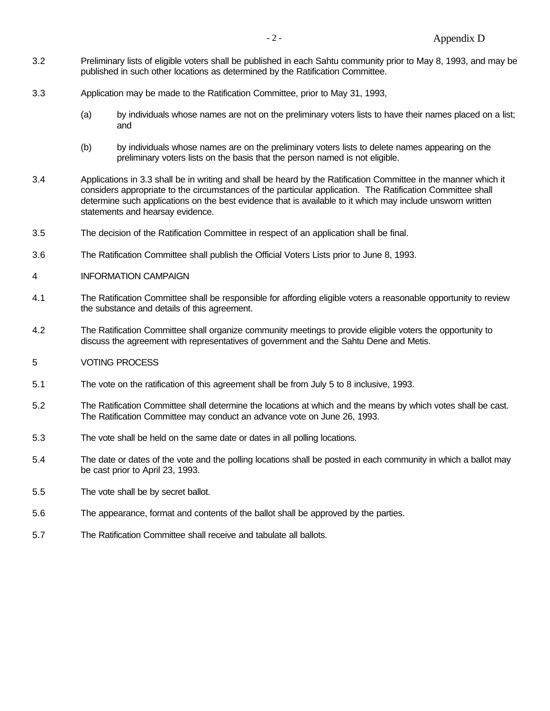- 3.2 Preliminary lists of eligible voters shall be published in each Sahtu community prior to May 8, 1993, and may be published in such other locations as determined by the Ratification Committee.
- 3.3 Application may be made to the Ratification Committee, prior to May 31, 1993,
	- (a) by individuals whose names are not on the preliminary voters lists to have their names placed on a list; and
	- (b) by individuals whose names are on the preliminary voters lists to delete names appearing on the preliminary voters lists on the basis that the person named is not eligible.
- 3.4 Applications in 3.3 shall be in writing and shall be heard by the Ratification Committee in the manner which it considers appropriate to the circumstances of the particular application. The Ratification Committee shall determine such applications on the best evidence that is available to it which may include unsworn written statements and hearsay evidence.
- 3.5 The decision of the Ratification Committee in respect of an application shall be final.
- 3.6 The Ratification Committee shall publish the Official Voters Lists prior to June 8, 1993.
- 4 INFORMATION CAMPAIGN
- 4.1 The Ratification Committee shall be responsible for affording eligible voters a reasonable opportunity to review the substance and details of this agreement.
- 4.2 The Ratification Committee shall organize community meetings to provide eligible voters the opportunity to discuss the agreement with representatives of government and the Sahtu Dene and Metis.
- 5 VOTING PROCESS
- 5.1 The vote on the ratification of this agreement shall be from July 5 to 8 inclusive, 1993.
- 5.2 The Ratification Committee shall determine the locations at which and the means by which votes shall be cast. The Ratification Committee may conduct an advance vote on June 26, 1993.
- 5.3 The vote shall be held on the same date or dates in all polling locations.
- 5.4 The date or dates of the vote and the polling locations shall be posted in each community in which a ballot may be cast prior to April 23, 1993.
- 5.5 The vote shall be by secret ballot.
- 5.6 The appearance, format and contents of the ballot shall be approved by the parties.
- 5.7 The Ratification Committee shall receive and tabulate all ballots.